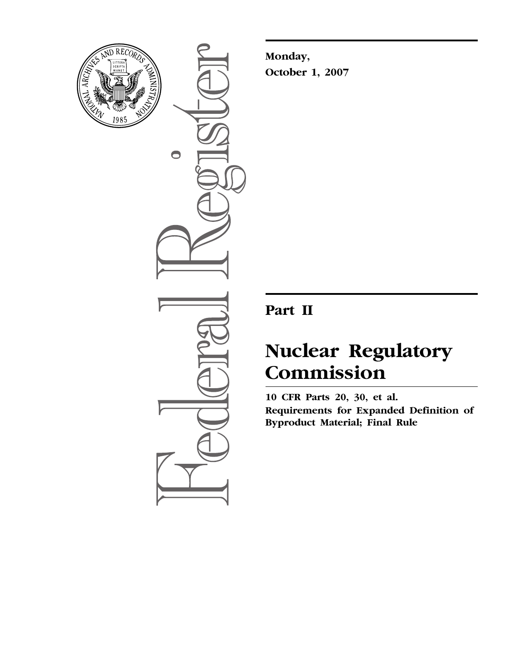

 $\bullet$ 

**Monday, October 1, 2007** 

## **Part II**

# **Nuclear Regulatory Commission**

**10 CFR Parts 20, 30, et al. Requirements for Expanded Definition of Byproduct Material; Final Rule**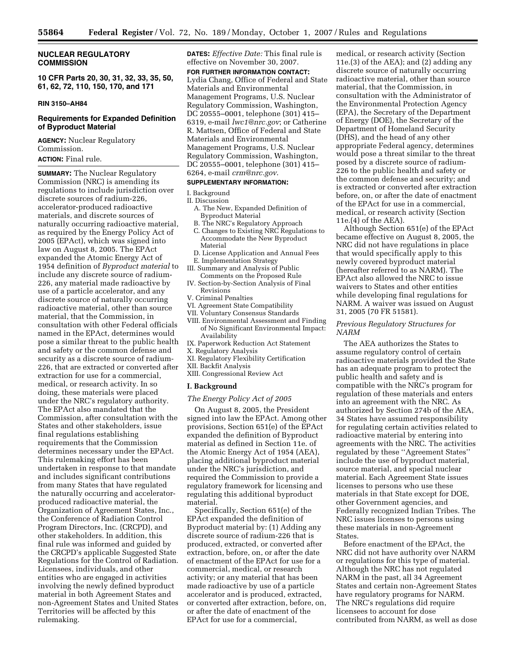**NUCLEAR REGULATORY COMMISSION** 

**10 CFR Parts 20, 30, 31, 32, 33, 35, 50, 61, 62, 72, 110, 150, 170, and 171** 

#### **RIN 3150–AH84**

## **Requirements for Expanded Definition of Byproduct Material**

**AGENCY:** Nuclear Regulatory Commission.

**ACTION:** Final rule.

**SUMMARY:** The Nuclear Regulatory Commission (NRC) is amending its regulations to include jurisdiction over discrete sources of radium-226, accelerator-produced radioactive materials, and discrete sources of naturally occurring radioactive material, as required by the Energy Policy Act of 2005 (EPAct), which was signed into law on August 8, 2005. The EPAct expanded the Atomic Energy Act of 1954 definition of *Byproduct material* to include any discrete source of radium-226, any material made radioactive by use of a particle accelerator, and any discrete source of naturally occurring radioactive material, other than source material, that the Commission, in consultation with other Federal officials named in the EPAct, determines would pose a similar threat to the public health and safety or the common defense and security as a discrete source of radium-226, that are extracted or converted after extraction for use for a commercial, medical, or research activity. In so doing, these materials were placed under the NRC's regulatory authority. The EPAct also mandated that the Commission, after consultation with the States and other stakeholders, issue final regulations establishing requirements that the Commission determines necessary under the EPAct. This rulemaking effort has been undertaken in response to that mandate and includes significant contributions from many States that have regulated the naturally occurring and acceleratorproduced radioactive material, the Organization of Agreement States, Inc., the Conference of Radiation Control Program Directors, Inc. (CRCPD), and other stakeholders. In addition, this final rule was informed and guided by the CRCPD's applicable Suggested State Regulations for the Control of Radiation. Licensees, individuals, and other entities who are engaged in activities involving the newly defined byproduct material in both Agreement States and non-Agreement States and United States Territories will be affected by this rulemaking.

**DATES:** *Effective Date:* This final rule is effective on November 30, 2007.

**FOR FURTHER INFORMATION CONTACT:**  Lydia Chang, Office of Federal and State Materials and Environmental Management Programs, U.S. Nuclear Regulatory Commission, Washington, DC 20555–0001, telephone (301) 415– 6319, e-mail *[lwc1@nrc.gov](mailto:lwc1@nrc.gov)*; or Catherine R. Mattsen, Office of Federal and State Materials and Environmental Management Programs, U.S. Nuclear Regulatory Commission, Washington, DC 20555–0001, telephone (301) 415– 6264, e-mail *[crm@nrc.gov](mailto:crm@nrc.gov)*.

#### **SUPPLEMENTARY INFORMATION:**

I. Background

- II. Discussion
	- A. The New, Expanded Definition of Byproduct Material
	- B. The NRC's Regulatory Approach
	- C. Changes to Existing NRC Regulations to Accommodate the New Byproduct Material
- D. License Application and Annual Fees E. Implementation Strategy
- III. Summary and Analysis of Public
- Comments on the Proposed Rule IV. Section-by-Section Analysis of Final Revisions
- V. Criminal Penalties
- VI. Agreement State Compatibility
- VII. Voluntary Consensus Standards
- VIII. Environmental Assessment and Finding of No Significant Environmental Impact: Availability
- IX. Paperwork Reduction Act Statement
- X. Regulatory Analysis
- XI. Regulatory Flexibility Certification
- XII. Backfit Analysis
- XIII. Congressional Review Act

#### **I. Background**

## *The Energy Policy Act of 2005*

On August 8, 2005, the President signed into law the EPAct. Among other provisions, Section 651(e) of the EPAct expanded the definition of Byproduct material as defined in Section 11e. of the Atomic Energy Act of 1954 (AEA), placing additional byproduct material under the NRC's jurisdiction, and required the Commission to provide a regulatory framework for licensing and regulating this additional byproduct material.

Specifically, Section 651(e) of the EPAct expanded the definition of Byproduct material by: (1) Adding any discrete source of radium-226 that is produced, extracted, or converted after extraction, before, on, or after the date of enactment of the EPAct for use for a commercial, medical, or research activity; or any material that has been made radioactive by use of a particle accelerator and is produced, extracted, or converted after extraction, before, on, or after the date of enactment of the EPAct for use for a commercial,

medical, or research activity (Section 11e.(3) of the AEA); and (2) adding any discrete source of naturally occurring radioactive material, other than source material, that the Commission, in consultation with the Administrator of the Environmental Protection Agency (EPA), the Secretary of the Department of Energy (DOE), the Secretary of the Department of Homeland Security (DHS), and the head of any other appropriate Federal agency, determines would pose a threat similar to the threat posed by a discrete source of radium-226 to the public health and safety or the common defense and security; and is extracted or converted after extraction before, on, or after the date of enactment of the EPAct for use in a commercial, medical, or research activity (Section 11e.(4) of the AEA).

Although Section 651(e) of the EPAct became effective on August 8, 2005, the NRC did not have regulations in place that would specifically apply to this newly covered byproduct material (hereafter referred to as NARM). The EPAct also allowed the NRC to issue waivers to States and other entities while developing final regulations for NARM. A waiver was issued on August 31, 2005 (70 FR 51581).

#### *Previous Regulatory Structures for NARM*

The AEA authorizes the States to assume regulatory control of certain radioactive materials provided the State has an adequate program to protect the public health and safety and is compatible with the NRC's program for regulation of these materials and enters into an agreement with the NRC. As authorized by Section 274b of the AEA, 34 States have assumed responsibility for regulating certain activities related to radioactive material by entering into agreements with the NRC. The activities regulated by these ''Agreement States'' include the use of byproduct material, source material, and special nuclear material. Each Agreement State issues licenses to persons who use these materials in that State except for DOE, other Government agencies, and Federally recognized Indian Tribes. The NRC issues licenses to persons using these materials in non-Agreement States.

Before enactment of the EPAct, the NRC did not have authority over NARM or regulations for this type of material. Although the NRC has not regulated NARM in the past, all 34 Agreement States and certain non-Agreement States have regulatory programs for NARM. The NRC's regulations did require licensees to account for dose contributed from NARM, as well as dose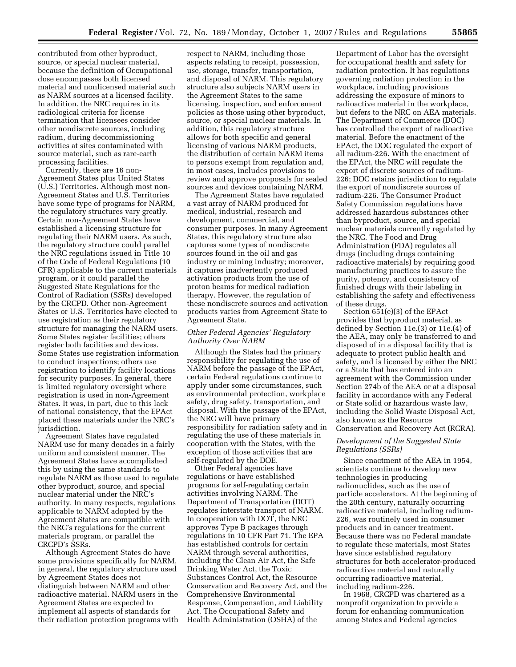contributed from other byproduct, source, or special nuclear material, because the definition of Occupational dose encompasses both licensed material and nonlicensed material such as NARM sources at a licensed facility. In addition, the NRC requires in its radiological criteria for license termination that licensees consider other nondiscrete sources, including radium, during decommissioning activities at sites contaminated with source material, such as rare-earth processing facilities.

Currently, there are 16 non-Agreement States plus United States (U.S.) Territories. Although most non-Agreement States and U.S. Territories have some type of programs for NARM, the regulatory structures vary greatly. Certain non-Agreement States have established a licensing structure for regulating their NARM users. As such, the regulatory structure could parallel the NRC regulations issued in Title 10 of the Code of Federal Regulations (10 CFR) applicable to the current materials program, or it could parallel the Suggested State Regulations for the Control of Radiation (SSRs) developed by the CRCPD. Other non-Agreement States or U.S. Territories have elected to use registration as their regulatory structure for managing the NARM users. Some States register facilities; others register both facilities and devices. Some States use registration information to conduct inspections; others use registration to identify facility locations for security purposes. In general, there is limited regulatory oversight where registration is used in non-Agreement States. It was, in part, due to this lack of national consistency, that the EPAct placed these materials under the NRC's jurisdiction.

Agreement States have regulated NARM use for many decades in a fairly uniform and consistent manner. The Agreement States have accomplished this by using the same standards to regulate NARM as those used to regulate other byproduct, source, and special nuclear material under the NRC's authority. In many respects, regulations applicable to NARM adopted by the Agreement States are compatible with the NRC's regulations for the current materials program, or parallel the CRCPD's SSRs.

Although Agreement States do have some provisions specifically for NARM, in general, the regulatory structure used by Agreement States does not distinguish between NARM and other radioactive material. NARM users in the Agreement States are expected to implement all aspects of standards for their radiation protection programs with respect to NARM, including those aspects relating to receipt, possession, use, storage, transfer, transportation, and disposal of NARM. This regulatory structure also subjects NARM users in the Agreement States to the same licensing, inspection, and enforcement policies as those using other byproduct, source, or special nuclear materials. In addition, this regulatory structure allows for both specific and general licensing of various NARM products, the distribution of certain NARM items to persons exempt from regulation and, in most cases, includes provisions to review and approve proposals for sealed sources and devices containing NARM.

The Agreement States have regulated a vast array of NARM produced for medical, industrial, research and development, commercial, and consumer purposes. In many Agreement States, this regulatory structure also captures some types of nondiscrete sources found in the oil and gas industry or mining industry; moreover, it captures inadvertently produced activation products from the use of proton beams for medical radiation therapy. However, the regulation of these nondiscrete sources and activation products varies from Agreement State to Agreement State.

## *Other Federal Agencies' Regulatory Authority Over NARM*

Although the States had the primary responsibility for regulating the use of NARM before the passage of the EPAct, certain Federal regulations continue to apply under some circumstances, such as environmental protection, workplace safety, drug safety, transportation, and disposal. With the passage of the EPAct, the NRC will have primary responsibility for radiation safety and in regulating the use of these materials in cooperation with the States, with the exception of those activities that are self-regulated by the DOE.

Other Federal agencies have regulations or have established programs for self-regulating certain activities involving NARM. The Department of Transportation (DOT) regulates interstate transport of NARM. In cooperation with DOT, the NRC approves Type B packages through regulations in 10 CFR Part 71. The EPA has established controls for certain NARM through several authorities, including the Clean Air Act, the Safe Drinking Water Act, the Toxic Substances Control Act, the Resource Conservation and Recovery Act, and the Comprehensive Environmental Response, Compensation, and Liability Act. The Occupational Safety and Health Administration (OSHA) of the

Department of Labor has the oversight for occupational health and safety for radiation protection. It has regulations governing radiation protection in the workplace, including provisions addressing the exposure of minors to radioactive material in the workplace, but defers to the NRC on AEA materials. The Department of Commerce (DOC) has controlled the export of radioactive material. Before the enactment of the EPAct, the DOC regulated the export of all radium-226. With the enactment of the EPAct, the NRC will regulate the export of discrete sources of radium-226; DOC retains jurisdiction to regulate the export of nondiscrete sources of radium-226. The Consumer Product Safety Commission regulations have addressed hazardous substances other than byproduct, source, and special nuclear materials currently regulated by the NRC. The Food and Drug Administration (FDA) regulates all drugs (including drugs containing radioactive materials) by requiring good manufacturing practices to assure the purity, potency, and consistency of finished drugs with their labeling in establishing the safety and effectiveness of these drugs.

Section 651(e)(3) of the EPAct provides that byproduct material, as defined by Section 11e.(3) or 11e.(4) of the AEA, may only be transferred to and disposed of in a disposal facility that is adequate to protect public health and safety, and is licensed by either the NRC or a State that has entered into an agreement with the Commission under Section 274b of the AEA or at a disposal facility in accordance with any Federal or State solid or hazardous waste law, including the Solid Waste Disposal Act, also known as the Resource Conservation and Recovery Act (RCRA).

## *Development of the Suggested State Regulations (SSRs)*

Since enactment of the AEA in 1954, scientists continue to develop new technologies in producing radionuclides, such as the use of particle accelerators. At the beginning of the 20th century, naturally occurring radioactive material, including radium-226, was routinely used in consumer products and in cancer treatment. Because there was no Federal mandate to regulate these materials, most States have since established regulatory structures for both accelerator-produced radioactive material and naturally occurring radioactive material, including radium-226.

In 1968, CRCPD was chartered as a nonprofit organization to provide a forum for enhancing communication among States and Federal agencies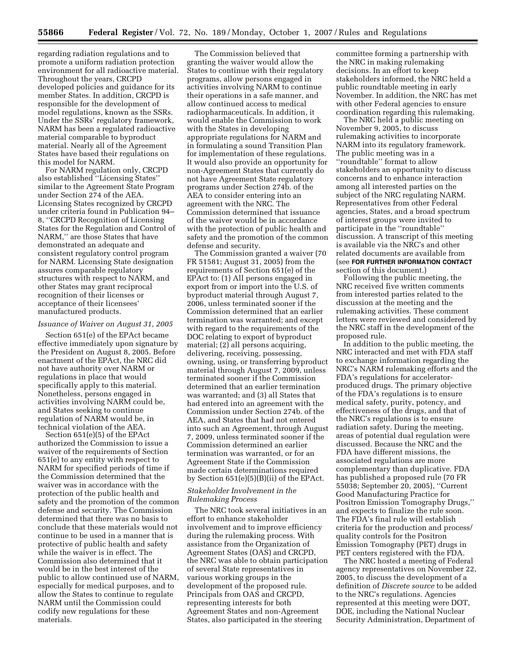regarding radiation regulations and to promote a uniform radiation protection environment for all radioactive material. Throughout the years, CRCPD developed policies and guidance for its member States. In addition, CRCPD is responsible for the development of model regulations, known as the SSRs. Under the SSRs' regulatory framework, NARM has been a regulated radioactive material comparable to byproduct material. Nearly all of the Agreement States have based their regulations on this model for NARM.

For NARM regulation only, CRCPD also established ''Licensing States'' similar to the Agreement State Program under Section 274 of the AEA. Licensing States recognized by CRCPD under criteria found in Publication 94– 8, ''CRCPD Recognition of Licensing States for the Regulation and Control of NARM,'' are those States that have demonstrated an adequate and consistent regulatory control program for NARM. Licensing State designation assures comparable regulatory structures with respect to NARM, and other States may grant reciprocal recognition of their licenses or acceptance of their licensees' manufactured products.

#### *Issuance of Waiver on August 31, 2005*

Section 651(e) of the EPAct became effective immediately upon signature by the President on August 8, 2005. Before enactment of the EPAct, the NRC did not have authority over NARM or regulations in place that would specifically apply to this material. Nonetheless, persons engaged in activities involving NARM could be, and States seeking to continue regulation of NARM would be, in technical violation of the AEA.

Section 651(e)(5) of the EPAct authorized the Commission to issue a waiver of the requirements of Section 651(e) to any entity with respect to NARM for specified periods of time if the Commission determined that the waiver was in accordance with the protection of the public health and safety and the promotion of the common defense and security. The Commission determined that there was no basis to conclude that these materials would not continue to be used in a manner that is protective of public health and safety while the waiver is in effect. The Commission also determined that it would be in the best interest of the public to allow continued use of NARM, especially for medical purposes, and to allow the States to continue to regulate NARM until the Commission could codify new regulations for these materials.

The Commission believed that granting the waiver would allow the States to continue with their regulatory programs, allow persons engaged in activities involving NARM to continue their operations in a safe manner, and allow continued access to medical radiopharmaceuticals. In addition, it would enable the Commission to work with the States in developing appropriate regulations for NARM and in formulating a sound Transition Plan for implementation of these regulations. It would also provide an opportunity for non-Agreement States that currently do not have Agreement State regulatory programs under Section 274b. of the AEA to consider entering into an agreement with the NRC. The Commission determined that issuance of the waiver would be in accordance with the protection of public health and safety and the promotion of the common defense and security.

The Commission granted a waiver (70 FR 51581; August 31, 2005) from the requirements of Section 651(e) of the EPAct to: (1) All persons engaged in export from or import into the U.S. of byproduct material through August 7, 2006, unless terminated sooner if the Commission determined that an earlier termination was warranted; and except with regard to the requirements of the DOC relating to export of byproduct material; (2) all persons acquiring, delivering, receiving, possessing, owning, using, or transferring byproduct material through August 7, 2009, unless terminated sooner if the Commission determined that an earlier termination was warranted; and (3) all States that had entered into an agreement with the Commission under Section 274b. of the AEA, and States that had not entered into such an Agreement, through August 7, 2009, unless terminated sooner if the Commission determined an earlier termination was warranted, or for an Agreement State if the Commission made certain determinations required by Section 651(e)(5)(B)(ii) of the EPAct.

## *Stakeholder Involvement in the Rulemaking Process*

The NRC took several initiatives in an effort to enhance stakeholder involvement and to improve efficiency during the rulemaking process. With assistance from the Organization of Agreement States (OAS) and CRCPD, the NRC was able to obtain participation of several State representatives in various working groups in the development of the proposed rule. Principals from OAS and CRCPD, representing interests for both Agreement States and non-Agreement States, also participated in the steering

committee forming a partnership with the NRC in making rulemaking decisions. In an effort to keep stakeholders informed, the NRC held a public roundtable meeting in early November. In addition, the NRC has met with other Federal agencies to ensure coordination regarding this rulemaking.

The NRC held a public meeting on November 9, 2005, to discuss rulemaking activities to incorporate NARM into its regulatory framework. The public meeting was in a ''roundtable'' format to allow stakeholders an opportunity to discuss concerns and to enhance interaction among all interested parties on the subject of the NRC regulating NARM. Representatives from other Federal agencies, States, and a broad spectrum of interest groups were invited to participate in the ''roundtable'' discussion. A transcript of this meeting is available via the NRC's and other related documents are available from (see **FOR FURTHER INFORMATION CONTACT**  section of this document.)

Following the public meeting, the NRC received five written comments from interested parties related to the discussion at the meeting and the rulemaking activities. These comment letters were reviewed and considered by the NRC staff in the development of the proposed rule.

In addition to the public meeting, the NRC interacted and met with FDA staff to exchange information regarding the NRC's NARM rulemaking efforts and the FDA's regulations for acceleratorproduced drugs. The primary objective of the FDA's regulations is to ensure medical safety, purity, potency, and effectiveness of the drugs, and that of the NRC's regulations is to ensure radiation safety. During the meeting, areas of potential dual regulation were discussed. Because the NRC and the FDA have different missions, the associated regulations are more complementary than duplicative. FDA has published a proposed rule (70 FR 55038; September 20, 2005), ''Current Good Manufacturing Practice for Positron Emission Tomography Drugs,'' and expects to finalize the rule soon. The FDA's final rule will establish criteria for the production and process/ quality controls for the Positron Emission Tomography (PET) drugs in PET centers registered with the FDA.

The NRC hosted a meeting of Federal agency representatives on November 22, 2005, to discuss the development of a definition of *Discrete source* to be added to the NRC's regulations. Agencies represented at this meeting were DOT, DOE, including the National Nuclear Security Administration, Department of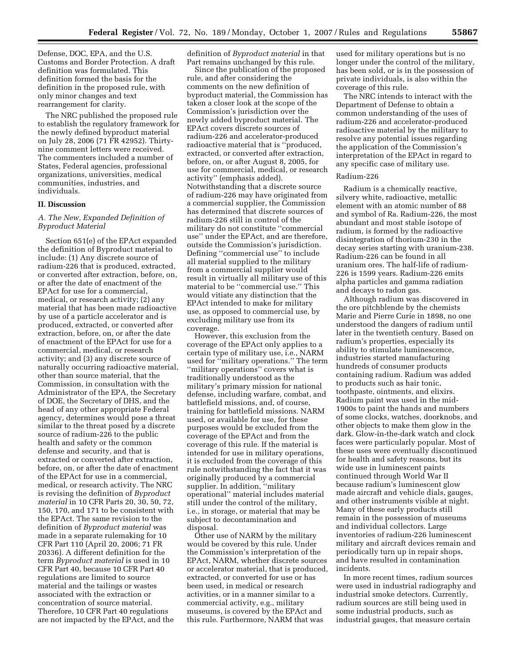Defense, DOC, EPA, and the U.S. Customs and Border Protection. A draft definition was formulated. This definition formed the basis for the definition in the proposed rule, with only minor changes and text rearrangement for clarity.

The NRC published the proposed rule to establish the regulatory framework for the newly defined byproduct material on July 28, 2006 (71 FR 42952). Thirtynine comment letters were received. The commenters included a number of States, Federal agencies, professional organizations, universities, medical communities, industries, and individuals.

#### **II. Discussion**

## *A. The New, Expanded Definition of Byproduct Material*

Section 651(e) of the EPAct expanded the definition of Byproduct material to include: (1) Any discrete source of radium-226 that is produced, extracted, or converted after extraction, before, on, or after the date of enactment of the EPAct for use for a commercial, medical, or research activity; (2) any material that has been made radioactive by use of a particle accelerator and is produced, extracted, or converted after extraction, before, on, or after the date of enactment of the EPAct for use for a commercial, medical, or research activity; and (3) any discrete source of naturally occurring radioactive material, other than source material, that the Commission, in consultation with the Administrator of the EPA, the Secretary of DOE, the Secretary of DHS, and the head of any other appropriate Federal agency, determines would pose a threat similar to the threat posed by a discrete source of radium-226 to the public health and safety or the common defense and security, and that is extracted or converted after extraction, before, on, or after the date of enactment of the EPAct for use in a commercial, medical, or research activity. The NRC is revising the definition of *Byproduct material* in 10 CFR Parts 20, 30, 50, 72, 150, 170, and 171 to be consistent with the EPAct. The same revision to the definition of *Byproduct material* was made in a separate rulemaking for 10 CFR Part 110 (April 20, 2006; 71 FR 20336). A different definition for the term *Byproduct material* is used in 10 CFR Part 40, because 10 CFR Part 40 regulations are limited to source material and the tailings or wastes associated with the extraction or concentration of source material. Therefore, 10 CFR Part 40 regulations are not impacted by the EPAct, and the

definition of *Byproduct material* in that Part remains unchanged by this rule.

Since the publication of the proposed rule, and after considering the comments on the new definition of byproduct material, the Commission has taken a closer look at the scope of the Commission's jurisdiction over the newly added byproduct material. The EPAct covers discrete sources of radium-226 and accelerator-produced radioactive material that is ''produced, extracted, or converted after extraction, before, on, or after August 8, 2005, for use for commercial, medical, or research activity'' (emphasis added). Notwithstanding that a discrete source of radium-226 may have originated from a commercial supplier, the Commission has determined that discrete sources of radium-226 still in control of the military do not constitute ''commercial use'' under the EPAct, and are therefore, outside the Commission's jurisdiction. Defining ''commercial use'' to include all material supplied to the military from a commercial supplier would result in virtually all military use of this material to be ''commercial use.'' This would vitiate any distinction that the EPAct intended to make for military use, as opposed to commercial use, by excluding military use from its coverage.

However, this exclusion from the coverage of the EPAct only applies to a certain type of military use, i.e., NARM used for ''military operations.'' The term ''military operations'' covers what is traditionally understood as the military's primary mission for national defense, including warfare, combat, and battlefield missions, and, of course, training for battlefield missions. NARM used, or available for use, for these purposes would be excluded from the coverage of the EPAct and from the coverage of this rule. If the material is intended for use in military operations, it is excluded from the coverage of this rule notwithstanding the fact that it was originally produced by a commercial supplier. In addition, ''military operational'' material includes material still under the control of the military, i.e., in storage, or material that may be subject to decontamination and disposal.

Other use of NARM by the military would be covered by this rule. Under the Commission's interpretation of the EPAct, NARM, whether discrete sources or accelerator material, that is produced, extracted, or converted for use or has been used, in medical or research activities, or in a manner similar to a commercial activity, e.g., military museums, is covered by the EPAct and this rule. Furthermore, NARM that was

used for military operations but is no longer under the control of the military, has been sold, or is in the possession of private individuals, is also within the coverage of this rule.

The NRC intends to interact with the Department of Defense to obtain a common understanding of the uses of radium-226 and accelerator-produced radioactive material by the military to resolve any potential issues regarding the application of the Commission's interpretation of the EPAct in regard to any specific case of military use.

#### Radium-226

Radium is a chemically reactive, silvery white, radioactive, metallic element with an atomic number of 88 and symbol of Ra. Radium-226, the most abundant and most stable isotope of radium, is formed by the radioactive disintegration of thorium-230 in the decay series starting with uranium-238. Radium-226 can be found in all uranium ores. The half-life of radium-226 is 1599 years. Radium-226 emits alpha particles and gamma radiation and decays to radon gas.

Although radium was discovered in the ore pitchblende by the chemists Marie and Pierre Curie in 1898, no one understood the dangers of radium until later in the twentieth century. Based on radium's properties, especially its ability to stimulate luminescence, industries started manufacturing hundreds of consumer products containing radium. Radium was added to products such as hair tonic, toothpaste, ointments, and elixirs. Radium paint was used in the mid-1900s to paint the hands and numbers of some clocks, watches, doorknobs, and other objects to make them glow in the dark. Glow-in-the-dark watch and clock faces were particularly popular. Most of these uses were eventually discontinued for health and safety reasons, but its wide use in luminescent paints continued through World War II because radium's luminescent glow made aircraft and vehicle dials, gauges, and other instruments visible at night. Many of these early products still remain in the possession of museums and individual collectors. Large inventories of radium-226 luminescent military and aircraft devices remain and periodically turn up in repair shops, and have resulted in contamination incidents.

In more recent times, radium sources were used in industrial radiography and industrial smoke detectors. Currently, radium sources are still being used in some industrial products, such as industrial gauges, that measure certain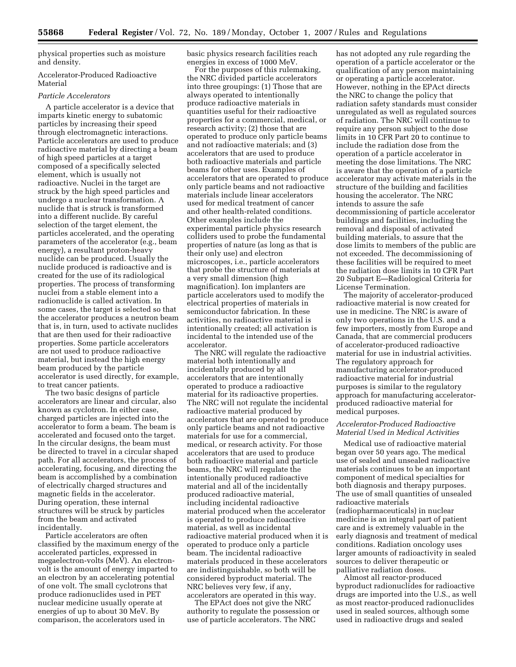physical properties such as moisture and density.

## Accelerator-Produced Radioactive Material

## *Particle Accelerators*

A particle accelerator is a device that imparts kinetic energy to subatomic particles by increasing their speed through electromagnetic interactions. Particle accelerators are used to produce radioactive material by directing a beam of high speed particles at a target composed of a specifically selected element, which is usually not radioactive. Nuclei in the target are struck by the high speed particles and undergo a nuclear transformation. A nuclide that is struck is transformed into a different nuclide. By careful selection of the target element, the particles accelerated, and the operating parameters of the accelerator (e.g., beam energy), a resultant proton-heavy nuclide can be produced. Usually the nuclide produced is radioactive and is created for the use of its radiological properties. The process of transforming nuclei from a stable element into a radionuclide is called activation. In some cases, the target is selected so that the accelerator produces a neutron beam that is, in turn, used to activate nuclides that are then used for their radioactive properties. Some particle accelerators are not used to produce radioactive material, but instead the high energy beam produced by the particle accelerator is used directly, for example, to treat cancer patients.

The two basic designs of particle accelerators are linear and circular, also known as cyclotron. In either case, charged particles are injected into the accelerator to form a beam. The beam is accelerated and focused onto the target. In the circular designs, the beam must be directed to travel in a circular shaped path. For all accelerators, the process of accelerating, focusing, and directing the beam is accomplished by a combination of electrically charged structures and magnetic fields in the accelerator. During operation, these internal structures will be struck by particles from the beam and activated incidentally.

Particle accelerators are often classified by the maximum energy of the accelerated particles, expressed in megaelectron-volts (MeV). An electronvolt is the amount of energy imparted to an electron by an accelerating potential of one volt. The small cyclotrons that produce radionuclides used in PET nuclear medicine usually operate at energies of up to about 30 MeV. By comparison, the accelerators used in

basic physics research facilities reach energies in excess of 1000 MeV.

For the purposes of this rulemaking, the NRC divided particle accelerators into three groupings: (1) Those that are always operated to intentionally produce radioactive materials in quantities useful for their radioactive properties for a commercial, medical, or research activity; (2) those that are operated to produce only particle beams and not radioactive materials; and (3) accelerators that are used to produce both radioactive materials and particle beams for other uses. Examples of accelerators that are operated to produce only particle beams and not radioactive materials include linear accelerators used for medical treatment of cancer and other health-related conditions. Other examples include the experimental particle physics research colliders used to probe the fundamental properties of nature (as long as that is their only use) and electron microscopes, i.e., particle accelerators that probe the structure of materials at a very small dimension (high magnification). Ion implanters are particle accelerators used to modify the electrical properties of materials in semiconductor fabrication. In these activities, no radioactive material is intentionally created; all activation is incidental to the intended use of the accelerator.

The NRC will regulate the radioactive material both intentionally and incidentally produced by all accelerators that are intentionally operated to produce a radioactive material for its radioactive properties. The NRC will not regulate the incidental radioactive material produced by accelerators that are operated to produce only particle beams and not radioactive materials for use for a commercial, medical, or research activity. For those accelerators that are used to produce both radioactive material and particle beams, the NRC will regulate the intentionally produced radioactive material and all of the incidentally produced radioactive material, including incidental radioactive material produced when the accelerator is operated to produce radioactive material, as well as incidental radioactive material produced when it is operated to produce only a particle beam. The incidental radioactive materials produced in these accelerators are indistinguishable, so both will be considered byproduct material. The NRC believes very few, if any, accelerators are operated in this way.

The EPAct does not give the NRC authority to regulate the possession or use of particle accelerators. The NRC

has not adopted any rule regarding the operation of a particle accelerator or the qualification of any person maintaining or operating a particle accelerator. However, nothing in the EPAct directs the NRC to change the policy that radiation safety standards must consider unregulated as well as regulated sources of radiation. The NRC will continue to require any person subject to the dose limits in 10 CFR Part 20 to continue to include the radiation dose from the operation of a particle accelerator in meeting the dose limitations. The NRC is aware that the operation of a particle accelerator may activate materials in the structure of the building and facilities housing the accelerator. The NRC intends to assure the safe decommissioning of particle accelerator buildings and facilities, including the removal and disposal of activated building materials, to assure that the dose limits to members of the public are not exceeded. The decommissioning of these facilities will be required to meet the radiation dose limits in 10 CFR Part 20 Subpart E—Radiological Criteria for License Termination.

The majority of accelerator-produced radioactive material is now created for use in medicine. The NRC is aware of only two operations in the U.S. and a few importers, mostly from Europe and Canada, that are commercial producers of accelerator-produced radioactive material for use in industrial activities. The regulatory approach for manufacturing accelerator-produced radioactive material for industrial purposes is similar to the regulatory approach for manufacturing acceleratorproduced radioactive material for medical purposes.

## *Accelerator-Produced Radioactive Material Used in Medical Activities*

Medical use of radioactive material began over 50 years ago. The medical use of sealed and unsealed radioactive materials continues to be an important component of medical specialties for both diagnosis and therapy purposes. The use of small quantities of unsealed radioactive materials (radiopharmaceuticals) in nuclear medicine is an integral part of patient care and is extremely valuable in the early diagnosis and treatment of medical conditions. Radiation oncology uses larger amounts of radioactivity in sealed sources to deliver therapeutic or palliative radiation doses.

Almost all reactor-produced byproduct radionuclides for radioactive drugs are imported into the U.S., as well as most reactor-produced radionuclides used in sealed sources, although some used in radioactive drugs and sealed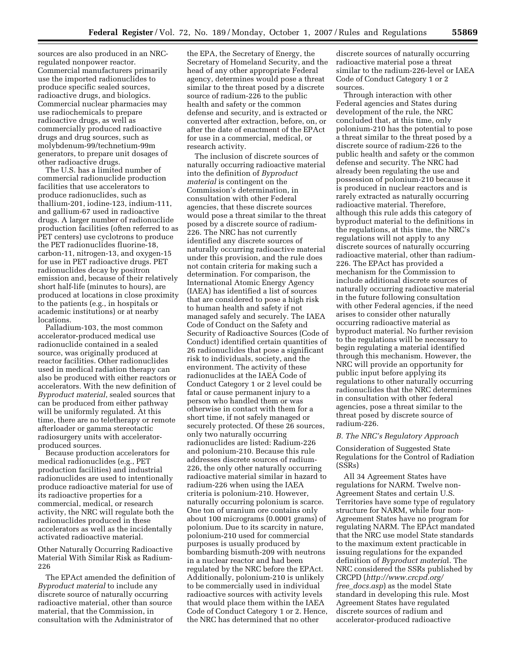sources are also produced in an NRCregulated nonpower reactor. Commercial manufacturers primarily use the imported radionuclides to produce specific sealed sources, radioactive drugs, and biologics. Commercial nuclear pharmacies may use radiochemicals to prepare radioactive drugs, as well as commercially produced radioactive drugs and drug sources, such as molybdenum-99/technetium-99m generators, to prepare unit dosages of other radioactive drugs.

The U.S. has a limited number of commercial radionuclide production facilities that use accelerators to produce radionuclides, such as thallium-201, iodine-123, indium-111, and gallium-67 used in radioactive drugs. A larger number of radionuclide production facilities (often referred to as PET centers) use cyclotrons to produce the PET radionuclides fluorine-18, carbon-11, nitrogen-13, and oxygen-15 for use in PET radioactive drugs. PET radionuclides decay by positron emission and, because of their relatively short half-life (minutes to hours), are produced at locations in close proximity to the patients (e.g., in hospitals or academic institutions) or at nearby locations.

Palladium-103, the most common accelerator-produced medical use radionuclide contained in a sealed source, was originally produced at reactor facilities. Other radionuclides used in medical radiation therapy can also be produced with either reactors or accelerators. With the new definition of *Byproduct material*, sealed sources that can be produced from either pathway will be uniformly regulated. At this time, there are no teletherapy or remote afterloader or gamma stereotactic radiosurgery units with acceleratorproduced sources.

Because production accelerators for medical radionuclides (e.g., PET production facilities) and industrial radionuclides are used to intentionally produce radioactive material for use of its radioactive properties for a commercial, medical, or research activity, the NRC will regulate both the radionuclides produced in these accelerators as well as the incidentally activated radioactive material.

Other Naturally Occurring Radioactive Material With Similar Risk as Radium-226

The EPAct amended the definition of *Byproduct material* to include any discrete source of naturally occurring radioactive material, other than source material, that the Commission, in consultation with the Administrator of

the EPA, the Secretary of Energy, the Secretary of Homeland Security, and the head of any other appropriate Federal agency, determines would pose a threat similar to the threat posed by a discrete source of radium-226 to the public health and safety or the common defense and security, and is extracted or converted after extraction, before, on, or after the date of enactment of the EPAct for use in a commercial, medical, or research activity.

The inclusion of discrete sources of naturally occurring radioactive material into the definition of *Byproduct material* is contingent on the Commission's determination, in consultation with other Federal agencies, that these discrete sources would pose a threat similar to the threat posed by a discrete source of radium-226. The NRC has not currently identified any discrete sources of naturally occurring radioactive material under this provision, and the rule does not contain criteria for making such a determination. For comparison, the International Atomic Energy Agency (IAEA) has identified a list of sources that are considered to pose a high risk to human health and safety if not managed safely and securely. The IAEA Code of Conduct on the Safety and Security of Radioactive Sources (Code of Conduct) identified certain quantities of 26 radionuclides that pose a significant risk to individuals, society, and the environment. The activity of these radionuclides at the IAEA Code of Conduct Category 1 or 2 level could be fatal or cause permanent injury to a person who handled them or was otherwise in contact with them for a short time, if not safely managed or securely protected. Of these 26 sources, only two naturally occurring radionuclides are listed: Radium-226 and polonium-210. Because this rule addresses discrete sources of radium-226, the only other naturally occurring radioactive material similar in hazard to radium-226 when using the IAEA criteria is polonium-210. However, naturally occurring polonium is scarce. One ton of uranium ore contains only about 100 micrograms (0.0001 grams) of polonium. Due to its scarcity in nature, polonium-210 used for commercial purposes is usually produced by bombarding bismuth-209 with neutrons in a nuclear reactor and had been regulated by the NRC before the EPAct. Additionally, polonium-210 is unlikely to be commercially used in individual radioactive sources with activity levels that would place them within the IAEA Code of Conduct Category 1 or 2. Hence, the NRC has determined that no other

discrete sources of naturally occurring radioactive material pose a threat similar to the radium-226-level or IAEA Code of Conduct Category 1 or 2 sources.

Through interaction with other Federal agencies and States during development of the rule, the NRC concluded that, at this time, only polonium-210 has the potential to pose a threat similar to the threat posed by a discrete source of radium-226 to the public health and safety or the common defense and security. The NRC had already been regulating the use and possession of polonium-210 because it is produced in nuclear reactors and is rarely extracted as naturally occurring radioactive material. Therefore, although this rule adds this category of byproduct material to the definitions in the regulations, at this time, the NRC's regulations will not apply to any discrete sources of naturally occurring radioactive material, other than radium-226. The EPAct has provided a mechanism for the Commission to include additional discrete sources of naturally occurring radioactive material in the future following consultation with other Federal agencies, if the need arises to consider other naturally occurring radioactive material as byproduct material. No further revision to the regulations will be necessary to begin regulating a material identified through this mechanism. However, the NRC will provide an opportunity for public input before applying its regulations to other naturally occurring radionuclides that the NRC determines in consultation with other federal agencies, pose a threat similar to the threat posed by discrete source of radium-226.

#### *B. The NRC's Regulatory Approach*

Consideration of Suggested State Regulations for the Control of Radiation (SSRs)

All 34 Agreement States have regulations for NARM. Twelve non-Agreement States and certain U.S. Territories have some type of regulatory structure for NARM, while four non-Agreement States have no program for regulating NARM. The EPAct mandated that the NRC use model State standards to the maximum extent practicable in issuing regulations for the expanded definition of *Byproduct materia*l. The NRC considered the SSRs published by CRCPD (*[http://www.crcpd.org/](http://www.crcpd.org/free_docs.asp) free*\_*[docs.asp](http://www.crcpd.org/free_docs.asp)*) as the model State standard in developing this rule. Most Agreement States have regulated discrete sources of radium and accelerator-produced radioactive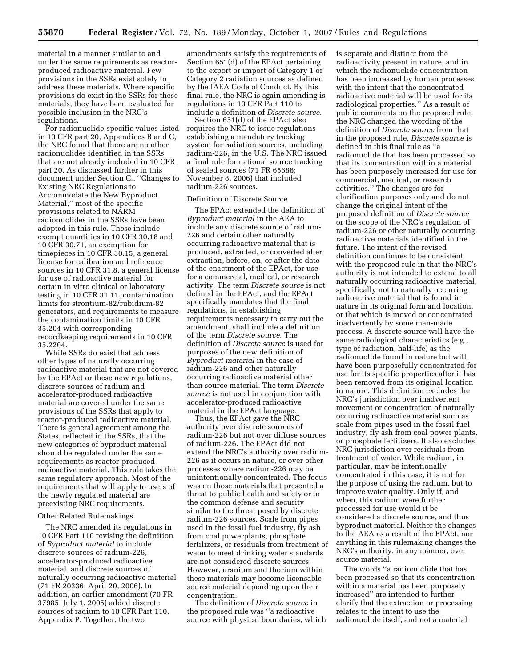material in a manner similar to and under the same requirements as reactorproduced radioactive material. Few provisions in the SSRs exist solely to address these materials. Where specific provisions do exist in the SSRs for these materials, they have been evaluated for possible inclusion in the NRC's regulations.

For radionuclide-specific values listed in 10 CFR part 20, Appendices B and C, the NRC found that there are no other radionuclides identified in the SSRs that are not already included in 10 CFR part 20. As discussed further in this document under Section C., ''Changes to Existing NRC Regulations to Accommodate the New Byproduct Material,'' most of the specific provisions related to NARM radionuclides in the SSRs have been adopted in this rule. These include exempt quantities in 10 CFR 30.18 and 10 CFR 30.71, an exemption for timepieces in 10 CFR 30.15, a general license for calibration and reference sources in 10 CFR 31.8, a general license for use of radioactive material for certain in vitro clinical or laboratory testing in 10 CFR 31.11, contamination limits for strontium-82/rubidium-82 generators, and requirements to measure the contamination limits in 10 CFR 35.204 with corresponding recordkeeping requirements in 10 CFR 35.2204.

While SSRs do exist that address other types of naturally occurring radioactive material that are not covered by the EPAct or these new regulations, discrete sources of radium and accelerator-produced radioactive material are covered under the same provisions of the SSRs that apply to reactor-produced radioactive material. There is general agreement among the States, reflected in the SSRs, that the new categories of byproduct material should be regulated under the same requirements as reactor-produced radioactive material. This rule takes the same regulatory approach. Most of the requirements that will apply to users of the newly regulated material are preexisting NRC requirements.

## Other Related Rulemakings

The NRC amended its regulations in 10 CFR Part 110 revising the definition of *Byproduct material* to include discrete sources of radium-226, accelerator-produced radioactive material, and discrete sources of naturally occurring radioactive material (71 FR 20336; April 20, 2006). In addition, an earlier amendment (70 FR 37985; July 1, 2005) added discrete sources of radium to 10 CFR Part 110, Appendix P. Together, the two

amendments satisfy the requirements of Section 651(d) of the EPAct pertaining to the export or import of Category 1 or Category 2 radiation sources as defined by the IAEA Code of Conduct. By this final rule, the NRC is again amending is regulations in 10 CFR Part 110 to include a definition of *Discrete source*.

Section 651(d) of the EPAct also requires the NRC to issue regulations establishing a mandatory tracking system for radiation sources, including radium-226, in the U.S. The NRC issued a final rule for national source tracking of sealed sources (71 FR 65686; November 8, 2006) that included radium-226 sources.

## Definition of Discrete Source

The EPAct extended the definition of *Byproduct material* in the AEA to include any discrete source of radium-226 and certain other naturally occurring radioactive material that is produced, extracted, or converted after extraction, before, on, or after the date of the enactment of the EPAct, for use for a commercial, medical, or research activity. The term *Discrete source* is not defined in the EPAct, and the EPAct specifically mandates that the final regulations, in establishing requirements necessary to carry out the amendment, shall include a definition of the term *Discrete source*. The definition of *Discrete source* is used for purposes of the new definition of *Byproduct material* in the case of radium-226 and other naturally occurring radioactive material other than source material. The term *Discrete source* is not used in conjunction with accelerator-produced radioactive material in the EPAct language.

Thus, the EPAct gave the NRC authority over discrete sources of radium-226 but not over diffuse sources of radium-226. The EPAct did not extend the NRC's authority over radium-226 as it occurs in nature, or over other processes where radium-226 may be unintentionally concentrated. The focus was on those materials that presented a threat to public health and safety or to the common defense and security similar to the threat posed by discrete radium-226 sources. Scale from pipes used in the fossil fuel industry, fly ash from coal powerplants, phosphate fertilizers, or residuals from treatment of water to meet drinking water standards are not considered discrete sources. However, uranium and thorium within these materials may become licensable source material depending upon their concentration.

The definition of *Discrete source* in the proposed rule was ''a radioactive source with physical boundaries, which is separate and distinct from the radioactivity present in nature, and in which the radionuclide concentration has been increased by human processes with the intent that the concentrated radioactive material will be used for its radiological properties.'' As a result of public comments on the proposed rule, the NRC changed the wording of the definition of *Discrete source* from that in the proposed rule. *Discrete source* is defined in this final rule as ''a radionuclide that has been processed so that its concentration within a material has been purposely increased for use for commercial, medical, or research activities.'' The changes are for clarification purposes only and do not change the original intent of the proposed definition of *Discrete source*  or the scope of the NRC's regulation of radium-226 or other naturally occurring radioactive materials identified in the future. The intent of the revised definition continues to be consistent with the proposed rule in that the NRC's authority is not intended to extend to all naturally occurring radioactive material, specifically not to naturally occurring radioactive material that is found in nature in its original form and location, or that which is moved or concentrated inadvertently by some man-made process. A discrete source will have the same radiological characteristics (e.g., type of radiation, half-life) as the radionuclide found in nature but will have been purposefully concentrated for use for its specific properties after it has been removed from its original location in nature. This definition excludes the NRC's jurisdiction over inadvertent movement or concentration of naturally occurring radioactive material such as scale from pipes used in the fossil fuel industry, fly ash from coal power plants, or phosphate fertilizers. It also excludes NRC jurisdiction over residuals from treatment of water. While radium, in particular, may be intentionally concentrated in this case, it is not for the purpose of using the radium, but to improve water quality. Only if, and when, this radium were further processed for use would it be considered a discrete source, and thus byproduct material. Neither the changes to the AEA as a result of the EPAct, nor anything in this rulemaking changes the NRC's authority, in any manner, over source material.

The words ''a radionuclide that has been processed so that its concentration within a material has been purposely increased'' are intended to further clarify that the extraction or processing relates to the intent to use the radionuclide itself, and not a material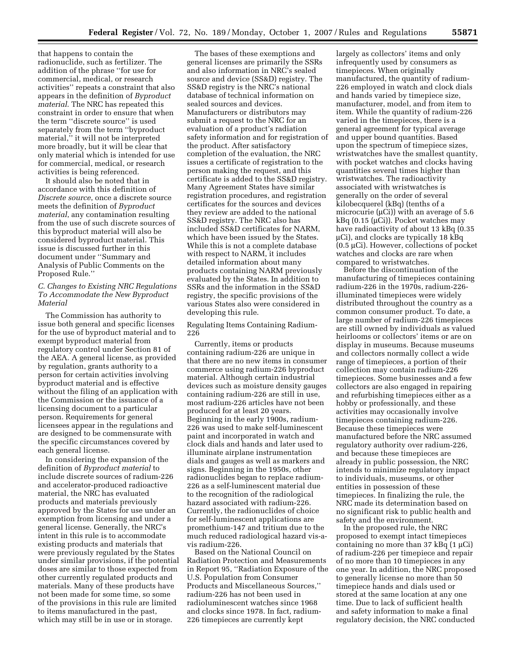that happens to contain the radionuclide, such as fertilizer. The addition of the phrase ''for use for commercial, medical, or research activities'' repeats a constraint that also appears in the definition of *Byproduct material*. The NRC has repeated this constraint in order to ensure that when the term ''discrete source'' is used separately from the term ''byproduct material,'' it will not be interpreted more broadly, but it will be clear that only material which is intended for use for commercial, medical, or research activities is being referenced.

It should also be noted that in accordance with this definition of *Discrete source*, once a discrete source meets the definition of *Byproduct material*, any contamination resulting from the use of such discrete sources of this byproduct material will also be considered byproduct material. This issue is discussed further in this document under ''Summary and Analysis of Public Comments on the Proposed Rule.''

## *C. Changes to Existing NRC Regulations To Accommodate the New Byproduct Material*

The Commission has authority to issue both general and specific licenses for the use of byproduct material and to exempt byproduct material from regulatory control under Section 81 of the AEA. A general license, as provided by regulation, grants authority to a person for certain activities involving byproduct material and is effective without the filing of an application with the Commission or the issuance of a licensing document to a particular person. Requirements for general licensees appear in the regulations and are designed to be commensurate with the specific circumstances covered by each general license.

In considering the expansion of the definition of *Byproduct material* to include discrete sources of radium-226 and accelerator-produced radioactive material, the NRC has evaluated products and materials previously approved by the States for use under an exemption from licensing and under a general license. Generally, the NRC's intent in this rule is to accommodate existing products and materials that were previously regulated by the States under similar provisions, if the potential doses are similar to those expected from other currently regulated products and materials. Many of these products have not been made for some time, so some of the provisions in this rule are limited to items manufactured in the past, which may still be in use or in storage.

The bases of these exemptions and general licenses are primarily the SSRs and also information in NRC's sealed source and device (SS&D) registry. The SS&D registry is the NRC's national database of technical information on sealed sources and devices. Manufacturers or distributors may submit a request to the NRC for an evaluation of a product's radiation safety information and for registration of the product. After satisfactory completion of the evaluation, the NRC issues a certificate of registration to the person making the request, and this certificate is added to the SS&D registry. Many Agreement States have similar registration procedures, and registration certificates for the sources and devices they review are added to the national SS&D registry. The NRC also has included SS&D certificates for NARM, which have been issued by the States. While this is not a complete database with respect to NARM, it includes detailed information about many products containing NARM previously evaluated by the States. In addition to SSRs and the information in the SS&D registry, the specific provisions of the various States also were considered in developing this rule.

Regulating Items Containing Radium-226

Currently, items or products containing radium-226 are unique in that there are no new items in consumer commerce using radium-226 byproduct material. Although certain industrial devices such as moisture density gauges containing radium-226 are still in use, most radium-226 articles have not been produced for at least 20 years. Beginning in the early 1900s, radium-226 was used to make self-luminescent paint and incorporated in watch and clock dials and hands and later used to illuminate airplane instrumentation dials and gauges as well as markers and signs. Beginning in the 1950s, other radionuclides began to replace radium-226 as a self-luminescent material due to the recognition of the radiological hazard associated with radium-226. Currently, the radionuclides of choice for self-luminescent applications are promethium-147 and tritium due to the much reduced radiological hazard vis-avis radium-226.

Based on the National Council on Radiation Protection and Measurements in Report 95, ''Radiation Exposure of the U.S. Population from Consumer Products and Miscellaneous Sources,'' radium-226 has not been used in radioluminescent watches since 1968 and clocks since 1978. In fact, radium-226 timepieces are currently kept

largely as collectors' items and only infrequently used by consumers as timepieces. When originally manufactured, the quantity of radium-226 employed in watch and clock dials and hands varied by timepiece size, manufacturer, model, and from item to item. While the quantity of radium-226 varied in the timepieces, there is a general agreement for typical average and upper bound quantities. Based upon the spectrum of timepiece sizes, wristwatches have the smallest quantity, with pocket watches and clocks having quantities several times higher than wristwatches. The radioactivity associated with wristwatches is generally on the order of several kilobecquerel (kBq) (tenths of a microcurie ( $\mu$ Ci)) with an average of 5.6  $kBq$  (0.15 ( $\mu$ Ci)). Pocket watches may have radioactivity of about 13 kBq (0.35 µCi), and clocks are typically 18 kBq (0.5 µCi). However, collections of pocket watches and clocks are rare when compared to wristwatches.

Before the discontinuation of the manufacturing of timepieces containing radium-226 in the 1970s, radium-226 illuminated timepieces were widely distributed throughout the country as a common consumer product. To date, a large number of radium-226 timepieces are still owned by individuals as valued heirlooms or collectors' items or are on display in museums. Because museums and collectors normally collect a wide range of timepieces, a portion of their collection may contain radium-226 timepieces. Some businesses and a few collectors are also engaged in repairing and refurbishing timepieces either as a hobby or professionally, and these activities may occasionally involve timepieces containing radium-226. Because these timepieces were manufactured before the NRC assumed regulatory authority over radium-226, and because these timepieces are already in public possession, the NRC intends to minimize regulatory impact to individuals, museums, or other entities in possession of these timepieces. In finalizing the rule, the NRC made its determination based on no significant risk to public health and safety and the environment.

In the proposed rule, the NRC proposed to exempt intact timepieces containing no more than  $37 \text{ kBq}$  (1  $\mu$ Ci) of radium-226 per timepiece and repair of no more than 10 timepieces in any one year. In addition, the NRC proposed to generally license no more than 50 timepiece hands and dials used or stored at the same location at any one time. Due to lack of sufficient health and safety information to make a final regulatory decision, the NRC conducted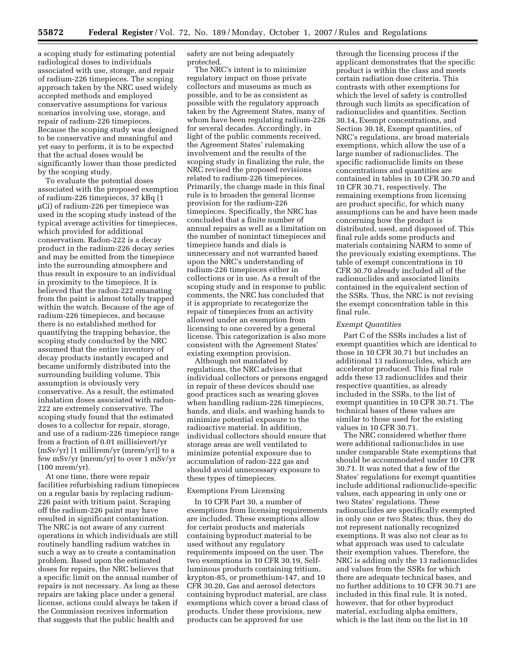a scoping study for estimating potential radiological doses to individuals associated with use, storage, and repair of radium-226 timepieces. The scoping approach taken by the NRC used widely accepted methods and employed conservative assumptions for various scenarios involving use, storage, and repair of radium-226 timepieces. Because the scoping study was designed to be conservative and meaningful and yet easy to perform, it is to be expected that the actual doses would be significantly lower than those predicted by the scoping study.

To evaluate the potential doses associated with the proposed exemption of radium-226 timepieces, 37 kBq (1 µCi) of radium-226 per timepiece was used in the scoping study instead of the typical average activities for timepieces, which provided for additional conservatism. Radon-222 is a decay product in the radium-226 decay series and may be emitted from the timepiece into the surrounding atmosphere and thus result in exposure to an individual in proximity to the timepiece. It is believed that the radon-222 emanating from the paint is almost totally trapped within the watch. Because of the age of radium-226 timepieces, and because there is no established method for quantifying the trapping behavior, the scoping study conducted by the NRC assumed that the entire inventory of decay products instantly escaped and became uniformly distributed into the surrounding building volume. This assumption is obviously very conservative. As a result, the estimated inhalation doses associated with radon-222 are extremely conservative. The scoping study found that the estimated doses to a collector for repair, storage, and use of a radium-226 timepiece range from a fraction of 0.01 millisievert/yr (mSv/yr) [1 millirem/yr (mrem/yr)] to a few mSv/yr (mrem/yr) to over 1 mSv/yr (100 mrem/yr).

At one time, there were repair facilities refurbishing radium timepieces on a regular basis by replacing radium-226 paint with tritium paint. Scraping off the radium-226 paint may have resulted in significant contamination. The NRC is not aware of any current operations in which individuals are still routinely handling radium watches in such a way as to create a contamination problem. Based upon the estimated doses for repairs, the NRC believes that a specific limit on the annual number of repairs is not necessary. As long as these repairs are taking place under a general license, actions could always be taken if the Commission receives information that suggests that the public health and

safety are not being adequately protected.

The NRC's intent is to minimize regulatory impact on those private collectors and museums as much as possible, and to be as consistent as possible with the regulatory approach taken by the Agreement States, many of whom have been regulating radium-226 for several decades. Accordingly, in light of the public comments received, the Agreement States' rulemaking involvement and the results of the scoping study in finalizing the rule, the NRC revised the proposed revisions related to radium-226 timepieces. Primarily, the change made in this final rule is to broaden the general license provision for the radium-226 timepieces. Specifically, the NRC has concluded that a finite number of annual repairs as well as a limitation on the number of nonintact timepieces and timepiece hands and dials is unnecessary and not warranted based upon the NRC's understanding of radium-226 timepieces either in collections or in use. As a result of the scoping study and in response to public comments, the NRC has concluded that it is appropriate to recategorize the repair of timepieces from an activity allowed under an exemption from licensing to one covered by a general license. This categorization is also more consistent with the Agreement States' existing exemption provision.

Although not mandated by regulations, the NRC advises that individual collectors or persons engaged in repair of these devices should use good practices such as wearing gloves when handling radium-226 timepieces, hands, and dials, and washing hands to minimize potential exposure to the radioactive material. In addition, individual collectors should ensure that storage areas are well ventilated to minimize potential exposure due to accumulation of radon-222 gas and should avoid unnecessary exposure to these types of timepieces.

#### Exemptions From Licensing

In 10 CFR Part 30, a number of exemptions from licensing requirements are included. These exemptions allow for certain products and materials containing byproduct material to be used without any regulatory requirements imposed on the user. The two exemptions in 10 CFR 30.19, Selfluminous products containing tritium, krypton-85, or promethium-147, and 10 CFR 30.20, Gas and aerosol detectors containing byproduct material, are class exemptions which cover a broad class of products. Under these provisions, new products can be approved for use

through the licensing process if the applicant demonstrates that the specific product is within the class and meets certain radiation dose criteria. This contrasts with other exemptions for which the level of safety is controlled through such limits as specification of radionuclides and quantities. Section 30.14, Exempt concentrations, and Section 30.18, Exempt quantities, of NRC's regulations, are broad materials exemptions, which allow the use of a large number of radionuclides. The specific radionuclide limits on these concentrations and quantities are contained in tables in 10 CFR 30.70 and 10 CFR 30.71, respectively. The remaining exemptions from licensing are product specific, for which many assumptions can be and have been made concerning how the product is distributed, used, and disposed of. This final rule adds some products and materials containing NARM to some of the previously existing exemptions. The table of exempt concentrations in 10 CFR 30.70 already included all of the radionuclides and associated limits contained in the equivalent section of the SSRs. Thus, the NRC is not revising the exempt concentration table in this final rule.

#### *Exempt Quantities*

Part C of the SSRs includes a list of exempt quantities which are identical to those in 10 CFR 30.71 but includes an additional 13 radionuclides, which are accelerator produced. This final rule adds these 13 radionuclides and their respective quantities, as already included in the SSRs, to the list of exempt quantities in 10 CFR 30.71. The technical bases of these values are similar to those used for the existing values in 10 CFR 30.71.

The NRC considered whether there were additional radionuclides in use under comparable State exemptions that should be accommodated under 10 CFR 30.71. It was noted that a few of the States' regulations for exempt quantities include additional radionuclide-specific values, each appearing in only one or two States' regulations. These radionuclides are specifically exempted in only one or two States; thus, they do not represent nationally recognized exemptions. It was also not clear as to what approach was used to calculate their exemption values. Therefore, the NRC is adding only the 13 radionuclides and values from the SSRs for which there are adequate technical bases, and no further additions to 10 CFR 30.71 are included in this final rule. It is noted, however, that for other byproduct material, excluding alpha emitters, which is the last item on the list in 10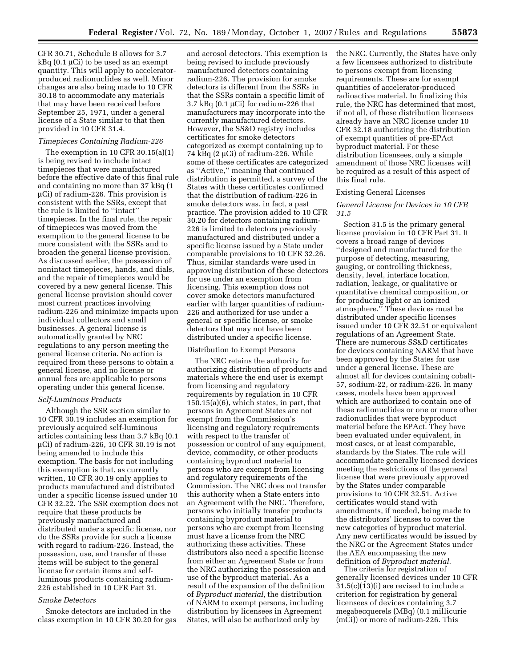CFR 30.71, Schedule B allows for 3.7 kBq (0.1 µCi) to be used as an exempt quantity. This will apply to acceleratorproduced radionuclides as well. Minor changes are also being made to 10 CFR 30.18 to accommodate any materials that may have been received before September 25, 1971, under a general license of a State similar to that then provided in 10 CFR 31.4.

#### *Timepieces Containing Radium-226*

The exemption in 10 CFR 30.15(a)(1) is being revised to include intact timepieces that were manufactured before the effective date of this final rule and containing no more than 37 kBq (1 µCi) of radium-226. This provision is consistent with the SSRs, except that the rule is limited to ''intact'' timepieces. In the final rule, the repair of timepieces was moved from the exemption to the general license to be more consistent with the SSRs and to broaden the general license provision. As discussed earlier, the possession of nonintact timepieces, hands, and dials, and the repair of timepieces would be covered by a new general license. This general license provision should cover most current practices involving radium-226 and minimize impacts upon individual collectors and small businesses. A general license is automatically granted by NRC regulations to any person meeting the general license criteria. No action is required from these persons to obtain a general license, and no license or annual fees are applicable to persons operating under this general license.

## *Self-Luminous Products*

Although the SSR section similar to 10 CFR 30.19 includes an exemption for previously acquired self-luminous articles containing less than 3.7 kBq (0.1 µCi) of radium-226, 10 CFR 30.19 is not being amended to include this exemption. The basis for not including this exemption is that, as currently written, 10 CFR 30.19 only applies to products manufactured and distributed under a specific license issued under 10 CFR 32.22. The SSR exemption does not require that these products be previously manufactured and distributed under a specific license, nor do the SSRs provide for such a license with regard to radium-226. Instead, the possession, use, and transfer of these items will be subject to the general license for certain items and selfluminous products containing radium-226 established in 10 CFR Part 31.

## *Smoke Detectors*

Smoke detectors are included in the class exemption in 10 CFR 30.20 for gas

and aerosol detectors. This exemption is being revised to include previously manufactured detectors containing radium-226. The provision for smoke detectors is different from the SSRs in that the SSRs contain a specific limit of 3.7 kBq  $(0.1 \mu\text{Ci})$  for radium-226 that manufacturers may incorporate into the currently manufactured detectors. However, the SS&D registry includes certificates for smoke detectors categorized as exempt containing up to 74 kBq (2 µCi) of radium-226. While some of these certificates are categorized as ''Active,'' meaning that continued distribution is permitted, a survey of the States with these certificates confirmed that the distribution of radium-226 in smoke detectors was, in fact, a past practice. The provision added to 10 CFR 30.20 for detectors containing radium-226 is limited to detectors previously manufactured and distributed under a specific license issued by a State under comparable provisions to 10 CFR 32.26. Thus, similar standards were used in approving distribution of these detectors for use under an exemption from licensing. This exemption does not cover smoke detectors manufactured earlier with larger quantities of radium-226 and authorized for use under a general or specific license, or smoke detectors that may not have been distributed under a specific license.

#### Distribution to Exempt Persons

The NRC retains the authority for authorizing distribution of products and materials where the end user is exempt from licensing and regulatory requirements by regulation in 10 CFR 150.15(a)(6), which states, in part, that persons in Agreement States are not exempt from the Commission's licensing and regulatory requirements with respect to the transfer of possession or control of any equipment, device, commodity, or other products containing byproduct material to persons who are exempt from licensing and regulatory requirements of the Commission. The NRC does not transfer this authority when a State enters into an Agreement with the NRC. Therefore, persons who initially transfer products containing byproduct material to persons who are exempt from licensing must have a license from the NRC authorizing these activities. These distributors also need a specific license from either an Agreement State or from the NRC authorizing the possession and use of the byproduct material. As a result of the expansion of the definition of *Byproduct material*, the distribution of NARM to exempt persons, including distribution by licensees in Agreement States, will also be authorized only by

the NRC. Currently, the States have only a few licensees authorized to distribute to persons exempt from licensing requirements. These are for exempt quantities of accelerator-produced radioactive material. In finalizing this rule, the NRC has determined that most, if not all, of these distribution licensees already have an NRC license under 10 CFR 32.18 authorizing the distribution of exempt quantities of pre-EPAct byproduct material. For these distribution licensees, only a simple amendment of those NRC licenses will be required as a result of this aspect of this final rule.

#### Existing General Licenses

### *General License for Devices in 10 CFR 31.5*

Section 31.5 is the primary general license provision in 10 CFR Part 31. It covers a broad range of devices ''designed and manufactured for the purpose of detecting, measuring, gauging, or controlling thickness, density, level, interface location, radiation, leakage, or qualitative or quantitative chemical composition, or for producing light or an ionized atmosphere.'' These devices must be distributed under specific licenses issued under 10 CFR 32.51 or equivalent regulations of an Agreement State. There are numerous SS&D certificates for devices containing NARM that have been approved by the States for use under a general license. These are almost all for devices containing cobalt-57, sodium-22, or radium-226. In many cases, models have been approved which are authorized to contain one of these radionuclides or one or more other radionuclides that were byproduct material before the EPAct. They have been evaluated under equivalent, in most cases, or at least comparable, standards by the States. The rule will accommodate generally licensed devices meeting the restrictions of the general license that were previously approved by the States under comparable provisions to 10 CFR 32.51. Active certificates would stand with amendments, if needed, being made to the distributors' licenses to cover the new categories of byproduct material. Any new certificates would be issued by the NRC or the Agreement States under the AEA encompassing the new definition of *Byproduct material*.

The criteria for registration of generally licensed devices under 10 CFR 31.5(c)(13)(i) are revised to include a criterion for registration by general licensees of devices containing 3.7 megabecquerels (MBq) (0.1 millicurie (mCi)) or more of radium-226. This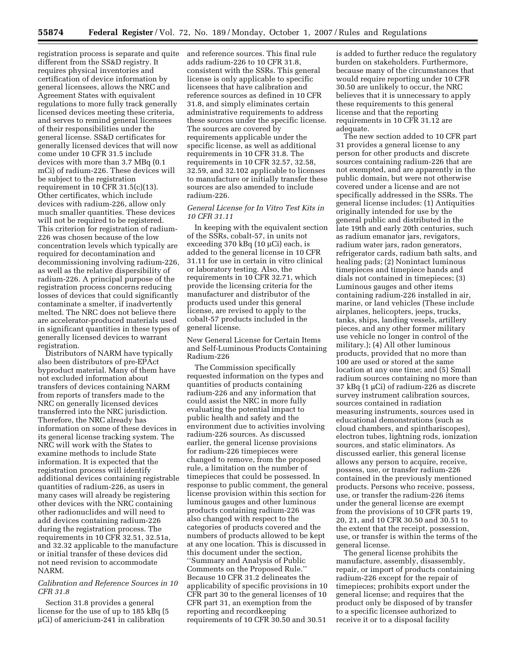registration process is separate and quite and reference sources. This final rule different from the SS&D registry. It requires physical inventories and certification of device information by general licensees, allows the NRC and Agreement States with equivalent regulations to more fully track generally licensed devices meeting these criteria, and serves to remind general licensees of their responsibilities under the general license. SS&D certificates for generally licensed devices that will now come under 10 CFR 31.5 include devices with more than 3.7 MBq (0.1 mCi) of radium-226. These devices will be subject to the registration requirement in 10 CFR 31.5(c)(13). Other certificates, which include devices with radium-226, allow only much smaller quantities. These devices will not be required to be registered. This criterion for registration of radium-226 was chosen because of the low concentration levels which typically are required for decontamination and decommissioning involving radium-226, as well as the relative dispersibility of radium-226. A principal purpose of the registration process concerns reducing losses of devices that could significantly contaminate a smelter, if inadvertently melted. The NRC does not believe there are accelerator-produced materials used in significant quantities in these types of generally licensed devices to warrant registration.

Distributors of NARM have typically also been distributors of pre-EPAct byproduct material. Many of them have not excluded information about transfers of devices containing NARM from reports of transfers made to the NRC on generally licensed devices transferred into the NRC jurisdiction. Therefore, the NRC already has information on some of these devices in its general license tracking system. The NRC will work with the States to examine methods to include State information. It is expected that the registration process will identify additional devices containing registrable quantities of radium-226, as users in many cases will already be registering other devices with the NRC containing other radionuclides and will need to add devices containing radium-226 during the registration process. The requirements in 10 CFR 32.51, 32.51a, and 32.32 applicable to the manufacture or initial transfer of these devices did not need revision to accommodate NARM.

## *Calibration and Reference Sources in 10 CFR 31.8*

Section 31.8 provides a general license for the use of up to 185 kBq (5 µCi) of americium-241 in calibration

adds radium-226 to 10 CFR 31.8, consistent with the SSRs. This general license is only applicable to specific licensees that have calibration and reference sources as defined in 10 CFR 31.8, and simply eliminates certain administrative requirements to address these sources under the specific license. The sources are covered by requirements applicable under the specific license, as well as additional requirements in 10 CFR 31.8. The requirements in 10 CFR 32.57, 32.58, 32.59, and 32.102 applicable to licenses to manufacture or initially transfer these sources are also amended to include radium-226.

## *General License for In Vitro Test Kits in 10 CFR 31.11*

In keeping with the equivalent section of the SSRs, cobalt-57, in units not exceeding 370 kBq (10 µCi) each, is added to the general license in 10 CFR 31.11 for use in certain in vitro clinical or laboratory testing. Also, the requirements in 10 CFR 32.71, which provide the licensing criteria for the manufacturer and distributor of the products used under this general license, are revised to apply to the cobalt-57 products included in the general license.

New General License for Certain Items and Self-Luminous Products Containing Radium-226

The Commission specifically requested information on the types and quantities of products containing radium-226 and any information that could assist the NRC in more fully evaluating the potential impact to public health and safety and the environment due to activities involving radium-226 sources. As discussed earlier, the general license provisions for radium-226 timepieces were changed to remove, from the proposed rule, a limitation on the number of timepieces that could be possessed. In response to public comment, the general license provision within this section for luminous gauges and other luminous products containing radium-226 was also changed with respect to the categories of products covered and the numbers of products allowed to be kept at any one location. This is discussed in this document under the section, ''Summary and Analysis of Public Comments on the Proposed Rule.'' Because 10 CFR 31.2 delineates the applicability of specific provisions in 10 CFR part 30 to the general licenses of 10 CFR part 31, an exemption from the reporting and recordkeeping requirements of 10 CFR 30.50 and 30.51

is added to further reduce the regulatory burden on stakeholders. Furthermore, because many of the circumstances that would require reporting under 10 CFR 30.50 are unlikely to occur, the NRC believes that it is unnecessary to apply these requirements to this general license and that the reporting requirements in 10 CFR 31.12 are adequate.

The new section added to 10 CFR part 31 provides a general license to any person for other products and discrete sources containing radium-226 that are not exempted, and are apparently in the public domain, but were not otherwise covered under a license and are not specifically addressed in the SSRs. The general license includes: (1) Antiquities originally intended for use by the general public and distributed in the late 19th and early 20th centuries, such as radium emanator jars, revigators, radium water jars, radon generators, refrigerator cards, radium bath salts, and healing pads; (2) Nonintact luminous timepieces and timepiece hands and dials not contained in timepieces; (3) Luminous gauges and other items containing radium-226 installed in air, marine, or land vehicles (These include airplanes, helicopters, jeeps, trucks, tanks, ships, landing vessels, artillery pieces, and any other former military use vehicle no longer in control of the military.); (4) All other luminous products, provided that no more than 100 are used or stored at the same location at any one time; and (5) Small radium sources containing no more than 37 kBq (1 µCi) of radium-226 as discrete survey instrument calibration sources, sources contained in radiation measuring instruments, sources used in educational demonstrations (such as cloud chambers, and spinthariscopes), electron tubes, lightning rods, ionization sources, and static eliminators. As discussed earlier, this general license allows any person to acquire, receive, possess, use, or transfer radium-226 contained in the previously mentioned products. Persons who receive, possess, use, or transfer the radium-226 items under the general license are exempt from the provisions of 10 CFR parts 19, 20, 21, and 10 CFR 30.50 and 30.51 to the extent that the receipt, possession, use, or transfer is within the terms of the general license.

The general license prohibits the manufacture, assembly, disassembly, repair, or import of products containing radium-226 except for the repair of timepieces; prohibits export under the general license; and requires that the product only be disposed of by transfer to a specific licensee authorized to receive it or to a disposal facility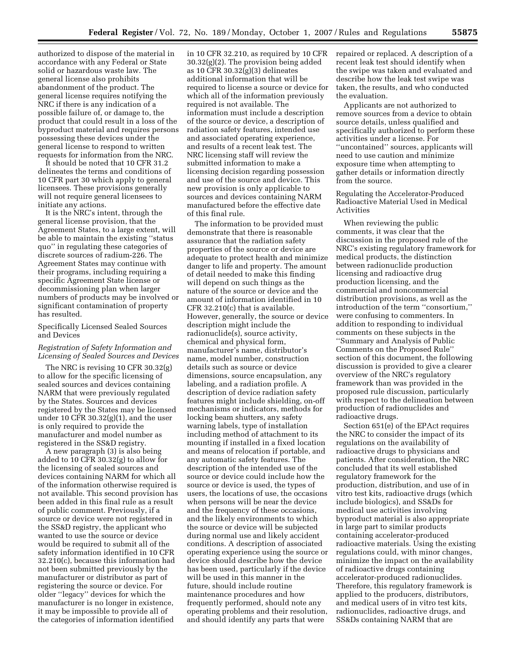authorized to dispose of the material in accordance with any Federal or State solid or hazardous waste law. The general license also prohibits abandonment of the product. The general license requires notifying the NRC if there is any indication of a possible failure of, or damage to, the product that could result in a loss of the byproduct material and requires persons possessing these devices under the general license to respond to written requests for information from the NRC.

It should be noted that 10 CFR 31.2 delineates the terms and conditions of 10 CFR part 30 which apply to general licensees. These provisions generally will not require general licensees to initiate any actions.

It is the NRC's intent, through the general license provision, that the Agreement States, to a large extent, will be able to maintain the existing ''status quo'' in regulating these categories of discrete sources of radium-226. The Agreement States may continue with their programs, including requiring a specific Agreement State license or decommissioning plan when larger numbers of products may be involved or significant contamination of property has resulted.

## Specifically Licensed Sealed Sources and Devices

## *Registration of Safety Information and Licensing of Sealed Sources and Devices*

The NRC is revising 10 CFR 30.32(g) to allow for the specific licensing of sealed sources and devices containing NARM that were previously regulated by the States. Sources and devices registered by the States may be licensed under 10 CFR  $30.32(g)(1)$ , and the user is only required to provide the manufacturer and model number as registered in the SS&D registry.

A new paragraph (3) is also being added to 10 CFR 30.32(g) to allow for the licensing of sealed sources and devices containing NARM for which all of the information otherwise required is not available. This second provision has been added in this final rule as a result of public comment. Previously, if a source or device were not registered in the SS&D registry, the applicant who wanted to use the source or device would be required to submit all of the safety information identified in 10 CFR 32.210(c), because this information had not been submitted previously by the manufacturer or distributor as part of registering the source or device. For older ''legacy'' devices for which the manufacturer is no longer in existence, it may be impossible to provide all of the categories of information identified

in 10 CFR 32.210, as required by 10 CFR 30.32(g)(2). The provision being added as 10 CFR 30.32(g)(3) delineates additional information that will be required to license a source or device for which all of the information previously required is not available. The information must include a description of the source or device, a description of radiation safety features, intended use and associated operating experience, and results of a recent leak test. The NRC licensing staff will review the submitted information to make a licensing decision regarding possession and use of the source and device. This new provision is only applicable to sources and devices containing NARM manufactured before the effective date of this final rule.

The information to be provided must demonstrate that there is reasonable assurance that the radiation safety properties of the source or device are adequate to protect health and minimize danger to life and property. The amount of detail needed to make this finding will depend on such things as the nature of the source or device and the amount of information identified in 10 CFR 32.210(c) that is available. However, generally, the source or device description might include the radionuclide(s), source activity, chemical and physical form, manufacturer's name, distributor's name, model number, construction details such as source or device dimensions, source encapsulation, any labeling, and a radiation profile. A description of device radiation safety features might include shielding, on-off mechanisms or indicators, methods for locking beam shutters, any safety warning labels, type of installation including method of attachment to its mounting if installed in a fixed location and means of relocation if portable, and any automatic safety features. The description of the intended use of the source or device could include how the source or device is used, the types of users, the locations of use, the occasions when persons will be near the device and the frequency of these occasions, and the likely environments to which the source or device will be subjected during normal use and likely accident conditions. A description of associated operating experience using the source or device should describe how the device has been used, particularly if the device will be used in this manner in the future, should include routine maintenance procedures and how frequently performed, should note any operating problems and their resolution, and should identify any parts that were

repaired or replaced. A description of a recent leak test should identify when the swipe was taken and evaluated and describe how the leak test swipe was taken, the results, and who conducted the evaluation.

Applicants are not authorized to remove sources from a device to obtain source details, unless qualified and specifically authorized to perform these activities under a license. For ''uncontained'' sources, applicants will need to use caution and minimize exposure time when attempting to gather details or information directly from the source.

Regulating the Accelerator-Produced Radioactive Material Used in Medical Activities

When reviewing the public comments, it was clear that the discussion in the proposed rule of the NRC's existing regulatory framework for medical products, the distinction between radionuclide production licensing and radioactive drug production licensing, and the commercial and noncommercial distribution provisions, as well as the introduction of the term ''consortium,'' were confusing to commenters. In addition to responding to individual comments on these subjects in the ''Summary and Analysis of Public Comments on the Proposed Rule'' section of this document, the following discussion is provided to give a clearer overview of the NRC's regulatory framework than was provided in the proposed rule discussion, particularly with respect to the delineation between production of radionuclides and radioactive drugs.

Section 651(e) of the EPAct requires the NRC to consider the impact of its regulations on the availability of radioactive drugs to physicians and patients. After consideration, the NRC concluded that its well established regulatory framework for the production, distribution, and use of in vitro test kits, radioactive drugs (which include biologics), and SS&Ds for medical use activities involving byproduct material is also appropriate in large part to similar products containing accelerator-produced radioactive materials. Using the existing regulations could, with minor changes, minimize the impact on the availability of radioactive drugs containing accelerator-produced radionuclides. Therefore, this regulatory framework is applied to the producers, distributors, and medical users of in vitro test kits, radionuclides, radioactive drugs, and SS&Ds containing NARM that are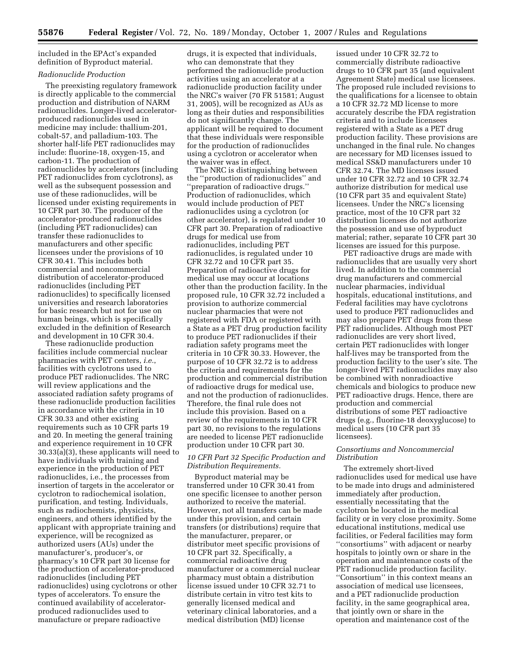included in the EPAct's expanded definition of Byproduct material.

## *Radionuclide Production*

The preexisting regulatory framework is directly applicable to the commercial production and distribution of NARM radionuclides. Longer-lived acceleratorproduced radionuclides used in medicine may include: thallium-201, cobalt-57, and palladium-103. The shorter half-life PET radionuclides may include: fluorine-18, oxygen-15, and carbon-11. The production of radionuclides by accelerators (including PET radionuclides from cyclotrons), as well as the subsequent possession and use of these radionuclides, will be licensed under existing requirements in 10 CFR part 30. The producer of the accelerator-produced radionuclides (including PET radionuclides) can transfer these radionuclides to manufacturers and other specific licensees under the provisions of 10 CFR 30.41. This includes both commercial and noncommercial distribution of accelerator-produced radionuclides (including PET radionuclides) to specifically licensed universities and research laboratories for basic research but not for use on human beings, which is specifically excluded in the definition of Research and development in 10 CFR 30.4.

These radionuclide production facilities include commercial nuclear pharmacies with PET centers, *i.e.*, facilities with cyclotrons used to produce PET radionuclides. The NRC will review applications and the associated radiation safety programs of these radionuclide production facilities in accordance with the criteria in 10 CFR 30.33 and other existing requirements such as 10 CFR parts 19 and 20. In meeting the general training and experience requirement in 10 CFR 30.33(a)(3), these applicants will need to have individuals with training and experience in the production of PET radionuclides, i.e., the processes from insertion of targets in the accelerator or cyclotron to radiochemical isolation, purification, and testing. Individuals, such as radiochemists, physicists, engineers, and others identified by the applicant with appropriate training and experience, will be recognized as authorized users (AUs) under the manufacturer's, producer's, or pharmacy's 10 CFR part 30 license for the production of accelerator-produced radionuclides (including PET radionuclides) using cyclotrons or other types of accelerators. To ensure the continued availability of acceleratorproduced radionuclides used to manufacture or prepare radioactive

drugs, it is expected that individuals, who can demonstrate that they performed the radionuclide production activities using an accelerator at a radionuclide production facility under the NRC's waiver (70 FR 51581; August 31, 2005), will be recognized as AUs as long as their duties and responsibilities do not significantly change. The applicant will be required to document that these individuals were responsible for the production of radionuclides using a cyclotron or accelerator when the waiver was in effect.

The NRC is distinguishing between the ''production of radionuclides'' and 'preparation of radioactive drugs.' Production of radionuclides, which would include production of PET radionuclides using a cyclotron (or other accelerator), is regulated under 10 CFR part 30. Preparation of radioactive drugs for medical use from radionuclides, including PET radionuclides, is regulated under 10 CFR 32.72 and 10 CFR part 35. Preparation of radioactive drugs for medical use may occur at locations other than the production facility. In the proposed rule, 10 CFR 32.72 included a provision to authorize commercial nuclear pharmacies that were not registered with FDA or registered with a State as a PET drug production facility to produce PET radionuclides if their radiation safety programs meet the criteria in 10 CFR 30.33. However, the purpose of 10 CFR 32.72 is to address the criteria and requirements for the production and commercial distribution of radioactive drugs for medical use, and not the production of radionuclides. Therefore, the final rule does not include this provision. Based on a review of the requirements in 10 CFR part 30, no revisions to the regulations are needed to license PET radionuclide production under 10 CFR part 30.

## *10 CFR Part 32 Specific Production and Distribution Requirements.*

Byproduct material may be transferred under 10 CFR 30.41 from one specific licensee to another person authorized to receive the material. However, not all transfers can be made under this provision, and certain transfers (or distributions) require that the manufacturer, preparer, or distributor meet specific provisions of 10 CFR part 32. Specifically, a commercial radioactive drug manufacturer or a commercial nuclear pharmacy must obtain a distribution license issued under 10 CFR 32.71 to distribute certain in vitro test kits to generally licensed medical and veterinary clinical laboratories, and a medical distribution (MD) license

issued under 10 CFR 32.72 to commercially distribute radioactive drugs to 10 CFR part 35 (and equivalent Agreement State) medical use licensees. The proposed rule included revisions to the qualifications for a licensee to obtain a 10 CFR 32.72 MD license to more accurately describe the FDA registration criteria and to include licensees registered with a State as a PET drug production facility. These provisions are unchanged in the final rule. No changes are necessary for MD licenses issued to medical SS&D manufacturers under 10 CFR 32.74. The MD licenses issued under 10 CFR 32.72 and 10 CFR 32.74 authorize distribution for medical use (10 CFR part 35 and equivalent State) licensees. Under the NRC's licensing practice, most of the 10 CFR part 32 distribution licenses do not authorize the possession and use of byproduct material; rather, separate 10 CFR part 30 licenses are issued for this purpose.

PET radioactive drugs are made with radionuclides that are usually very short lived. In addition to the commercial drug manufacturers and commercial nuclear pharmacies, individual hospitals, educational institutions, and Federal facilities may have cyclotrons used to produce PET radionuclides and may also prepare PET drugs from these PET radionuclides. Although most PET radionuclides are very short lived, certain PET radionuclides with longer half-lives may be transported from the production facility to the user's site. The longer-lived PET radionuclides may also be combined with nonradioactive chemicals and biologics to produce new PET radioactive drugs. Hence, there are production and commercial distributions of some PET radioactive drugs (e.g., fluorine-18 deoxyglucose) to medical users (10 CFR part 35 licensees).

## *Consortiums and Noncommercial Distribution*

The extremely short-lived radionuclides used for medical use have to be made into drugs and administered immediately after production, essentially necessitating that the cyclotron be located in the medical facility or in very close proximity. Some educational institutions, medical use facilities, or Federal facilities may form ''consortiums'' with adjacent or nearby hospitals to jointly own or share in the operation and maintenance costs of the PET radionuclide production facility. ''Consortium'' in this context means an association of medical use licensees, and a PET radionuclide production facility, in the same geographical area, that jointly own or share in the operation and maintenance cost of the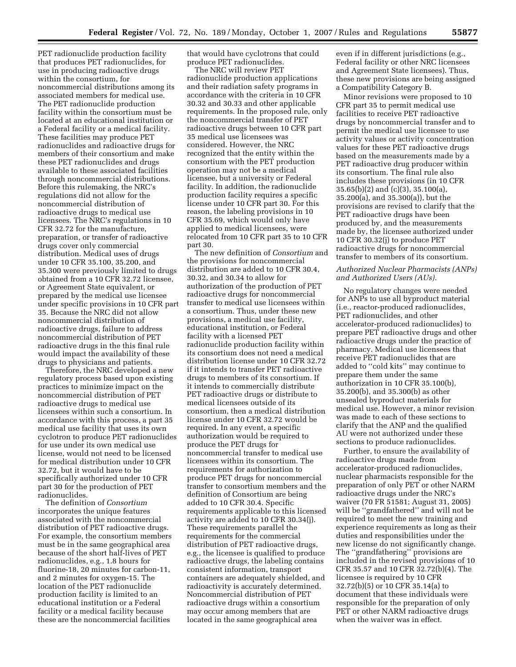PET radionuclide production facility that produces PET radionuclides, for use in producing radioactive drugs within the consortium, for noncommercial distributions among its associated members for medical use. The PET radionuclide production facility within the consortium must be located at an educational institution or a Federal facility or a medical facility. These facilities may produce PET radionuclides and radioactive drugs for members of their consortium and make these PET radionuclides and drugs available to these associated facilities through noncommercial distributions. Before this rulemaking, the NRC's regulations did not allow for the noncommercial distribution of radioactive drugs to medical use licensees. The NRC's regulations in 10 CFR 32.72 for the manufacture, preparation, or transfer of radioactive drugs cover only commercial distribution. Medical uses of drugs under 10 CFR 35.100, 35.200, and 35.300 were previously limited to drugs obtained from a 10 CFR 32.72 licensee, or Agreement State equivalent, or prepared by the medical use licensee under specific provisions in 10 CFR part 35. Because the NRC did not allow noncommercial distribution of radioactive drugs, failure to address noncommercial distribution of PET radioactive drugs in the this final rule would impact the availability of these drugs to physicians and patients.

Therefore, the NRC developed a new regulatory process based upon existing practices to minimize impact on the noncommercial distribution of PET radioactive drugs to medical use licensees within such a consortium. In accordance with this process, a part 35 medical use facility that uses its own cyclotron to produce PET radionuclides for use under its own medical use license, would not need to be licensed for medical distribution under 10 CFR 32.72, but it would have to be specifically authorized under 10 CFR part 30 for the production of PET radionuclides.

The definition of *Consortium*  incorporates the unique features associated with the noncommercial distribution of PET radioactive drugs. For example, the consortium members must be in the same geographical area because of the short half-lives of PET radionuclides, e.g., 1.8 hours for fluorine-18, 20 minutes for carbon-11, and 2 minutes for oxygen-15. The location of the PET radionuclide production facility is limited to an educational institution or a Federal facility or a medical facility because these are the noncommercial facilities

that would have cyclotrons that could produce PET radionuclides.

The NRC will review PET radionuclide production applications and their radiation safety programs in accordance with the criteria in 10 CFR 30.32 and 30.33 and other applicable requirements. In the proposed rule, only the noncommercial transfer of PET radioactive drugs between 10 CFR part 35 medical use licensees was considered. However, the NRC recognized that the entity within the consortium with the PET production operation may not be a medical licensee, but a university or Federal facility. In addition, the radionuclide production facility requires a specific license under 10 CFR part 30. For this reason, the labeling provisions in 10 CFR 35.69, which would only have applied to medical licensees, were relocated from 10 CFR part 35 to 10 CFR part 30.

The new definition of *Consortium* and the provisions for noncommercial distribution are added to 10 CFR 30.4, 30.32, and 30.34 to allow for authorization of the production of PET radioactive drugs for noncommercial transfer to medical use licensees within a consortium. Thus, under these new provisions, a medical use facility, educational institution, or Federal facility with a licensed PET radionuclide production facility within its consortium does not need a medical distribution license under 10 CFR 32.72 if it intends to transfer PET radioactive drugs to members of its consortium. If it intends to commercially distribute PET radioactive drugs or distribute to medical licensees outside of its consortium, then a medical distribution license under 10 CFR 32.72 would be required. In any event, a specific authorization would be required to produce the PET drugs for noncommercial transfer to medical use licensees within its consortium. The requirements for authorization to produce PET drugs for noncommercial transfer to consortium members and the definition of Consortium are being added to 10 CFR 30.4. Specific requirements applicable to this licensed activity are added to 10 CFR 30.34(j). These requirements parallel the requirements for the commercial distribution of PET radioactive drugs, e.g., the licensee is qualified to produce radioactive drugs, the labeling contains consistent information, transport containers are adequately shielded, and radioactivity is accurately determined. Noncommercial distribution of PET radioactive drugs within a consortium may occur among members that are located in the same geographical area

even if in different jurisdictions (e.g., Federal facility or other NRC licensees and Agreement State licensees). Thus, these new provisions are being assigned a Compatibility Category B.

Minor revisions were proposed to 10 CFR part 35 to permit medical use facilities to receive PET radioactive drugs by noncommercial transfer and to permit the medical use licensee to use activity values or activity concentration values for these PET radioactive drugs based on the measurements made by a PET radioactive drug producer within its consortium. The final rule also includes these provisions (in 10 CFR 35.65(b)(2) and (c)(3), 35.100(a), 35.200(a), and 35.300(a)), but the provisions are revised to clarify that the PET radioactive drugs have been produced by, and the measurements made by, the licensee authorized under 10 CFR 30.32(j) to produce PET radioactive drugs for noncommercial transfer to members of its consortium.

## *Authorized Nuclear Pharmacists (ANPs) and Authorized Users (AUs).*

No regulatory changes were needed for ANPs to use all byproduct material (i.e., reactor-produced radionuclides, PET radionuclides, and other accelerator-produced radionuclides) to prepare PET radioactive drugs and other radioactive drugs under the practice of pharmacy. Medical use licensees that receive PET radionuclides that are added to ''cold kits'' may continue to prepare them under the same authorization in 10 CFR 35.100(b), 35.200(b), and 35.300(b) as other unsealed byproduct materials for medical use. However, a minor revision was made to each of these sections to clarify that the ANP and the qualified AU were not authorized under these sections to produce radionuclides.

Further, to ensure the availability of radioactive drugs made from accelerator-produced radionuclides, nuclear pharmacists responsible for the preparation of only PET or other NARM radioactive drugs under the NRC's waiver (70 FR 51581; August 31, 2005) will be ''grandfathered'' and will not be required to meet the new training and experience requirements as long as their duties and responsibilities under the new license do not significantly change. The ''grandfathering'' provisions are included in the revised provisions of 10 CFR 35.57 and 10 CFR 32.72(b)(4). The licensee is required by 10 CFR 32.72(b)(5) or 10 CFR 35.14(a) to document that these individuals were responsible for the preparation of only PET or other NARM radioactive drugs when the waiver was in effect.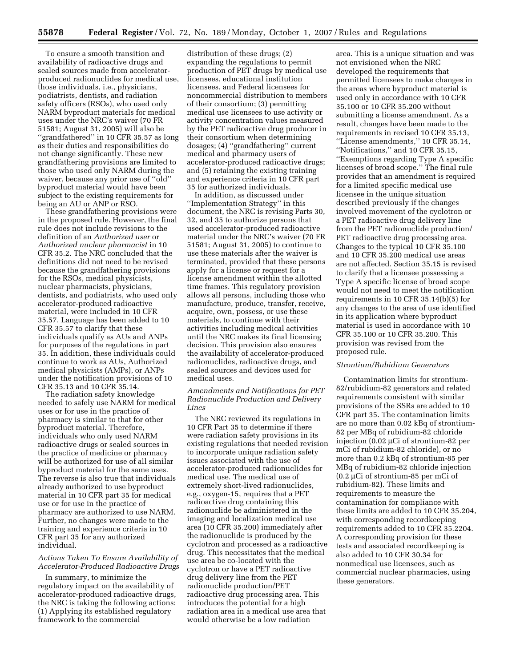To ensure a smooth transition and availability of radioactive drugs and sealed sources made from acceleratorproduced radionuclides for medical use, those individuals, i.e., physicians, podiatrists, dentists, and radiation safety officers (RSOs), who used only NARM byproduct materials for medical uses under the NRC's waiver (70 FR 51581; August 31, 2005) will also be "grandfathered" in 10 CFR 35.57 as long as their duties and responsibilities do not change significantly. These new grandfathering provisions are limited to those who used only NARM during the waiver, because any prior use of ''old'' byproduct material would have been subject to the existing requirements for being an AU or ANP or RSO.

These grandfathering provisions were in the proposed rule. However, the final rule does not include revisions to the definition of an *Authorized user* or *Authorized nuclear pharmacist* in 10 CFR 35.2. The NRC concluded that the definitions did not need to be revised because the grandfathering provisions for the RSOs, medical physicists, nuclear pharmacists, physicians, dentists, and podiatrists, who used only accelerator-produced radioactive material, were included in 10 CFR 35.57. Language has been added to 10 CFR 35.57 to clarify that these individuals qualify as AUs and ANPs for purposes of the regulations in part 35. In addition, these individuals could continue to work as AUs, Authorized medical physicists (AMPs), or ANPs under the notification provisions of 10 CFR 35.13 and 10 CFR 35.14.

The radiation safety knowledge needed to safely use NARM for medical uses or for use in the practice of pharmacy is similar to that for other byproduct material. Therefore, individuals who only used NARM radioactive drugs or sealed sources in the practice of medicine or pharmacy will be authorized for use of all similar byproduct material for the same uses. The reverse is also true that individuals already authorized to use byproduct material in 10 CFR part 35 for medical use or for use in the practice of pharmacy are authorized to use NARM. Further, no changes were made to the training and experience criteria in 10 CFR part 35 for any authorized individual.

## *Actions Taken To Ensure Availability of Accelerator-Produced Radioactive Drugs*

In summary, to minimize the regulatory impact on the availability of accelerator-produced radioactive drugs, the NRC is taking the following actions: (1) Applying its established regulatory framework to the commercial

distribution of these drugs; (2) expanding the regulations to permit production of PET drugs by medical use licensees, educational institution licensees, and Federal licensees for noncommercial distribution to members of their consortium; (3) permitting medical use licensees to use activity or activity concentration values measured by the PET radioactive drug producer in their consortium when determining dosages; (4) ''grandfathering'' current medical and pharmacy users of accelerator-produced radioactive drugs; and (5) retaining the existing training and experience criteria in 10 CFR part 35 for authorized individuals.

In addition, as discussed under ''Implementation Strategy'' in this document, the NRC is revising Parts 30, 32, and 35 to authorize persons that used accelerator-produced radioactive material under the NRC's waiver (70 FR 51581; August 31, 2005) to continue to use these materials after the waiver is terminated, provided that these persons apply for a license or request for a license amendment within the allotted time frames. This regulatory provision allows all persons, including those who manufacture, produce, transfer, receive, acquire, own, possess, or use these materials, to continue with their activities including medical activities until the NRC makes its final licensing decision. This provision also ensures the availability of accelerator-produced radionuclides, radioactive drugs, and sealed sources and devices used for medical uses.

## *Amendments and Notifications for PET Radionuclide Production and Delivery Lines*

The NRC reviewed its regulations in 10 CFR Part 35 to determine if there were radiation safety provisions in its existing regulations that needed revision to incorporate unique radiation safety issues associated with the use of accelerator-produced radionuclides for medical use. The medical use of extremely short-lived radionuclides, e.g., oxygen-15, requires that a PET radioactive drug containing this radionuclide be administered in the imaging and localization medical use area (10 CFR 35.200) immediately after the radionuclide is produced by the cyclotron and processed as a radioactive drug. This necessitates that the medical use area be co-located with the cyclotron or have a PET radioactive drug delivery line from the PET radionuclide production/PET radioactive drug processing area. This introduces the potential for a high radiation area in a medical use area that would otherwise be a low radiation

area. This is a unique situation and was not envisioned when the NRC developed the requirements that permitted licensees to make changes in the areas where byproduct material is used only in accordance with 10 CFR 35.100 or 10 CFR 35.200 without submitting a license amendment. As a result, changes have been made to the requirements in revised 10 CFR 35.13, ''License amendments,'' 10 CFR 35.14, ''Notifications,'' and 10 CFR 35.15, ''Exemptions regarding Type A specific licenses of broad scope.'' The final rule provides that an amendment is required for a limited specific medical use licensee in the unique situation described previously if the changes involved movement of the cyclotron or a PET radioactive drug delivery line from the PET radionuclide production/ PET radioactive drug processing area. Changes to the typical 10 CFR 35.100 and 10 CFR 35.200 medical use areas are not affected. Section 35.15 is revised to clarify that a licensee possessing a Type A specific license of broad scope would not need to meet the notification requirements in 10 CFR 35.14(b)(5) for any changes to the area of use identified in its application where byproduct material is used in accordance with 10 CFR 35.100 or 10 CFR 35.200. This provision was revised from the proposed rule.

## *Strontium/Rubidium Generators*

Contamination limits for strontium-82/rubidium-82 generators and related requirements consistent with similar provisions of the SSRs are added to 10 CFR part 35. The contamination limits are no more than 0.02 kBq of strontium-82 per MBq of rubidium-82 chloride injection (0.02 µCi of strontium-82 per mCi of rubidium-82 chloride), or no more than 0.2 kBq of strontium-85 per MBq of rubidium-82 chloride injection (0.2 µCi of strontium-85 per mCi of rubidium-82). These limits and requirements to measure the contamination for compliance with these limits are added to 10 CFR 35.204, with corresponding recordkeeping requirements added to 10 CFR 35.2204. A corresponding provision for these tests and associated recordkeeping is also added to 10 CFR 30.34 for nonmedical use licensees, such as commercial nuclear pharmacies, using these generators.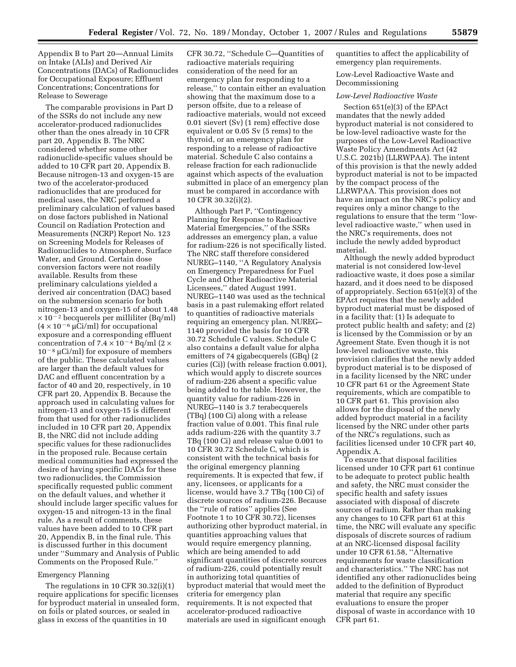Appendix B to Part 20—Annual Limits on Intake (ALIs) and Derived Air Concentrations (DACs) of Radionuclides for Occupational Exposure; Effluent Concentrations; Concentrations for Release to Sewerage

The comparable provisions in Part D of the SSRs do not include any new accelerator-produced radionuclides other than the ones already in 10 CFR part 20, Appendix B. The NRC considered whether some other radionuclide-specific values should be added to 10 CFR part 20, Appendix B. Because nitrogen-13 and oxygen-15 are two of the accelerator-produced radionuclides that are produced for medical uses, the NRC performed a preliminary calculation of values based on dose factors published in National Council on Radiation Protection and Measurements (NCRP) Report No. 123 on Screening Models for Releases of Radionuclides to Atmosphere, Surface Water, and Ground. Certain dose conversion factors were not readily available. Results from these preliminary calculations yielded a derived air concentration (DAC) based on the submersion scenario for both nitrogen-13 and oxygen-15 of about 1.48  $\times$  10<sup>-2</sup> becquerels per milliliter (Bq/ml)  $(4 \times 10^{-6} \mu\text{Ci/ml})$  for occupational exposure and a corresponding effluent concentration of  $7.4 \times 10^{-4}$  Bq/ml (2  $\times$  $10^{-8}$  µCi/ml) for exposure of members of the public. These calculated values are larger than the default values for DAC and effluent concentration by a factor of 40 and 20, respectively, in 10 CFR part 20, Appendix B. Because the approach used in calculating values for nitrogen-13 and oxygen-15 is different from that used for other radionuclides included in 10 CFR part 20, Appendix B, the NRC did not include adding specific values for these radionuclides in the proposed rule. Because certain medical communities had expressed the desire of having specific DACs for these two radionuclides, the Commission specifically requested public comment on the default values, and whether it should include larger specific values for oxygen-15 and nitrogen-13 in the final rule. As a result of comments, these values have been added to 10 CFR part 20, Appendix B, in the final rule. This is discussed further in this document under ''Summary and Analysis of Public Comments on the Proposed Rule.''

#### Emergency Planning

The regulations in 10 CFR 30.32(i)(1) require applications for specific licenses for byproduct material in unsealed form, on foils or plated sources, or sealed in glass in excess of the quantities in 10

CFR 30.72, ''Schedule C—Quantities of radioactive materials requiring consideration of the need for an emergency plan for responding to a release,'' to contain either an evaluation showing that the maximum dose to a person offsite, due to a release of radioactive materials, would not exceed 0.01 sievert (Sv) (1 rem) effective dose equivalent or 0.05 Sv (5 rems) to the thyroid, or an emergency plan for responding to a release of radioactive material. Schedule C also contains a release fraction for each radionuclide against which aspects of the evaluation submitted in place of an emergency plan must be compared in accordance with 10 CFR 30.32(i)(2).

Although Part P, ''Contingency Planning for Response to Radioactive Material Emergencies,'' of the SSRs addresses an emergency plan, a value for radium-226 is not specifically listed. The NRC staff therefore considered NUREG–1140, ''A Regulatory Analysis on Emergency Preparedness for Fuel Cycle and Other Radioactive Material Licensees,'' dated August 1991. NUREG–1140 was used as the technical basis in a past rulemaking effort related to quantities of radioactive materials requiring an emergency plan. NUREG– 1140 provided the basis for 10 CFR 30.72 Schedule C values. Schedule C also contains a default value for alpha emitters of 74 gigabecquerels (GBq) (2 curies (Ci)) (with release fraction 0.001), which would apply to discrete sources of radium-226 absent a specific value being added to the table. However, the quantity value for radium-226 in NUREG–1140 is 3.7 terabecquerels (TBq) (100 Ci) along with a release fraction value of 0.001. This final rule adds radium-226 with the quantity 3.7 TBq (100 Ci) and release value 0.001 to 10 CFR 30.72 Schedule C, which is consistent with the technical basis for the original emergency planning requirements. It is expected that few, if any, licensees, or applicants for a license, would have 3.7 TBq (100 Ci) of discrete sources of radium-226. Because the ''rule of ratios'' applies (See Footnote 1 to 10 CFR 30.72), licenses authorizing other byproduct material, in quantities approaching values that would require emergency planning, which are being amended to add significant quantities of discrete sources of radium-226, could potentially result in authorizing total quantities of byproduct material that would meet the criteria for emergency plan requirements. It is not expected that accelerator-produced radioactive materials are used in significant enough

quantities to affect the applicability of emergency plan requirements.

## Low-Level Radioactive Waste and Decommissioning

## *Low-Level Radioactive Waste*

Section 651(e)(3) of the EPAct mandates that the newly added byproduct material is not considered to be low-level radioactive waste for the purposes of the Low-Level Radioactive Waste Policy Amendments Act (42 U.S.C. 2021b) (LLRWPAA). The intent of this provision is that the newly added byproduct material is not to be impacted by the compact process of the LLRWPAA. This provision does not have an impact on the NRC's policy and requires only a minor change to the regulations to ensure that the term ''lowlevel radioactive waste,'' when used in the NRC's requirements, does not include the newly added byproduct material.

Although the newly added byproduct material is not considered low-level radioactive waste, it does pose a similar hazard, and it does need to be disposed of appropriately. Section 651(e)(3) of the EPAct requires that the newly added byproduct material must be disposed of in a facility that: (1) Is adequate to protect public health and safety; and (2) is licensed by the Commission or by an Agreement State. Even though it is not low-level radioactive waste, this provision clarifies that the newly added byproduct material is to be disposed of in a facility licensed by the NRC under 10 CFR part 61 or the Agreement State requirements, which are compatible to 10 CFR part 61. This provision also allows for the disposal of the newly added byproduct material in a facility licensed by the NRC under other parts of the NRC's regulations, such as facilities licensed under 10 CFR part 40, Appendix A.

To ensure that disposal facilities licensed under 10 CFR part 61 continue to be adequate to protect public health and safety, the NRC must consider the specific health and safety issues associated with disposal of discrete sources of radium. Rather than making any changes to 10 CFR part 61 at this time, the NRC will evaluate any specific disposals of discrete sources of radium at an NRC-licensed disposal facility under 10 CFR 61.58, ''Alternative requirements for waste classification and characteristics.'' The NRC has not identified any other radionuclides being added to the definition of Byproduct material that require any specific evaluations to ensure the proper disposal of waste in accordance with 10 CFR part 61.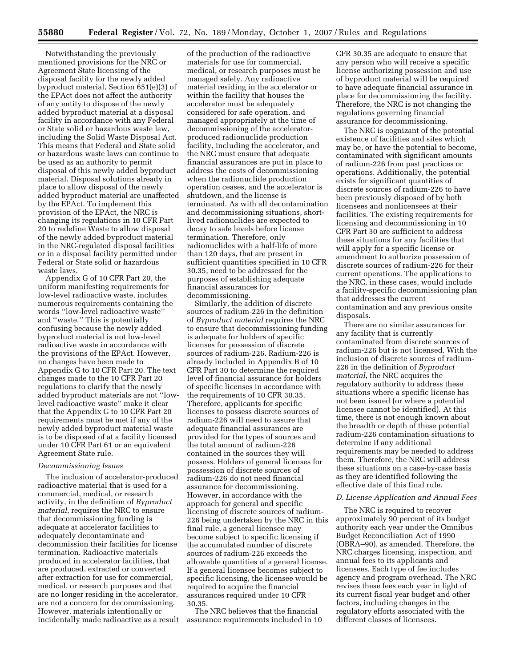Notwithstanding the previously mentioned provisions for the NRC or Agreement State licensing of the disposal facility for the newly added byproduct material, Section 651(e)(3) of the EPAct does not affect the authority of any entity to dispose of the newly added byproduct material at a disposal facility in accordance with any Federal or State solid or hazardous waste law, including the Solid Waste Disposal Act. This means that Federal and State solid or hazardous waste laws can continue to be used as an authority to permit disposal of this newly added byproduct material. Disposal solutions already in place to allow disposal of the newly added byproduct material are unaffected by the EPAct. To implement this provision of the EPAct, the NRC is changing its regulations in 10 CFR Part 20 to redefine Waste to allow disposal of the newly added byproduct material in the NRC-regulated disposal facilities or in a disposal facility permitted under Federal or State solid or hazardous waste laws.

Appendix G of 10 CFR Part 20, the uniform manifesting requirements for low-level radioactive waste, includes numerous requirements containing the words ''low-level radioactive waste'' and ''waste.'' This is potentially confusing because the newly added byproduct material is not low-level radioactive waste in accordance with the provisions of the EPAct. However, no changes have been made to Appendix G to 10 CFR Part 20. The text changes made to the 10 CFR Part 20 regulations to clarify that the newly added byproduct materials are not ''lowlevel radioactive waste'' make it clear that the Appendix G to 10 CFR Part 20 requirements must be met if any of the newly added byproduct material waste is to be disposed of at a facility licensed under 10 CFR Part 61 or an equivalent Agreement State rule.

#### *Decommissioning Issues*

The inclusion of accelerator-produced radioactive material that is used for a commercial, medical, or research activity, in the definition of *Byproduct material*, requires the NRC to ensure that decommissioning funding is adequate at accelerator facilities to adequately decontaminate and decommission their facilities for license termination. Radioactive materials produced in accelerator facilities, that are produced, extracted or converted after extraction for use for commercial, medical, or research purposes and that are no longer residing in the accelerator, are not a concern for decommissioning. However, materials intentionally or incidentally made radioactive as a result

of the production of the radioactive materials for use for commercial, medical, or research purposes must be managed safely. Any radioactive material residing in the accelerator or within the facility that houses the accelerator must be adequately considered for safe operation, and managed appropriately at the time of decommissioning of the acceleratorproduced radionuclide production facility, including the accelerator, and the NRC must ensure that adequate financial assurances are put in place to address the costs of decommissioning when the radionuclide production operation ceases, and the accelerator is shutdown, and the license is terminated. As with all decontamination and decommissioning situations, shortlived radionuclides are expected to decay to safe levels before license termination. Therefore, only radionuclides with a half-life of more than 120 days, that are present in sufficient quantities specified in 10 CFR 30.35, need to be addressed for the purposes of establishing adequate financial assurances for decommissioning.

Similarly, the addition of discrete sources of radium-226 in the definition of *Byproduct material* requires the NRC to ensure that decommissioning funding is adequate for holders of specific licenses for possession of discrete sources of radium-226. Radium-226 is already included in Appendix B of 10 CFR Part 30 to determine the required level of financial assurance for holders of specific licenses in accordance with the requirements of 10 CFR 30.35. Therefore, applicants for specific licenses to possess discrete sources of radium-226 will need to assure that adequate financial assurances are provided for the types of sources and the total amount of radium-226 contained in the sources they will possess. Holders of general licenses for possession of discrete sources of radium-226 do not need financial assurance for decommissioning. However, in accordance with the approach for general and specific licensing of discrete sources of radium-226 being undertaken by the NRC in this final rule, a general licensee may become subject to specific licensing if the accumulated number of discrete sources of radium-226 exceeds the allowable quantities of a general license. If a general licensee becomes subject to specific licensing, the licensee would be required to acquire the financial assurances required under 10 CFR 30.35.

The NRC believes that the financial assurance requirements included in 10 CFR 30.35 are adequate to ensure that any person who will receive a specific license authorizing possession and use of byproduct material will be required to have adequate financial assurance in place for decommissioning the facility. Therefore, the NRC is not changing the regulations governing financial assurance for decommissioning.

The NRC is cognizant of the potential existence of facilities and sites which may be, or have the potential to become, contaminated with significant amounts of radium-226 from past practices or operations. Additionally, the potential exists for significant quantities of discrete sources of radium-226 to have been previously disposed of by both licensees and nonlicensees at their facilities. The existing requirements for licensing and decommissioning in 10 CFR Part 30 are sufficient to address these situations for any facilities that will apply for a specific license or amendment to authorize possession of discrete sources of radium-226 for their current operations. The applications to the NRC, in these cases, would include a facility-specific decommissioning plan that addresses the current contamination and any previous onsite disposals.

There are no similar assurances for any facility that is currently contaminated from discrete sources of radium-226 but is not licensed. With the inclusion of discrete sources of radium-226 in the definition of *Byproduct material*, the NRC acquires the regulatory authority to address these situations where a specific license has not been issued (or where a potential licensee cannot be identified). At this time, there is not enough known about the breadth or depth of these potential radium-226 contamination situations to determine if any additional requirements may be needed to address them. Therefore, the NRC will address these situations on a case-by-case basis as they are identified following the effective date of this final rule.

#### *D. License Application and Annual Fees*

The NRC is required to recover approximately 90 percent of its budget authority each year under the Omnibus Budget Reconciliation Act of 1990 (OBRA–90), as amended. Therefore, the NRC charges licensing, inspection, and annual fees to its applicants and licensees. Each type of fee includes agency and program overhead. The NRC revises these fees each year in light of its current fiscal year budget and other factors, including changes in the regulatory efforts associated with the different classes of licensees.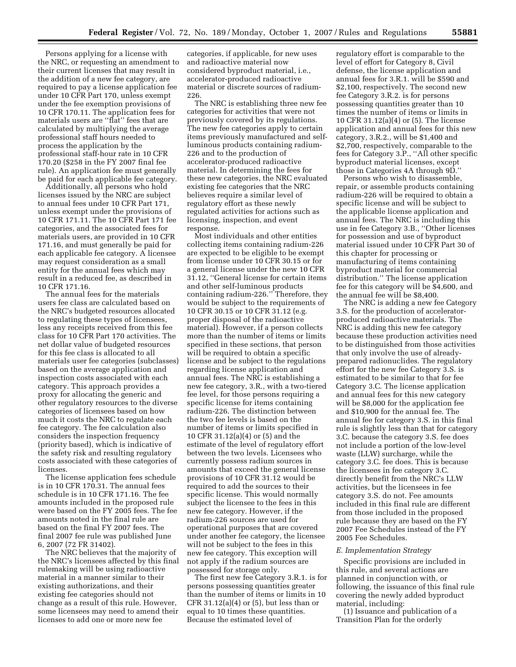Persons applying for a license with the NRC, or requesting an amendment to their current licenses that may result in the addition of a new fee category, are required to pay a license application fee under 10 CFR Part 170, unless exempt under the fee exemption provisions of 10 CFR 170.11. The application fees for materials users are ''flat'' fees that are calculated by multiplying the average professional staff hours needed to process the application by the professional staff-hour rate in 10 CFR 170.20 (\$258 in the FY 2007 final fee rule). An application fee must generally be paid for each applicable fee category.

Additionally, all persons who hold licenses issued by the NRC are subject to annual fees under 10 CFR Part 171, unless exempt under the provisions of 10 CFR 171.11. The 10 CFR Part 171 fee categories, and the associated fees for materials users, are provided in 10 CFR 171.16, and must generally be paid for each applicable fee category. A licensee may request consideration as a small entity for the annual fees which may result in a reduced fee, as described in 10 CFR 171.16.

The annual fees for the materials users fee class are calculated based on the NRC's budgeted resources allocated to regulating these types of licensees, less any receipts received from this fee class for 10 CFR Part 170 activities. The net dollar value of budgeted resources for this fee class is allocated to all materials user fee categories (subclasses) based on the average application and inspection costs associated with each category. This approach provides a proxy for allocating the generic and other regulatory resources to the diverse categories of licensees based on how much it costs the NRC to regulate each fee category. The fee calculation also considers the inspection frequency (priority based), which is indicative of the safety risk and resulting regulatory costs associated with these categories of licenses.

The license application fees schedule is in 10 CFR 170.31. The annual fees schedule is in 10 CFR 171.16. The fee amounts included in the proposed rule were based on the FY 2005 fees. The fee amounts noted in the final rule are based on the final FY 2007 fees. The final 2007 fee rule was published June 6, 2007 (72 FR 31402).

The NRC believes that the majority of the NRC's licensees affected by this final rulemaking will be using radioactive material in a manner similar to their existing authorizations, and their existing fee categories should not change as a result of this rule. However, some licensees may need to amend their licenses to add one or more new fee

categories, if applicable, for new uses and radioactive material now considered byproduct material, i.e., accelerator-produced radioactive material or discrete sources of radium-226.

The NRC is establishing three new fee categories for activities that were not previously covered by its regulations. The new fee categories apply to certain items previously manufactured and selfluminous products containing radium-226 and to the production of accelerator-produced radioactive material. In determining the fees for these new categories, the NRC evaluated existing fee categories that the NRC believes require a similar level of regulatory effort as these newly regulated activities for actions such as licensing, inspection, and event response.

Most individuals and other entities collecting items containing radium-226 are expected to be eligible to be exempt from license under 10 CFR 30.15 or for a general license under the new 10 CFR 31.12, ''General license for certain items and other self-luminous products containing radium-226.'' Therefore, they would be subject to the requirements of 10 CFR 30.15 or 10 CFR 31.12 (e.g. proper disposal of the radioactive material). However, if a person collects more than the number of items or limits specified in these sections, that person will be required to obtain a specific license and be subject to the regulations regarding license application and annual fees. The NRC is establishing a new fee category, 3.R., with a two-tiered fee level, for those persons requiring a specific license for items containing radium-226. The distinction between the two fee levels is based on the number of items or limits specified in 10 CFR 31.12(a)(4) or (5) and the estimate of the level of regulatory effort between the two levels. Licensees who currently possess radium sources in amounts that exceed the general license provisions of 10 CFR 31.12 would be required to add the sources to their specific license. This would normally subject the licensee to the fees in this new fee category. However, if the radium-226 sources are used for operational purposes that are covered under another fee category, the licensee will not be subject to the fees in this new fee category. This exception will not apply if the radium sources are possessed for storage only.

The first new fee Category 3.R.1. is for persons possessing quantities greater than the number of items or limits in 10 CFR 31.12(a)(4) or (5), but less than or equal to 10 times these quantities. Because the estimated level of

regulatory effort is comparable to the level of effort for Category 8, Civil defense, the license application and annual fees for 3.R.1. will be \$590 and \$2,100, respectively. The second new fee Category 3.R.2. is for persons possessing quantities greater than 10 times the number of items or limits in 10 CFR 31.12(a)(4) or (5). The license application and annual fees for this new category, 3.R.2., will be \$1,400 and \$2,700, respectively, comparable to the fees for Category 3.P., ''All other specific byproduct material licenses, except those in Categories 4A through 9D.''

Persons who wish to disassemble, repair, or assemble products containing radium-226 will be required to obtain a specific license and will be subject to the applicable license application and annual fees. The NRC is including this use in fee Category 3.B., ''Other licenses for possession and use of byproduct material issued under 10 CFR Part 30 of this chapter for processing or manufacturing of items containing byproduct material for commercial distribution.'' The license application fee for this category will be \$4,600, and the annual fee will be \$8,400.

The NRC is adding a new fee Category 3.S. for the production of acceleratorproduced radioactive materials. The NRC is adding this new fee category because these production activities need to be distinguished from those activities that only involve the use of alreadyprepared radionuclides. The regulatory effort for the new fee Category 3.S. is estimated to be similar to that for fee Category 3.C. The license application and annual fees for this new category will be \$8,000 for the application fee and \$10,900 for the annual fee. The annual fee for category 3.S. in this final rule is slightly less than that for category 3.C. because the category 3.S. fee does not include a portion of the low-level waste (LLW) surcharge, while the category 3.C. fee does. This is because the licensees in fee category 3.C. directly benefit from the NRC's LLW activities, but the licensees in fee category 3.S. do not. Fee amounts included in this final rule are different from those included in the proposed rule because they are based on the FY 2007 Fee Schedules instead of the FY 2005 Fee Schedules.

#### *E. Implementation Strategy*

Specific provisions are included in this rule, and several actions are planned in conjunction with, or following, the issuance of this final rule covering the newly added byproduct material, including:

(1) Issuance and publication of a Transition Plan for the orderly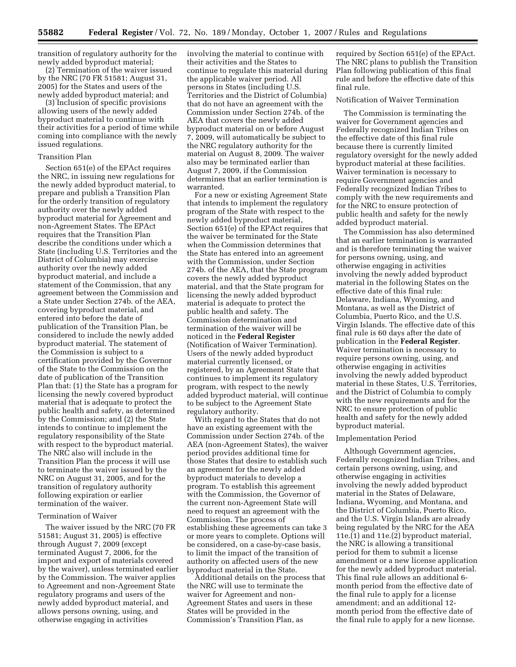transition of regulatory authority for the newly added byproduct material;

(2) Termination of the waiver issued by the NRC (70 FR 51581; August 31, 2005) for the States and users of the newly added byproduct material; and

(3) Inclusion of specific provisions allowing users of the newly added byproduct material to continue with their activities for a period of time while coming into compliance with the newly issued regulations.

## Transition Plan

Section 651(e) of the EPAct requires the NRC, in issuing new regulations for the newly added byproduct material, to prepare and publish a Transition Plan for the orderly transition of regulatory authority over the newly added byproduct material for Agreement and non-Agreement States. The EPAct requires that the Transition Plan describe the conditions under which a State (including U.S. Territories and the District of Columbia) may exercise authority over the newly added byproduct material, and include a statement of the Commission, that any agreement between the Commission and a State under Section 274b. of the AEA, covering byproduct material, and entered into before the date of publication of the Transition Plan, be considered to include the newly added byproduct material. The statement of the Commission is subject to a certification provided by the Governor of the State to the Commission on the date of publication of the Transition Plan that: (1) the State has a program for licensing the newly covered byproduct material that is adequate to protect the public health and safety, as determined by the Commission; and (2) the State intends to continue to implement the regulatory responsibility of the State with respect to the byproduct material. The NRC also will include in the Transition Plan the process it will use to terminate the waiver issued by the NRC on August 31, 2005, and for the transition of regulatory authority following expiration or earlier termination of the waiver.

## Termination of Waiver

The waiver issued by the NRC (70 FR 51581; August 31, 2005) is effective through August 7, 2009 (except terminated August 7, 2006, for the import and export of materials covered by the waiver), unless terminated earlier by the Commission. The waiver applies to Agreement and non-Agreement State regulatory programs and users of the newly added byproduct material, and allows persons owning, using, and otherwise engaging in activities

involving the material to continue with their activities and the States to continue to regulate this material during the applicable waiver period. All persons in States (including U.S. Territories and the District of Columbia) that do not have an agreement with the Commission under Section 274b. of the AEA that covers the newly added byproduct material on or before August 7, 2009, will automatically be subject to the NRC regulatory authority for the material on August 8, 2009. The waiver also may be terminated earlier than August 7, 2009, if the Commission determines that an earlier termination is warranted.

For a new or existing Agreement State that intends to implement the regulatory program of the State with respect to the newly added byproduct material, Section 651(e) of the EPAct requires that the waiver be terminated for the State when the Commission determines that the State has entered into an agreement with the Commission, under Section 274b. of the AEA, that the State program covers the newly added byproduct material, and that the State program for licensing the newly added byproduct material is adequate to protect the public health and safety. The Commission determination and termination of the waiver will be noticed in the **Federal Register**  (Notification of Waiver Termination). Users of the newly added byproduct material currently licensed, or registered, by an Agreement State that continues to implement its regulatory program, with respect to the newly added byproduct material, will continue to be subject to the Agreement State regulatory authority.

With regard to the States that do not have an existing agreement with the Commission under Section 274b. of the AEA (non-Agreement States), the waiver period provides additional time for those States that desire to establish such an agreement for the newly added byproduct materials to develop a program. To establish this agreement with the Commission, the Governor of the current non-Agreement State will need to request an agreement with the Commission. The process of establishing these agreements can take 3 or more years to complete. Options will be considered, on a case-by-case basis, to limit the impact of the transition of authority on affected users of the new byproduct material in the State.

Additional details on the process that the NRC will use to terminate the waiver for Agreement and non-Agreement States and users in these States will be provided in the Commission's Transition Plan, as

required by Section 651(e) of the EPAct. The NRC plans to publish the Transition Plan following publication of this final rule and before the effective date of this final rule.

## Notification of Waiver Termination

The Commission is terminating the waiver for Government agencies and Federally recognized Indian Tribes on the effective date of this final rule because there is currently limited regulatory oversight for the newly added byproduct material at these facilities. Waiver termination is necessary to require Government agencies and Federally recognized Indian Tribes to comply with the new requirements and for the NRC to ensure protection of public health and safety for the newly added byproduct material.

The Commission has also determined that an earlier termination is warranted and is therefore terminating the waiver for persons owning, using, and otherwise engaging in activities involving the newly added byproduct material in the following States on the effective date of this final rule: Delaware, Indiana, Wyoming, and Montana, as well as the District of Columbia, Puerto Rico, and the U.S. Virgin Islands. The effective date of this final rule is 60 days after the date of publication in the **Federal Register**. Waiver termination is necessary to require persons owning, using, and otherwise engaging in activities involving the newly added byproduct material in these States, U.S. Territories, and the District of Columbia to comply with the new requirements and for the NRC to ensure protection of public health and safety for the newly added byproduct material.

#### Implementation Period

Although Government agencies, Federally recognized Indian Tribes, and certain persons owning, using, and otherwise engaging in activities involving the newly added byproduct material in the States of Delaware, Indiana, Wyoming, and Montana, and the District of Columbia, Puerto Rico, and the U.S. Virgin Islands are already being regulated by the NRC for the AEA 11e.(1) and 11e.(2) byproduct material, the NRC is allowing a transitional period for them to submit a license amendment or a new license application for the newly added byproduct material. This final rule allows an additional 6 month period from the effective date of the final rule to apply for a license amendment; and an additional 12 month period from the effective date of the final rule to apply for a new license.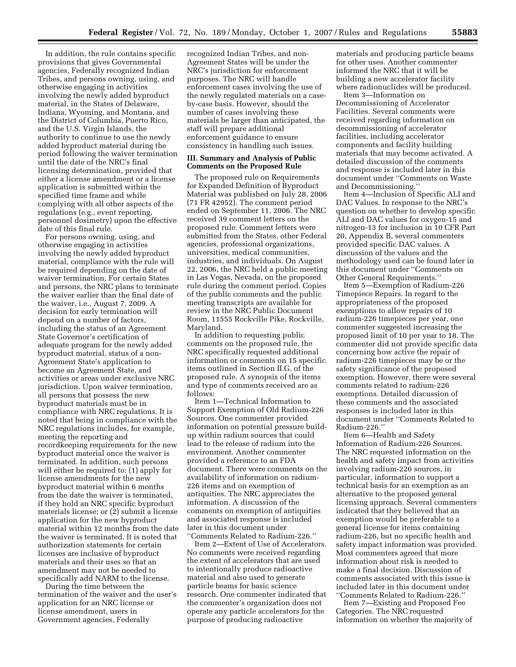In addition, the rule contains specific provisions that gives Governmental agencies, Federally recognized Indian Tribes, and persons owning, using, and otherwise engaging in activities involving the newly added byproduct material, in the States of Delaware, Indiana, Wyoming, and Montana, and the District of Columbia, Puerto Rico, and the U.S. Virgin Islands, the authority to continue to use the newly added byproduct material during the period following the waiver termination until the date of the NRC's final licensing determination, provided that either a license amendment or a license application is submitted within the specified time frame and while complying with all other aspects of the regulations (e.g., event reporting, personnel dosimetry) upon the effective date of this final rule.

For persons owning, using, and otherwise engaging in activities involving the newly added byproduct material, compliance with the rule will be required depending on the date of waiver termination. For certain States and persons, the NRC plans to terminate the waiver earlier than the final date of the waiver, i.e., August 7, 2009. A decision for early termination will depend on a number of factors, including the status of an Agreement State Governor's certification of adequate program for the newly added byproduct material, status of a non-Agreement State's application to become an Agreement State, and activities or areas under exclusive NRC jurisdiction. Upon waiver termination, all persons that possess the new byproduct materials must be in compliance with NRC regulations. It is noted that being in compliance with the NRC regulations includes, for example, meeting the reporting and recordkeeping requirements for the new byproduct material once the waiver is terminated. In addition, such persons will either be required to: (1) apply for license amendments for the new byproduct material within 6 months from the date the waiver is terminated, if they hold an NRC specific byproduct materials license; or (2) submit a license application for the new byproduct material within 12 months from the date the waiver is terminated. It is noted that authorization statements for certain licenses are inclusive of byproduct materials and their uses so that an amendment may not be needed to specifically add NARM to the license.

During the time between the termination of the waiver and the user's application for an NRC license or license amendment, users in Government agencies, Federally

recognized Indian Tribes, and non-Agreement States will be under the NRC's jurisdiction for enforcement purposes. The NRC will handle enforcement cases involving the use of the newly regulated materials on a caseby-case basis. However, should the number of cases involving these materials be larger than anticipated, the staff will prepare additional enforcement guidance to ensure consistency in handling such issues.

## **III. Summary and Analysis of Public Comments on the Proposed Rule**

The proposed rule on Requirements for Expanded Definition of Byproduct Material was published on July 28, 2006 (71 FR 42952). The comment period ended on September 11, 2006. The NRC received 39 comment letters on the proposed rule. Comment letters were submitted from the States, other Federal agencies, professional organizations, universities, medical communities, industries, and individuals. On August 22, 2006, the NRC held a public meeting in Las Vegas, Nevada, on the proposed rule during the comment period. Copies of the public comments and the public meeting transcripts are available for review in the NRC Public Document Room, 11555 Rockville Pike, Rockville, Maryland.

In addition to requesting public comments on the proposed rule, the NRC specifically requested additional information or comments on 15 specific items outlined in Section II.G. of the proposed rule. A synopsis of the items and type of comments received are as follows:

Item 1—Technical Information to Support Exemption of Old Radium-226 Sources. One commenter provided information on potential pressure buildup within radium sources that could lead to the release of radium into the environment. Another commenter provided a reference to an FDA document. There were comments on the availability of information on radium-226 items and on exemption of antiquities. The NRC appreciates the information. A discussion of the comments on exemption of antiquities and associated response is included later in this document under ''Comments Related to Radium-226.''

Item 2—Extent of Use of Accelerators. No comments were received regarding the extent of accelerators that are used to intentionally produce radioactive material and also used to generate particle beams for basic science research. One commenter indicated that the commenter's organization does not operate any particle accelerators for the purpose of producing radioactive

materials and producing particle beams for other uses. Another commenter informed the NRC that it will be building a new accelerator facility where radionuclides will be produced. Item 3—Information on

Decommissioning of Accelerator Facilities. Several comments were received regarding information on decommissioning of accelerator facilities, including accelerator components and facility building materials that may become activated. A detailed discussion of the comments and response is included later in this document under ''Comments on Waste and Decommissioning.''

Item 4—Inclusion of Specific ALI and DAC Values. In response to the NRC's question on whether to develop specific ALI and DAC values for oxygen-15 and nitrogen-13 for inclusion in 10 CFR Part 20, Appendix B, several commenters provided specific DAC values. A discussion of the values and the methodology used can be found later in this document under ''Comments on Other General Requirements.''

Item 5—Exemption of Radium-226 Timepiece Repairs. In regard to the appropriateness of the proposed exemptions to allow repairs of 10 radium-226 timepieces per year, one commenter suggested increasing the proposed limit of 10 per year to 18. The commenter did not provide specific data concerning how active the repair of radium-226 timepieces may be or the safety significance of the proposed exemption. However, there were several comments related to radium-226 exemptions. Detailed discussion of these comments and the associated responses is included later in this document under ''Comments Related to Radium-226.''

Item 6—Health and Safety Information of Radium-226 Sources. The NRC requested information on the health and safety impact from activities involving radium-226 sources, in particular, information to support a technical basis for an exemption as an alternative to the proposed general licensing approach. Several commenters indicated that they believed that an exemption would be preferable to a general license for items containing radium-226, but no specific health and safety impact information was provided. Most commenters agreed that more information about risk is needed to make a final decision. Discussion of comments associated with this issue is included later in this document under ''Comments Related to Radium-226.''

Item 7—Existing and Proposed Fee Categories. The NRC requested information on whether the majority of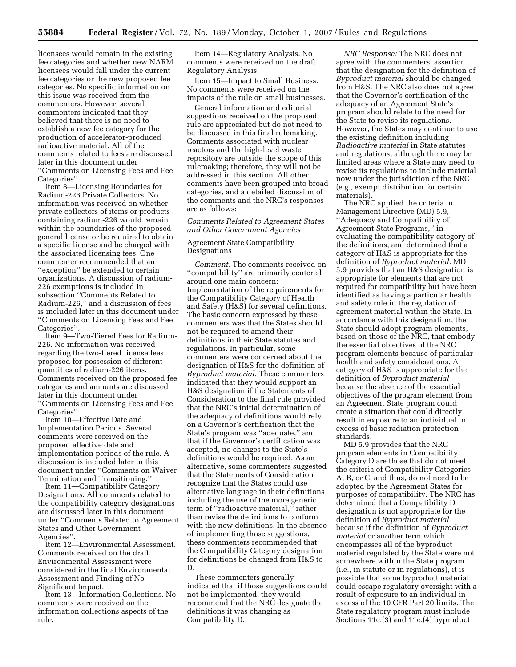licensees would remain in the existing fee categories and whether new NARM licensees would fall under the current fee categories or the new proposed fee categories. No specific information on this issue was received from the commenters. However, several commenters indicated that they believed that there is no need to establish a new fee category for the production of accelerator-produced radioactive material. All of the comments related to fees are discussed later in this document under ''Comments on Licensing Fees and Fee Categories''.

Item 8—Licensing Boundaries for Radium-226 Private Collectors. No information was received on whether private collectors of items or products containing radium-226 would remain within the boundaries of the proposed general license or be required to obtain a specific license and be charged with the associated licensing fees. One commenter recommended that an ''exception'' be extended to certain organizations. A discussion of radium-226 exemptions is included in subsection ''Comments Related to Radium-226,'' and a discussion of fees is included later in this document under ''Comments on Licensing Fees and Fee Categories''.

Item 9—Two-Tiered Fees for Radium-226. No information was received regarding the two-tiered license fees proposed for possession of different quantities of radium-226 items. Comments received on the proposed fee categories and amounts are discussed later in this document under ''Comments on Licensing Fees and Fee Categories''.

Item 10—Effective Date and Implementation Periods. Several comments were received on the proposed effective date and implementation periods of the rule. A discussion is included later in this document under ''Comments on Waiver Termination and Transitioning.''

Item 11—Compatibility Category Designations. All comments related to the compatibility category designations are discussed later in this document under ''Comments Related to Agreement States and Other Government Agencies''.

Item 12—Environmental Assessment. Comments received on the draft Environmental Assessment were considered in the final Environmental Assessment and Finding of No Significant Impact.

Item 13—Information Collections. No comments were received on the information collections aspects of the rule.

Item 14—Regulatory Analysis. No comments were received on the draft Regulatory Analysis.

Item 15—Impact to Small Business. No comments were received on the impacts of the rule on small businesses.

General information and editorial suggestions received on the proposed rule are appreciated but do not need to be discussed in this final rulemaking. Comments associated with nuclear reactors and the high-level waste repository are outside the scope of this rulemaking; therefore, they will not be addressed in this section. All other comments have been grouped into broad categories, and a detailed discussion of the comments and the NRC's responses are as follows:

*Comments Related to Agreement States and Other Government Agencies* 

## Agreement State Compatibility Designations

*Comment:* The comments received on ''compatibility'' are primarily centered around one main concern: Implementation of the requirements for the Compatibility Category of Health and Safety (H&S) for several definitions. The basic concern expressed by these commenters was that the States should not be required to amend their definitions in their State statutes and regulations. In particular, some commenters were concerned about the designation of H&S for the definition of *Byproduct material.* These commenters indicated that they would support an H&S designation if the Statements of Consideration to the final rule provided that the NRC's initial determination of the adequacy of definitions would rely on a Governor's certification that the State's program was ''adequate,'' and that if the Governor's certification was accepted, no changes to the State's definitions would be required. As an alternative, some commenters suggested that the Statements of Consideration recognize that the States could use alternative language in their definitions including the use of the more generic term of ''radioactive material,'' rather than revise the definitions to conform with the new definitions. In the absence of implementing those suggestions, these commenters recommended that the Compatibility Category designation for definitions be changed from H&S to D.

These commenters generally indicated that if those suggestions could not be implemented, they would recommend that the NRC designate the definitions it was changing as Compatibility D.

*NRC Response:* The NRC does not agree with the commenters' assertion that the designation for the definition of *Byproduct material* should be changed from H&S. The NRC also does not agree that the Governor's certification of the adequacy of an Agreement State's program should relate to the need for the State to revise its regulations. However, the States may continue to use the existing definition including *Radioactive material* in State statutes and regulations, although there may be limited areas where a State may need to revise its regulations to include material now under the jurisdiction of the NRC (e.g., exempt distribution for certain materials).

The NRC applied the criteria in Management Directive (MD) 5.9, ''Adequacy and Compatibility of Agreement State Programs,'' in evaluating the compatibility category of the definitions, and determined that a category of H&S is appropriate for the definition of *Byproduct material.* MD 5.9 provides that an H&S designation is appropriate for elements that are not required for compatibility but have been identified as having a particular health and safety role in the regulation of agreement material within the State. In accordance with this designation, the State should adopt program elements, based on those of the NRC, that embody the essential objectives of the NRC program elements because of particular health and safety considerations. A category of H&S is appropriate for the definition of *Byproduct material*  because the absence of the essential objectives of the program element from an Agreement State program could create a situation that could directly result in exposure to an individual in excess of basic radiation protection standards.

MD 5.9 provides that the NRC program elements in Compatibility Category D are those that do not meet the criteria of Compatibility Categories A, B, or C, and thus, do not need to be adopted by the Agreement States for purposes of compatibility. The NRC has determined that a Compatibility D designation is not appropriate for the definition of *Byproduct material*  because if the definition of *Byproduct material* or another term which encompasses all of the byproduct material regulated by the State were not somewhere within the State program (i.e., in statute or in regulations), it is possible that some byproduct material could escape regulatory oversight with a result of exposure to an individual in excess of the 10 CFR Part 20 limits. The State regulatory program must include Sections 11e.(3) and 11e.(4) byproduct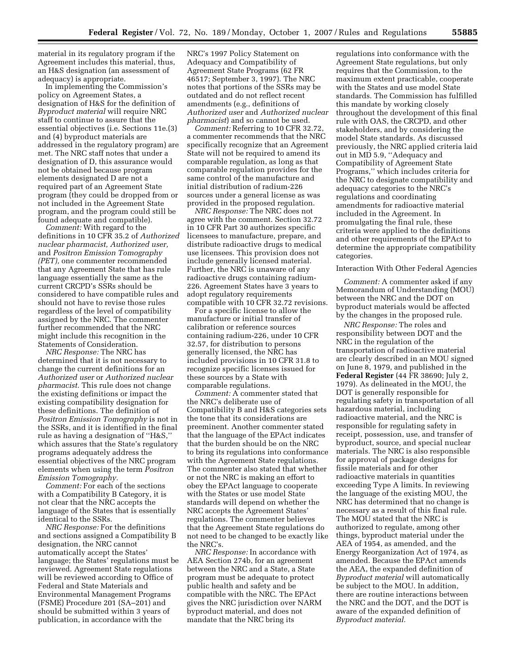material in its regulatory program if the Agreement includes this material, thus, an H&S designation (an assessment of adequacy) is appropriate.

In implementing the Commission's policy on Agreement States, a designation of H&S for the definition of *Byproduct material* will require NRC staff to continue to assure that the essential objectives (i.e. Sections 11e.(3) and (4) byproduct materials are addressed in the regulatory program) are met. The NRC staff notes that under a designation of D, this assurance would not be obtained because program elements designated D are not a required part of an Agreement State program (they could be dropped from or not included in the Agreement State program, and the program could still be found adequate and compatible).

*Comment:* With regard to the definitions in 10 CFR 35.2 of *Authorized nuclear pharmacist, Authorized user,*  and *Positron Emission Tomography (PET),* one commenter recommended that any Agreement State that has rule language essentially the same as the current CRCPD's SSRs should be considered to have compatible rules and should not have to revise those rules regardless of the level of compatibility assigned by the NRC. The commenter further recommended that the NRC might include this recognition in the Statements of Consideration.

*NRC Response:* The NRC has determined that it is not necessary to change the current definitions for an *Authorized user* or *Authorized nuclear pharmacist.* This rule does not change the existing definitions or impact the existing compatibility designation for these definitions. The definition of *Positron Emission Tomography* is not in the SSRs, and it is identified in the final rule as having a designation of "H&S, which assures that the State's regulatory programs adequately address the essential objectives of the NRC program elements when using the term *Positron Emission Tomography.* 

*Comment:* For each of the sections with a Compatibility B Category, it is not clear that the NRC accepts the language of the States that is essentially identical to the SSRs.

*NRC Response:* For the definitions and sections assigned a Compatibility B designation, the NRC cannot automatically accept the States' language; the States' regulations must be reviewed. Agreement State regulations will be reviewed according to Office of Federal and State Materials and Environmental Management Programs (FSME) Procedure 201 (SA–201) and should be submitted within 3 years of publication, in accordance with the

NRC's 1997 Policy Statement on Adequacy and Compatibility of Agreement State Programs (62 FR 46517; September 3, 1997). The NRC notes that portions of the SSRs may be outdated and do not reflect recent amendments (e.g., definitions of *Authorized user* and *Authorized nuclear pharmacist*) and so cannot be used.

*Comment:* Referring to 10 CFR 32.72, a commenter recommends that the NRC specifically recognize that an Agreement State will not be required to amend its comparable regulation, as long as that comparable regulation provides for the same control of the manufacture and initial distribution of radium-226 sources under a general license as was provided in the proposed regulation.

*NRC Response:* The NRC does not agree with the comment. Section 32.72 in 10 CFR Part 30 authorizes specific licensees to manufacture, prepare, and distribute radioactive drugs to medical use licensees. This provision does not include generally licensed material. Further, the NRC is unaware of any radioactive drugs containing radium-226. Agreement States have 3 years to adopt regulatory requirements compatible with 10 CFR 32.72 revisions.

For a specific license to allow the manufacture or initial transfer of calibration or reference sources containing radium-226, under 10 CFR 32.57, for distribution to persons generally licensed, the NRC has included provisions in 10 CFR 31.8 to recognize specific licenses issued for these sources by a State with comparable regulations.

*Comment:* A commenter stated that the NRC's deliberate use of Compatibility B and H&S categories sets the tone that its considerations are preeminent. Another commenter stated that the language of the EPAct indicates that the burden should be on the NRC to bring its regulations into conformance with the Agreement State regulations. The commenter also stated that whether or not the NRC is making an effort to obey the EPAct language to cooperate with the States or use model State standards will depend on whether the NRC accepts the Agreement States' regulations. The commenter believes that the Agreement State regulations do not need to be changed to be exactly like the NRC's.

*NRC Response:* In accordance with AEA Section 274b, for an agreement between the NRC and a State, a State program must be adequate to protect public health and safety and be compatible with the NRC. The EPAct gives the NRC jurisdiction over NARM byproduct material, and does not mandate that the NRC bring its

regulations into conformance with the Agreement State regulations, but only requires that the Commission, to the maximum extent practicable, cooperate with the States and use model State standards. The Commission has fulfilled this mandate by working closely throughout the development of this final rule with OAS, the CRCPD, and other stakeholders, and by considering the model State standards. As discussed previously, the NRC applied criteria laid out in MD 5.9, ''Adequacy and Compatibility of Agreement State Programs,'' which includes criteria for the NRC to designate compatibility and adequacy categories to the NRC's regulations and coordinating amendments for radioactive material included in the Agreement. In promulgating the final rule, these criteria were applied to the definitions and other requirements of the EPAct to determine the appropriate compatibility categories.

#### Interaction With Other Federal Agencies

*Comment:* A commenter asked if any Memorandum of Understanding (MOU) between the NRC and the DOT on byproduct materials would be affected by the changes in the proposed rule.

*NRC Response:* The roles and responsibility between DOT and the NRC in the regulation of the transportation of radioactive material are clearly described in an MOU signed on June 8, 1979, and published in the **Federal Register** (44 FR 38690; July 2, 1979). As delineated in the MOU, the DOT is generally responsible for regulating safety in transportation of all hazardous material, including radioactive material, and the NRC is responsible for regulating safety in receipt, possession, use, and transfer of byproduct, source, and special nuclear materials. The NRC is also responsible for approval of package designs for fissile materials and for other radioactive materials in quantities exceeding Type A limits. In reviewing the language of the existing MOU, the NRC has determined that no change is necessary as a result of this final rule. The MOU stated that the NRC is authorized to regulate, among other things, byproduct material under the AEA of 1954, as amended, and the Energy Reorganization Act of 1974, as amended. Because the EPAct amends the AEA, the expanded definition of *Byproduct material* will automatically be subject to the MOU. In addition, there are routine interactions between the NRC and the DOT, and the DOT is aware of the expanded definition of *Byproduct material.*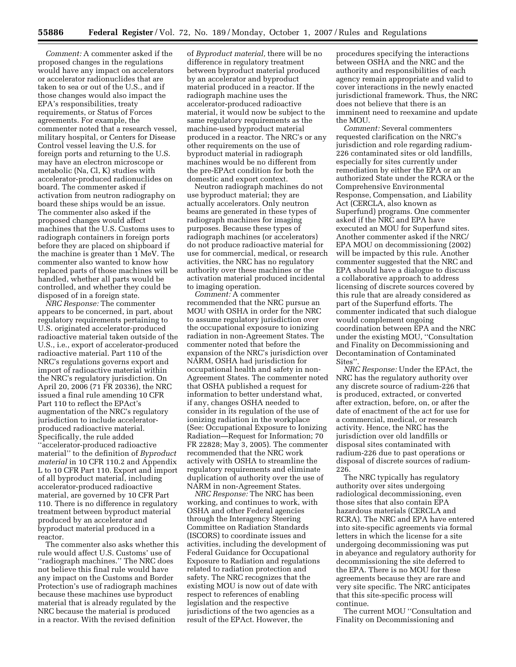*Comment:* A commenter asked if the proposed changes in the regulations would have any impact on accelerators or accelerator radionuclides that are taken to sea or out of the U.S., and if those changes would also impact the EPA's responsibilities, treaty requirements, or Status of Forces agreements. For example, the commenter noted that a research vessel, military hospital, or Centers for Disease Control vessel leaving the U.S. for foreign ports and returning to the U.S. may have an electron microscope or metabolic (Na, Cl, K) studies with accelerator-produced radionuclides on board. The commenter asked if activation from neutron radiography on board these ships would be an issue. The commenter also asked if the proposed changes would affect machines that the U.S. Customs uses to radiograph containers in foreign ports before they are placed on shipboard if the machine is greater than 1 MeV. The commenter also wanted to know how replaced parts of those machines will be handled, whether all parts would be controlled, and whether they could be disposed of in a foreign state.

*NRC Response:* The commenter appears to be concerned, in part, about regulatory requirements pertaining to U.S. originated accelerator-produced radioactive material taken outside of the U.S., i.e., export of accelerator-produced radioactive material. Part 110 of the NRC's regulations governs export and import of radioactive material within the NRC's regulatory jurisdiction. On April 20, 2006 (71 FR 20336), the NRC issued a final rule amending 10 CFR Part 110 to reflect the EPAct's augmentation of the NRC's regulatory jurisdiction to include acceleratorproduced radioactive material. Specifically, the rule added ''accelerator-produced radioactive material'' to the definition of *Byproduct material* in 10 CFR 110.2 and Appendix L to 10 CFR Part 110. Export and import of all byproduct material, including accelerator-produced radioactive material, are governed by 10 CFR Part 110. There is no difference in regulatory treatment between byproduct material produced by an accelerator and byproduct material produced in a reactor.

The commenter also asks whether this rule would affect U.S. Customs' use of ''radiograph machines.'' The NRC does not believe this final rule would have any impact on the Customs and Border Protection's use of radiograph machines because these machines use byproduct material that is already regulated by the NRC because the material is produced in a reactor. With the revised definition

of *Byproduct material,* there will be no difference in regulatory treatment between byproduct material produced by an accelerator and byproduct material produced in a reactor. If the radiograph machine uses the accelerator-produced radioactive material, it would now be subject to the same regulatory requirements as the machine-used byproduct material produced in a reactor. The NRC's or any other requirements on the use of byproduct material in radiograph machines would be no different from the pre-EPAct condition for both the domestic and export context.

Neutron radiograph machines do not use byproduct material; they are actually accelerators. Only neutron beams are generated in these types of radiograph machines for imaging purposes. Because these types of radiograph machines (or accelerators) do not produce radioactive material for use for commercial, medical, or research activities, the NRC has no regulatory authority over these machines or the activation material produced incidental to imaging operation.

*Comment:* A commenter recommended that the NRC pursue an MOU with OSHA in order for the NRC to assume regulatory jurisdiction over the occupational exposure to ionizing radiation in non-Agreement States. The commenter noted that before the expansion of the NRC's jurisdiction over NARM, OSHA had jurisdiction for occupational health and safety in non-Agreement States. The commenter noted that OSHA published a request for information to better understand what, if any, changes OSHA needed to consider in its regulation of the use of ionizing radiation in the workplace (See: Occupational Exposure to Ionizing Radiation—Request for Information; 70 FR 22828; May 3, 2005). The commenter recommended that the NRC work actively with OSHA to streamline the regulatory requirements and eliminate duplication of authority over the use of NARM in non-Agreement States.

*NRC Response:* The NRC has been working, and continues to work, with OSHA and other Federal agencies through the Interagency Steering Committee on Radiation Standards (ISCORS) to coordinate issues and activities, including the development of Federal Guidance for Occupational Exposure to Radiation and regulations related to radiation protection and safety. The NRC recognizes that the existing MOU is now out of date with respect to references of enabling legislation and the respective jurisdictions of the two agencies as a result of the EPAct. However, the

procedures specifying the interactions between OSHA and the NRC and the authority and responsibilities of each agency remain appropriate and valid to cover interactions in the newly enacted jurisdictional framework. Thus, the NRC does not believe that there is an imminent need to reexamine and update the MOU.

*Comment:* Several commenters requested clarification on the NRC's jurisdiction and role regarding radium-226 contaminated sites or old landfills, especially for sites currently under remediation by either the EPA or an authorized State under the RCRA or the Comprehensive Environmental Response, Compensation, and Liability Act (CERCLA, also known as Superfund) programs. One commenter asked if the NRC and EPA have executed an MOU for Superfund sites. Another commenter asked if the NRC/ EPA MOU on decommissioning (2002) will be impacted by this rule. Another commenter suggested that the NRC and EPA should have a dialogue to discuss a collaborative approach to address licensing of discrete sources covered by this rule that are already considered as part of the Superfund efforts. The commenter indicated that such dialogue would complement ongoing coordination between EPA and the NRC under the existing MOU, ''Consultation and Finality on Decommissioning and Decontamination of Contaminated Sites''.

*NRC Response:* Under the EPAct, the NRC has the regulatory authority over any discrete source of radium-226 that is produced, extracted, or converted after extraction, before, on, or after the date of enactment of the act for use for a commercial, medical, or research activity. Hence, the NRC has the jurisdiction over old landfills or disposal sites contaminated with radium-226 due to past operations or disposal of discrete sources of radium-226.

The NRC typically has regulatory authority over sites undergoing radiological decommissioning, even those sites that also contain EPA hazardous materials (CERCLA and RCRA). The NRC and EPA have entered into site-specific agreements via formal letters in which the license for a site undergoing decommissioning was put in abeyance and regulatory authority for decommissioning the site deferred to the EPA. There is no MOU for these agreements because they are rare and very site specific. The NRC anticipates that this site-specific process will continue.

The current MOU ''Consultation and Finality on Decommissioning and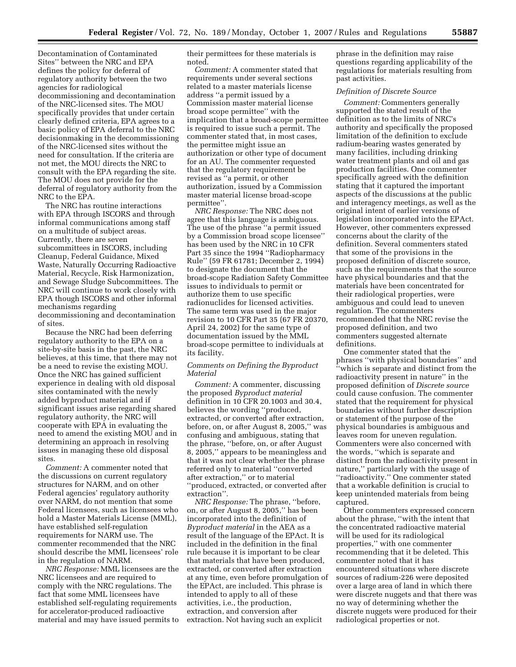Decontamination of Contaminated Sites'' between the NRC and EPA defines the policy for deferral of regulatory authority between the two agencies for radiological decommissioning and decontamination of the NRC-licensed sites. The MOU specifically provides that under certain clearly defined criteria, EPA agrees to a basic policy of EPA deferral to the NRC decisionmaking in the decommissioning of the NRC-licensed sites without the need for consultation. If the criteria are not met, the MOU directs the NRC to consult with the EPA regarding the site. The MOU does not provide for the deferral of regulatory authority from the NRC to the EPA.

The NRC has routine interactions with EPA through ISCORS and through informal communications among staff on a multitude of subject areas. Currently, there are seven subcommittees in ISCORS, including Cleanup, Federal Guidance, Mixed Waste, Naturally Occurring Radioactive Material, Recycle, Risk Harmonization, and Sewage Sludge Subcommittees. The NRC will continue to work closely with EPA though ISCORS and other informal mechanisms regarding decommissioning and decontamination of sites.

Because the NRC had been deferring regulatory authority to the EPA on a site-by-site basis in the past, the NRC believes, at this time, that there may not be a need to revise the existing MOU. Once the NRC has gained sufficient experience in dealing with old disposal sites contaminated with the newly added byproduct material and if significant issues arise regarding shared regulatory authority, the NRC will cooperate with EPA in evaluating the need to amend the existing MOU and in determining an approach in resolving issues in managing these old disposal sites.

*Comment:* A commenter noted that the discussions on current regulatory structures for NARM, and on other Federal agencies' regulatory authority over NARM, do not mention that some Federal licensees, such as licensees who hold a Master Materials License (MML), have established self-regulation requirements for NARM use. The commenter recommended that the NRC should describe the MML licensees' role in the regulation of NARM.

*NRC Response:* MML licensees are the NRC licensees and are required to comply with the NRC regulations. The fact that some MML licensees have established self-regulating requirements for accelerator-produced radioactive material and may have issued permits to

their permittees for these materials is noted.

*Comment:* A commenter stated that requirements under several sections related to a master materials license address ''a permit issued by a Commission master material license broad scope permittee'' with the implication that a broad-scope permittee is required to issue such a permit. The commenter stated that, in most cases, the permittee might issue an authorization or other type of document for an AU. The commenter requested that the regulatory requirement be revised as ''a permit, or other authorization, issued by a Commission master material license broad-scope permittee''.

*NRC Response:* The NRC does not agree that this language is ambiguous. The use of the phrase ''a permit issued by a Commission broad scope licensee'' has been used by the NRC in 10 CFR Part 35 since the 1994 ''Radiopharmacy Rule'' (59 FR 61781; December 2, 1994) to designate the document that the broad-scope Radiation Safety Committee issues to individuals to permit or authorize them to use specific radionuclides for licensed activities. The same term was used in the major revision to 10 CFR Part 35 (67 FR 20370, April 24, 2002) for the same type of documentation issued by the MML broad-scope permittee to individuals at its facility.

## *Comments on Defining the Byproduct Material*

*Comment:* A commenter, discussing the proposed *Byproduct material*  definition in 10 CFR 20.1003 and 30.4, believes the wording ''produced, extracted, or converted after extraction, before, on, or after August 8, 2005,'' was confusing and ambiguous, stating that the phrase, ''before, on, or after August 8, 2005,'' appears to be meaningless and that it was not clear whether the phrase referred only to material ''converted after extraction,'' or to material ''produced, extracted, or converted after extraction''.

*NRC Response:* The phrase, ''before, on, or after August 8, 2005,'' has been incorporated into the definition of *Byproduct material* in the AEA as a result of the language of the EPAct. It is included in the definition in the final rule because it is important to be clear that materials that have been produced, extracted, or converted after extraction at any time, even before promulgation of the EPAct, are included. This phrase is intended to apply to all of these activities, i.e., the production, extraction, and conversion after extraction. Not having such an explicit

phrase in the definition may raise questions regarding applicability of the regulations for materials resulting from past activities.

#### *Definition of Discrete Source*

*Comment:* Commenters generally supported the stated result of the definition as to the limits of NRC's authority and specifically the proposed limitation of the definition to exclude radium-bearing wastes generated by many facilities, including drinking water treatment plants and oil and gas production facilities. One commenter specifically agreed with the definition stating that it captured the important aspects of the discussions at the public and interagency meetings, as well as the original intent of earlier versions of legislation incorporated into the EPAct. However, other commenters expressed concerns about the clarity of the definition. Several commenters stated that some of the provisions in the proposed definition of discrete source, such as the requirements that the source have physical boundaries and that the materials have been concentrated for their radiological properties, were ambiguous and could lead to uneven regulation. The commenters recommended that the NRC revise the proposed definition, and two commenters suggested alternate definitions.

One commenter stated that the phrases ''with physical boundaries'' and ''which is separate and distinct from the radioactivity present in nature'' in the proposed definition of *Discrete source*  could cause confusion. The commenter stated that the requirement for physical boundaries without further description or statement of the purpose of the physical boundaries is ambiguous and leaves room for uneven regulation. Commenters were also concerned with the words, ''which is separate and distinct from the radioactivity present in nature,'' particularly with the usage of ''radioactivity.'' One commenter stated that a workable definition is crucial to keep unintended materials from being captured.

Other commenters expressed concern about the phrase, ''with the intent that the concentrated radioactive material will be used for its radiological properties,'' with one commenter recommending that it be deleted. This commenter noted that it has encountered situations where discrete sources of radium-226 were deposited over a large area of land in which there were discrete nuggets and that there was no way of determining whether the discrete nuggets were produced for their radiological properties or not.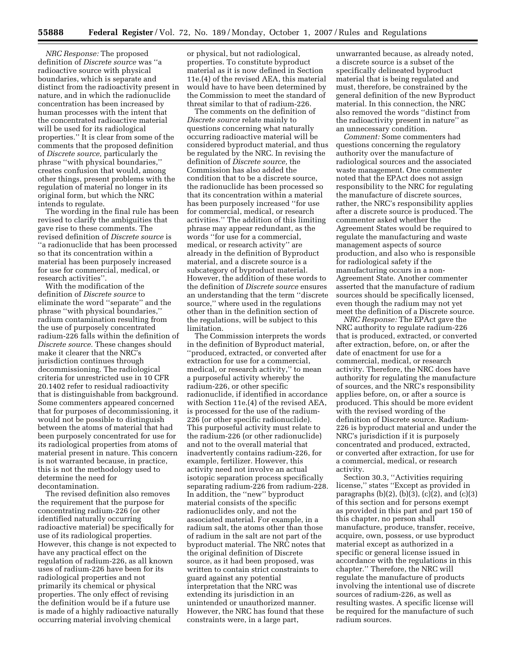*NRC Response:* The proposed definition of *Discrete source* was ''a radioactive source with physical boundaries, which is separate and distinct from the radioactivity present in nature, and in which the radionuclide concentration has been increased by human processes with the intent that the concentrated radioactive material will be used for its radiological properties.'' It is clear from some of the comments that the proposed definition of *Discrete source,* particularly the phrase ''with physical boundaries,'' creates confusion that would, among other things, present problems with the regulation of material no longer in its original form, but which the NRC intends to regulate.

The wording in the final rule has been revised to clarify the ambiguities that gave rise to these comments. The revised definition of *Discrete source* is ''a radionuclide that has been processed so that its concentration within a material has been purposely increased for use for commercial, medical, or research activities''.

With the modification of the definition of *Discrete source* to eliminate the word ''separate'' and the phrase ''with physical boundaries,'' radium contamination resulting from the use of purposely concentrated radium-226 falls within the definition of *Discrete source.* These changes should make it clearer that the NRC's jurisdiction continues through decommissioning. The radiological criteria for unrestricted use in 10 CFR 20.1402 refer to residual radioactivity that is distinguishable from background. Some commenters appeared concerned that for purposes of decommissioning, it would not be possible to distinguish between the atoms of material that had been purposely concentrated for use for its radiological properties from atoms of material present in nature. This concern is not warranted because, in practice, this is not the methodology used to determine the need for decontamination.

The revised definition also removes the requirement that the purpose for concentrating radium-226 (or other identified naturally occurring radioactive material) be specifically for use of its radiological properties. However, this change is not expected to have any practical effect on the regulation of radium-226, as all known uses of radium-226 have been for its radiological properties and not primarily its chemical or physical properties. The only effect of revising the definition would be if a future use is made of a highly radioactive naturally occurring material involving chemical

or physical, but not radiological, properties. To constitute byproduct material as it is now defined in Section 11e.(4) of the revised AEA, this material would have to have been determined by the Commission to meet the standard of threat similar to that of radium-226.

The comments on the definition of *Discrete source* relate mainly to questions concerning what naturally occurring radioactive material will be considered byproduct material, and thus be regulated by the NRC. In revising the definition of *Discrete source,* the Commission has also added the condition that to be a discrete source, the radionuclide has been processed so that its concentration within a material has been purposely increased ''for use for commercial, medical, or research activities.'' The addition of this limiting phrase may appear redundant, as the words ''for use for a commercial, medical, or research activity'' are already in the definition of Byproduct material, and a discrete source is a subcategory of byproduct material. However, the addition of these words to the definition of *Discrete source* ensures an understanding that the term ''discrete source,'' where used in the regulations other than in the definition section of the regulations, will be subject to this limitation.

The Commission interprets the words in the definition of Byproduct material, ''produced, extracted, or converted after extraction for use for a commercial, medical, or research activity,'' to mean a purposeful activity whereby the radium-226, or other specific radionuclide, if identified in accordance with Section 11e.(4) of the revised AEA, is processed for the use of the radium-226 (or other specific radionuclide). This purposeful activity must relate to the radium-226 (or other radionuclide) and not to the overall material that inadvertently contains radium-226, for example, fertilizer. However, this activity need not involve an actual isotopic separation process specifically separating radium-226 from radium-228. In addition, the ''new'' byproduct material consists of the specific radionuclides only, and not the associated material. For example, in a radium salt, the atoms other than those of radium in the salt are not part of the byproduct material. The NRC notes that the original definition of Discrete source, as it had been proposed, was written to contain strict constraints to guard against any potential interpretation that the NRC was extending its jurisdiction in an unintended or unauthorized manner. However, the NRC has found that these constraints were, in a large part,

unwarranted because, as already noted, a discrete source is a subset of the specifically delineated byproduct material that is being regulated and must, therefore, be constrained by the general definition of the new Byproduct material. In this connection, the NRC also removed the words ''distinct from the radioactivity present in nature'' as an unnecessary condition.

*Comment:* Some commenters had questions concerning the regulatory authority over the manufacture of radiological sources and the associated waste management. One commenter noted that the EPAct does not assign responsibility to the NRC for regulating the manufacture of discrete sources, rather, the NRC's responsibility applies after a discrete source is produced. The commenter asked whether the Agreement States would be required to regulate the manufacturing and waste management aspects of source production, and also who is responsible for radiological safety if the manufacturing occurs in a non-Agreement State. Another commenter asserted that the manufacture of radium sources should be specifically licensed, even though the radium may not yet meet the definition of a Discrete source.

*NRC Response:* The EPAct gave the NRC authority to regulate radium-226 that is produced, extracted, or converted after extraction, before, on, or after the date of enactment for use for a commercial, medical, or research activity. Therefore, the NRC does have authority for regulating the manufacture of sources, and the NRC's responsibility applies before, on, or after a source is produced. This should be more evident with the revised wording of the definition of Discrete source. Radium-226 is byproduct material and under the NRC's jurisdiction if it is purposely concentrated and produced, extracted, or converted after extraction, for use for a commercial, medical, or research activity.

Section 30.3, ''Activities requiring license,'' states ''Except as provided in paragraphs (b)(2), (b)(3), (c)(2), and (c)(3) of this section and for persons exempt as provided in this part and part 150 of this chapter, no person shall manufacture, produce, transfer, receive, acquire, own, possess, or use byproduct material except as authorized in a specific or general license issued in accordance with the regulations in this chapter.'' Therefore, the NRC will regulate the manufacture of products involving the intentional use of discrete sources of radium-226, as well as resulting wastes. A specific license will be required for the manufacture of such radium sources.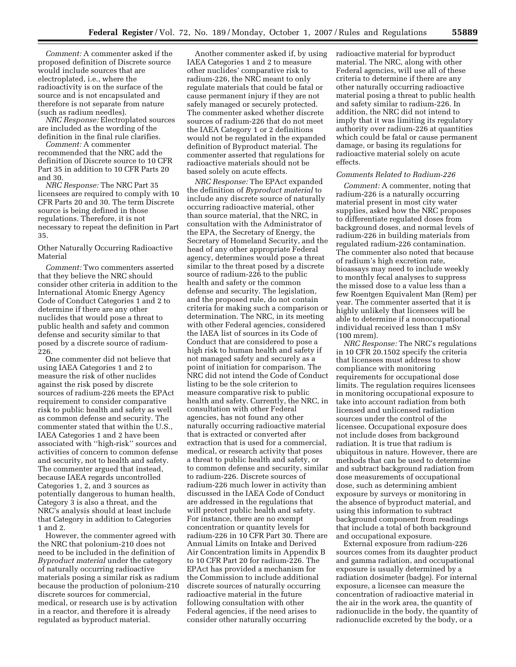*Comment:* A commenter asked if the proposed definition of Discrete source would include sources that are electroplated, i.e., where the radioactivity is on the surface of the source and is not encapsulated and therefore is not separate from nature (such as radium needles).

*NRC Response:* Electroplated sources are included as the wording of the definition in the final rule clarifies.

*Comment:* A commenter recommended that the NRC add the definition of Discrete source to 10 CFR Part 35 in addition to 10 CFR Parts 20 and 30.

*NRC Response:* The NRC Part 35 licensees are required to comply with 10 CFR Parts 20 and 30. The term Discrete source is being defined in those regulations. Therefore, it is not necessary to repeat the definition in Part 35.

Other Naturally Occurring Radioactive Material

*Comment:* Two commenters asserted that they believe the NRC should consider other criteria in addition to the International Atomic Energy Agency Code of Conduct Categories 1 and 2 to determine if there are any other nuclides that would pose a threat to public health and safety and common defense and security similar to that posed by a discrete source of radium-226.

One commenter did not believe that using IAEA Categories 1 and 2 to measure the risk of other nuclides against the risk posed by discrete sources of radium-226 meets the EPAct requirement to consider comparative risk to public health and safety as well as common defense and security. The commenter stated that within the U.S., IAEA Categories 1 and 2 have been associated with ''high-risk'' sources and activities of concern to common defense and security, not to health and safety. The commenter argued that instead, because IAEA regards uncontrolled Categories 1, 2, and 3 sources as potentially dangerous to human health, Category 3 is also a threat, and the NRC's analysis should at least include that Category in addition to Categories 1 and 2.

However, the commenter agreed with the NRC that polonium-210 does not need to be included in the definition of *Byproduct material* under the category of naturally occurring radioactive materials posing a similar risk as radium because the production of polonium-210 discrete sources for commercial, medical, or research use is by activation in a reactor, and therefore it is already regulated as byproduct material.

Another commenter asked if, by using IAEA Categories 1 and 2 to measure other nuclides' comparative risk to radium-226, the NRC meant to only regulate materials that could be fatal or cause permanent injury if they are not safely managed or securely protected. The commenter asked whether discrete sources of radium-226 that do not meet the IAEA Category 1 or 2 definitions would not be regulated in the expanded definition of Byproduct material. The commenter asserted that regulations for radioactive materials should not be based solely on acute effects.

*NRC Response:* The EPAct expanded the definition of *Byproduct material* to include any discrete source of naturally occurring radioactive material, other than source material, that the NRC, in consultation with the Administrator of the EPA, the Secretary of Energy, the Secretary of Homeland Security, and the head of any other appropriate Federal agency, determines would pose a threat similar to the threat posed by a discrete source of radium-226 to the public health and safety or the common defense and security. The legislation, and the proposed rule, do not contain criteria for making such a comparison or determination. The NRC, in its meeting with other Federal agencies, considered the IAEA list of sources in its Code of Conduct that are considered to pose a high risk to human health and safety if not managed safety and securely as a point of initiation for comparison. The NRC did not intend the Code of Conduct listing to be the sole criterion to measure comparative risk to public health and safety. Currently, the NRC, in consultation with other Federal agencies, has not found any other naturally occurring radioactive material that is extracted or converted after extraction that is used for a commercial, medical, or research activity that poses a threat to public health and safety, or to common defense and security, similar to radium-226. Discrete sources of radium-226 much lower in activity than discussed in the IAEA Code of Conduct are addressed in the regulations that will protect public health and safety. For instance, there are no exempt concentration or quantity levels for radium-226 in 10 CFR Part 30. There are Annual Limits on Intake and Derived Air Concentration limits in Appendix B to 10 CFR Part 20 for radium-226. The EPAct has provided a mechanism for the Commission to include additional discrete sources of naturally occurring radioactive material in the future following consultation with other Federal agencies, if the need arises to consider other naturally occurring

radioactive material for byproduct material. The NRC, along with other Federal agencies, will use all of these criteria to determine if there are any other naturally occurring radioactive material posing a threat to public health and safety similar to radium-226. In addition, the NRC did not intend to imply that it was limiting its regulatory authority over radium-226 at quantities which could be fatal or cause permanent damage, or basing its regulations for radioactive material solely on acute effects.

## *Comments Related to Radium-226*

*Comment:* A commenter, noting that radium-226 is a naturally occurring material present in most city water supplies, asked how the NRC proposes to differentiate regulated doses from background doses, and normal levels of radium-226 in building materials from regulated radium-226 contamination. The commenter also noted that because of radium's high excretion rate, bioassays may need to include weekly to monthly fecal analyses to suppress the missed dose to a value less than a few Roentgen Equivalent Man (Rem) per year. The commenter asserted that it is highly unlikely that licensees will be able to determine if a nonoccupational individual received less than 1 mSv (100 mrem).

*NRC Response:* The NRC's regulations in 10 CFR 20.1502 specify the criteria that licensees must address to show compliance with monitoring requirements for occupational dose limits. The regulation requires licensees in monitoring occupational exposure to take into account radiation from both licensed and unlicensed radiation sources under the control of the licensee. Occupational exposure does not include doses from background radiation. It is true that radium is ubiquitous in nature. However, there are methods that can be used to determine and subtract background radiation from dose measurements of occupational dose, such as determining ambient exposure by surveys or monitoring in the absence of byproduct material, and using this information to subtract background component from readings that include a total of both background and occupational exposure.

External exposure from radium-226 sources comes from its daughter product and gamma radiation, and occupational exposure is usually determined by a radiation dosimeter (badge). For internal exposure, a licensee can measure the concentration of radioactive material in the air in the work area, the quantity of radionuclide in the body, the quantity of radionuclide excreted by the body, or a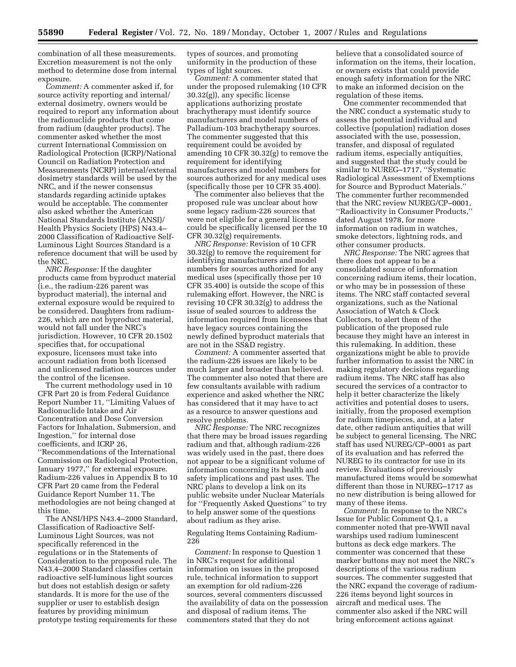combination of all these measurements. Excretion measurement is not the only method to determine dose from internal exposure.

*Comment:* A commenter asked if, for source activity reporting and internal/ external dosimetry, owners would be required to report any information about the radionuclide products that come from radium (daughter products). The commenter asked whether the most current International Commission on Radiological Protection (ICRP)/National Council on Radiation Protection and Measurements (NCRP) internal/external dosimetry standards will be used by the NRC, and if the newer consensus standards regarding actinide uptakes would be acceptable. The commenter also asked whether the American National Standards Institute (ANSI)/ Health Physics Society (HPS) N43.4– 2000 Classification of Radioactive Self-Luminous Light Sources Standard is a reference document that will be used by the NRC.

*NRC Response:* If the daughter products came from byproduct material (i.e., the radium-226 parent was byproduct material), the internal and external exposure would be required to be considered. Daughters from radium-226, which are not byproduct material, would not fall under the NRC's jurisdiction. However, 10 CFR 20.1502 specifies that, for occupational exposure, licensees must take into account radiation from both licensed and unlicensed radiation sources under the control of the licensee.

The current methodology used in 10 CFR Part 20 is from Federal Guidance Report Number 11, ''Limiting Values of Radionuclide Intake and Air Concentration and Dose Conversion Factors for Inhalation, Submersion, and Ingestion,'' for internal dose coefficients, and ICRP 26, ''Recommendations of the International Commission on Radiological Protection, January 1977," for external exposure. Radium-226 values in Appendix B to 10 CFR Part 20 came from the Federal Guidance Report Number 11. The methodologies are not being changed at this time.

The ANSI/HPS N43.4–2000 Standard, Classification of Radioactive Self-Luminous Light Sources, was not specifically referenced in the regulations or in the Statements of Consideration to the proposed rule. The N43.4–2000 Standard classifies certain radioactive self-luminous light sources but does not establish design or safety standards. It is more for the use of the supplier or user to establish design features by providing minimum prototype testing requirements for these

types of sources, and promoting uniformity in the production of these types of light sources.

*Comment:* A commenter stated that under the proposed rulemaking (10 CFR 30.32(g)), any specific license applications authorizing prostate brachytherapy must identify source manufacturers and model numbers of Palladium-103 brachytherapy sources. The commenter suggested that this requirement could be avoided by amending 10 CFR 30.32(g) to remove the requirement for identifying manufacturers and model numbers for sources authorized for any medical uses (specifically those per 10 CFR 35.400).

The commenter also believes that the proposed rule was unclear about how some legacy radium-226 sources that were not eligible for a general license could be specifically licensed per the 10 CFR 30.32(g) requirements.

*NRC Response:* Revision of 10 CFR 30.32(g) to remove the requirement for identifying manufacturers and model numbers for sources authorized for any medical uses (specifically those per 10 CFR 35.400) is outside the scope of this rulemaking effort. However, the NRC is revising 10 CFR 30.32(g) to address the issue of sealed sources to address the information required from licensees that have legacy sources containing the newly defined byproduct materials that are not in the SS&D registry.

*Comment:* A commenter asserted that the radium-226 issues are likely to be much larger and broader than believed. The commenter also noted that there are few consultants available with radium experience and asked whether the NRC has considered that it may have to act as a resource to answer questions and resolve problems.

*NRC Response:* The NRC recognizes that there may be broad issues regarding radium and that, although radium-226 was widely used in the past, there does not appear to be a significant volume of information concerning its health and safety implications and past uses. The NRC plans to develop a link on its public website under Nuclear Materials for ''Frequently Asked Questions'' to try to help answer some of the questions about radium as they arise.

## Regulating Items Containing Radium-226

*Comment:* In response to Question 1 in NRC's request for additional information on issues in the proposed rule, technical information to support an exemption for old radium-226 sources, several commenters discussed the availability of data on the possession and disposal of radium items. The commenters stated that they do not

believe that a consolidated source of information on the items, their location, or owners exists that could provide enough safety information for the NRC to make an informed decision on the regulation of these items.

One commenter recommended that the NRC conduct a systematic study to assess the potential individual and collective (population) radiation doses associated with the use, possession, transfer, and disposal of regulated radium items, especially antiquities, and suggested that the study could be similar to NUREG-1717, "Systematic Radiological Assessment of Exemptions for Source and Byproduct Materials.'' The commenter further recommended that the NRC review NUREG/CP–0001, ''Radioactivity in Consumer Products,'' dated August 1978, for more information on radium in watches, smoke detectors, lightning rods, and other consumer products.

*NRC Response:* The NRC agrees that there does not appear to be a consolidated source of information concerning radium items, their location, or who may be in possession of these items. The NRC staff contacted several organizations, such as the National Association of Watch & Clock Collectors, to alert them of the publication of the proposed rule because they might have an interest in this rulemaking. In addition, these organizations might be able to provide further information to assist the NRC in making regulatory decisions regarding radium items. The NRC staff has also secured the services of a contractor to help it better characterize the likely activities and potential doses to users, initially, from the proposed exemption for radium timepieces, and, at a later date, other radium antiquities that will be subject to general licensing. The NRC staff has used NUREG/CP–0001 as part of its evaluation and has referred the NUREG to its contractor for use in its review. Evaluations of previously manufactured items would be somewhat different than those in NUREG–1717 as no new distribution is being allowed for many of these items.

*Comment:* In response to the NRC's Issue for Public Comment Q.1, a commenter noted that pre-WWII naval warships used radium luminescent buttons as deck edge markers. The commenter was concerned that these marker buttons may not meet the NRC's descriptions of the various radium sources. The commenter suggested that the NRC expand the coverage of radium-226 items beyond light sources in aircraft and medical uses. The commenter also asked if the NRC will bring enforcement actions against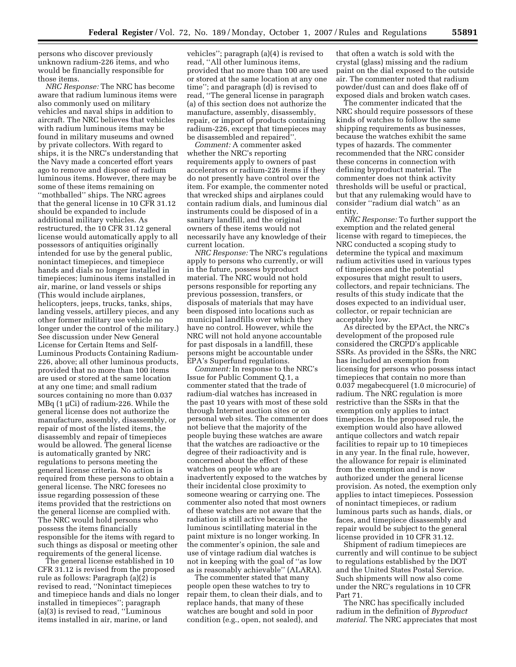persons who discover previously unknown radium-226 items, and who would be financially responsible for those items.

*NRC Response:* The NRC has become aware that radium luminous items were also commonly used on military vehicles and naval ships in addition to aircraft. The NRC believes that vehicles with radium luminous items may be found in military museums and owned by private collectors. With regard to ships, it is the NRC's understanding that the Navy made a concerted effort years ago to remove and dispose of radium luminous items. However, there may be some of these items remaining on ''mothballed'' ships. The NRC agrees that the general license in 10 CFR 31.12 should be expanded to include additional military vehicles. As restructured, the 10 CFR 31.12 general license would automatically apply to all possessors of antiquities originally intended for use by the general public, nonintact timepieces, and timepiece hands and dials no longer installed in timepieces; luminous items installed in air, marine, or land vessels or ships (This would include airplanes, helicopters, jeeps, trucks, tanks, ships, landing vessels, artillery pieces, and any other former military use vehicle no longer under the control of the military.) See discussion under New General License for Certain Items and Self-Luminous Products Containing Radium-226, above; all other luminous products, provided that no more than 100 items are used or stored at the same location at any one time; and small radium sources containing no more than 0.037 MBq (1 µCi) of radium-226. While the general license does not authorize the manufacture, assembly, disassembly, or repair of most of the listed items, the disassembly and repair of timepieces would be allowed. The general license is automatically granted by NRC regulations to persons meeting the general license criteria. No action is required from these persons to obtain a general license. The NRC foresees no issue regarding possession of these items provided that the restrictions on the general license are complied with. The NRC would hold persons who possess the items financially responsible for the items with regard to such things as disposal or meeting other requirements of the general license.

The general license established in 10 CFR 31.12 is revised from the proposed rule as follows: Paragraph (a)(2) is revised to read, ''Nonintact timepieces and timepiece hands and dials no longer installed in timepieces''; paragraph (a)(3) is revised to read, ''Luminous items installed in air, marine, or land

vehicles''; paragraph (a)(4) is revised to read, ''All other luminous items, provided that no more than 100 are used or stored at the same location at any one time''; and paragraph (d) is revised to read, ''The general license in paragraph (a) of this section does not authorize the manufacture, assembly, disassembly, repair, or import of products containing radium-226, except that timepieces may be disassembled and repaired''.

*Comment:* A commenter asked whether the NRC's reporting requirements apply to owners of past accelerators or radium-226 items if they do not presently have control over the item. For example, the commenter noted that wrecked ships and airplanes could contain radium dials, and luminous dial instruments could be disposed of in a sanitary landfill, and the original owners of these items would not necessarily have any knowledge of their current location.

*NRC Response:* The NRC's regulations apply to persons who currently, or will in the future, possess byproduct material. The NRC would not hold persons responsible for reporting any previous possession, transfers, or disposals of materials that may have been disposed into locations such as municipal landfills over which they have no control. However, while the NRC will not hold anyone accountable for past disposals in a landfill, these persons might be accountable under EPA's Superfund regulations.

*Comment:* In response to the NRC's Issue for Public Comment Q.1, a commenter stated that the trade of radium-dial watches has increased in the past 10 years with most of these sold through Internet auction sites or on personal web sites. The commenter does not believe that the majority of the people buying these watches are aware that the watches are radioactive or the degree of their radioactivity and is concerned about the effect of these watches on people who are inadvertently exposed to the watches by their incidental close proximity to someone wearing or carrying one. The commenter also noted that most owners of these watches are not aware that the radiation is still active because the luminous scintillating material in the paint mixture is no longer working. In the commenter's opinion, the sale and use of vintage radium dial watches is not in keeping with the goal of ''as low as is reasonably achievable'' (ALARA).

The commenter stated that many people open these watches to try to repair them, to clean their dials, and to replace hands, that many of these watches are bought and sold in poor condition (e.g., open, not sealed), and

that often a watch is sold with the crystal (glass) missing and the radium paint on the dial exposed to the outside air. The commenter noted that radium powder/dust can and does flake off of exposed dials and broken watch cases.

The commenter indicated that the NRC should require possessors of these kinds of watches to follow the same shipping requirements as businesses, because the watches exhibit the same types of hazards. The commenter recommended that the NRC consider these concerns in connection with defining byproduct material. The commenter does not think activity thresholds will be useful or practical, but that any rulemaking would have to consider ''radium dial watch'' as an entity.

*NRC Response:* To further support the exemption and the related general license with regard to timepieces, the NRC conducted a scoping study to determine the typical and maximum radium activities used in various types of timepieces and the potential exposures that might result to users, collectors, and repair technicians. The results of this study indicate that the doses expected to an individual user, collector, or repair technician are acceptably low.

As directed by the EPAct, the NRC's development of the proposed rule considered the CRCPD's applicable SSRs. As provided in the SSRs, the NRC has included an exemption from licensing for persons who possess intact timepieces that contain no more than 0.037 megabecquerel (1.0 microcurie) of radium. The NRC regulation is more restrictive than the SSRs in that the exemption only applies to intact timepieces. In the proposed rule, the exemption would also have allowed antique collectors and watch repair facilities to repair up to 10 timepieces in any year. In the final rule, however, the allowance for repair is eliminated from the exemption and is now authorized under the general license provision. As noted, the exemption only applies to intact timepieces. Possession of nonintact timepieces, or radium luminous parts such as hands, dials, or faces, and timepiece disassembly and repair would be subject to the general license provided in 10 CFR 31.12.

Shipment of radium timepieces are currently and will continue to be subject to regulations established by the DOT and the United States Postal Service. Such shipments will now also come under the NRC's regulations in 10 CFR Part 71.

The NRC has specifically included radium in the definition of *Byproduct material.* The NRC appreciates that most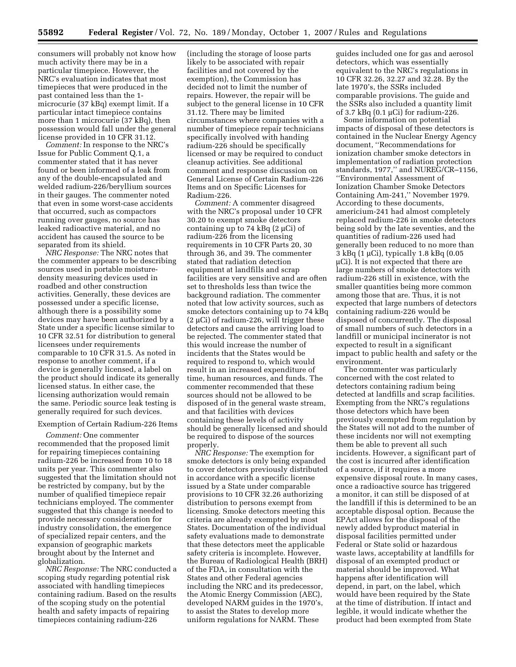consumers will probably not know how much activity there may be in a particular timepiece. However, the NRC's evaluation indicates that most timepieces that were produced in the past contained less than the 1 microcurie (37 kBq) exempt limit. If a particular intact timepiece contains more than 1 microcurie (37 kBq), then possession would fall under the general license provided in 10 CFR 31.12.

*Comment:* In response to the NRC's Issue for Public Comment Q.1, a commenter stated that it has never found or been informed of a leak from any of the double-encapsulated and welded radium-226/beryllium sources in their gauges. The commenter noted that even in some worst-case accidents that occurred, such as compactors running over gauges, no source has leaked radioactive material, and no accident has caused the source to be separated from its shield.

*NRC Response:* The NRC notes that the commenter appears to be describing sources used in portable moisturedensity measuring devices used in roadbed and other construction activities. Generally, these devices are possessed under a specific license, although there is a possibility some devices may have been authorized by a State under a specific license similar to 10 CFR 32.51 for distribution to general licensees under requirements comparable to 10 CFR 31.5. As noted in response to another comment, if a device is generally licensed, a label on the product should indicate its generally licensed status. In either case, the licensing authorization would remain the same. Periodic source leak testing is generally required for such devices.

#### Exemption of Certain Radium-226 Items

*Comment:* One commenter recommended that the proposed limit for repairing timepieces containing radium-226 be increased from 10 to 18 units per year. This commenter also suggested that the limitation should not be restricted by company, but by the number of qualified timepiece repair technicians employed. The commenter suggested that this change is needed to provide necessary consideration for industry consolidation, the emergence of specialized repair centers, and the expansion of geographic markets brought about by the Internet and globalization.

*NRC Response:* The NRC conducted a scoping study regarding potential risk associated with handling timepieces containing radium. Based on the results of the scoping study on the potential health and safety impacts of repairing timepieces containing radium-226

(including the storage of loose parts likely to be associated with repair facilities and not covered by the exemption), the Commission has decided not to limit the number of repairs. However, the repair will be subject to the general license in 10 CFR 31.12. There may be limited circumstances where companies with a number of timepiece repair technicians specifically involved with handing radium-226 should be specifically licensed or may be required to conduct cleanup activities. See additional comment and response discussion on General License of Certain Radium-226 Items and on Specific Licenses for Radium-226.

*Comment:* A commenter disagreed with the NRC's proposal under 10 CFR 30.20 to exempt smoke detectors containing up to 74 kBq  $(2 \mu Ci)$  of radium-226 from the licensing requirements in 10 CFR Parts 20, 30 through 36, and 39. The commenter stated that radiation detection equipment at landfills and scrap facilities are very sensitive and are often set to thresholds less than twice the background radiation. The commenter noted that low activity sources, such as smoke detectors containing up to 74 kBq  $(2 \mu\text{Ci})$  of radium-226, will trigger these detectors and cause the arriving load to be rejected. The commenter stated that this would increase the number of incidents that the States would be required to respond to, which would result in an increased expenditure of time, human resources, and funds. The commenter recommended that these sources should not be allowed to be disposed of in the general waste stream, and that facilities with devices containing these levels of activity should be generally licensed and should be required to dispose of the sources properly.

*NRC Response:* The exemption for smoke detectors is only being expanded to cover detectors previously distributed in accordance with a specific license issued by a State under comparable provisions to 10 CFR 32.26 authorizing distribution to persons exempt from licensing. Smoke detectors meeting this criteria are already exempted by most States. Documentation of the individual safety evaluations made to demonstrate that these detectors meet the applicable safety criteria is incomplete. However, the Bureau of Radiological Health (BRH) of the FDA, in consultation with the States and other Federal agencies including the NRC and its predecessor, the Atomic Energy Commission (AEC), developed NARM guides in the 1970's, to assist the States to develop more uniform regulations for NARM. These

guides included one for gas and aerosol detectors, which was essentially equivalent to the NRC's regulations in 10 CFR 32.26, 32.27 and 32.28. By the late 1970's, the SSRs included comparable provisions. The guide and the SSRs also included a quantity limit of 3.7 kBq (0.1 µCi) for radium-226.

Some information on potential impacts of disposal of these detectors is contained in the Nuclear Energy Agency document, ''Recommendations for ionization chamber smoke detectors in implementation of radiation protection standards, 1977,'' and NUREG/CR–1156, ''Environmental Assessment of Ionization Chamber Smoke Detectors Containing Am-241,'' November 1979. According to these documents, americium-241 had almost completely replaced radium-226 in smoke detectors being sold by the late seventies, and the quantities of radium-226 used had generally been reduced to no more than 3 kBq (1 µCi), typically 1.8 kBq (0.05 µCi). It is not expected that there are large numbers of smoke detectors with radium-226 still in existence, with the smaller quantities being more common among those that are. Thus, it is not expected that large numbers of detectors containing radium-226 would be disposed of concurrently. The disposal of small numbers of such detectors in a landfill or municipal incinerator is not expected to result in a significant impact to public health and safety or the environment.

The commenter was particularly concerned with the cost related to detectors containing radium being detected at landfills and scrap facilities. Exempting from the NRC's regulations those detectors which have been previously exempted from regulation by the States will not add to the number of these incidents nor will not exempting them be able to prevent all such incidents. However, a significant part of the cost is incurred after identification of a source, if it requires a more expensive disposal route. In many cases, once a radioactive source has triggered a monitor, it can still be disposed of at the landfill if this is determined to be an acceptable disposal option. Because the EPAct allows for the disposal of the newly added byproduct material in disposal facilities permitted under Federal or State solid or hazardous waste laws, acceptability at landfills for disposal of an exempted product or material should be improved. What happens after identification will depend, in part, on the label, which would have been required by the State at the time of distribution. If intact and legible, it would indicate whether the product had been exempted from State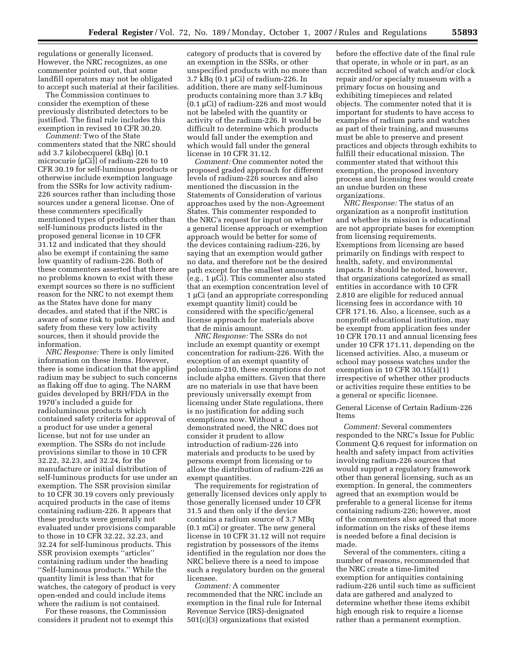regulations or generally licensed. However, the NRC recognizes, as one commenter pointed out, that some landfill operators may not be obligated to accept such material at their facilities.

The Commission continues to consider the exemption of these previously distributed detectors to be justified. The final rule includes this exemption in revised 10 CFR 30.20.

*Comment:* Two of the State commenters stated that the NRC should add 3.7 kilobecquerel (kBq) [0.1 microcurie ( $\mu$ Ci)] of radium-226 to 10 CFR 30.19 for self-luminous products or otherwise include exemption language from the SSRs for low activity radium-226 sources rather than including those sources under a general license. One of these commenters specifically mentioned types of products other than self-luminous products listed in the proposed general license in 10 CFR 31.12 and indicated that they should also be exempt if containing the same low quantity of radium-226. Both of these commenters asserted that there are no problems known to exist with these exempt sources so there is no sufficient reason for the NRC to not exempt them as the States have done for many decades, and stated that if the NRC is aware of some risk to public health and safety from these very low activity sources, then it should provide the information.

*NRC Response:* There is only limited information on these items. However, there is some indication that the applied radium may be subject to such concerns as flaking off due to aging. The NARM guides developed by BRH/FDA in the 1970's included a guide for radioluminous products which contained safety criteria for approval of a product for use under a general license, but not for use under an exemption. The SSRs do not include provisions similar to those in 10 CFR 32.22, 32.23, and 32.24, for the manufacture or initial distribution of self-luminous products for use under an exemption. The SSR provision similar to 10 CFR 30.19 covers only previously acquired products in the case of items containing radium-226. It appears that these products were generally not evaluated under provisions comparable to those in 10 CFR 32.22, 32.23, and 32.24 for self-luminous products. This SSR provision exempts ''articles'' containing radium under the heading ''Self-luminous products.'' While the quantity limit is less than that for watches, the category of product is very open-ended and could include items where the radium is not contained.

For these reasons, the Commission considers it prudent not to exempt this

category of products that is covered by an exemption in the SSRs, or other unspecified products with no more than 3.7 kBq (0.1 µCi) of radium-226. In addition, there are many self-luminous products containing more than 3.7 kBq (0.1 µCi) of radium-226 and most would not be labeled with the quantity or activity of the radium-226. It would be difficult to determine which products would fall under the exemption and which would fall under the general license in 10 CFR 31.12.

*Comment:* One commenter noted the proposed graded approach for different levels of radium-226 sources and also mentioned the discussion in the Statements of Consideration of various approaches used by the non-Agreement States. This commenter responded to the NRC's request for input on whether a general license approach or exemption approach would be better for some of the devices containing radium-226, by saying that an exemption would gather no data, and therefore not be the desired path except for the smallest amounts (e.g., 1 µCi). This commenter also stated that an exemption concentration level of 1 µCi (and an appropriate corresponding exempt quantity limit) could be considered with the specific/general license approach for materials above that de minis amount.

*NRC Response:* The SSRs do not include an exempt quantity or exempt concentration for radium-226. With the exception of an exempt quantity of polonium-210, these exemptions do not include alpha emitters. Given that there are no materials in use that have been previously universally exempt from licensing under State regulations, there is no justification for adding such exemptions now. Without a demonstrated need, the NRC does not consider it prudent to allow introduction of radium-226 into materials and products to be used by persons exempt from licensing or to allow the distribution of radium-226 as exempt quantities.

The requirements for registration of generally licensed devices only apply to those generally licensed under 10 CFR 31.5 and then only if the device contains a radium source of 3.7 MBq (0.1 mCi) or greater. The new general license in 10 CFR 31.12 will not require registration by possessors of the items identified in the regulation nor does the NRC believe there is a need to impose such a regulatory burden on the general licensee.

*Comment:* A commenter recommended that the NRC include an exemption in the final rule for Internal Revenue Service (IRS)-designated 501(c)(3) organizations that existed

before the effective date of the final rule that operate, in whole or in part, as an accredited school of watch and/or clock repair and/or specialty museum with a primary focus on housing and exhibiting timepieces and related objects. The commenter noted that it is important for students to have access to examples of radium parts and watches as part of their training, and museums must be able to preserve and present practices and objects through exhibits to fulfill their educational mission. The commenter stated that without this exemption, the proposed inventory process and licensing fees would create an undue burden on these organizations.

*NRC Response:* The status of an organization as a nonprofit institution and whether its mission is educational are not appropriate bases for exemption from licensing requirements. Exemptions from licensing are based primarily on findings with respect to health, safety, and environmental impacts. It should be noted, however, that organizations categorized as small entities in accordance with 10 CFR 2.810 are eligible for reduced annual licensing fees in accordance with 10 CFR 171.16. Also, a licensee, such as a nonprofit educational institution, may be exempt from application fees under 10 CFR 170.11 and annual licensing fees under 10 CFR 171.11, depending on the licensed activities. Also, a museum or school may possess watches under the exemption in 10 CFR 30.15(a)(1) irrespective of whether other products or activities require these entities to be a general or specific licensee.

General License of Certain Radium-226 Items

*Comment:* Several commenters responded to the NRC's Issue for Public Comment Q.6 request for information on health and safety impact from activities involving radium-226 sources that would support a regulatory framework other than general licensing, such as an exemption. In general, the commenters agreed that an exemption would be preferable to a general license for items containing radium-226; however, most of the commenters also agreed that more information on the risks of these items is needed before a final decision is made.

Several of the commenters, citing a number of reasons, recommended that the NRC create a time-limited exemption for antiquities containing radium-226 until such time as sufficient data are gathered and analyzed to determine whether these items exhibit high enough risk to require a license rather than a permanent exemption.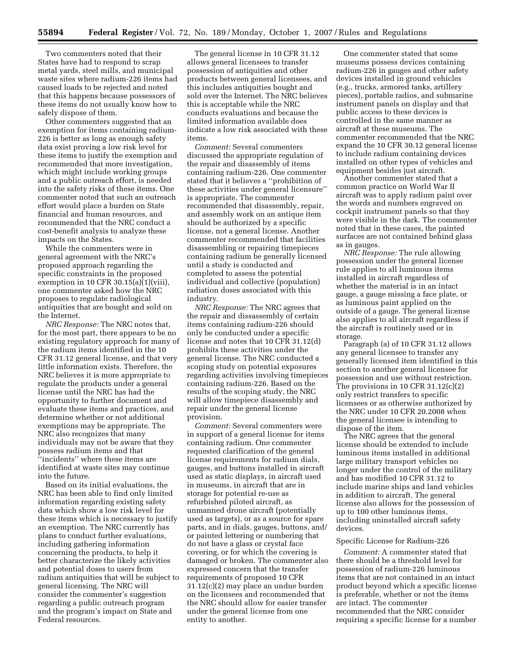Two commenters noted that their States have had to respond to scrap metal yards, steel mills, and municipal waste sites where radium-226 items had caused loads to be rejected and noted that this happens because possessors of these items do not usually know how to safely dispose of them.

Other commenters suggested that an exemption for items containing radium-226 is better as long as enough safety data exist proving a low risk level for these items to justify the exemption and recommended that more investigation, which might include working groups and a public outreach effort, is needed into the safety risks of these items. One commenter noted that such an outreach effort would place a burden on State financial and human resources, and recommended that the NRC conduct a cost-benefit analysis to analyze these impacts on the States.

While the commenters were in general agreement with the NRC's proposed approach regarding the specific constraints in the proposed exemption in 10 CFR 30.15(a) $(1)($ viii), one commenter asked how the NRC proposes to regulate radiological antiquities that are bought and sold on the Internet.

*NRC Response:* The NRC notes that, for the most part, there appears to be no existing regulatory approach for many of the radium items identified in the 10 CFR 31.12 general license, and that very little information exists. Therefore, the NRC believes it is more appropriate to regulate the products under a general license until the NRC has had the opportunity to further document and evaluate these items and practices, and determine whether or not additional exemptions may be appropriate. The NRC also recognizes that many individuals may not be aware that they possess radium items and that ''incidents'' where these items are identified at waste sites may continue into the future.

Based on its initial evaluations, the NRC has been able to find only limited information regarding existing safety data which show a low risk level for these items which is necessary to justify an exemption. The NRC currently has plans to conduct further evaluations, including gathering information concerning the products, to help it better characterize the likely activities and potential doses to users from radium antiquities that will be subject to general licensing. The NRC will consider the commenter's suggestion regarding a public outreach program and the program's impact on State and Federal resources.

The general license in 10 CFR 31.12 allows general licensees to transfer possession of antiquities and other products between general licensees, and this includes antiquities bought and sold over the Internet. The NRC believes this is acceptable while the NRC conducts evaluations and because the limited information available does indicate a low risk associated with these items.

*Comment:* Several commenters discussed the appropriate regulation of the repair and disassembly of items containing radium-226. One commenter stated that it believes a ''prohibition of these activities under general licensure'' is appropriate. The commenter recommended that disassembly, repair, and assembly work on an antique item should be authorized by a specific license, not a general license. Another commenter recommended that facilities disassembling or repairing timepieces containing radium be generally licensed until a study is conducted and completed to assess the potential individual and collective (population) radiation doses associated with this industry.

*NRC Response:* The NRC agrees that the repair and dissassembly of certain items containing radium-226 should only be conducted under a specific license and notes that 10 CFR 31.12(d) prohibits these activities under the general license. The NRC conducted a scoping study on potential exposures regarding activities involving timepieces containing radium-226. Based on the results of the scoping study, the NRC will allow timepiece disassembly and repair under the general license provision.

*Comment:* Several commenters were in support of a general license for items containing radium. One commenter requested clarification of the general license requirements for radium dials, gauges, and buttons installed in aircraft used as static displays, in aircraft used in museums, in aircraft that are in storage for potential re-use as refurbished piloted aircraft, as unmanned drone aircraft (potentially used as targets), or as a source for spare parts, and in dials, gauges, buttons, and/ or painted lettering or numbering that do not have a glass or crystal face covering, or for which the covering is damaged or broken. The commenter also expressed concern that the transfer requirements of proposed 10 CFR 31.12(c)(2) may place an undue burden on the licensees and recommended that the NRC should allow for easier transfer under the general license from one entity to another.

One commenter stated that some museums possess devices containing radium-226 in gauges and other safety devices installed in ground vehicles (e.g., trucks, armored tanks, artillery pieces), portable radios, and submarine instrument panels on display and that public access to these devices is controlled in the same manner as aircraft at these museums. The commenter recommended that the NRC expand the 10 CFR 30.12 general license to include radium containing devices installed on other types of vehicles and equipment besides just aircraft.

Another commenter stated that a common practice on World War II aircraft was to apply radium paint over the words and numbers engraved on cockpit instrument panels so that they were visible in the dark. The commenter noted that in these cases, the painted surfaces are not contained behind glass as in gauges.

*NRC Response:* The rule allowing possession under the general license rule applies to all luminous items installed in aircraft regardless of whether the material is in an intact gauge, a gauge missing a face plate, or as luminous paint applied on the outside of a gauge. The general license also applies to all aircraft regardless if the aircraft is routinely used or in storage.

Paragraph (a) of 10 CFR 31.12 allows any general licensee to transfer any generally licensed item identified in this section to another general licensee for possession and use without restriction. The provisions in 10 CFR 31.12(c)(2) only restrict transfers to specific licensees or as otherwise authorized by the NRC under 10 CFR 20.2008 when the general licensee is intending to dispose of the item.

The NRC agrees that the general license should be extended to include luminous items installed in additional large military transport vehicles no longer under the control of the military and has modified 10 CFR 31.12 to include marine ships and land vehicles in addition to aircraft. The general license also allows for the possession of up to 100 other luminous items, including uninstalled aircraft safety devices.

## Specific License for Radium-226

*Comment:* A commenter stated that there should be a threshold level for possession of radium-226 luminous items that are not contained in an intact product beyond which a specific license is preferable, whether or not the items are intact. The commenter recommended that the NRC consider requiring a specific license for a number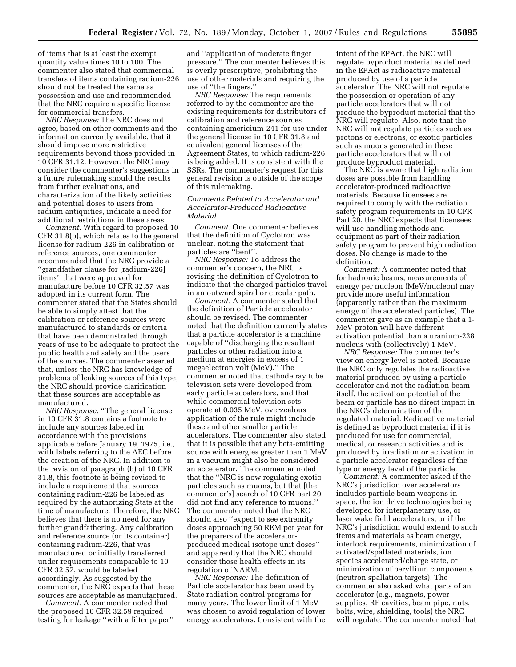of items that is at least the exempt quantity value times 10 to 100. The commenter also stated that commercial transfers of items containing radium-226 should not be treated the same as possession and use and recommended that the NRC require a specific license for commercial transfers.

*NRC Response:* The NRC does not agree, based on other comments and the information currently available, that it should impose more restrictive requirements beyond those provided in 10 CFR 31.12. However, the NRC may consider the commenter's suggestions in a future rulemaking should the results from further evaluations, and characterization of the likely activities and potential doses to users from radium antiquities, indicate a need for additional restrictions in these areas.

*Comment:* With regard to proposed 10 CFR 31.8(b), which relates to the general license for radium-226 in calibration or reference sources, one commenter recommended that the NRC provide a ''grandfather clause for [radium-226] items'' that were approved for manufacture before 10 CFR 32.57 was adopted in its current form. The commenter stated that the States should be able to simply attest that the calibration or reference sources were manufactured to standards or criteria that have been demonstrated through years of use to be adequate to protect the public health and safety and the users of the sources. The commenter asserted that, unless the NRC has knowledge of problems of leaking sources of this type, the NRC should provide clarification that these sources are acceptable as manufactured.

*NRC Response:* ''The general license in 10 CFR 31.8 contains a footnote to include any sources labeled in accordance with the provisions applicable before January 19, 1975, i.e., with labels referring to the AEC before the creation of the NRC. In addition to the revision of paragraph (b) of 10 CFR 31.8, this footnote is being revised to include a requirement that sources containing radium-226 be labeled as required by the authorizing State at the time of manufacture. Therefore, the NRC believes that there is no need for any further grandfathering. Any calibration and reference source (or its container) containing radium-226, that was manufactured or initially transferred under requirements comparable to 10 CFR 32.57, would be labeled accordingly. As suggested by the commenter, the NRC expects that these sources are acceptable as manufactured.

*Comment:* A commenter noted that the proposed 10 CFR 32.59 required testing for leakage ''with a filter paper''

and ''application of moderate finger pressure.'' The commenter believes this is overly prescriptive, prohibiting the use of other materials and requiring the use of ''the fingers.''

*NRC Response:* The requirements referred to by the commenter are the existing requirements for distributors of calibration and reference sources containing americium-241 for use under the general license in 10 CFR 31.8 and equivalent general licenses of the Agreement States, to which radium-226 is being added. It is consistent with the SSRs. The commenter's request for this general revision is outside of the scope of this rulemaking.

## *Comments Related to Accelerator and Accelerator-Produced Radioactive Material*

*Comment:* One commenter believes that the definition of Cyclotron was unclear, noting the statement that particles are ''bent''.

*NRC Response:* To address the commenter's concern, the NRC is revising the definition of Cyclotron to indicate that the charged particles travel in an outward spiral or circular path.

*Comment:* A commenter stated that the definition of Particle accelerator should be revised. The commenter noted that the definition currently states that a particle accelerator is a machine capable of ''discharging the resultant particles or other radiation into a medium at energies in excess of 1 megaelectron volt (MeV).'' The commenter noted that cathode ray tube television sets were developed from early particle accelerators, and that while commercial television sets operate at 0.035 MeV, overzealous application of the rule might include these and other smaller particle accelerators. The commenter also stated that it is possible that any beta-emitting source with energies greater than 1 MeV in a vacuum might also be considered an accelerator. The commenter noted that the ''NRC is now regulating exotic particles such as muons, but that [the commenter's] search of 10 CFR part 20 did not find any reference to muons.'' The commenter noted that the NRC should also ''expect to see extremity doses approaching 50 REM per year for the preparers of the acceleratorproduced medical isotope unit doses'' and apparently that the NRC should consider those health effects in its regulation of NARM.

*NRC Response:* The definition of Particle accelerator has been used by State radiation control programs for many years. The lower limit of 1 MeV was chosen to avoid regulation of lower energy accelerators. Consistent with the intent of the EPAct, the NRC will regulate byproduct material as defined in the EPAct as radioactive material produced by use of a particle accelerator. The NRC will not regulate the possession or operation of any particle accelerators that will not produce the byproduct material that the NRC will regulate. Also, note that the NRC will not regulate particles such as protons or electrons, or exotic particles such as muons generated in these particle accelerators that will not produce byproduct material.

The NRC is aware that high radiation doses are possible from handling accelerator-produced radioactive materials. Because licensees are required to comply with the radiation safety program requirements in 10 CFR Part 20, the NRC expects that licensees will use handling methods and equipment as part of their radiation safety program to prevent high radiation doses. No change is made to the definition.

*Comment:* A commenter noted that for hadronic beams, measurements of energy per nucleon (MeV/nucleon) may provide more useful information (apparently rather than the maximum energy of the accelerated particles). The commenter gave as an example that a 1- MeV proton will have different activation potential than a uranium-238 nucleus with (collectively) 1 MeV.

*NRC Response:* The commenter's view on energy level is noted. Because the NRC only regulates the radioactive material produced by using a particle accelerator and not the radiation beam itself, the activation potential of the beam or particle has no direct impact in the NRC's determination of the regulated material. Radioactive material is defined as byproduct material if it is produced for use for commercial, medical, or research activities and is produced by irradiation or activation in a particle accelerator regardless of the type or energy level of the particle.

*Comment:* A commenter asked if the NRC's jurisdiction over accelerators includes particle beam weapons in space, the ion drive technologies being developed for interplanetary use, or laser wake field accelerators; or if the NRC's jurisdiction would extend to such items and materials as beam energy, interlock requirements, minimization of activated/spallated materials, ion species accelerated/charge state, or minimization of beryllium components (neutron spallation targets). The commenter also asked what parts of an accelerator (e.g., magnets, power supplies, RF cavities, beam pipe, nuts, bolts, wire, shielding, tools) the NRC will regulate. The commenter noted that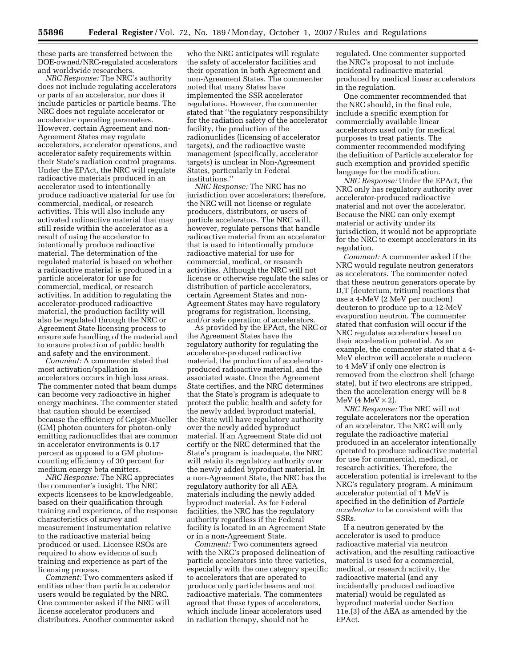these parts are transferred between the DOE-owned/NRC-regulated accelerators and worldwide researchers.

*NRC Response:* The NRC's authority does not include regulating accelerators or parts of an accelerator, nor does it include particles or particle beams. The NRC does not regulate accelerator or accelerator operating parameters. However, certain Agreement and non-Agreement States may regulate accelerators, accelerator operations, and accelerator safety requirements within their State's radiation control programs. Under the EPAct, the NRC will regulate radioactive materials produced in an accelerator used to intentionally produce radioactive material for use for commercial, medical, or research activities. This will also include any activated radioactive material that may still reside within the accelerator as a result of using the accelerator to intentionally produce radioactive material. The determination of the regulated material is based on whether a radioactive material is produced in a particle accelerator for use for commercial, medical, or research activities. In addition to regulating the accelerator-produced radioactive material, the production facility will also be regulated through the NRC or Agreement State licensing process to ensure safe handling of the material and to ensure protection of public health and safety and the environment.

*Comment:* A commenter stated that most activation/spallation in accelerators occurs in high loss areas. The commenter noted that beam dumps can become very radioactive in higher energy machines. The commenter stated that caution should be exercised because the efficiency of Geiger-Mueller (GM) photon counters for photon-only emitting radionuclides that are common in accelerator environments is 0.17 percent as opposed to a GM photoncounting efficiency of 30 percent for medium energy beta emitters.

*NRC Response:* The NRC appreciates the commenter's insight. The NRC expects licensees to be knowledgeable, based on their qualification through training and experience, of the response characteristics of survey and measurement instrumentation relative to the radioactive material being produced or used. Licensee RSOs are required to show evidence of such training and experience as part of the licensing process.

*Comment:* Two commenters asked if entities other than particle accelerator users would be regulated by the NRC. One commenter asked if the NRC will license accelerator producers and distributors. Another commenter asked

who the NRC anticipates will regulate the safety of accelerator facilities and their operation in both Agreement and non-Agreement States. The commenter noted that many States have implemented the SSR accelerator regulations. However, the commenter stated that ''the regulatory responsibility for the radiation safety of the accelerator facility, the production of the radionuclides (licensing of accelerator targets), and the radioactive waste management (specifically, accelerator targets) is unclear in Non-Agreement States, particularly in Federal institutions.''

*NRC Response:* The NRC has no jurisdiction over accelerators; therefore, the NRC will not license or regulate producers, distributors, or users of particle accelerators. The NRC will, however, regulate persons that handle radioactive material from an accelerator that is used to intentionally produce radioactive material for use for commercial, medical, or research activities. Although the NRC will not license or otherwise regulate the sales or distribution of particle accelerators, certain Agreement States and non-Agreement States may have regulatory programs for registration, licensing, and/or safe operation of accelerators.

As provided by the EPAct, the NRC or the Agreement States have the regulatory authority for regulating the accelerator-produced radioactive material, the production of acceleratorproduced radioactive material, and the associated waste. Once the Agreement State certifies, and the NRC determines that the State's program is adequate to protect the public health and safety for the newly added byproduct material, the State will have regulatory authority over the newly added byproduct material. If an Agreement State did not certify or the NRC determined that the State's program is inadequate, the NRC will retain its regulatory authority over the newly added byproduct material. In a non-Agreement State, the NRC has the regulatory authority for all AEA materials including the newly added byproduct material. As for Federal facilities, the NRC has the regulatory authority regardless if the Federal facility is located in an Agreement State or in a non-Agreement State.

*Comment:* Two commenters agreed with the NRC's proposed delineation of particle accelerators into three varieties, especially with the one category specific to accelerators that are operated to produce only particle beams and not radioactive materials. The commenters agreed that these types of accelerators, which include linear accelerators used in radiation therapy, should not be

regulated. One commenter supported the NRC's proposal to not include incidental radioactive material produced by medical linear accelerators in the regulation.

One commenter recommended that the NRC should, in the final rule, include a specific exemption for commercially available linear accelerators used only for medical purposes to treat patients. The commenter recommended modifying the definition of Particle accelerator for such exemption and provided specific language for the modification.

*NRC Response:* Under the EPAct, the NRC only has regulatory authority over accelerator-produced radioactive material and not over the accelerator. Because the NRC can only exempt material or activity under its jurisdiction, it would not be appropriate for the NRC to exempt accelerators in its regulation.

*Comment:* A commenter asked if the NRC would regulate neutron generators as accelerators. The commenter noted that these neutron generators operate by D,T [deuterium, tritium] reactions that use a 4-MeV (2 MeV per nucleon) deuteron to produce up to a 12-MeV evaporation neutron. The commenter stated that confusion will occur if the NRC regulates accelerators based on their acceleration potential. As an example, the commenter stated that a 4- MeV electron will accelerate a nucleon to 4 MeV if only one electron is removed from the electron shell (charge state), but if two electrons are stripped, then the acceleration energy will be 8 MeV (4 MeV  $\times$  2).

*NRC Response:* The NRC will not regulate accelerators nor the operation of an accelerator. The NRC will only regulate the radioactive material produced in an accelerator intentionally operated to produce radioactive material for use for commercial, medical, or research activities. Therefore, the acceleration potential is irrelevant to the NRC's regulatory program. A minimum accelerator potential of 1 MeV is specified in the definition of *Particle accelerator* to be consistent with the SSRs.

If a neutron generated by the accelerator is used to produce radioactive material via neutron activation, and the resulting radioactive material is used for a commercial, medical, or research activity, the radioactive material (and any incidentally produced radioactive material) would be regulated as byproduct material under Section 11e.(3) of the AEA as amended by the EPAct.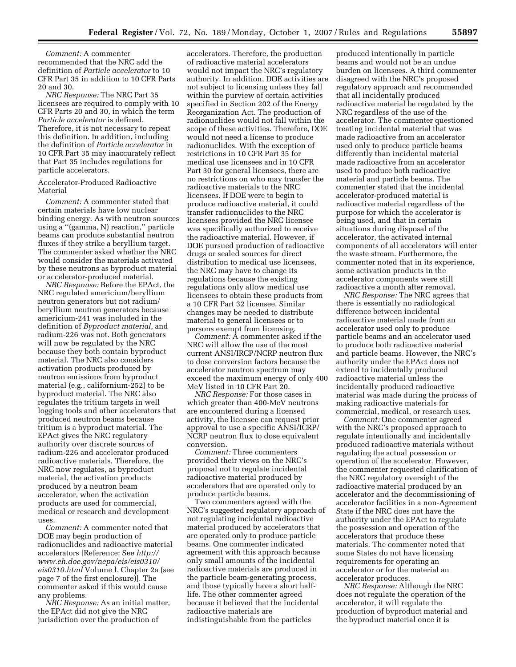*Comment:* A commenter recommended that the NRC add the definition of *Particle accelerator* to 10 CFR Part 35 in addition to 10 CFR Parts 20 and 30.

*NRC Response:* The NRC Part 35 licensees are required to comply with 10 CFR Parts 20 and 30, in which the term *Particle accelerator* is defined. Therefore, it is not necessary to repeat this definition. In addition, including the definition of *Particle accelerator* in 10 CFR Part 35 may inaccurately reflect that Part 35 includes regulations for particle accelerators.

## Accelerator-Produced Radioactive Material

*Comment:* A commenter stated that certain materials have low nuclear binding energy. As with neutron sources using a ''(gamma, N) reaction,'' particle beams can produce substantial neutron fluxes if they strike a beryllium target. The commenter asked whether the NRC would consider the materials activated by these neutrons as byproduct material or accelerator-produced material.

*NRC Response:* Before the EPAct, the NRC regulated americium/beryllium neutron generators but not radium/ beryllium neutron generators because americium-241 was included in the definition of *Byproduct material*, and radium-226 was not. Both generators will now be regulated by the NRC because they both contain byproduct material. The NRC also considers activation products produced by neutron emissions from byproduct material (e.g., californium-252) to be byproduct material. The NRC also regulates the tritium targets in well logging tools and other accelerators that produced neutron beams because tritium is a byproduct material. The EPAct gives the NRC regulatory authority over discrete sources of radium-226 and accelerator produced radioactive materials. Therefore, the NRC now regulates, as byproduct material, the activation products produced by a neutron beam accelerator, when the activation products are used for commercial, medical or research and development uses.

*Comment:* A commenter noted that DOE may begin production of radionuclides and radioactive material accelerators [Reference: See *http:// [www.eh.doe.gov/nepa/eis/eis0310/](http://www.eh.doe.gov/nepa/eis/eis0310/eis0310.html)  eis0310.html* Volume l, Chapter 2a (see page 7 of the first enclosure)]. The commenter asked if this would cause any problems.

*NRC Response:* As an initial matter, the EPAct did not give the NRC jurisdiction over the production of

accelerators. Therefore, the production of radioactive material accelerators would not impact the NRC's regulatory authority. In addition, DOE activities are not subject to licensing unless they fall within the purview of certain activities specified in Section 202 of the Energy Reorganization Act. The production of radionuclides would not fall within the scope of these activities. Therefore, DOE would not need a license to produce radionuclides. With the exception of restrictions in 10 CFR Part 35 for medical use licensees and in 10 CFR Part 30 for general licensees, there are no restrictions on who may transfer the radioactive materials to the NRC licensees. If DOE were to begin to produce radioactive material, it could transfer radionuclides to the NRC licensees provided the NRC licensee was specifically authorized to receive the radioactive material. However, if DOE pursued production of radioactive drugs or sealed sources for direct distribution to medical use licensees, the NRC may have to change its regulations because the existing regulations only allow medical use licensees to obtain these products from a 10 CFR Part 32 licensee. Similar changes may be needed to distribute material to general licensees or to persons exempt from licensing.

*Comment:* A commenter asked if the NRC will allow the use of the most current ANSI/IRCP/NCRP neutron flux to dose conversion factors because the accelerator neutron spectrum may exceed the maximum energy of only 400 MeV listed in 10 CFR Part 20.

*NRC Response:* For those cases in which greater than 400-MeV neutrons are encountered during a licensed activity, the licensee can request prior approval to use a specific ANSI/ICRP/ NCRP neutron flux to dose equivalent conversion.

*Comment:* Three commenters provided their views on the NRC's proposal not to regulate incidental radioactive material produced by accelerators that are operated only to produce particle beams.

Two commenters agreed with the NRC's suggested regulatory approach of not regulating incidental radioactive material produced by accelerators that are operated only to produce particle beams. One commenter indicated agreement with this approach because only small amounts of the incidental radioactive materials are produced in the particle beam-generating process, and those typically have a short halflife. The other commenter agreed because it believed that the incidental radioactive materials are indistinguishable from the particles

produced intentionally in particle beams and would not be an undue burden on licensees. A third commenter disagreed with the NRC's proposed regulatory approach and recommended that all incidentally produced radioactive material be regulated by the NRC regardless of the use of the accelerator. The commenter questioned treating incidental material that was made radioactive from an accelerator used only to produce particle beams differently than incidental material made radioactive from an accelerator used to produce both radioactive material and particle beams. The commenter stated that the incidental accelerator-produced material is radioactive material regardless of the purpose for which the accelerator is being used, and that in certain situations during disposal of the accelerator, the activated internal components of all accelerators will enter the waste stream. Furthermore, the commenter noted that in its experience, some activation products in the accelerator components were still radioactive a month after removal.

*NRC Response:* The NRC agrees that there is essentially no radiological difference between incidental radioactive material made from an accelerator used only to produce particle beams and an accelerator used to produce both radioactive material and particle beams. However, the NRC's authority under the EPAct does not extend to incidentally produced radioactive material unless the incidentally produced radioactive material was made during the process of making radioactive materials for commercial, medical, or research uses.

*Comment:* One commenter agreed with the NRC's proposed approach to regulate intentionally and incidentally produced radioactive materials without regulating the actual possession or operation of the accelerator. However, the commenter requested clarification of the NRC regulatory oversight of the radioactive material produced by an accelerator and the decommissioning of accelerator facilities in a non-Agreement State if the NRC does not have the authority under the EPAct to regulate the possession and operation of the accelerators that produce these materials. The commenter noted that some States do not have licensing requirements for operating an accelerator or for the material an accelerator produces.

*NRC Response:* Although the NRC does not regulate the operation of the accelerator, it will regulate the production of byproduct material and the byproduct material once it is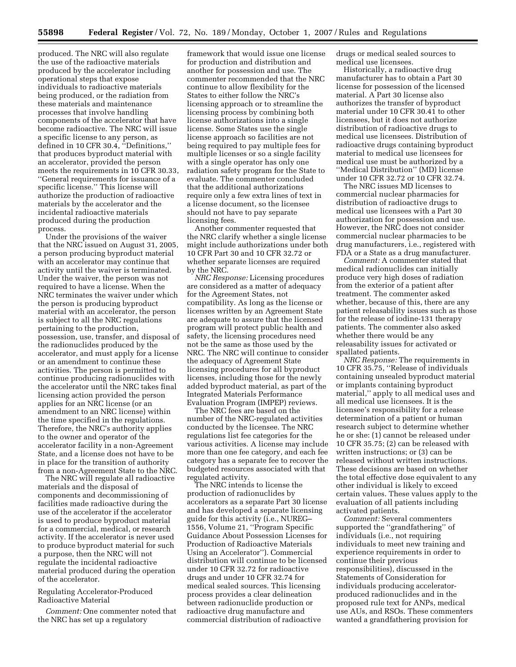produced. The NRC will also regulate the use of the radioactive materials produced by the accelerator including operational steps that expose individuals to radioactive materials being produced, or the radiation from these materials and maintenance processes that involve handling components of the accelerator that have become radioactive. The NRC will issue a specific license to any person, as defined in 10 CFR 30.4, ''Definitions,'' that produces byproduct material with an accelerator, provided the person meets the requirements in 10 CFR 30.33, ''General requirements for issuance of a specific license.'' This license will authorize the production of radioactive materials by the accelerator and the incidental radioactive materials produced during the production process.

Under the provisions of the waiver that the NRC issued on August 31, 2005, a person producing byproduct material with an accelerator may continue that activity until the waiver is terminated. Under the waiver, the person was not required to have a license. When the NRC terminates the waiver under which the person is producing byproduct material with an accelerator, the person is subject to all the NRC regulations pertaining to the production, possession, use, transfer, and disposal of the radionuclides produced by the accelerator, and must apply for a license or an amendment to continue these activities. The person is permitted to continue producing radionuclides with the accelerator until the NRC takes final licensing action provided the person applies for an NRC license (or an amendment to an NRC license) within the time specified in the regulations. Therefore, the NRC's authority applies to the owner and operator of the accelerator facility in a non-Agreement State, and a license does not have to be in place for the transition of authority from a non-Agreement State to the NRC.

The NRC will regulate all radioactive materials and the disposal of components and decommissioning of facilities made radioactive during the use of the accelerator if the accelerator is used to produce byproduct material for a commercial, medical, or research activity. If the accelerator is never used to produce byproduct material for such a purpose, then the NRC will not regulate the incidental radioactive material produced during the operation of the accelerator.

## Regulating Accelerator-Produced Radioactive Material

*Comment:* One commenter noted that the NRC has set up a regulatory

framework that would issue one license for production and distribution and another for possession and use. The commenter recommended that the NRC continue to allow flexibility for the States to either follow the NRC's licensing approach or to streamline the licensing process by combining both license authorizations into a single license. Some States use the single license approach so facilities are not being required to pay multiple fees for multiple licenses or so a single facility with a single operator has only one radiation safety program for the State to evaluate. The commenter concluded that the additional authorizations require only a few extra lines of text in a license document, so the licensee should not have to pay separate licensing fees.

Another commenter requested that the NRC clarify whether a single license might include authorizations under both 10 CFR Part 30 and 10 CFR 32.72 or whether separate licenses are required by the NRC.

*NRC Response:* Licensing procedures are considered as a matter of adequacy for the Agreement States, not compatibility. As long as the license or licenses written by an Agreement State are adequate to assure that the licensed program will protect public health and safety, the licensing procedures need not be the same as those used by the NRC. The NRC will continue to consider the adequacy of Agreement State licensing procedures for all byproduct licenses, including those for the newly added byproduct material, as part of the Integrated Materials Performance Evaluation Program (IMPEP) reviews.

The NRC fees are based on the number of the NRC-regulated activities conducted by the licensee. The NRC regulations list fee categories for the various activities. A license may include more than one fee category, and each fee category has a separate fee to recover the budgeted resources associated with that regulated activity.

The NRC intends to license the production of radionuclides by accelerators as a separate Part 30 license and has developed a separate licensing guide for this activity (i.e., NUREG– 1556, Volume 21, ''Program Specific Guidance About Possession Licenses for Production of Radioactive Materials Using an Accelerator''). Commercial distribution will continue to be licensed under 10 CFR 32.72 for radioactive drugs and under 10 CFR 32.74 for medical sealed sources. This licensing process provides a clear delineation between radionuclide production or radioactive drug manufacture and commercial distribution of radioactive

drugs or medical sealed sources to medical use licensees.

Historically, a radioactive drug manufacturer has to obtain a Part 30 license for possession of the licensed material. A Part 30 license also authorizes the transfer of byproduct material under 10 CFR 30.41 to other licensees, but it does not authorize distribution of radioactive drugs to medical use licensees. Distribution of radioactive drugs containing byproduct material to medical use licensees for medical use must be authorized by a ''Medical Distribution'' (MD) license under 10 CFR 32.72 or 10 CFR 32.74.

The NRC issues MD licenses to commercial nuclear pharmacies for distribution of radioactive drugs to medical use licensees with a Part 30 authorization for possession and use. However, the NRC does not consider commercial nuclear pharmacies to be drug manufacturers, i.e., registered with FDA or a State as a drug manufacturer.

*Comment:* A commenter stated that medical radionuclides can initially produce very high doses of radiation from the exterior of a patient after treatment. The commenter asked whether, because of this, there are any patient releasability issues such as those for the release of iodine-131 therapy patients. The commenter also asked whether there would be any releasability issues for activated or spallated patients.

*NRC Response:* The requirements in 10 CFR 35.75, ''Release of individuals containing unsealed byproduct material or implants containing byproduct material,'' apply to all medical uses and all medical use licensees. It is the licensee's responsibility for a release determination of a patient or human research subject to determine whether he or she: (1) cannot be released under 10 CFR 35.75; (2) can be released with written instructions; or (3) can be released without written instructions. These decisions are based on whether the total effective dose equivalent to any other individual is likely to exceed certain values. These values apply to the evaluation of all patients including activated patients.

*Comment:* Several commenters supported the ''grandfathering'' of individuals (i.e., not requiring individuals to meet new training and experience requirements in order to continue their previous responsibilities), discussed in the Statements of Consideration for individuals producing acceleratorproduced radionuclides and in the proposed rule text for ANPs, medical use AUs, and RSOs. These commenters wanted a grandfathering provision for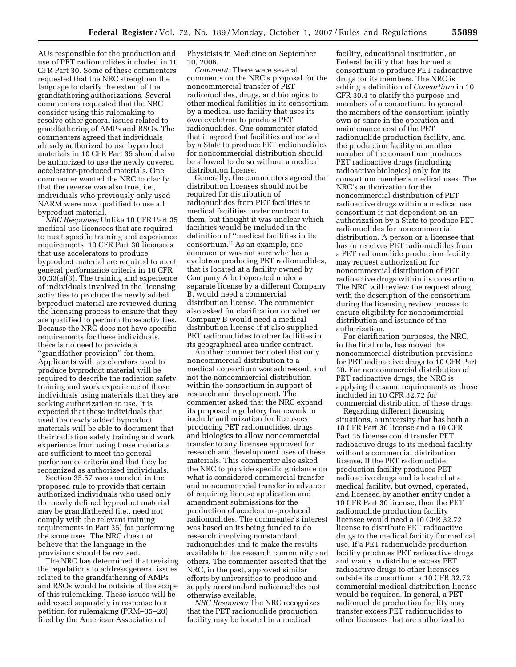AUs responsible for the production and use of PET radionuclides included in 10 CFR Part 30. Some of these commenters requested that the NRC strengthen the language to clarify the extent of the grandfathering authorizations. Several commenters requested that the NRC consider using this rulemaking to resolve other general issues related to grandfathering of AMPs and RSOs. The commenters agreed that individuals already authorized to use byproduct materials in 10 CFR Part 35 should also be authorized to use the newly covered accelerator-produced materials. One commenter wanted the NRC to clarify that the reverse was also true, i.e., individuals who previously only used NARM were now qualified to use all byproduct material.

*NRC Response:* Unlike 10 CFR Part 35 medical use licensees that are required to meet specific training and experience requirements, 10 CFR Part 30 licensees that use accelerators to produce byproduct material are required to meet general performance criteria in 10 CFR 30.33(a)(3). The training and experience of individuals involved in the licensing activities to produce the newly added byproduct material are reviewed during the licensing process to ensure that they are qualified to perform those activities. Because the NRC does not have specific requirements for these individuals, there is no need to provide a ''grandfather provision'' for them. Applicants with accelerators used to produce byproduct material will be required to describe the radiation safety training and work experience of those individuals using materials that they are seeking authorization to use. It is expected that these individuals that used the newly added byproduct materials will be able to document that their radiation safety training and work experience from using these materials are sufficient to meet the general performance criteria and that they be recognized as authorized individuals.

Section 35.57 was amended in the proposed rule to provide that certain authorized individuals who used only the newly defined byproduct material may be grandfathered (i.e., need not comply with the relevant training requirements in Part 35) for performing the same uses. The NRC does not believe that the language in the provisions should be revised.

The NRC has determined that revising the regulations to address general issues related to the grandfathering of AMPs and RSOs would be outside of the scope of this rulemaking. These issues will be addressed separately in response to a petition for rulemaking (PRM–35–20) filed by the American Association of

Physicists in Medicine on September 10, 2006.

*Comment:* There were several comments on the NRC's proposal for the noncommercial transfer of PET radionuclides, drugs, and biologics to other medical facilities in its consortium by a medical use facility that uses its own cyclotron to produce PET radionuclides. One commenter stated that it agreed that facilities authorized by a State to produce PET radionuclides for noncommercial distribution should be allowed to do so without a medical distribution license.

Generally, the commenters agreed that distribution licenses should not be required for distribution of radionuclides from PET facilities to medical facilities under contract to them, but thought it was unclear which facilities would be included in the definition of ''medical facilities in its consortium.'' As an example, one commenter was not sure whether a cyclotron producing PET radionuclides, that is located at a facility owned by Company A but operated under a separate license by a different Company B, would need a commercial distribution license. The commenter also asked for clarification on whether Company B would need a medical distribution license if it also supplied PET radionuclides to other facilities in its geographical area under contract.

Another commenter noted that only noncommercial distribution to a medical consortium was addressed, and not the noncommercial distribution within the consortium in support of research and development. The commenter asked that the NRC expand its proposed regulatory framework to include authorization for licensees producing PET radionuclides, drugs, and biologics to allow noncommercial transfer to any licensee approved for research and development uses of these materials. This commenter also asked the NRC to provide specific guidance on what is considered commercial transfer and noncommercial transfer in advance of requiring license application and amendment submissions for the production of accelerator-produced radionuclides. The commenter's interest was based on its being funded to do research involving nonstandard radionuclides and to make the results available to the research community and others. The commenter asserted that the NRC, in the past, approved similar efforts by universities to produce and supply nonstandard radionuclides not otherwise available.

*NRC Response:* The NRC recognizes that the PET radionuclide production facility may be located in a medical

facility, educational institution, or Federal facility that has formed a consortium to produce PET radioactive drugs for its members. The NRC is adding a definition of *Consortium* in 10 CFR 30.4 to clarify the purpose and members of a consortium. In general, the members of the consortium jointly own or share in the operation and maintenance cost of the PET radionuclide production facility, and the production facility or another member of the consortium produces PET radioactive drugs (including radioactive biologics) only for its consortium member's medical uses. The NRC's authorization for the noncommercial distribution of PET radioactive drugs within a medical use consortium is not dependent on an authorization by a State to produce PET radionuclides for noncommercial distribution. A person or a licensee that has or receives PET radionuclides from a PET radionuclide production facility may request authorization for noncommercial distribution of PET radioactive drugs within its consortium. The NRC will review the request along with the description of the consortium during the licensing review process to ensure eligibility for noncommercial distribution and issuance of the authorization.

For clarification purposes, the NRC, in the final rule, has moved the noncommercial distribution provisions for PET radioactive drugs to 10 CFR Part 30. For noncommercial distribution of PET radioactive drugs, the NRC is applying the same requirements as those included in 10 CFR 32.72 for commercial distribution of these drugs.

Regarding different licensing situations, a university that has both a 10 CFR Part 30 license and a 10 CFR Part 35 license could transfer PET radioactive drugs to its medical facility without a commercial distribution license. If the PET radionuclide production facility produces PET radioactive drugs and is located at a medical facility, but owned, operated, and licensed by another entity under a 10 CFR Part 30 license, then the PET radionuclide production facility licensee would need a 10 CFR 32.72 license to distribute PET radioactive drugs to the medical facility for medical use. If a PET radionuclide production facility produces PET radioactive drugs and wants to distribute excess PET radioactive drugs to other licensees outside its consortium, a 10 CFR 32.72 commercial medical distribution license would be required. In general, a PET radionuclide production facility may transfer excess PET radionuclides to other licensees that are authorized to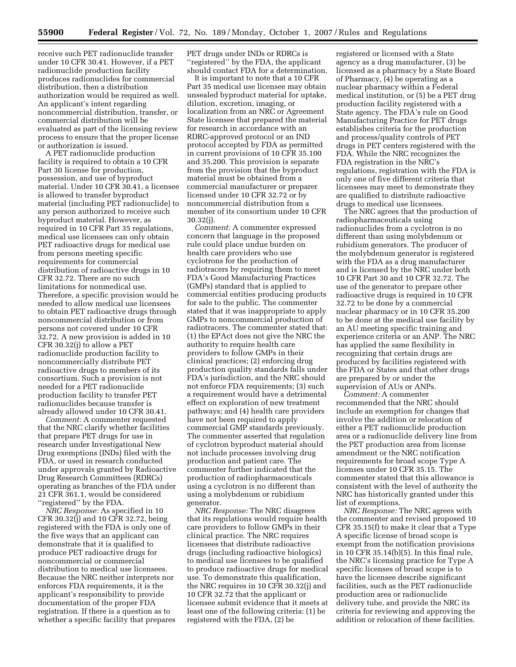receive such PET radionuclide transfer under 10 CFR 30.41. However, if a PET radionuclide production facility produces radionuclides for commercial distribution, then a distribution authorization would be required as well. An applicant's intent regarding noncommercial distribution, transfer, or commercial distribution will be evaluated as part of the licensing review process to ensure that the proper license or authorization is issued.

A PET radionuclide production facility is required to obtain a 10 CFR Part 30 license for production, possession, and use of byproduct material. Under 10 CFR 30.41, a licensee is allowed to transfer byproduct material (including PET radionuclide) to any person authorized to receive such byproduct material. However, as required in 10 CFR Part 35 regulations, medical use licensees can only obtain PET radioactive drugs for medical use from persons meeting specific requirements for commercial distribution of radioactive drugs in 10 CFR 32.72. There are no such limitations for nonmedical use. Therefore, a specific provision would be needed to allow medical use licensees to obtain PET radioactive drugs through noncommercial distribution or from persons not covered under 10 CFR 32.72. A new provision is added in 10 CFR 30.32(j) to allow a PET radionuclide production facility to noncommercially distribute PET radioactive drugs to members of its consortium. Such a provision is not needed for a PET radionuclide production facility to transfer PET radionuclides because transfer is already allowed under 10 CFR 30.41.

*Comment:* A commenter requested that the NRC clarify whether facilities that prepare PET drugs for use in research under Investigational New Drug exemptions (INDs) filed with the FDA, or used in research conducted under approvals granted by Radioactive Drug Research Committees (RDRCs) operating as branches of the FDA under 21 CFR 361.1, would be considered ''registered'' by the FDA.

*NRC Response:* As specified in 10 CFR 30.32(j) and 10 CFR 32.72, being registered with the FDA is only one of the five ways that an applicant can demonstrate that it is qualified to produce PET radioactive drugs for noncommercial or commercial distribution to medical use licensees. Because the NRC neither interprets nor enforces FDA requirements, it is the applicant's responsibility to provide documentation of the proper FDA registration. If there is a question as to whether a specific facility that prepares PET drugs under INDs or RDRCs is ''registered'' by the FDA, the applicant should contact FDA for a determination.

It is important to note that a 10 CFR Part 35 medical use licensee may obtain unsealed byproduct material for uptake, dilution, excretion, imaging, or localization from an NRC or Agreement State licensee that prepared the material for research in accordance with an RDRC-approved protocol or an IND protocol accepted by FDA as permitted in current provisions of 10 CFR 35.100 and 35.200. This provision is separate from the provision that the byproduct material must be obtained from a commercial manufacturer or preparer licensed under 10 CFR 32.72 or by noncommercial distribution from a member of its consortium under 10 CFR 30.32(j).

*Comment:* A commenter expressed concern that language in the proposed rule could place undue burden on health care providers who use cyclotrons for the production of radiotracers by requiring them to meet FDA's Good Manufacturing Practices (GMPs) standard that is applied to commercial entities producing products for sale to the public. The commenter stated that it was inappropriate to apply GMPs to noncommercial production of radiotracers. The commenter stated that: (1) the EPAct does not give the NRC the authority to require health care providers to follow GMPs in their clinical practices; (2) enforcing drug production quality standards falls under FDA's jurisdiction, and the NRC should not enforce FDA requirements; (3) such a requirement would have a detrimental effect on exploration of new treatment pathways; and (4) health care providers have not been required to apply commercial GMP standards previously. The commenter asserted that regulation of cyclotron byproduct material should not include processes involving drug production and patient care. The commenter further indicated that the production of radiopharmaceuticals using a cyclotron is no different than using a molybdenum or rubidium generator.

*NRC Response:* The NRC disagrees that its regulations would require health care providers to follow GMPs in their clinical practice. The NRC requires licensees that distribute radioactive drugs (including radioactive biologics) to medical use licensees to be qualified to produce radioactive drugs for medical use. To demonstrate this qualification, the NRC requires in 10 CFR 30.32(j) and 10 CFR 32.72 that the applicant or licensee submit evidence that it meets at least one of the following criteria: (1) be registered with the FDA, (2) be

registered or licensed with a State agency as a drug manufacturer, (3) be licensed as a pharmacy by a State Board of Pharmacy, (4) be operating as a nuclear pharmacy within a Federal medical institution, or (5) be a PET drug production facility registered with a State agency. The FDA's rule on Good Manufacturing Practice for PET drugs establishes criteria for the production and process/quality controls of PET drugs in PET centers registered with the FDA. While the NRC recognizes the FDA registration in the NRC's regulations, registration with the FDA is only one of five different criteria that licensees may meet to demonstrate they are qualified to distribute radioactive drugs to medical use licensees.

The NRC agrees that the production of radiopharmaceuticals using radionuclides from a cyclotron is no different than using molybdenum or rubidium generators. The producer of the molybdenum generator is registered with the FDA as a drug manufacturer and is licensed by the NRC under both 10 CFR Part 30 and 10 CFR 32.72. The use of the generator to prepare other radioactive drugs is required in 10 CFR 32.72 to be done by a commercial nuclear pharmacy or in 10 CFR 35.200 to be done at the medical use facility by an AU meeting specific training and experience criteria or an ANP. The NRC has applied the same flexibility in recognizing that certain drugs are produced by facilities registered with the FDA or States and that other drugs are prepared by or under the supervision of AUs or ANPs.

*Comment:* A commenter recommended that the NRC should include an exemption for changes that involve the addition or relocation of either a PET radionuclide production area or a radionuclide delivery line from the PET production area from license amendment or the NRC notification requirements for broad scope Type A licenses under 10 CFR 35.15. The commenter stated that this allowance is consistent with the level of authority the NRC has historically granted under this list of exemptions.

*NRC Response:* The NRC agrees with the commenter and revised proposed 10 CFR 35.15(f) to make it clear that a Type A specific license of broad scope is exempt from the notification provisions in 10 CFR 35.14(b)(5). In this final rule, the NRC's licensing practice for Type A specific licenses of broad scope is to have the licensee describe significant facilities, such as the PET radionuclide production area or radionuclide delivery tube, and provide the NRC its criteria for reviewing and approving the addition or relocation of these facilities.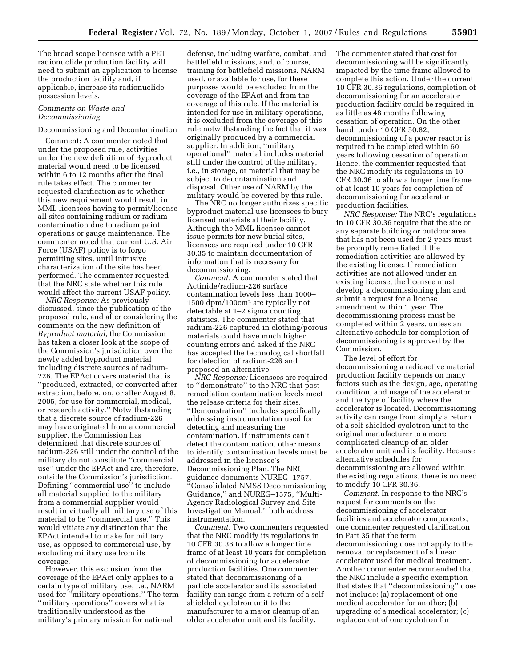The broad scope licensee with a PET radionuclide production facility will need to submit an application to license the production facility and, if applicable, increase its radionuclide possession levels.

# *Comments on Waste and Decommissioning*

## Decommissioning and Decontamination

Comment: A commenter noted that under the proposed rule, activities under the new definition of Byproduct material would need to be licensed within 6 to 12 months after the final rule takes effect. The commenter requested clarification as to whether this new requirement would result in MML licensees having to permit/license all sites containing radium or radium contamination due to radium paint operations or gauge maintenance. The commenter noted that current U.S. Air Force (USAF) policy is to forgo permitting sites, until intrusive characterization of the site has been performed. The commenter requested that the NRC state whether this rule would affect the current USAF policy.

*NRC Response:* As previously discussed, since the publication of the proposed rule, and after considering the comments on the new definition of *Byproduct material,* the Commission has taken a closer look at the scope of the Commission's jurisdiction over the newly added byproduct material including discrete sources of radium-226. The EPAct covers material that is ''produced, extracted, or converted after extraction, before, on, or after August 8, 2005, for use for commercial, medical, or research activity.'' Notwithstanding that a discrete source of radium-226 may have originated from a commercial supplier, the Commission has determined that discrete sources of radium-226 still under the control of the military do not constitute ''commercial use'' under the EPAct and are, therefore, outside the Commission's jurisdiction. Defining ''commercial use'' to include all material supplied to the military from a commercial supplier would result in virtually all military use of this material to be ''commercial use.'' This would vitiate any distinction that the EPAct intended to make for military use, as opposed to commercial use, by excluding military use from its coverage.

However, this exclusion from the coverage of the EPAct only applies to a certain type of military use, i.e., NARM used for ''military operations.'' The term ''military operations'' covers what is traditionally understood as the military's primary mission for national

defense, including warfare, combat, and battlefield missions, and, of course, training for battlefield missions. NARM used, or available for use, for these purposes would be excluded from the coverage of the EPAct and from the coverage of this rule. If the material is intended for use in military operations, it is excluded from the coverage of this rule notwithstanding the fact that it was originally produced by a commercial supplier. In addition, ''military operational'' material includes material still under the control of the military, i.e., in storage, or material that may be subject to decontamination and disposal. Other use of NARM by the military would be covered by this rule.

The NRC no longer authorizes specific byproduct material use licensees to bury licensed materials at their facility. Although the MML licensee cannot issue permits for new burial sites, licensees are required under 10 CFR 30.35 to maintain documentation of information that is necessary for decommissioning.

*Comment:* A commenter stated that Actinide/radium-226 surface contamination levels less than 1000– 1500 dpm/100cm2 are typically not detectable at 1–2 sigma counting statistics. The commenter stated that radium-226 captured in clothing/porous materials could have much higher counting errors and asked if the NRC has accepted the technological shortfall for detection of radium-226 and proposed an alternative.

*NRC Response:* Licensees are required to ''demonstrate'' to the NRC that post remediation contamination levels meet the release criteria for their sites. ''Demonstration'' includes specifically addressing instrumentation used for detecting and measuring the contamination. If instruments can't detect the contamination, other means to identify contamination levels must be addressed in the licensee's Decommissioning Plan. The NRC guidance documents NUREG–1757, ''Consolidated NMSS Decommissioning Guidance,'' and NUREG–1575, ''Multi-Agency Radiological Survey and Site Investigation Manual,'' both address instrumentation.

*Comment:* Two commenters requested that the NRC modify its regulations in 10 CFR 30.36 to allow a longer time frame of at least 10 years for completion of decommissioning for accelerator production facilities. One commenter stated that decommissioning of a particle accelerator and its associated facility can range from a return of a selfshielded cyclotron unit to the manufacturer to a major cleanup of an older accelerator unit and its facility.

The commenter stated that cost for decommissioning will be significantly impacted by the time frame allowed to complete this action. Under the current 10 CFR 30.36 regulations, completion of decommissioning for an accelerator production facility could be required in as little as 48 months following cessation of operation. On the other hand, under 10 CFR 50.82, decommissioning of a power reactor is required to be completed within 60 years following cessation of operation. Hence, the commenter requested that the NRC modify its regulations in 10 CFR 30.36 to allow a longer time frame of at least 10 years for completion of decommissioning for accelerator production facilities.

*NRC Response:* The NRC's regulations in 10 CFR 30.36 require that the site or any separate building or outdoor area that has not been used for 2 years must be promptly remediated if the remediation activities are allowed by the existing license. If remediation activities are not allowed under an existing license, the licensee must develop a decommissioning plan and submit a request for a license amendment within 1 year. The decommissioning process must be completed within 2 years, unless an alternative schedule for completion of decommissioning is approved by the Commission.

The level of effort for decommissioning a radioactive material production facility depends on many factors such as the design, age, operating condition, and usage of the accelerator and the type of facility where the accelerator is located. Decommissioning activity can range from simply a return of a self-shielded cyclotron unit to the original manufacturer to a more complicated cleanup of an older accelerator unit and its facility. Because alternative schedules for decommissioning are allowed within the existing regulations, there is no need to modify 10 CFR 30.36.

*Comment:* In response to the NRC's request for comments on the decommissioning of accelerator facilities and accelerator components, one commenter requested clarification in Part 35 that the term decommissioning does not apply to the removal or replacement of a linear accelerator used for medical treatment. Another commenter recommended that the NRC include a specific exemption that states that ''decommissioning'' does not include: (a) replacement of one medical accelerator for another; (b) upgrading of a medical accelerator; (c) replacement of one cyclotron for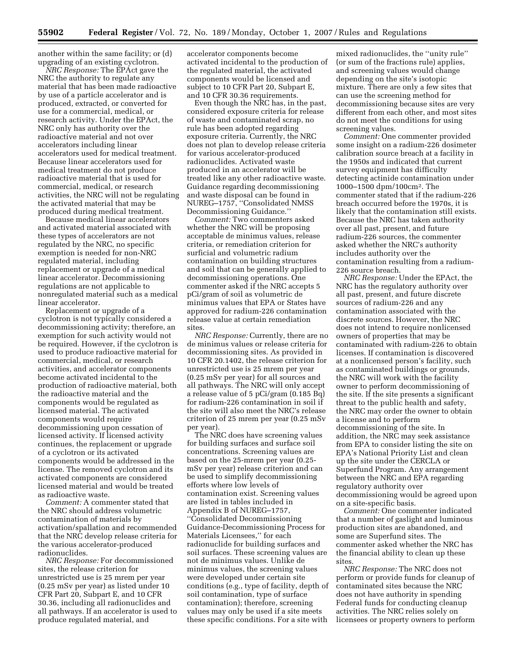another within the same facility; or (d) upgrading of an existing cyclotron.

*NRC Response:* The EPAct gave the NRC the authority to regulate any material that has been made radioactive by use of a particle accelerator and is produced, extracted, or converted for use for a commercial, medical, or research activity. Under the EPAct, the NRC only has authority over the radioactive material and not over accelerators including linear accelerators used for medical treatment. Because linear accelerators used for medical treatment do not produce radioactive material that is used for commercial, medical, or research activities, the NRC will not be regulating the activated material that may be produced during medical treatment.

Because medical linear accelerators and activated material associated with these types of accelerators are not regulated by the NRC, no specific exemption is needed for non-NRC regulated material, including replacement or upgrade of a medical linear accelerator. Decommissioning regulations are not applicable to nonregulated material such as a medical linear accelerator.

Replacement or upgrade of a cyclotron is not typically considered a decommissioning activity; therefore, an exemption for such activity would not be required. However, if the cyclotron is used to produce radioactive material for commercial, medical, or research activities, and accelerator components become activated incidental to the production of radioactive material, both the radioactive material and the components would be regulated as licensed material. The activated components would require decommissioning upon cessation of licensed activity. If licensed activity continues, the replacement or upgrade of a cyclotron or its activated components would be addressed in the license. The removed cyclotron and its activated components are considered licensed material and would be treated as radioactive waste.

*Comment:* A commenter stated that the NRC should address volumetric contamination of materials by activation/spallation and recommended that the NRC develop release criteria for the various accelerator-produced radionuclides.

*NRC Response:* For decommissioned sites, the release criterion for unrestricted use is 25 mrem per year (0.25 mSv per year) as listed under 10 CFR Part 20, Subpart E, and 10 CFR 30.36, including all radionuclides and all pathways. If an accelerator is used to produce regulated material, and

accelerator components become activated incidental to the production of the regulated material, the activated components would be licensed and subject to 10 CFR Part 20, Subpart E, and 10 CFR 30.36 requirements.

Even though the NRC has, in the past, considered exposure criteria for release of waste and contaminated scrap, no rule has been adopted regarding exposure criteria. Currently, the NRC does not plan to develop release criteria for various accelerator-produced radionuclides. Activated waste produced in an accelerator will be treated like any other radioactive waste. Guidance regarding decommissioning and waste disposal can be found in NUREG–1757, ''Consolidated NMSS Decommissioning Guidance.''

*Comment:* Two commenters asked whether the NRC will be proposing acceptable de minimus values, release criteria, or remediation criterion for surficial and volumetric radium contamination on building structures and soil that can be generally applied to decommissioning operations. One commenter asked if the NRC accepts 5 pCi/gram of soil as volumetric de minimus values that EPA or States have approved for radium-226 contamination release value at certain remediation sites

*NRC Response:* Currently, there are no de minimus values or release criteria for decommissioning sites. As provided in 10 CFR 20.1402, the release criterion for unrestricted use is 25 mrem per year (0.25 mSv per year) for all sources and all pathways. The NRC will only accept a release value of 5 pCi/gram (0.185 Bq) for radium-226 contamination in soil if the site will also meet the NRC's release criterion of 25 mrem per year (0.25 mSv per year).

The NRC does have screening values for building surfaces and surface soil concentrations. Screening values are based on the 25-mrem per year (0.25 mSv per year) release criterion and can be used to simplify decommissioning efforts where low levels of contamination exist. Screening values are listed in tables included in Appendix B of NUREG–1757, ''Consolidated Decommissioning Guidance-Decommissioning Process for Materials Licensees,'' for each radionuclide for building surfaces and soil surfaces. These screening values are not de minimus values. Unlike de minimus values, the screening values were developed under certain site conditions (e.g., type of facility, depth of soil contamination, type of surface contamination); therefore, screening values may only be used if a site meets these specific conditions. For a site with

mixed radionuclides, the ''unity rule'' (or sum of the fractions rule) applies, and screening values would change depending on the site's isotopic mixture. There are only a few sites that can use the screening method for decommissioning because sites are very different from each other, and most sites do not meet the conditions for using screening values.

*Comment:* One commenter provided some insight on a radium-226 dosimeter calibration source breach at a facility in the 1950s and indicated that current survey equipment has difficulty detecting actinide contamination under 1000–1500 dpm/100cm2. The commenter stated that if the radium-226 breach occurred before the 1970s, it is likely that the contamination still exists. Because the NRC has taken authority over all past, present, and future radium-226 sources, the commenter asked whether the NRC's authority includes authority over the contamination resulting from a radium-226 source breach.

*NRC Response:* Under the EPAct, the NRC has the regulatory authority over all past, present, and future discrete sources of radium-226 and any contamination associated with the discrete sources. However, the NRC does not intend to require nonlicensed owners of properties that may be contaminated with radium-226 to obtain licenses. If contamination is discovered at a nonlicensed person's facility, such as contaminated buildings or grounds, the NRC will work with the facility owner to perform decommissioning of the site. If the site presents a significant threat to the public health and safety, the NRC may order the owner to obtain a license and to perform decommissioning of the site. In addition, the NRC may seek assistance from EPA to consider listing the site on EPA's National Priority List and clean up the site under the CERCLA or Superfund Program. Any arrangement between the NRC and EPA regarding regulatory authority over decommissioning would be agreed upon on a site-specific basis.

*Comment:* One commenter indicated that a number of gaslight and luminous production sites are abandoned, and some are Superfund sites. The commenter asked whether the NRC has the financial ability to clean up these sites.

*NRC Response:* The NRC does not perform or provide funds for cleanup of contaminated sites because the NRC does not have authority in spending Federal funds for conducting cleanup activities. The NRC relies solely on licensees or property owners to perform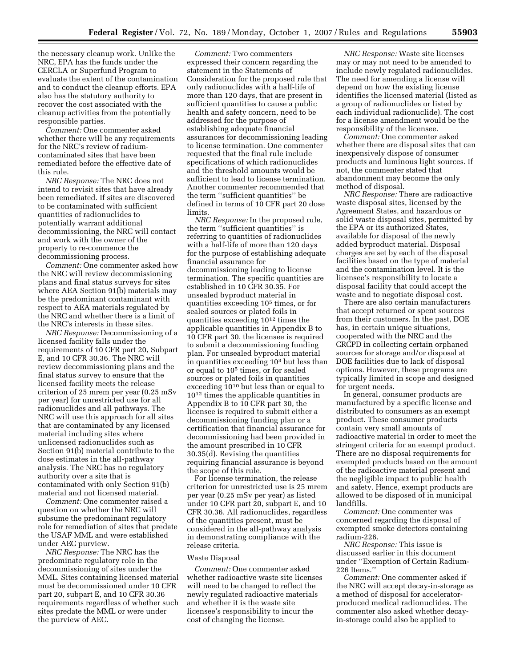the necessary cleanup work. Unlike the NRC, EPA has the funds under the CERCLA or Superfund Program to evaluate the extent of the contamination and to conduct the cleanup efforts. EPA also has the statutory authority to recover the cost associated with the cleanup activities from the potentially responsible parties.

*Comment:* One commenter asked whether there will be any requirements for the NRC's review of radiumcontaminated sites that have been remediated before the effective date of this rule.

*NRC Response:* The NRC does not intend to revisit sites that have already been remediated. If sites are discovered to be contaminated with sufficient quantities of radionuclides to potentially warrant additional decommissioning, the NRC will contact and work with the owner of the property to re-commence the decommissioning process.

*Comment:* One commenter asked how the NRC will review decommissioning plans and final status surveys for sites where AEA Section 91(b) materials may be the predominant contaminant with respect to AEA materials regulated by the NRC and whether there is a limit of the NRC's interests in these sites.

*NRC Response:* Decommissioning of a licensed facility falls under the requirements of 10 CFR part 20, Subpart E, and 10 CFR 30.36. The NRC will review decommissioning plans and the final status survey to ensure that the licensed facility meets the release criterion of 25 mrem per year (0.25 mSv per year) for unrestricted use for all radionuclides and all pathways. The NRC will use this approach for all sites that are contaminated by any licensed material including sites where unlicensed radionuclides such as Section 91(b) material contribute to the dose estimates in the all-pathway analysis. The NRC has no regulatory authority over a site that is contaminated with only Section 91(b) material and not licensed material.

*Comment:* One commenter raised a question on whether the NRC will subsume the predominant regulatory role for remediation of sites that predate the USAF MML and were established under AEC purview.

*NRC Response:* The NRC has the predominate regulatory role in the decommissioning of sites under the MML. Sites containing licensed material must be decommissioned under 10 CFR part 20, subpart E, and 10 CFR 30.36 requirements regardless of whether such sites predate the MML or were under the purview of AEC.

*Comment:* Two commenters expressed their concern regarding the statement in the Statements of Consideration for the proposed rule that only radionuclides with a half-life of more than 120 days, that are present in sufficient quantities to cause a public health and safety concern, need to be addressed for the purpose of establishing adequate financial assurances for decommissioning leading to license termination. One commenter requested that the final rule include specifications of which radionuclides and the threshold amounts would be sufficient to lead to license termination. Another commenter recommended that the term ''sufficient quantities'' be defined in terms of 10 CFR part 20 dose limits.

*NRC Response:* In the proposed rule, the term ''sufficient quantities'' is referring to quantities of radionuclides with a half-life of more than 120 days for the purpose of establishing adequate financial assurance for decommissioning leading to license termination. The specific quantities are established in 10 CFR 30.35. For unsealed byproduct material in quantities exceeding 105 times, or for sealed sources or plated foils in quantities exceeding 1012 times the applicable quantities in Appendix B to 10 CFR part 30, the licensee is required to submit a decommissioning funding plan. For unsealed byproduct material in quantities exceeding 103 but less than or equal to 105 times, or for sealed sources or plated foils in quantities exceeding 1010 but less than or equal to 1012 times the applicable quantities in Appendix B to 10 CFR part 30, the licensee is required to submit either a decommissioning funding plan or a certification that financial assurance for decommissioning had been provided in the amount prescribed in 10 CFR 30.35(d). Revising the quantities requiring financial assurance is beyond the scope of this rule.

For license termination, the release criterion for unrestricted use is 25 mrem per year (0.25 mSv per year) as listed under 10 CFR part 20, subpart E, and 10 CFR 30.36. All radionuclides, regardless of the quantities present, must be considered in the all-pathway analysis in demonstrating compliance with the release criteria.

#### Waste Disposal

*Comment:* One commenter asked whether radioactive waste site licenses will need to be changed to reflect the newly regulated radioactive materials and whether it is the waste site licensee's responsibility to incur the cost of changing the license.

*NRC Response:* Waste site licenses may or may not need to be amended to include newly regulated radionuclides. The need for amending a license will depend on how the existing license identifies the licensed material (listed as a group of radionuclides or listed by each individual radionuclide). The cost for a license amendment would be the responsibility of the licensee.

*Comment:* One commenter asked whether there are disposal sites that can inexpensively dispose of consumer products and luminous light sources. If not, the commenter stated that abandonment may become the only method of disposal.

*NRC Response:* There are radioactive waste disposal sites, licensed by the Agreement States, and hazardous or solid waste disposal sites, permitted by the EPA or its authorized States, available for disposal of the newly added byproduct material. Disposal charges are set by each of the disposal facilities based on the type of material and the contamination level. It is the licensee's responsibility to locate a disposal facility that could accept the waste and to negotiate disposal cost.

There are also certain manufacturers that accept returned or spent sources from their customers. In the past, DOE has, in certain unique situations, cooperated with the NRC and the CRCPD in collecting certain orphaned sources for storage and/or disposal at DOE facilities due to lack of disposal options. However, these programs are typically limited in scope and designed for urgent needs.

In general, consumer products are manufactured by a specific license and distributed to consumers as an exempt product. These consumer products contain very small amounts of radioactive material in order to meet the stringent criteria for an exempt product. There are no disposal requirements for exempted products based on the amount of the radioactive material present and the negligible impact to public health and safety. Hence, exempt products are allowed to be disposed of in municipal landfills.

*Comment:* One commenter was concerned regarding the disposal of exempted smoke detectors containing radium-226.

*NRC Response:* This issue is discussed earlier in this document under ''Exemption of Certain Radium-226 Items.''

*Comment:* One commenter asked if the NRC will accept decay-in-storage as a method of disposal for acceleratorproduced medical radionuclides. The commenter also asked whether decayin-storage could also be applied to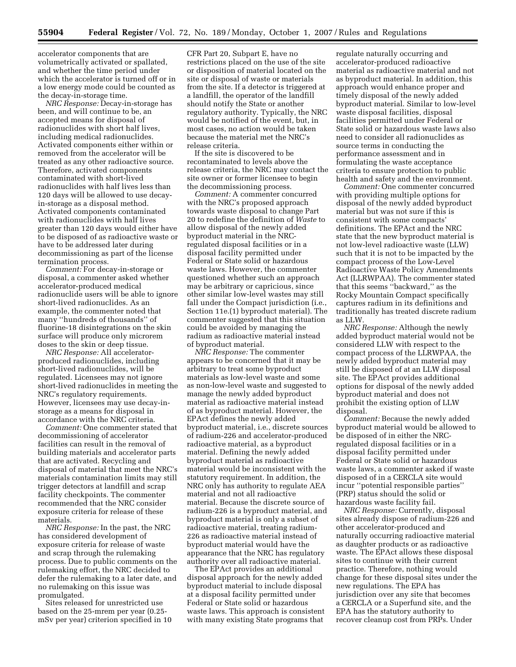accelerator components that are volumetrically activated or spallated, and whether the time period under which the accelerator is turned off or in a low energy mode could be counted as the decay-in-storage time.

*NRC Response:* Decay-in-storage has been, and will continue to be, an accepted means for disposal of radionuclides with short half lives, including medical radionuclides. Activated components either within or removed from the accelerator will be treated as any other radioactive source. Therefore, activated components contaminated with short-lived radionuclides with half lives less than 120 days will be allowed to use decayin-storage as a disposal method. Activated components contaminated with radionuclides with half lives greater than 120 days would either have to be disposed of as radioactive waste or have to be addressed later during decommissioning as part of the license termination process.

*Comment:* For decay-in-storage or disposal, a commenter asked whether accelerator-produced medical radionuclide users will be able to ignore short-lived radionuclides. As an example, the commenter noted that many ''hundreds of thousands'' of fluorine-18 disintegrations on the skin surface will produce only microrem doses to the skin or deep tissue.

*NRC Response:* All acceleratorproduced radionuclides, including short-lived radionuclides, will be regulated. Licensees may not ignore short-lived radionuclides in meeting the NRC's regulatory requirements. However, licensees may use decay-instorage as a means for disposal in accordance with the NRC criteria.

*Comment:* One commenter stated that decommissioning of accelerator facilities can result in the removal of building materials and accelerator parts that are activated. Recycling and disposal of material that meet the NRC's materials contamination limits may still trigger detectors at landfill and scrap facility checkpoints. The commenter recommended that the NRC consider exposure criteria for release of these materials.

*NRC Response:* In the past, the NRC has considered development of exposure criteria for release of waste and scrap through the rulemaking process. Due to public comments on the rulemaking effort, the NRC decided to defer the rulemaking to a later date, and no rulemaking on this issue was promulgated.

Sites released for unrestricted use based on the 25-mrem per year (0.25 mSv per year) criterion specified in 10 CFR Part 20, Subpart E, have no restrictions placed on the use of the site or disposition of material located on the site or disposal of waste or materials from the site. If a detector is triggered at a landfill, the operator of the landfill should notify the State or another regulatory authority. Typically, the NRC would be notified of the event, but, in most cases, no action would be taken because the material met the NRC's release criteria.

If the site is discovered to be recontaminated to levels above the release criteria, the NRC may contact the site owner or former licensee to begin the decommissioning process.

*Comment:* A commenter concurred with the NRC's proposed approach towards waste disposal to change Part 20 to redefine the definition of *Waste* to allow disposal of the newly added byproduct material in the NRCregulated disposal facilities or in a disposal facility permitted under Federal or State solid or hazardous waste laws. However, the commenter questioned whether such an approach may be arbitrary or capricious, since other similar low-level wastes may still fall under the Compact jurisdiction (i.e., Section 11e.(1) byproduct material). The commenter suggested that this situation could be avoided by managing the radium as radioactive material instead of byproduct material.

*NRC Response:* The commenter appears to be concerned that it may be arbitrary to treat some byproduct materials as low-level waste and some as non-low-level waste and suggested to manage the newly added byproduct material as radioactive material instead of as byproduct material. However, the EPAct defines the newly added byproduct material, i.e., discrete sources of radium-226 and accelerator-produced radioactive material, as a byproduct material. Defining the newly added byproduct material as radioactive material would be inconsistent with the statutory requirement. In addition, the NRC only has authority to regulate AEA material and not all radioactive material. Because the discrete source of radium-226 is a byproduct material, and byproduct material is only a subset of radioactive material, treating radium-226 as radioactive material instead of byproduct material would have the appearance that the NRC has regulatory authority over all radioactive material.

The EPAct provides an additional disposal approach for the newly added byproduct material to include disposal at a disposal facility permitted under Federal or State solid or hazardous waste laws. This approach is consistent with many existing State programs that

regulate naturally occurring and accelerator-produced radioactive material as radioactive material and not as byproduct material. In addition, this approach would enhance proper and timely disposal of the newly added byproduct material. Similar to low-level waste disposal facilities, disposal facilities permitted under Federal or State solid or hazardous waste laws also need to consider all radionuclides as source terms in conducting the performance assessment and in formulating the waste acceptance criteria to ensure protection to public health and safety and the environment.

*Comment:* One commenter concurred with providing multiple options for disposal of the newly added byproduct material but was not sure if this is consistent with some compacts' definitions. The EPAct and the NRC state that the new byproduct material is not low-level radioactive waste (LLW) such that it is not to be impacted by the compact process of the Low-Level Radioactive Waste Policy Amendments Act (LLRWPAA). The commenter stated that this seems ''backward,'' as the Rocky Mountain Compact specifically captures radium in its definitions and traditionally has treated discrete radium as LLW.

*NRC Response:* Although the newly added byproduct material would not be considered LLW with respect to the compact process of the LLRWPAA, the newly added byproduct material may still be disposed of at an LLW disposal site. The EPAct provides additional options for disposal of the newly added byproduct material and does not prohibit the existing option of LLW disposal.

*Comment:* Because the newly added byproduct material would be allowed to be disposed of in either the NRCregulated disposal facilities or in a disposal facility permitted under Federal or State solid or hazardous waste laws, a commenter asked if waste disposed of in a CERCLA site would incur ''potential responsible parties'' (PRP) status should the solid or hazardous waste facility fail.

*NRC Response:* Currently, disposal sites already dispose of radium-226 and other accelerator-produced and naturally occurring radioactive material as daughter products or as radioactive waste. The EPAct allows these disposal sites to continue with their current practice. Therefore, nothing would change for these disposal sites under the new regulations. The EPA has jurisdiction over any site that becomes a CERCLA or a Superfund site, and the EPA has the statutory authority to recover cleanup cost from PRPs. Under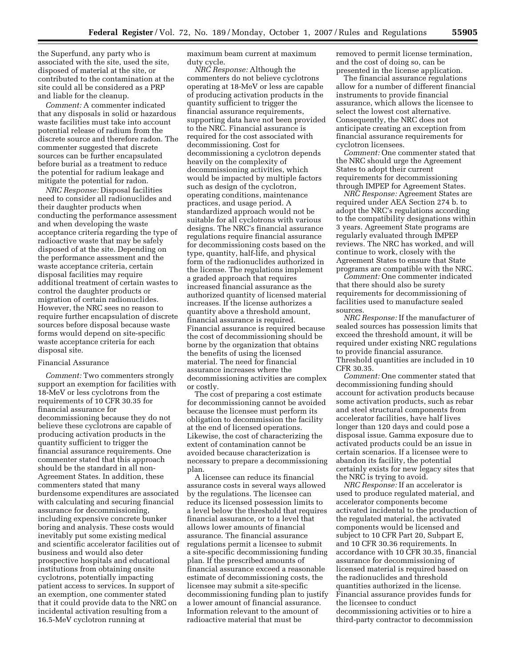the Superfund, any party who is associated with the site, used the site, disposed of material at the site, or contributed to the contamination at the site could all be considered as a PRP and liable for the cleanup.

*Comment:* A commenter indicated that any disposals in solid or hazardous waste facilities must take into account potential release of radium from the discrete source and therefore radon. The commenter suggested that discrete sources can be further encapsulated before burial as a treatment to reduce the potential for radium leakage and mitigate the potential for radon.

*NRC Response:* Disposal facilities need to consider all radionuclides and their daughter products when conducting the performance assessment and when developing the waste acceptance criteria regarding the type of radioactive waste that may be safely disposed of at the site. Depending on the performance assessment and the waste acceptance criteria, certain disposal facilities may require additional treatment of certain wastes to control the daughter products or migration of certain radionuclides. However, the NRC sees no reason to require further encapsulation of discrete sources before disposal because waste forms would depend on site-specific waste acceptance criteria for each disposal site.

## Financial Assurance

*Comment:* Two commenters strongly support an exemption for facilities with 18-MeV or less cyclotrons from the requirements of 10 CFR 30.35 for financial assurance for decommissioning because they do not believe these cyclotrons are capable of producing activation products in the quantity sufficient to trigger the financial assurance requirements. One commenter stated that this approach should be the standard in all non-Agreement States. In addition, these commenters stated that many burdensome expenditures are associated with calculating and securing financial assurance for decommissioning, including expensive concrete bunker boring and analysis. These costs would inevitably put some existing medical and scientific accelerator facilities out of business and would also deter prospective hospitals and educational institutions from obtaining onsite cyclotrons, potentially impacting patient access to services. In support of an exemption, one commenter stated that it could provide data to the NRC on incidental activation resulting from a 16.5-MeV cyclotron running at

maximum beam current at maximum duty cycle.

*NRC Response:* Although the commenters do not believe cyclotrons operating at 18-MeV or less are capable of producing activation products in the quantity sufficient to trigger the financial assurance requirements, supporting data have not been provided to the NRC. Financial assurance is required for the cost associated with decommissioning. Cost for decommissioning a cyclotron depends heavily on the complexity of decommissioning activities, which would be impacted by multiple factors such as design of the cyclotron, operating conditions, maintenance practices, and usage period. A standardized approach would not be suitable for all cyclotrons with various designs. The NRC's financial assurance regulations require financial assurance for decommissioning costs based on the type, quantity, half-life, and physical form of the radionuclides authorized in the license. The regulations implement a graded approach that requires increased financial assurance as the authorized quantity of licensed material increases. If the license authorizes a quantity above a threshold amount, financial assurance is required. Financial assurance is required because the cost of decommissioning should be borne by the organization that obtains the benefits of using the licensed material. The need for financial assurance increases where the decommissioning activities are complex or costly.

The cost of preparing a cost estimate for decommissioning cannot be avoided because the licensee must perform its obligation to decommission the facility at the end of licensed operations. Likewise, the cost of characterizing the extent of contamination cannot be avoided because characterization is necessary to prepare a decommissioning plan.

A licensee can reduce its financial assurance costs in several ways allowed by the regulations. The licensee can reduce its licensed possession limits to a level below the threshold that requires financial assurance, or to a level that allows lower amounts of financial assurance. The financial assurance regulations permit a licensee to submit a site-specific decommissioning funding plan. If the prescribed amounts of financial assurance exceed a reasonable estimate of decommissioning costs, the licensee may submit a site-specific decommissioning funding plan to justify a lower amount of financial assurance. Information relevant to the amount of radioactive material that must be

removed to permit license termination, and the cost of doing so, can be presented in the license application.

The financial assurance regulations allow for a number of different financial instruments to provide financial assurance, which allows the licensee to select the lowest cost alternative. Consequently, the NRC does not anticipate creating an exception from financial assurance requirements for cyclotron licensees.

*Comment:* One commenter stated that the NRC should urge the Agreement States to adopt their current requirements for decommissioning through IMPEP for Agreement States.

*NRC Response:* Agreement States are required under AEA Section 274 b. to adopt the NRC's regulations according to the compatibility designations within 3 years. Agreement State programs are regularly evaluated through IMPEP reviews. The NRC has worked, and will continue to work, closely with the Agreement States to ensure that State programs are compatible with the NRC.

*Comment:* One commenter indicated that there should also be surety requirements for decommissioning of facilities used to manufacture sealed sources.

*NRC Response:* If the manufacturer of sealed sources has possession limits that exceed the threshold amount, it will be required under existing NRC regulations to provide financial assurance. Threshold quantities are included in 10 CFR 30.35.

*Comment:* One commenter stated that decommissioning funding should account for activation products because some activation products, such as rebar and steel structural components from accelerator facilities, have half lives longer than 120 days and could pose a disposal issue. Gamma exposure due to activated products could be an issue in certain scenarios. If a licensee were to abandon its facility, the potential certainly exists for new legacy sites that the NRC is trying to avoid.

*NRC Response:* If an accelerator is used to produce regulated material, and accelerator components become activated incidental to the production of the regulated material, the activated components would be licensed and subject to 10 CFR Part 20, Subpart E, and 10 CFR 30.36 requirements. In accordance with 10 CFR 30.35, financial assurance for decommissioning of licensed material is required based on the radionuclides and threshold quantities authorized in the license. Financial assurance provides funds for the licensee to conduct decommissioning activities or to hire a third-party contractor to decommission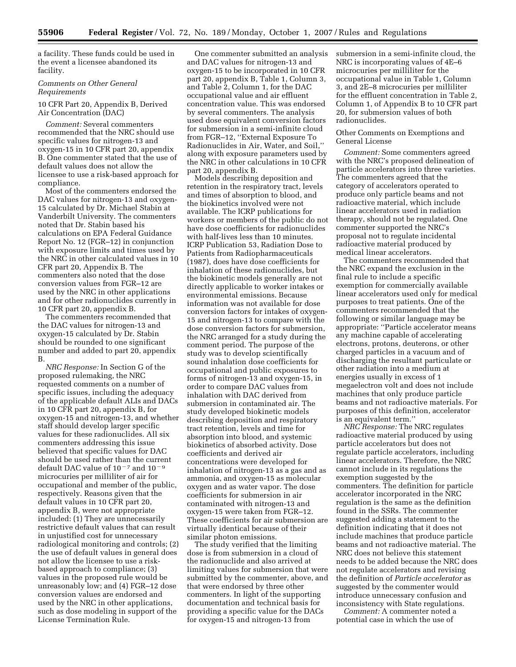a facility. These funds could be used in the event a licensee abandoned its facility.

### *Comments on Other General Requirements*

# 10 CFR Part 20, Appendix B, Derived Air Concentration (DAC)

*Comment:* Several commenters recommended that the NRC should use specific values for nitrogen-13 and oxygen-15 in 10 CFR part 20, appendix B. One commenter stated that the use of default values does not allow the licensee to use a risk-based approach for compliance.

Most of the commenters endorsed the DAC values for nitrogen-13 and oxygen-15 calculated by Dr. Michael Stabin at Vanderbilt University. The commenters noted that Dr. Stabin based his calculations on EPA Federal Guidance Report No. 12 (FGR–12) in conjunction with exposure limits and times used by the NRC in other calculated values in 10 CFR part 20, Appendix B. The commenters also noted that the dose conversion values from FGR–12 are used by the NRC in other applications and for other radionuclides currently in 10 CFR part 20, appendix B.

The commenters recommended that the DAC values for nitrogen-13 and oxygen-15 calculated by Dr. Stabin should be rounded to one significant number and added to part 20, appendix B.

*NRC Response:* In Section G of the proposed rulemaking, the NRC requested comments on a number of specific issues, including the adequacy of the applicable default ALIs and DACs in 10 CFR part 20, appendix B, for oxygen-15 and nitrogen-13, and whether staff should develop larger specific values for these radionuclides. All six commenters addressing this issue believed that specific values for DAC should be used rather than the current default DAC value of  $10^{-7}$  and  $10^{-9}$ microcuries per milliliter of air for occupational and member of the public, respectively. Reasons given that the default values in 10 CFR part 20, appendix B, were not appropriate included: (1) They are unnecessarily restrictive default values that can result in unjustified cost for unnecessary radiological monitoring and controls; (2) the use of default values in general does not allow the licensee to use a riskbased approach to compliance; (3) values in the proposed rule would be unreasonably low; and (4) FGR–12 dose conversion values are endorsed and used by the NRC in other applications, such as dose modeling in support of the License Termination Rule.

One commenter submitted an analysis and DAC values for nitrogen-13 and oxygen-15 to be incorporated in 10 CFR part 20, appendix B, Table 1, Column 3, and Table 2, Column 1, for the DAC occupational value and air effluent concentration value. This was endorsed by several commenters. The analysis used dose equivalent conversion factors for submersion in a semi-infinite cloud from FGR–12, ''External Exposure To Radionuclides in Air, Water, and Soil,'' along with exposure parameters used by the NRC in other calculations in 10 CFR part 20, appendix B.

Models describing deposition and retention in the respiratory tract, levels and times of absorption to blood, and the biokinetics involved were not available. The ICRP publications for workers or members of the public do not have dose coefficients for radionuclides with half-lives less than 10 minutes. ICRP Publication 53, Radiation Dose to Patients from Radiopharmaceuticals (1987), does have dose coefficients for inhalation of these radionuclides, but the biokinetic models generally are not directly applicable to worker intakes or environmental emissions. Because information was not available for dose conversion factors for intakes of oxygen-15 and nitrogen-13 to compare with the dose conversion factors for submersion, the NRC arranged for a study during the comment period. The purpose of the study was to develop scientifically sound inhalation dose coefficients for occupational and public exposures to forms of nitrogen-13 and oxygen-15, in order to compare DAC values from inhalation with DAC derived from submersion in contaminated air. The study developed biokinetic models describing deposition and respiratory tract retention, levels and time for absorption into blood, and systemic biokinetics of absorbed activity. Dose coefficients and derived air concentrations were developed for inhalation of nitrogen-13 as a gas and as ammonia, and oxygen-15 as molecular oxygen and as water vapor. The dose coefficients for submersion in air contaminated with nitrogen-13 and oxygen-15 were taken from FGR–12. These coefficients for air submersion are virtually identical because of their similar photon emissions.

The study verified that the limiting dose is from submersion in a cloud of the radionuclide and also arrived at limiting values for submersion that were submitted by the commenter, above, and that were endorsed by three other commenters. In light of the supporting documentation and technical basis for providing a specific value for the DACs for oxygen-15 and nitrogen-13 from

submersion in a semi-infinite cloud, the NRC is incorporating values of 4E–6 microcuries per milliliter for the occupational value in Table 1, Column 3, and 2E–8 microcuries per milliliter for the effluent concentration in Table 2, Column 1, of Appendix B to 10 CFR part 20, for submersion values of both radionuclides.

## Other Comments on Exemptions and General License

*Comment:* Some commenters agreed with the NRC's proposed delineation of particle accelerators into three varieties. The commenters agreed that the category of accelerators operated to produce only particle beams and not radioactive material, which include linear accelerators used in radiation therapy, should not be regulated. One commenter supported the NRC's proposal not to regulate incidental radioactive material produced by medical linear accelerators.

The commenters recommended that the NRC expand the exclusion in the final rule to include a specific exemption for commercially available linear accelerators used only for medical purposes to treat patients. One of the commenters recommended that the following or similar language may be appropriate: ''Particle accelerator means any machine capable of accelerating electrons, protons, deuterons, or other charged particles in a vacuum and of discharging the resultant particulate or other radiation into a medium at energies usually in excess of 1 megaelectron volt and does not include machines that only produce particle beams and not radioactive materials. For purposes of this definition, accelerator is an equivalent term.''

*NRC Response:* The NRC regulates radioactive material produced by using particle accelerators but does not regulate particle accelerators, including linear accelerators. Therefore, the NRC cannot include in its regulations the exemption suggested by the commenters. The definition for particle accelerator incorporated in the NRC regulation is the same as the definition found in the SSRs. The commenter suggested adding a statement to the definition indicating that it does not include machines that produce particle beams and not radioactive material. The NRC does not believe this statement needs to be added because the NRC does not regulate accelerators and revising the definition of *Particle accelerator* as suggested by the commenter would introduce unnecessary confusion and inconsistency with State regulations.

*Comment:* A commenter noted a potential case in which the use of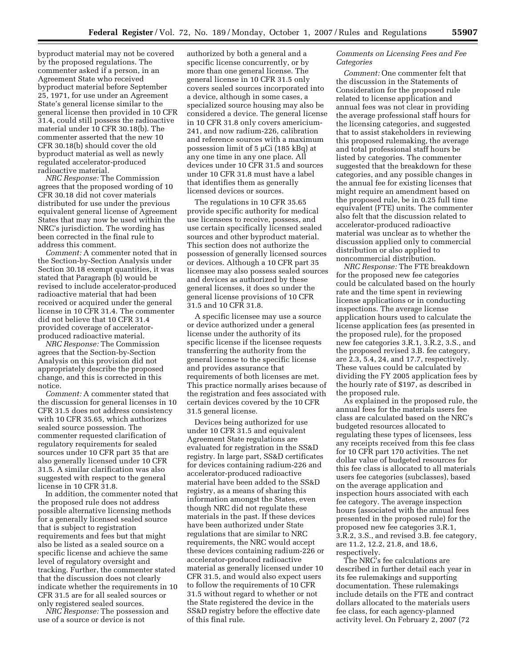byproduct material may not be covered by the proposed regulations. The commenter asked if a person, in an Agreement State who received byproduct material before September 25, 1971, for use under an Agreement State's general license similar to the general license then provided in 10 CFR 31.4, could still possess the radioactive material under 10 CFR 30.18(b). The commenter asserted that the new 10 CFR 30.18(b) should cover the old byproduct material as well as newly regulated accelerator-produced radioactive material.

*NRC Response:* The Commission agrees that the proposed wording of 10 CFR 30.18 did not cover materials distributed for use under the previous equivalent general license of Agreement States that may now be used within the NRC's jurisdiction. The wording has been corrected in the final rule to address this comment.

*Comment:* A commenter noted that in the Section-by-Section Analysis under Section 30.18 exempt quantities, it was stated that Paragraph (b) would be revised to include accelerator-produced radioactive material that had been received or acquired under the general license in 10 CFR 31.4. The commenter did not believe that 10 CFR 31.4 provided coverage of acceleratorproduced radioactive material.

*NRC Response:* The Commission agrees that the Section-by-Section Analysis on this provision did not appropriately describe the proposed change, and this is corrected in this notice.

*Comment:* A commenter stated that the discussion for general licenses in 10 CFR 31.5 does not address consistency with 10 CFR 35.65, which authorizes sealed source possession. The commenter requested clarification of regulatory requirements for sealed sources under 10 CFR part 35 that are also generally licensed under 10 CFR 31.5. A similar clarification was also suggested with respect to the general license in 10 CFR 31.8.

In addition, the commenter noted that the proposed rule does not address possible alternative licensing methods for a generally licensed sealed source that is subject to registration requirements and fees but that might also be listed as a sealed source on a specific license and achieve the same level of regulatory oversight and tracking. Further, the commenter stated that the discussion does not clearly indicate whether the requirements in 10 CFR 31.5 are for all sealed sources or only registered sealed sources.

*NRC Response:* The possession and use of a source or device is not

authorized by both a general and a specific license concurrently, or by more than one general license. The general license in 10 CFR 31.5 only covers sealed sources incorporated into a device, although in some cases, a specialized source housing may also be considered a device. The general license in 10 CFR 31.8 only covers americium-241, and now radium-226, calibration and reference sources with a maximum possession limit of 5 µCi (185 kBq) at any one time in any one place. All devices under 10 CFR 31.5 and sources under 10 CFR 31.8 must have a label that identifies them as generally licensed devices or sources.

The regulations in 10 CFR 35.65 provide specific authority for medical use licensees to receive, possess, and use certain specifically licensed sealed sources and other byproduct material. This section does not authorize the possession of generally licensed sources or devices. Although a 10 CFR part 35 licensee may also possess sealed sources and devices as authorized by these general licenses, it does so under the general license provisions of 10 CFR 31.5 and 10 CFR 31.8.

A specific licensee may use a source or device authorized under a general license under the authority of its specific license if the licensee requests transferring the authority from the general license to the specific license and provides assurance that requirements of both licenses are met. This practice normally arises because of the registration and fees associated with certain devices covered by the 10 CFR 31.5 general license.

Devices being authorized for use under 10 CFR 31.5 and equivalent Agreement State regulations are evaluated for registration in the SS&D registry. In large part, SS&D certificates for devices containing radium-226 and accelerator-produced radioactive material have been added to the SS&D registry, as a means of sharing this information amongst the States, even though NRC did not regulate these materials in the past. If these devices have been authorized under State regulations that are similar to NRC requirements, the NRC would accept these devices containing radium-226 or accelerator-produced radioactive material as generally licensed under 10 CFR 31.5, and would also expect users to follow the requirements of 10 CFR 31.5 without regard to whether or not the State registered the device in the SS&D registry before the effective date of this final rule.

### *Comments on Licensing Fees and Fee Categories*

*Comment:* One commenter felt that the discussion in the Statements of Consideration for the proposed rule related to license application and annual fees was not clear in providing the average professional staff hours for the licensing categories, and suggested that to assist stakeholders in reviewing this proposed rulemaking, the average and total professional staff hours be listed by categories. The commenter suggested that the breakdown for these categories, and any possible changes in the annual fee for existing licenses that might require an amendment based on the proposed rule, be in 0.25 full time equivalent (FTE) units. The commenter also felt that the discussion related to accelerator-produced radioactive material was unclear as to whether the discussion applied only to commercial distribution or also applied to noncommercial distribution.

*NRC Response:* The FTE breakdown for the proposed new fee categories could be calculated based on the hourly rate and the time spent in reviewing license applications or in conducting inspections. The average license application hours used to calculate the license application fees (as presented in the proposed rule), for the proposed new fee categories 3.R.1, 3.R.2, 3.S., and the proposed revised 3.B. fee category, are 2.3, 5.4, 24, and 17.7, respectively. These values could be calculated by dividing the FY 2005 application fees by the hourly rate of \$197, as described in the proposed rule.

As explained in the proposed rule, the annual fees for the materials users fee class are calculated based on the NRC's budgeted resources allocated to regulating these types of licensees, less any receipts received from this fee class for 10 CFR part 170 activities. The net dollar value of budgeted resources for this fee class is allocated to all materials users fee categories (subclasses), based on the average application and inspection hours associated with each fee category. The average inspection hours (associated with the annual fees presented in the proposed rule) for the proposed new fee categories 3.R.1, 3.R.2, 3.S., and revised 3.B. fee category, are 11.2, 12.2, 21.8, and 18.6, respectively.

The NRC's fee calculations are described in further detail each year in its fee rulemakings and supporting documentation. These rulemakings include details on the FTE and contract dollars allocated to the materials users fee class, for each agency-planned activity level. On February 2, 2007 (72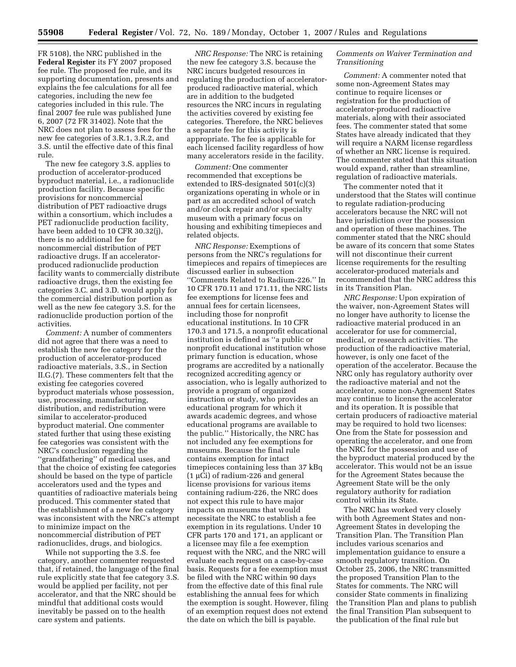FR 5108), the NRC published in the **Federal Register** its FY 2007 proposed fee rule. The proposed fee rule, and its supporting documentation, presents and explains the fee calculations for all fee categories, including the new fee categories included in this rule. The final 2007 fee rule was published June 6, 2007 (72 FR 31402). Note that the NRC does not plan to assess fees for the new fee categories of 3.R.1, 3.R.2, and 3.S. until the effective date of this final rule.

The new fee category 3.S. applies to production of accelerator-produced byproduct material, i.e., a radionuclide production facility. Because specific provisions for noncommercial distribution of PET radioactive drugs within a consortium, which includes a PET radionuclide production facility, have been added to 10 CFR 30.32(j), there is no additional fee for noncommercial distribution of PET radioactive drugs. If an acceleratorproduced radionuclide production facility wants to commercially distribute radioactive drugs, then the existing fee categories 3.C. and 3.D. would apply for the commercial distribution portion as well as the new fee category 3.S. for the radionuclide production portion of the activities.

*Comment:* A number of commenters did not agree that there was a need to establish the new fee category for the production of accelerator-produced radioactive materials, 3.S., in Section II.G.(7). These commenters felt that the existing fee categories covered byproduct materials whose possession, use, processing, manufacturing, distribution, and redistribution were similar to accelerator-produced byproduct material. One commenter stated further that using these existing fee categories was consistent with the NRC's conclusion regarding the ''grandfathering'' of medical uses, and that the choice of existing fee categories should be based on the type of particle accelerators used and the types and quantities of radioactive materials being produced. This commenter stated that the establishment of a new fee category was inconsistent with the NRC's attempt to minimize impact on the noncommercial distribution of PET radionuclides, drugs, and biologics.

While not supporting the 3.S. fee category, another commenter requested that, if retained, the language of the final rule explicitly state that fee category 3.S. would be applied per facility, not per accelerator, and that the NRC should be mindful that additional costs would inevitably be passed on to the health care system and patients.

*NRC Response:* The NRC is retaining the new fee category 3.S. because the NRC incurs budgeted resources in regulating the production of acceleratorproduced radioactive material, which are in addition to the budgeted resources the NRC incurs in regulating the activities covered by existing fee categories. Therefore, the NRC believes a separate fee for this activity is appropriate. The fee is applicable for each licensed facility regardless of how many accelerators reside in the facility.

*Comment:* One commenter recommended that exceptions be extended to IRS-designated 501(c)(3) organizations operating in whole or in part as an accredited school of watch and/or clock repair and/or specialty museum with a primary focus on housing and exhibiting timepieces and related objects.

*NRC Response:* Exemptions of persons from the NRC's regulations for timepieces and repairs of timepieces are discussed earlier in subsection ''Comments Related to Radium-226.'' In 10 CFR 170.11 and 171.11, the NRC lists fee exemptions for license fees and annual fees for certain licensees, including those for nonprofit educational institutions. In 10 CFR 170.3 and 171.5, a nonprofit educational institution is defined as ''a public or nonprofit educational institution whose primary function is education, whose programs are accredited by a nationally recognized accrediting agency or association, who is legally authorized to provide a program of organized instruction or study, who provides an educational program for which it awards academic degrees, and whose educational programs are available to the public.'' Historically, the NRC has not included any fee exemptions for museums. Because the final rule contains exemption for intact timepieces containing less than 37 kBq (1 µCi) of radium-226 and general license provisions for various items containing radium-226, the NRC does not expect this rule to have major impacts on museums that would necessitate the NRC to establish a fee exemption in its regulations. Under 10 CFR parts 170 and 171, an applicant or a licensee may file a fee exemption request with the NRC, and the NRC will evaluate each request on a case-by-case basis. Requests for a fee exemption must be filed with the NRC within 90 days from the effective date of this final rule establishing the annual fees for which the exemption is sought. However, filing of an exemption request does not extend the date on which the bill is payable.

## *Comments on Waiver Termination and Transitioning*

*Comment:* A commenter noted that some non-Agreement States may continue to require licenses or registration for the production of accelerator-produced radioactive materials, along with their associated fees. The commenter stated that some States have already indicated that they will require a NARM license regardless of whether an NRC license is required. The commenter stated that this situation would expand, rather than streamline, regulation of radioactive materials.

The commenter noted that it understood that the States will continue to regulate radiation-producing accelerators because the NRC will not have jurisdiction over the possession and operation of these machines. The commenter stated that the NRC should be aware of its concern that some States will not discontinue their current license requirements for the resulting accelerator-produced materials and recommended that the NRC address this in its Transition Plan.

*NRC Response:* Upon expiration of the waiver, non-Agreement States will no longer have authority to license the radioactive material produced in an accelerator for use for commercial, medical, or research activities. The production of the radioactive material, however, is only one facet of the operation of the accelerator. Because the NRC only has regulatory authority over the radioactive material and not the accelerator, some non-Agreement States may continue to license the accelerator and its operation. It is possible that certain producers of radioactive material may be required to hold two licenses: One from the State for possession and operating the accelerator, and one from the NRC for the possession and use of the byproduct material produced by the accelerator. This would not be an issue for the Agreement States because the Agreement State will be the only regulatory authority for radiation control within its State.

The NRC has worked very closely with both Agreement States and non-Agreement States in developing the Transition Plan. The Transition Plan includes various scenarios and implementation guidance to ensure a smooth regulatory transition. On October 25, 2006, the NRC transmitted the proposed Transition Plan to the States for comments. The NRC will consider State comments in finalizing the Transition Plan and plans to publish the final Transition Plan subsequent to the publication of the final rule but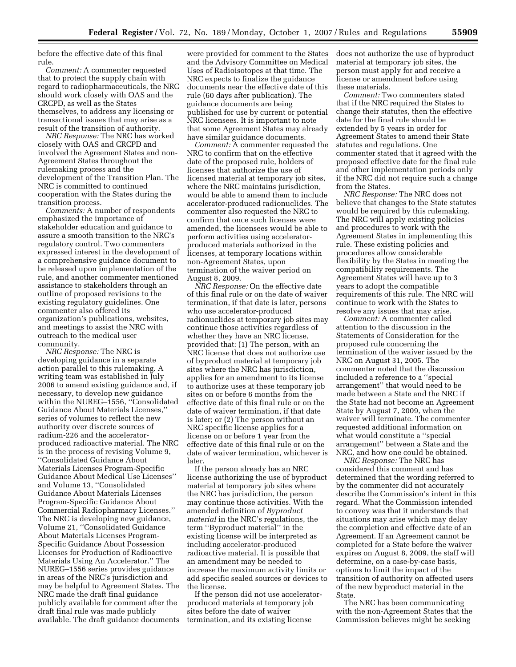before the effective date of this final rule.

*Comment:* A commenter requested that to protect the supply chain with regard to radiopharmaceuticals, the NRC should work closely with OAS and the CRCPD, as well as the States themselves, to address any licensing or transactional issues that may arise as a result of the transition of authority.

*NRC Response:* The NRC has worked closely with OAS and CRCPD and involved the Agreement States and non-Agreement States throughout the rulemaking process and the development of the Transition Plan. The NRC is committed to continued cooperation with the States during the transition process.

*Comments:* A number of respondents emphasized the importance of stakeholder education and guidance to assure a smooth transition to the NRC's regulatory control. Two commenters expressed interest in the development of a comprehensive guidance document to be released upon implementation of the rule, and another commenter mentioned assistance to stakeholders through an outline of proposed revisions to the existing regulatory guidelines. One commenter also offered its organization's publications, websites, and meetings to assist the NRC with outreach to the medical user community.

*NRC Response:* The NRC is developing guidance in a separate action parallel to this rulemaking. A writing team was established in July 2006 to amend existing guidance and, if necessary, to develop new guidance within the NUREG–1556, ''Consolidated Guidance About Materials Licenses,'' series of volumes to reflect the new authority over discrete sources of radium-226 and the acceleratorproduced radioactive material. The NRC is in the process of revising Volume 9, ''Consolidated Guidance About Materials Licenses Program-Specific Guidance About Medical Use Licenses'' and Volume 13, ''Consolidated Guidance About Materials Licenses Program-Specific Guidance About Commercial Radiopharmacy Licenses.'' The NRC is developing new guidance, Volume 21, ''Consolidated Guidance About Materials Licenses Program-Specific Guidance About Possession Licenses for Production of Radioactive Materials Using An Accelerator.'' The NUREG–1556 series provides guidance in areas of the NRC's jurisdiction and may be helpful to Agreement States. The NRC made the draft final guidance publicly available for comment after the draft final rule was made publicly available. The draft guidance documents were provided for comment to the States and the Advisory Committee on Medical Uses of Radioisotopes at that time. The NRC expects to finalize the guidance documents near the effective date of this rule (60 days after publication). The guidance documents are being published for use by current or potential NRC licensees. It is important to note that some Agreement States may already have similar guidance documents.

*Comment:* A commenter requested the NRC to confirm that on the effective date of the proposed rule, holders of licenses that authorize the use of licensed material at temporary job sites, where the NRC maintains jurisdiction, would be able to amend them to include accelerator-produced radionuclides. The commenter also requested the NRC to confirm that once such licenses were amended, the licensees would be able to perform activities using acceleratorproduced materials authorized in the licenses, at temporary locations within non-Agreement States, upon termination of the waiver period on August 8, 2009.

*NRC Response:* On the effective date of this final rule or on the date of waiver termination, if that date is later, persons who use accelerator-produced radionuclides at temporary job sites may continue those activities regardless of whether they have an NRC license, provided that: (1) The person, with an NRC license that does not authorize use of byproduct material at temporary job sites where the NRC has jurisdiction, applies for an amendment to its license to authorize uses at these temporary job sites on or before 6 months from the effective date of this final rule or on the date of waiver termination, if that date is later; or (2) The person without an NRC specific license applies for a license on or before 1 year from the effective date of this final rule or on the date of waiver termination, whichever is later.

If the person already has an NRC license authorizing the use of byproduct material at temporary job sites where the NRC has jurisdiction, the person may continue those activities. With the amended definition of *Byproduct material* in the NRC's regulations, the term ''Byproduct material'' in the existing license will be interpreted as including accelerator-produced radioactive material. It is possible that an amendment may be needed to increase the maximum activity limits or add specific sealed sources or devices to the license.

If the person did not use acceleratorproduced materials at temporary job sites before the date of waiver termination, and its existing license

does not authorize the use of byproduct material at temporary job sites, the person must apply for and receive a license or amendment before using these materials.

*Comment:* Two commenters stated that if the NRC required the States to change their statutes, then the effective date for the final rule should be extended by 5 years in order for Agreement States to amend their State statutes and regulations. One commenter stated that it agreed with the proposed effective date for the final rule and other implementation periods only if the NRC did not require such a change from the States.

*NRC Response:* The NRC does not believe that changes to the State statutes would be required by this rulemaking. The NRC will apply existing policies and procedures to work with the Agreement States in implementing this rule. These existing policies and procedures allow considerable flexibility by the States in meeting the compatibility requirements. The Agreement States will have up to 3 years to adopt the compatible requirements of this rule. The NRC will continue to work with the States to resolve any issues that may arise.

*Comment:* A commenter called attention to the discussion in the Statements of Consideration for the proposed rule concerning the termination of the waiver issued by the NRC on August 31, 2005. The commenter noted that the discussion included a reference to a ''special arrangement'' that would need to be made between a State and the NRC if the State had not become an Agreement State by August 7, 2009, when the waiver will terminate. The commenter requested additional information on what would constitute a ''special arrangement'' between a State and the NRC, and how one could be obtained.

*NRC Response:* The NRC has considered this comment and has determined that the wording referred to by the commenter did not accurately describe the Commission's intent in this regard. What the Commission intended to convey was that it understands that situations may arise which may delay the completion and effective date of an Agreement. If an Agreement cannot be completed for a State before the waiver expires on August 8, 2009, the staff will determine, on a case-by-case basis, options to limit the impact of the transition of authority on affected users of the new byproduct material in the State.

The NRC has been communicating with the non-Agreement States that the Commission believes might be seeking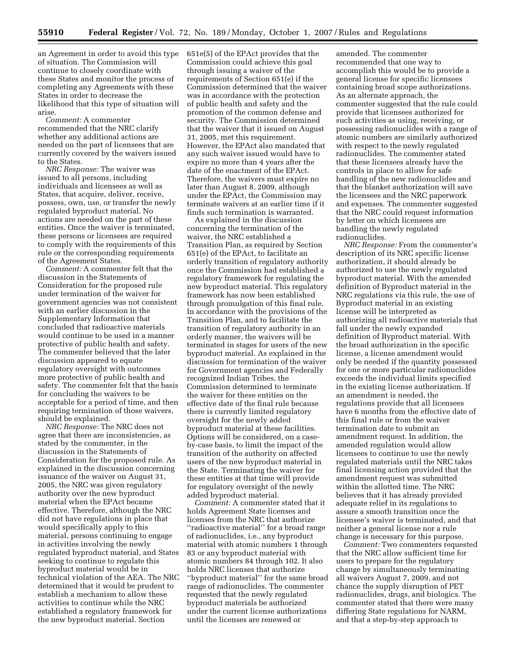an Agreement in order to avoid this type of situation. The Commission will continue to closely coordinate with these States and monitor the process of completing any Agreements with these States in order to decrease the likelihood that this type of situation will arise.

*Comment:* A commenter recommended that the NRC clarify whether any additional actions are needed on the part of licensees that are currently covered by the waivers issued to the States.

*NRC Response:* The waiver was issued to all persons, including individuals and licensees as well as States, that acquire, deliver, receive, possess, own, use, or transfer the newly regulated byproduct material. No actions are needed on the part of these entities. Once the waiver is terminated, these persons or licensees are required to comply with the requirements of this rule or the corresponding requirements of the Agreement States.

*Comment:* A commenter felt that the discussion in the Statements of Consideration for the proposed rule under termination of the waiver for government agencies was not consistent with an earlier discussion in the Supplementary Information that concluded that radioactive materials would continue to be used in a manner protective of public health and safety. The commenter believed that the later discussion appeared to equate regulatory oversight with outcomes more protective of public health and safety. The commenter felt that the basis for concluding the waivers to be acceptable for a period of time, and then requiring termination of those waivers, should be explained.

*NRC Response:* The NRC does not agree that there are inconsistencies, as stated by the commenter, in the discussion in the Statements of Consideration for the proposed rule. As explained in the discussion concerning issuance of the waiver on August 31, 2005, the NRC was given regulatory authority over the new byproduct material when the EPAct became effective. Therefore, although the NRC did not have regulations in place that would specifically apply to this material, persons continuing to engage in activities involving the newly regulated byproduct material, and States seeking to continue to regulate this byproduct material would be in technical violation of the AEA. The NRC determined that it would be prudent to establish a mechanism to allow these activities to continue while the NRC established a regulatory framework for the new byproduct material. Section

651e(5) of the EPAct provides that the Commission could achieve this goal through issuing a waiver of the requirements of Section 651(e) if the Commission determined that the waiver was in accordance with the protection of public health and safety and the promotion of the common defense and security. The Commission determined that the waiver that it issued on August 31, 2005, met this requirement. However, the EPAct also mandated that any such waiver issued would have to expire no more than 4 years after the date of the enactment of the EPAct. Therefore, the waivers must expire no later than August 8, 2009, although under the EPAct, the Commission may terminate waivers at an earlier time if it finds such termination is warranted.

As explained in the discussion concerning the termination of the waiver, the NRC established a Transition Plan, as required by Section 651(e) of the EPAct, to facilitate an orderly transition of regulatory authority once the Commission had established a regulatory framework for regulating the new byproduct material. This regulatory framework has now been established through promulgation of this final rule. In accordance with the provisions of the Transition Plan, and to facilitate the transition of regulatory authority in an orderly manner, the waivers will be terminated in stages for users of the new byproduct material. As explained in the discussion for termination of the waiver for Government agencies and Federally recognized Indian Tribes, the Commission determined to terminate the waiver for these entities on the effective date of the final rule because there is currently limited regulatory oversight for the newly added byproduct material at these facilities. Options will be considered, on a caseby-case basis, to limit the impact of the transition of the authority on affected users of the new byproduct material in the State. Terminating the waiver for these entities at that time will provide for regulatory oversight of the newly added byproduct material.

*Comment:* A commenter stated that it holds Agreement State licenses and licenses from the NRC that authorize ''radioactive material'' for a broad range of radionuclides, i.e., any byproduct material with atomic numbers 1 through 83 or any byproduct material with atomic numbers 84 through 102. It also holds NRC licenses that authorize ''byproduct material'' for the same broad range of radionuclides. The commenter requested that the newly regulated byproduct materials be authorized under the current license authorizations until the licenses are renewed or

amended. The commenter recommended that one way to accomplish this would be to provide a general license for specific licensees containing broad scope authorizations. As an alternate approach, the commenter suggested that the rule could provide that licensees authorized for such activities as using, receiving, or possessing radionuclides with a range of atomic numbers are similarly authorized with respect to the newly regulated radionuclides. The commenter stated that these licensees already have the controls in place to allow for safe handling of the new radionuclides and that the blanket authorization will save the licensees and the NRC paperwork and expenses. The commenter suggested that the NRC could request information by letter on which licensees are handling the newly regulated radionuclides.

*NRC Response:* From the commenter's description of its NRC specific license authorization, it should already be authorized to use the newly regulated byproduct material. With the amended definition of Byproduct material in the NRC regulations via this rule, the use of Byproduct material in an existing license will be interpreted as authorizing all radioactive materials that fall under the newly expanded definition of Byproduct material. With the broad authorization in the specific license, a license amendment would only be needed if the quantity possessed for one or more particular radionuclides exceeds the individual limits specified in the existing license authorization. If an amendment is needed, the regulations provide that all licensees have 6 months from the effective date of this final rule or from the waiver termination date to submit an amendment request. In addition, the amended regulation would allow licensees to continue to use the newly regulated materials until the NRC takes final licensing action provided that the amendment request was submitted within the allotted time. The NRC believes that it has already provided adequate relief in its regulations to assure a smooth transition once the licensee's waiver is terminated, and that neither a general license nor a rule change is necessary for this purpose.

*Comment:* Two commenters requested that the NRC allow sufficient time for users to prepare for the regulatory change by simultaneously terminating all waivers August 7, 2009, and not chance the supply disruption of PET radionuclides, drugs, and biologics. The commenter stated that there were many differing State regulations for NARM, and that a step-by-step approach to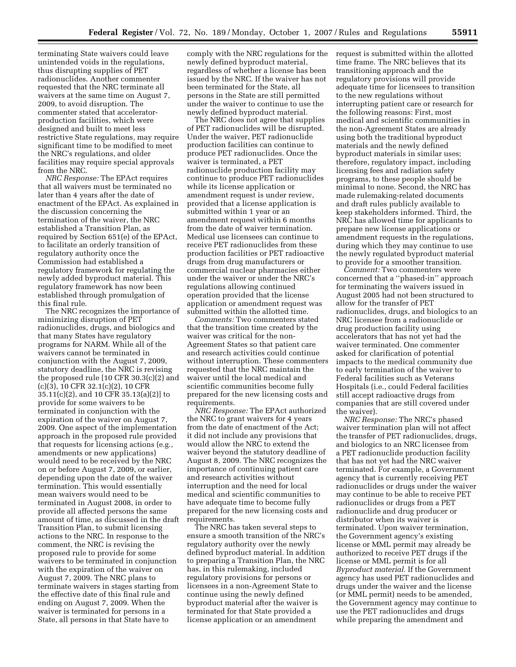terminating State waivers could leave unintended voids in the regulations, thus disrupting supplies of PET radionuclides. Another commenter requested that the NRC terminate all waivers at the same time on August 7, 2009, to avoid disruption. The commenter stated that acceleratorproduction facilities, which were designed and built to meet less restrictive State regulations, may require significant time to be modified to meet the NRC's regulations, and older facilities may require special approvals from the NRC.

*NRC Response:* The EPAct requires that all waivers must be terminated no later than 4 years after the date of enactment of the EPAct. As explained in the discussion concerning the termination of the waiver, the NRC established a Transition Plan, as required by Section 651(e) of the EPAct, to facilitate an orderly transition of regulatory authority once the Commission had established a regulatory framework for regulating the newly added byproduct material. This regulatory framework has now been established through promulgation of this final rule.

The NRC recognizes the importance of minimizing disruption of PET radionuclides, drugs, and biologics and that many States have regulatory programs for NARM. While all of the waivers cannot be terminated in conjunction with the August 7, 2009, statutory deadline, the NRC is revising the proposed rule [10 CFR 30.3(c)(2) and (c)(3), 10 CFR 32.1(c)(2), 10 CFR 35.11(c)(2), and 10 CFR 35.13(a)(2)] to provide for some waivers to be terminated in conjunction with the expiration of the waiver on August 7, 2009. One aspect of the implementation approach in the proposed rule provided that requests for licensing actions (e.g., amendments or new applications) would need to be received by the NRC on or before August 7, 2009, or earlier, depending upon the date of the waiver termination. This would essentially mean waivers would need to be terminated in August 2008, in order to provide all affected persons the same amount of time, as discussed in the draft Transition Plan, to submit licensing actions to the NRC. In response to the comment, the NRC is revising the proposed rule to provide for some waivers to be terminated in conjunction with the expiration of the waiver on August 7, 2009. The NRC plans to terminate waivers in stages starting from the effective date of this final rule and ending on August 7, 2009. When the waiver is terminated for persons in a State, all persons in that State have to

comply with the NRC regulations for the newly defined byproduct material, regardless of whether a license has been issued by the NRC. If the waiver has not been terminated for the State, all persons in the State are still permitted under the waiver to continue to use the newly defined byproduct material.

The NRC does not agree that supplies of PET radionuclides will be disrupted. Under the waiver, PET radionuclide production facilities can continue to produce PET radionuclides. Once the waiver is terminated, a PET radionuclide production facility may continue to produce PET radionuclides while its license application or amendment request is under review, provided that a license application is submitted within 1 year or an amendment request within 6 months from the date of waiver termination. Medical use licensees can continue to receive PET radionuclides from these production facilities or PET radioactive drugs from drug manufacturers or commercial nuclear pharmacies either under the waiver or under the NRC's regulations allowing continued operation provided that the license application or amendment request was submitted within the allotted time.

*Comments:* Two commenters stated that the transition time created by the waiver was critical for the non-Agreement States so that patient care and research activities could continue without interruption. These commenters requested that the NRC maintain the waiver until the local medical and scientific communities become fully prepared for the new licensing costs and requirements.

*NRC Response:* The EPAct authorized the NRC to grant waivers for 4 years from the date of enactment of the Act; it did not include any provisions that would allow the NRC to extend the waiver beyond the statutory deadline of August 8, 2009. The NRC recognizes the importance of continuing patient care and research activities without interruption and the need for local medical and scientific communities to have adequate time to become fully prepared for the new licensing costs and requirements.

The NRC has taken several steps to ensure a smooth transition of the NRC's regulatory authority over the newly defined byproduct material. In addition to preparing a Transition Plan, the NRC has, in this rulemaking, included regulatory provisions for persons or licensees in a non-Agreement State to continue using the newly defined byproduct material after the waiver is terminated for that State provided a license application or an amendment

request is submitted within the allotted time frame. The NRC believes that its transitioning approach and the regulatory provisions will provide adequate time for licensees to transition to the new regulations without interrupting patient care or research for the following reasons: First, most medical and scientific communities in the non-Agreement States are already using both the traditional byproduct materials and the newly defined byproduct materials in similar uses; therefore, regulatory impact, including licensing fees and radiation safety programs, to these people should be minimal to none. Second, the NRC has made rulemaking-related documents and draft rules publicly available to keep stakeholders informed. Third, the NRC has allowed time for applicants to prepare new license applications or amendment requests in the regulations, during which they may continue to use the newly regulated byproduct material to provide for a smoother transition.

*Comment:* Two commenters were concerned that a ''phased-in'' approach for terminating the waivers issued in August 2005 had not been structured to allow for the transfer of PET radionuclides, drugs, and biologics to an NRC licensee from a radionuclide or drug production facility using accelerators that has not yet had the waiver terminated. One commenter asked for clarification of potential impacts to the medical community due to early termination of the waiver to Federal facilities such as Veterans Hospitals (i.e., could Federal facilities still accept radioactive drugs from companies that are still covered under the waiver).

*NRC Response:* The NRC's phased waiver termination plan will not affect the transfer of PET radionuclides, drugs, and biologics to an NRC licensee from a PET radionuclide production facility that has not yet had the NRC waiver terminated. For example, a Government agency that is currently receiving PET radionuclides or drugs under the waiver may continue to be able to receive PET radionuclides or drugs from a PET radionuclide and drug producer or distributor when its waiver is terminated. Upon waiver termination, the Government agency's existing license or MML permit may already be authorized to receive PET drugs if the license or MML permit is for all *Byproduct material.* If the Government agency has used PET radionuclides and drugs under the waiver and the license (or MML permit) needs to be amended, the Government agency may continue to use the PET radionuclides and drugs while preparing the amendment and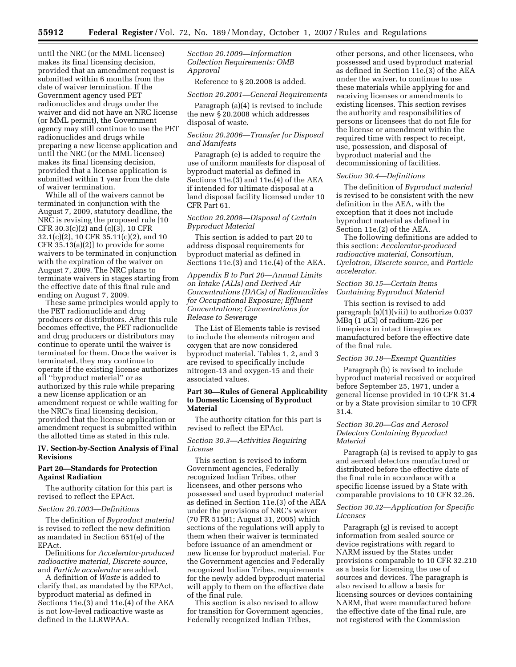until the NRC (or the MML licensee) makes its final licensing decision, provided that an amendment request is submitted within 6 months from the date of waiver termination. If the Government agency used PET radionuclides and drugs under the waiver and did not have an NRC license (or MML permit), the Government agency may still continue to use the PET radionuclides and drugs while preparing a new license application and until the NRC (or the MML licensee) makes its final licensing decision, provided that a license application is submitted within 1 year from the date of waiver termination.

While all of the waivers cannot be terminated in conjunction with the August 7, 2009, statutory deadline, the NRC is revising the proposed rule [10 CFR 30.3(c)(2) and (c)(3), 10 CFR 32.1(c)(2), 10 CFR 35.11(c)(2), and 10 CFR 35.13(a)(2)] to provide for some waivers to be terminated in conjunction with the expiration of the waiver on August 7, 2009. The NRC plans to terminate waivers in stages starting from the effective date of this final rule and ending on August 7, 2009.

These same principles would apply to the PET radionuclide and drug producers or distributors. After this rule becomes effective, the PET radionuclide and drug producers or distributors may continue to operate until the waiver is terminated for them. Once the waiver is terminated, they may continue to operate if the existing license authorizes all ''byproduct material'' or as authorized by this rule while preparing a new license application or an amendment request or while waiting for the NRC's final licensing decision, provided that the license application or amendment request is submitted within the allotted time as stated in this rule.

## **IV. Section-by-Section Analysis of Final Revisions**

### **Part 20—Standards for Protection Against Radiation**

The authority citation for this part is revised to reflect the EPAct.

#### *Section 20.1003—Definitions*

The definition of *Byproduct material*  is revised to reflect the new definition as mandated in Section 651(e) of the EPAct.

Definitions for *Accelerator-produced radioactive material, Discrete source*, and *Particle accelerator* are added.

A definition of *Waste* is added to clarify that, as mandated by the EPAct, byproduct material as defined in Sections 11e.(3) and 11e.(4) of the AEA is not low-level radioactive waste as defined in the LLRWPAA.

*Section 20.1009—Information Collection Requirements: OMB Approval* 

Reference to § 20.2008 is added.

*Section 20.2001—General Requirements* 

Paragraph (a)(4) is revised to include the new § 20.2008 which addresses disposal of waste.

### *Section 20.2006—Transfer for Disposal and Manifests*

Paragraph (e) is added to require the use of uniform manifests for disposal of byproduct material as defined in Sections 11e.(3) and 11e.(4) of the AEA if intended for ultimate disposal at a land disposal facility licensed under 10 CFR Part 61.

# *Section 20.2008—Disposal of Certain Byproduct Material*

This section is added to part 20 to address disposal requirements for byproduct material as defined in Sections 11e.(3) and 11e.(4) of the AEA.

*Appendix B to Part 20—Annual Limits on Intake (ALIs) and Derived Air Concentrations (DACs) of Radionuclides for Occupational Exposure; Effluent Concentrations; Concentrations for Release to Sewerage* 

The List of Elements table is revised to include the elements nitrogen and oxygen that are now considered byproduct material. Tables 1, 2, and 3 are revised to specifically include nitrogen-13 and oxygen-15 and their associated values.

# **Part 30—Rules of General Applicability to Domestic Licensing of Byproduct Material**

The authority citation for this part is revised to reflect the EPAct.

# *Section 30.3—Activities Requiring License*

This section is revised to inform Government agencies, Federally recognized Indian Tribes, other licensees, and other persons who possessed and used byproduct material as defined in Section 11e.(3) of the AEA under the provisions of NRC's waiver (70 FR 51581; August 31, 2005) which sections of the regulations will apply to them when their waiver is terminated before issuance of an amendment or new license for byproduct material. For the Government agencies and Federally recognized Indian Tribes, requirements for the newly added byproduct material will apply to them on the effective date of the final rule.

This section is also revised to allow for transition for Government agencies, Federally recognized Indian Tribes,

other persons, and other licensees, who possessed and used byproduct material as defined in Section 11e.(3) of the AEA under the waiver, to continue to use these materials while applying for and receiving licenses or amendments to existing licenses. This section revises the authority and responsibilities of persons or licensees that do not file for the license or amendment within the required time with respect to receipt, use, possession, and disposal of byproduct material and the decommissioning of facilities.

## *Section 30.4—Definitions*

The definition of *Byproduct material*  is revised to be consistent with the new definition in the AEA, with the exception that it does not include byproduct material as defined in Section 11e.(2) of the AEA.

The following definitions are added to this section: *Accelerator-produced radioactive material, Consortium, Cyclotron, Discrete source*, and *Particle accelerator.* 

### *Section 30.15—Certain Items Containing Byproduct Material*

This section is revised to add paragraph (a)(1)(viii) to authorize 0.037 MBq (1 µCi) of radium-226 per timepiece in intact timepieces manufactured before the effective date of the final rule.

#### *Section 30.18—Exempt Quantities*

Paragraph (b) is revised to include byproduct material received or acquired before September 25, 1971, under a general license provided in 10 CFR 31.4 or by a State provision similar to 10 CFR 31.4.

## *Section 30.20—Gas and Aerosol Detectors Containing Byproduct Material*

Paragraph (a) is revised to apply to gas and aerosol detectors manufactured or distributed before the effective date of the final rule in accordance with a specific license issued by a State with comparable provisions to 10 CFR 32.26.

## *Section 30.32—Application for Specific Licenses*

Paragraph (g) is revised to accept information from sealed source or device registrations with regard to NARM issued by the States under provisions comparable to 10 CFR 32.210 as a basis for licensing the use of sources and devices. The paragraph is also revised to allow a basis for licensing sources or devices containing NARM, that were manufactured before the effective date of the final rule, are not registered with the Commission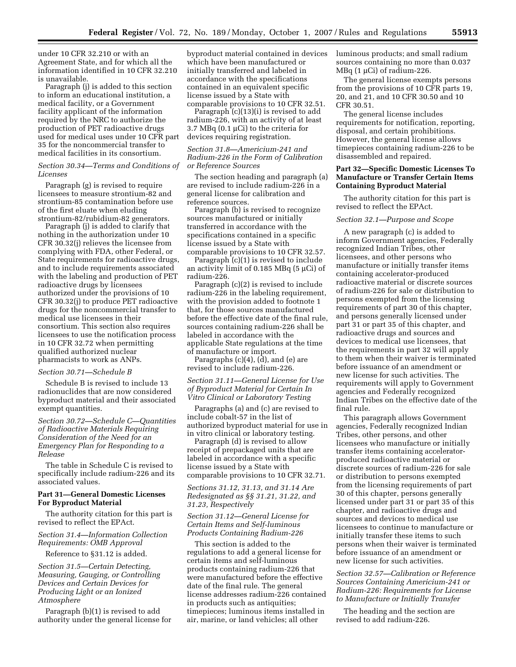under 10 CFR 32.210 or with an Agreement State, and for which all the information identified in 10 CFR 32.210 is unavailable.

Paragraph (j) is added to this section to inform an educational institution, a medical facility, or a Government facility applicant of the information required by the NRC to authorize the production of PET radioactive drugs used for medical uses under 10 CFR part 35 for the noncommercial transfer to medical facilities in its consortium.

### *Section 30.34—Terms and Conditions of Licenses*

Paragraph (g) is revised to require licensees to measure strontium-82 and strontium-85 contamination before use of the first eluate when eluding strontium-82/rubidium-82 generators.

Paragraph (j) is added to clarify that nothing in the authorization under 10 CFR 30.32(j) relieves the licensee from complying with FDA, other Federal, or State requirements for radioactive drugs, and to include requirements associated with the labeling and production of PET radioactive drugs by licensees authorized under the provisions of 10 CFR 30.32(j) to produce PET radioactive drugs for the noncommercial transfer to medical use licensees in their consortium. This section also requires licensees to use the notification process in 10 CFR 32.72 when permitting qualified authorized nuclear pharmacists to work as ANPs.

#### *Section 30.71—Schedule B*

Schedule B is revised to include 13 radionuclides that are now considered byproduct material and their associated exempt quantities.

*Section 30.72—Schedule C—Quantities of Radioactive Materials Requiring Consideration of the Need for an Emergency Plan for Responding to a Release* 

The table in Schedule C is revised to specifically include radium-226 and its associated values.

# **Part 31—General Domestic Licenses For Byproduct Material**

The authority citation for this part is revised to reflect the EPAct.

# *Section 31.4—Information Collection Requirements: OMB Approval*

Reference to §31.12 is added.

*Section 31.5—Certain Detecting, Measuring, Gauging, or Controlling Devices and Certain Devices for Producing Light or an Ionized Atmosphere* 

Paragraph (b)(1) is revised to add authority under the general license for

byproduct material contained in devices which have been manufactured or initially transferred and labeled in accordance with the specifications contained in an equivalent specific license issued by a State with comparable provisions to 10 CFR 32.51.

Paragraph (c)(13)(i) is revised to add radium-226, with an activity of at least 3.7 MBq (0.1 µCi) to the criteria for devices requiring registration.

## *Section 31.8—Americium-241 and Radium-226 in the Form of Calibration or Reference Sources*

The section heading and paragraph (a) are revised to include radium-226 in a general license for calibration and reference sources.

Paragraph (b) is revised to recognize sources manufactured or initially transferred in accordance with the specifications contained in a specific license issued by a State with comparable provisions to 10 CFR 32.57.

Paragraph (c)(1) is revised to include an activity limit of  $0.185$  MBq ( $5 \mu$ Ci) of radium-226.

Paragraph (c)(2) is revised to include radium-226 in the labeling requirement, with the provision added to footnote 1 that, for those sources manufactured before the effective date of the final rule, sources containing radium-226 shall be labeled in accordance with the applicable State regulations at the time of manufacture or import.

Paragraphs  $(c)(4)$ ,  $(d)$ , and  $(e)$  are revised to include radium-226.

## *Section 31.11—General License for Use of Byproduct Material for Certain In Vitro Clinical or Laboratory Testing*

Paragraphs (a) and (c) are revised to include cobalt-57 in the list of authorized byproduct material for use in in vitro clinical or laboratory testing.

Paragraph (d) is revised to allow receipt of prepackaged units that are labeled in accordance with a specific license issued by a State with comparable provisions to 10 CFR 32.71.

## *Sections 31.12, 31.13, and 31.14 Are Redesignated as §§ 31.21, 31.22, and 31.23, Respectively*

## *Section 31.12—General License for Certain Items and Self-luminous Products Containing Radium-226*

This section is added to the regulations to add a general license for certain items and self-luminous products containing radium-226 that were manufactured before the effective date of the final rule. The general license addresses radium-226 contained in products such as antiquities; timepieces; luminous items installed in air, marine, or land vehicles; all other

luminous products; and small radium sources containing no more than 0.037 MBq  $(1 \mu\text{Ci})$  of radium-226.

The general license exempts persons from the provisions of 10 CFR parts 19, 20, and 21, and 10 CFR 30.50 and 10 CFR 30.51.

The general license includes requirements for notification, reporting, disposal, and certain prohibitions. However, the general license allows timepieces containing radium-226 to be disassembled and repaired.

# **Part 32—Specific Domestic Licenses To Manufacture or Transfer Certain Items Containing Byproduct Material**

The authority citation for this part is revised to reflect the EPAct.

#### *Section 32.1—Purpose and Scope*

A new paragraph (c) is added to inform Government agencies, Federally recognized Indian Tribes, other licensees, and other persons who manufacture or initially transfer items containing accelerator-produced radioactive material or discrete sources of radium-226 for sale or distribution to persons exempted from the licensing requirements of part 30 of this chapter, and persons generally licensed under part 31 or part 35 of this chapter, and radioactive drugs and sources and devices to medical use licensees, that the requirements in part 32 will apply to them when their waiver is terminated before issuance of an amendment or new license for such activities. The requirements will apply to Government agencies and Federally recognized Indian Tribes on the effective date of the final rule.

This paragraph allows Government agencies, Federally recognized Indian Tribes, other persons, and other licensees who manufacture or initially transfer items containing acceleratorproduced radioactive material or discrete sources of radium-226 for sale or distribution to persons exempted from the licensing requirements of part 30 of this chapter, persons generally licensed under part 31 or part 35 of this chapter, and radioactive drugs and sources and devices to medical use licensees to continue to manufacture or initially transfer these items to such persons when their waiver is terminated before issuance of an amendment or new license for such activities.

# *Section 32.57—Calibration or Reference Sources Containing Americium-241 or Radium-226: Requirements for License to Manufacture or Initially Transfer*

The heading and the section are revised to add radium-226.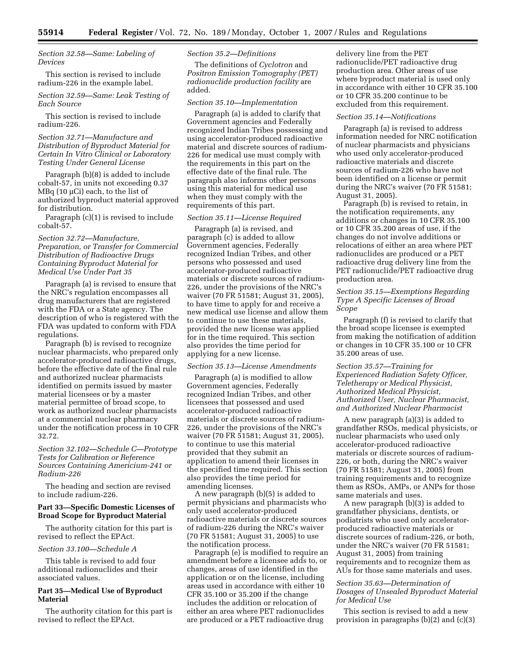*Section 32.58—Same: Labeling of Devices* 

This section is revised to include radium-226 in the example label.

*Section 32.59—Same: Leak Testing of Each Source* 

This section is revised to include radium-226.

## *Section 32.71—Manufacture and Distribution of Byproduct Material for Certain In Vitro Clinical or Laboratory Testing Under General License*

Paragraph (b)(8) is added to include cobalt-57, in units not exceeding 0.37 MBq (10 μCi) each, to the list of authorized byproduct material approved for distribution.

Paragraph (c)(1) is revised to include cobalt-57.

# *Section 32.72—Manufacture, Preparation, or Transfer for Commercial Distribution of Radioactive Drugs Containing Byproduct Material for Medical Use Under Part 35*

Paragraph (a) is revised to ensure that the NRC's regulation encompasses all drug manufacturers that are registered with the FDA or a State agency. The description of who is registered with the FDA was updated to conform with FDA regulations.

Paragraph (b) is revised to recognize nuclear pharmacists, who prepared only accelerator-produced radioactive drugs, before the effective date of the final rule and authorized nuclear pharmacists identified on permits issued by master material licensees or by a master material permittee of broad scope, to work as authorized nuclear pharmacists at a commercial nuclear pharmacy under the notification process in 10 CFR 32.72.

# *Section 32.102—Schedule C—Prototype Tests for Calibration or Reference Sources Containing Americium-241 or Radium-226*

The heading and section are revised to include radium-226.

# **Part 33—Specific Domestic Licenses of Broad Scope for Byproduct Material**

The authority citation for this part is revised to reflect the EPAct.

#### *Section 33.100—Schedule A*

This table is revised to add four additional radionuclides and their associated values.

#### **Part 35—Medical Use of Byproduct Material**

The authority citation for this part is revised to reflect the EPAct.

# *Section 35.2—Definitions*

The definitions of *Cyclotron* and *Positron Emission Tomography (PET) radionuclide production facility* are added.

#### *Section 35.10—Implementation*

Paragraph (a) is added to clarify that Government agencies and Federally recognized Indian Tribes possessing and using accelerator-produced radioactive material and discrete sources of radium-226 for medical use must comply with the requirements in this part on the effective date of the final rule. The paragraph also informs other persons using this material for medical use when they must comply with the requirements of this part.

#### *Section 35.11—License Required*

Paragraph (a) is revised, and paragraph (c) is added to allow Government agencies, Federally recognized Indian Tribes, and other persons who possessed and used accelerator-produced radioactive materials or discrete sources of radium-226, under the provisions of the NRC's waiver (70 FR 51581; August 31, 2005), to have time to apply for and receive a new medical use license and allow them to continue to use these materials, provided the new license was applied for in the time required. This section also provides the time period for applying for a new license.

#### *Section 35.13—License Amendments*

Paragraph (a) is modified to allow Government agencies, Federally recognized Indian Tribes, and other licensees that possessed and used accelerator-produced radioactive materials or discrete sources of radium-226, under the provisions of the NRC's waiver (70 FR 51581; August 31, 2005), to continue to use this material provided that they submit an application to amend their licenses in the specified time required. This section also provides the time period for amending licenses.

A new paragraph (b)(5) is added to permit physicians and pharmacists who only used accelerator-produced radioactive materials or discrete sources of radium-226 during the NRC's waiver (70 FR 51581; August 31, 2005) to use the notification process.

Paragraph (e) is modified to require an amendment before a licensee adds to, or changes, areas of use identified in the application or on the license, including areas used in accordance with either 10 CFR 35.100 or 35.200 if the change includes the addition or relocation of either an area where PET radionuclides are produced or a PET radioactive drug

delivery line from the PET radionuclide/PET radioactive drug production area. Other areas of use where byproduct material is used only in accordance with either 10 CFR 35.100 or 10 CFR 35.200 continue to be excluded from this requirement.

#### *Section 35.14—Notifications*

Paragraph (a) is revised to address information needed for NRC notification of nuclear pharmacists and physicians who used only accelerator-produced radioactive materials and discrete sources of radium-226 who have not been identified on a license or permit during the NRC's waiver (70 FR 51581; August 31, 2005).

Paragraph (b) is revised to retain, in the notification requirements, any additions or changes in 10 CFR 35.100 or 10 CFR 35.200 areas of use, if the changes do not involve additions or relocations of either an area where PET radionuclides are produced or a PET radioactive drug delivery line from the PET radionuclide/PET radioactive drug production area.

# *Section 35.15—Exemptions Regarding Type A Specific Licenses of Broad Scope*

Paragraph (f) is revised to clarify that the broad scope licensee is exempted from making the notification of addition or changes in 10 CFR 35.100 or 10 CFR 35.200 areas of use.

## *Section 35.57—Training for Experienced Radiation Safety Officer, Teletherapy or Medical Physicist, Authorized Medical Physicist, Authorized User, Nuclear Pharmacist, and Authorized Nuclear Pharmacist*

A new paragraph (a)(3) is added to grandfather RSOs, medical physicists, or nuclear pharmacists who used only accelerator-produced radioactive materials or discrete sources of radium-226, or both, during the NRC's waiver (70 FR 51581; August 31, 2005) from training requirements and to recognize them as RSOs, AMPs, or ANPs for those same materials and uses.

A new paragraph (b)(3) is added to grandfather physicians, dentists, or podiatrists who used only acceleratorproduced radioactive materials or discrete sources of radium-226, or both, under the NRC's waiver (70 FR 51581; August 31, 2005) from training requirements and to recognize them as AUs for those same materials and uses.

# *Section 35.63—Determination of Dosages of Unsealed Byproduct Material for Medical Use*

This section is revised to add a new provision in paragraphs (b)(2) and (c)(3)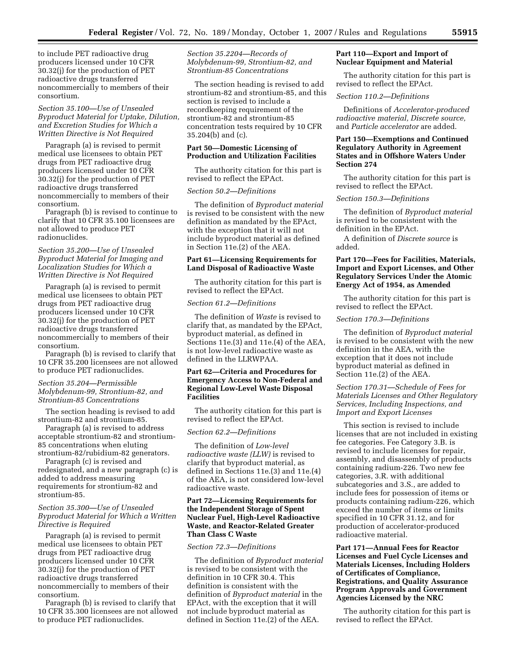to include PET radioactive drug producers licensed under 10 CFR 30.32(j) for the production of PET radioactive drugs transferred noncommercially to members of their consortium.

*Section 35.100—Use of Unsealed Byproduct Material for Uptake, Dilution, and Excretion Studies for Which a Written Directive is Not Required* 

Paragraph (a) is revised to permit medical use licensees to obtain PET drugs from PET radioactive drug producers licensed under 10 CFR 30.32(j) for the production of PET radioactive drugs transferred noncommercially to members of their consortium.

Paragraph (b) is revised to continue to clarify that 10 CFR 35.100 licensees are not allowed to produce PET radionuclides.

## *Section 35.200—Use of Unsealed Byproduct Material for Imaging and Localization Studies for Which a Written Directive is Not Required*

Paragraph (a) is revised to permit medical use licensees to obtain PET drugs from PET radioactive drug producers licensed under 10 CFR 30.32(j) for the production of PET radioactive drugs transferred noncommercially to members of their consortium.

Paragraph (b) is revised to clarify that 10 CFR 35.200 licensees are not allowed to produce PET radionuclides.

# *Section 35.204—Permissible Molybdenum-99, Strontium-82, and Strontium-85 Concentrations*

The section heading is revised to add strontium-82 and strontium-85.

Paragraph (a) is revised to address acceptable strontium-82 and strontium-85 concentrations when eluting strontium-82/rubidium-82 generators.

Paragraph (c) is revised and redesignated, and a new paragraph (c) is added to address measuring requirements for strontium-82 and strontium-85.

## *Section 35.300—Use of Unsealed Byproduct Material for Which a Written Directive is Required*

Paragraph (a) is revised to permit medical use licensees to obtain PET drugs from PET radioactive drug producers licensed under 10 CFR 30.32(j) for the production of PET radioactive drugs transferred noncommercially to members of their consortium.

Paragraph (b) is revised to clarify that 10 CFR 35.300 licensees are not allowed to produce PET radionuclides.

*Section 35.2204—Records of Molybdenum-99, Strontium-82, and Strontium-85 Concentrations* 

The section heading is revised to add strontium-82 and strontium-85, and this section is revised to include a recordkeeping requirement of the strontium-82 and strontium-85 concentration tests required by 10 CFR 35.204(b) and (c).

## **Part 50—Domestic Licensing of Production and Utilization Facilities**

The authority citation for this part is revised to reflect the EPAct.

#### *Section 50.2—Definitions*

The definition of *Byproduct material*  is revised to be consistent with the new definition as mandated by the EPAct, with the exception that it will not include byproduct material as defined in Section 11e.(2) of the AEA.

# **Part 61—Licensing Requirements for Land Disposal of Radioactive Waste**

The authority citation for this part is revised to reflect the EPAct.

#### *Section 61.2—Definitions*

The definition of *Waste* is revised to clarify that, as mandated by the EPAct, byproduct material, as defined in Sections 11e.(3) and 11e.(4) of the AEA, is not low-level radioactive waste as defined in the LLRWPAA.

## **Part 62—Criteria and Procedures for Emergency Access to Non-Federal and Regional Low-Level Waste Disposal Facilities**

The authority citation for this part is revised to reflect the EPAct.

## *Section 62.2—Definitions*

The definition of *Low-level radioactive waste (LLW)* is revised to clarify that byproduct material, as defined in Sections 11e.(3) and 11e.(4) of the AEA, is not considered low-level radioactive waste.

## **Part 72—Licensing Requirements for the Independent Storage of Spent Nuclear Fuel, High-Level Radioactive Waste, and Reactor-Related Greater Than Class C Waste**

# *Section 72.3—Definitions*

The definition of *Byproduct material*  is revised to be consistent with the definition in 10 CFR 30.4. This definition is consistent with the definition of *Byproduct material* in the EPAct, with the exception that it will not include byproduct material as defined in Section 11e.(2) of the AEA.

# **Part 110—Export and Import of Nuclear Equipment and Material**

The authority citation for this part is revised to reflect the EPAct.

#### *Section 110.2—Definitions*

Definitions of *Accelerator-produced radioactive material, Discrete source,*  and *Particle accelerator* are added.

# **Part 150—Exemptions and Continued Regulatory Authority in Agreement States and in Offshore Waters Under Section 274**

The authority citation for this part is revised to reflect the EPAct.

#### *Section 150.3—Definitions*

The definition of *Byproduct material*  is revised to be consistent with the definition in the EPAct.

A definition of *Discrete source* is added.

# **Part 170—Fees for Facilities, Materials, Import and Export Licenses, and Other Regulatory Services Under the Atomic Energy Act of 1954, as Amended**

The authority citation for this part is revised to reflect the EPAct.

## *Section 170.3—Definitions*

The definition of *Byproduct material*  is revised to be consistent with the new definition in the AEA, with the exception that it does not include byproduct material as defined in Section 11e.(2) of the AEA.

# *Section 170.31—Schedule of Fees for Materials Licenses and Other Regulatory Services, Including Inspections, and Import and Export Licenses*

This section is revised to include licenses that are not included in existing fee categories. Fee Category 3.B. is revised to include licenses for repair, assembly, and disassembly of products containing radium-226. Two new fee categories, 3.R. with additional subcategories and 3.S., are added to include fees for possession of items or products containing radium-226, which exceed the number of items or limits specified in 10 CFR 31.12, and for production of accelerator-produced radioactive material.

# **Part 171—Annual Fees for Reactor Licenses and Fuel Cycle Licenses and Materials Licenses, Including Holders of Certificates of Compliance, Registrations, and Quality Assurance Program Approvals and Government Agencies Licensed by the NRC**

The authority citation for this part is revised to reflect the EPAct.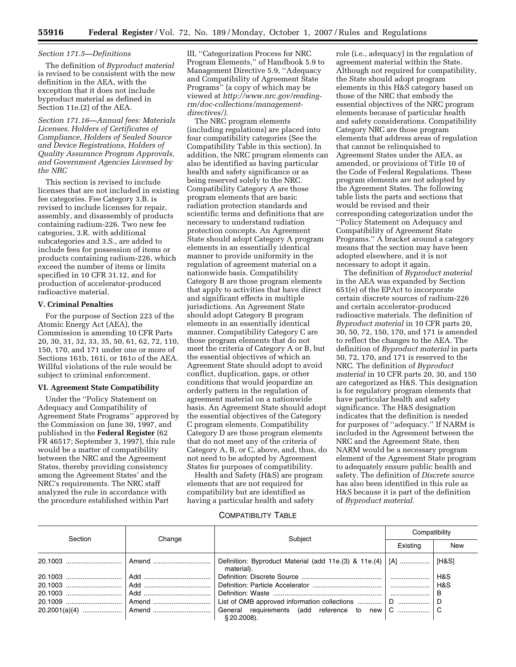#### *Section 171.5—Definitions*

The definition of *Byproduct material*  is revised to be consistent with the new definition in the AEA, with the exception that it does not include byproduct material as defined in Section 11e.(2) of the AEA.

*Section 171.16—Annual fees: Materials Licenses, Holders of Certificates of Compliance, Holders of Sealed Source and Device Registrations, Holders of Quality Assurance Program Approvals, and Government Agencies Licensed by the NRC* 

This section is revised to include licenses that are not included in existing fee categories. Fee Category 3.B. is revised to include licenses for repair, assembly, and disassembly of products containing radium-226. Two new fee categories, 3.R. with additional subcategories and 3.S., are added to include fees for possession of items or products containing radium-226, which exceed the number of items or limits specified in 10 CFR 31.12, and for production of accelerator-produced radioactive material.

# **V. Criminal Penalties**

For the purpose of Section 223 of the Atomic Energy Act (AEA), the Commission is amending 10 CFR Parts 20, 30, 31, 32, 33, 35, 50, 61, 62, 72, 110, 150, 170, and 171 under one or more of Sections 161b, 161i, or 161o of the AEA. Willful violations of the rule would be subject to criminal enforcement.

#### **VI. Agreement State Compatibility**

Under the ''Policy Statement on Adequacy and Compatibility of Agreement State Programs'' approved by the Commission on June 30, 1997, and published in the **Federal Register** (62 FR 46517; September 3, 1997), this rule would be a matter of compatibility between the NRC and the Agreement States, thereby providing consistency among the Agreement States' and the NRC's requirements. The NRC staff analyzed the rule in accordance with the procedure established within Part

III, ''Categorization Process for NRC Program Elements,'' of Handbook 5.9 to Management Directive 5.9, ''Adequacy and Compatibility of Agreement State Programs'' (a copy of which may be viewed at *http://www.nrc.gov/reading[rm/doc-collections/management](http://www.nrc.gov/reading-rm/doc-collections/management-directives)directives/).* 

The NRC program elements (including regulations) are placed into four compatibility categories (See the Compatibility Table in this section). In addition, the NRC program elements can also be identified as having particular health and safety significance or as being reserved solely to the NRC. Compatibility Category A are those program elements that are basic radiation protection standards and scientific terms and definitions that are necessary to understand radiation protection concepts. An Agreement State should adopt Category A program elements in an essentially identical manner to provide uniformity in the regulation of agreement material on a nationwide basis. Compatibility Category B are those program elements that apply to activities that have direct and significant effects in multiple jurisdictions. An Agreement State should adopt Category B program elements in an essentially identical manner. Compatibility Category C are those program elements that do not meet the criteria of Category A or B, but the essential objectives of which an Agreement State should adopt to avoid conflict, duplication, gaps, or other conditions that would jeopardize an orderly pattern in the regulation of agreement material on a nationwide basis. An Agreement State should adopt the essential objectives of the Category C program elements. Compatibility Category D are those program elements that do not meet any of the criteria of Category A, B, or C, above, and, thus, do not need to be adopted by Agreement States for purposes of compatibility.

Health and Safety (H&S) are program elements that are not required for compatibility but are identified as having a particular health and safety

role (i.e., adequacy) in the regulation of agreement material within the State. Although not required for compatibility, the State should adopt program elements in this H&S category based on those of the NRC that embody the essential objectives of the NRC program elements because of particular health and safety considerations. Compatibility Category NRC are those program elements that address areas of regulation that cannot be relinquished to Agreement States under the AEA, as amended, or provisions of Title 10 of the Code of Federal Regulations. These program elements are not adopted by the Agreement States. The following table lists the parts and sections that would be revised and their corresponding categorization under the ''Policy Statement on Adequacy and Compatibility of Agreement State Programs.'' A bracket around a category means that the section may have been adopted elsewhere, and it is not necessary to adopt it again.

The definition of *Byproduct material*  in the AEA was expanded by Section 651(e) of the EPAct to incorporate certain discrete sources of radium-226 and certain accelerator-produced radioactive materials. The definition of *Byproduct material* in 10 CFR parts 20, 30, 50, 72, 150, 170, and 171 is amended to reflect the changes to the AEA. The definition of *Byproduct material* in parts 50, 72, 170, and 171 is reserved to the NRC. The definition of *Byproduct material* in 10 CFR parts 20, 30, and 150 are categorized as H&S. This designation is for regulatory program elements that have particular health and safety significance. The H&S designation indicates that the definition is needed for purposes of ''adequacy.'' If NARM is included in the Agreement between the NRC and the Agreement State, then NARM would be a necessary program element of the Agreement State program to adequately ensure public health and safety. The definition of *Discrete source*  has also been identified in this rule as H&S because it is part of the definition of *Byproduct material.* 

## COMPATIBILITY TABLE

| Section | Change | Subject                                                                         | Compatibility |       |
|---------|--------|---------------------------------------------------------------------------------|---------------|-------|
|         |        |                                                                                 | Existing      | New   |
|         |        | Definition: Byproduct Material (add 11e.(3) & 11e.(4) $\vert$ [A]<br>material). |               | [H&S] |
|         |        |                                                                                 |               | H&S   |
|         |        |                                                                                 |               | H&S   |
|         |        |                                                                                 |               |       |
|         |        |                                                                                 |               |       |
|         |        | \$20,2008).                                                                     |               |       |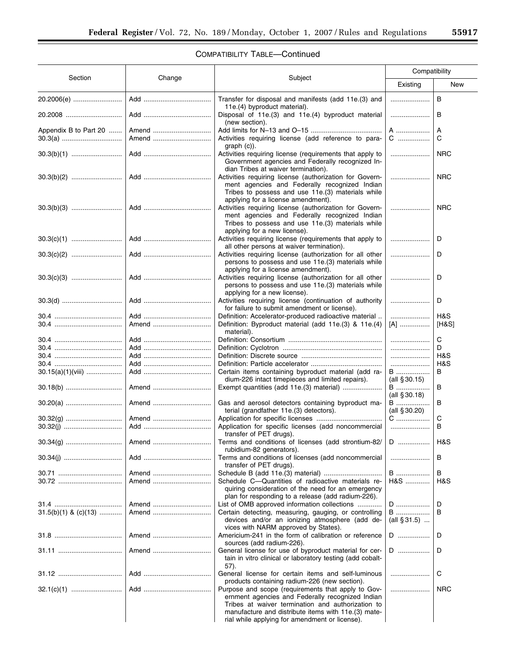▀

# COMPATIBILITY TABLE—Continued

|                          | Change | Subject                                                                                                                                                                                                                                                              | Compatibility                |              |
|--------------------------|--------|----------------------------------------------------------------------------------------------------------------------------------------------------------------------------------------------------------------------------------------------------------------------|------------------------------|--------------|
| Section                  |        |                                                                                                                                                                                                                                                                      | Existing                     | New          |
|                          |        | Transfer for disposal and manifests (add 11e.(3) and<br>11e.(4) byproduct material).                                                                                                                                                                                 |                              | B            |
|                          |        | Disposal of 11e.(3) and 11e.(4) byproduct material<br>(new section).                                                                                                                                                                                                 |                              | B            |
| Appendix B to Part 20    | Amend  |                                                                                                                                                                                                                                                                      | A                            | Α            |
|                          | Amend  | Activities requiring license (add reference to para-<br>$graph(c)$ ).                                                                                                                                                                                                | C                            | C            |
|                          |        | Activities requiring license (requirements that apply to<br>Government agencies and Federally recognized In-<br>dian Tribes at waiver termination).                                                                                                                  |                              | <b>NRC</b>   |
|                          |        | Activities requiring license (authorization for Govern-<br>ment agencies and Federally recognized Indian<br>Tribes to possess and use 11e.(3) materials while                                                                                                        |                              | <b>NRC</b>   |
|                          |        | applying for a license amendment).<br>Activities requiring license (authorization for Govern-<br>ment agencies and Federally recognized Indian<br>Tribes to possess and use 11e.(3) materials while                                                                  |                              | <b>NRC</b>   |
|                          |        | applying for a new license).<br>Activities requiring license (requirements that apply to<br>all other persons at waiver termination).                                                                                                                                |                              | D            |
|                          |        | Activities requiring license (authorization for all other<br>persons to possess and use 11e.(3) materials while<br>applying for a license amendment).                                                                                                                |                              | D            |
|                          |        | Activities requiring license (authorization for all other<br>persons to possess and use 11e.(3) materials while<br>applying for a new license).                                                                                                                      |                              | D            |
|                          |        | Activities requiring license (continuation of authority<br>for failure to submit amendment or license).                                                                                                                                                              |                              | D            |
|                          | Amend  | Definition: Accelerator-produced radioactive material<br>Definition: Byproduct material (add 11e.(3) & 11e.(4)<br>material).                                                                                                                                         | <br>[A]                      | H&S<br>[H&S] |
|                          |        |                                                                                                                                                                                                                                                                      |                              | C            |
|                          |        |                                                                                                                                                                                                                                                                      |                              | D            |
|                          |        |                                                                                                                                                                                                                                                                      |                              | H&S          |
|                          |        |                                                                                                                                                                                                                                                                      |                              | H&S          |
| $30.15(a)(1)(viii)$      |        | Certain items containing byproduct material (add ra-<br>dium-226 intact timepieces and limited repairs).                                                                                                                                                             | <b>B</b><br>(all $§ 30.15$ ) | В            |
|                          | Amend  | Exempt quantities (add 11e.(3) material)                                                                                                                                                                                                                             | <b>B</b><br>(all $§ 30.18$ ) | в            |
|                          | Amend  | Gas and aerosol detectors containing byproduct ma-<br>terial (grandfather 11e.(3) detectors).                                                                                                                                                                        | B<br>(all $§ 30.20$ )        | В            |
|                          | Amend  |                                                                                                                                                                                                                                                                      | C                            | C            |
|                          |        | Application for specific licenses (add noncommercial<br>transfer of PET drugs).                                                                                                                                                                                      |                              | В            |
|                          | Amend  | Terms and conditions of licenses (add strontium-82/   D<br>rubidium-82 generators).                                                                                                                                                                                  |                              | H&S          |
|                          |        | Terms and conditions of licenses (add noncommercial<br>transfer of PET drugs).                                                                                                                                                                                       |                              | В            |
|                          | Amend  |                                                                                                                                                                                                                                                                      | <b>B</b>                     | В            |
|                          | Amend  | Schedule C-Quantities of radioactive materials re-<br>quiring consideration of the need for an emergency<br>plan for responding to a release (add radium-226).                                                                                                       | H&S                          | H&S          |
|                          | Amend  | List of OMB approved information collections                                                                                                                                                                                                                         | D                            | D            |
| $31.5(b)(1)$ & $(c)(13)$ | Amend  | Certain detecting, measuring, gauging, or controlling<br>devices and/or an ionizing atmosphere (add de-<br>vices with NARM approved by States).                                                                                                                      | <b>B</b><br>(all $\S 31.5$ ) | B            |
|                          | Amend  | Americium-241 in the form of calibration or reference<br>sources (add radium-226).                                                                                                                                                                                   | D                            | D            |
|                          | Amend  | General license for use of byproduct material for cer-<br>tain in vitro clinical or laboratory testing (add cobalt-<br>57).                                                                                                                                          | D                            | D            |
|                          |        | General license for certain items and self-luminous<br>products containing radium-226 (new section).                                                                                                                                                                 |                              | C            |
|                          |        | Purpose and scope (requirements that apply to Gov-<br>ernment agencies and Federally recognized Indian<br>Tribes at waiver termination and authorization to<br>manufacture and distribute items with 11e.(3) mate-<br>rial while applying for amendment or license). |                              | <b>NRC</b>   |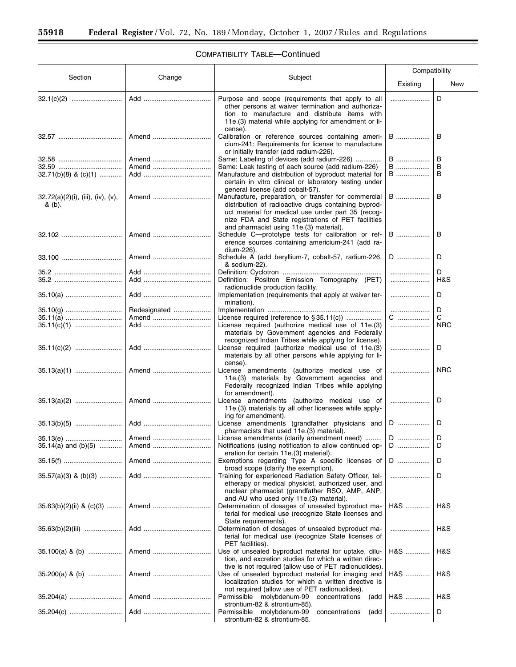$\equiv$ 

# COMPATIBILITY TABLE—Continued

|                                                |                |                                                                                                                                                                                                                                                                     | Compatibility |            |  |
|------------------------------------------------|----------------|---------------------------------------------------------------------------------------------------------------------------------------------------------------------------------------------------------------------------------------------------------------------|---------------|------------|--|
| Section                                        | Change         | Subject                                                                                                                                                                                                                                                             | Existing      | New        |  |
|                                                |                | Purpose and scope (requirements that apply to all<br>other persons at waiver termination and authoriza-<br>tion to manufacture and distribute items with<br>11e.(3) material while applying for amendment or li-<br>cense).                                         |               | D          |  |
|                                                | Amend          | Calibration or reference sources containing ameri-<br>cium-241: Requirements for license to manufacture<br>or initially transfer (add radium-226).                                                                                                                  | <b>B</b>      | в          |  |
|                                                | Amend          | Same: Labeling of devices (add radium-226)                                                                                                                                                                                                                          | B             | в          |  |
|                                                | Amend          | Same: Leak testing of each source (add radium-226)                                                                                                                                                                                                                  | B             | В          |  |
| $32.71(b)(8)$ & $(c)(1)$                       |                | Manufacture and distribution of byproduct material for<br>certain in vitro clinical or laboratory testing under<br>general license (add cobalt-57).                                                                                                                 | B             | В          |  |
| $32.72(a)(2)(i)$ , (iii), (iv), (v),<br>& (b). | Amend          | Manufacture, preparation, or transfer for commercial<br>distribution of radioactive drugs containing byprod-<br>uct material for medical use under part 35 (recog-<br>nize FDA and State registrations of PET facilities<br>and pharmacist using 11e.(3) material). | B             | B          |  |
|                                                | Amend          | Schedule C---prototype tests for calibration or ref-<br>erence sources containing americium-241 (add ra-<br>dium-226).                                                                                                                                              | B             | в          |  |
| $33.100$                                       | Amend          | Schedule A (add beryllium-7, cobalt-57, radium-226,<br>& sodium-22).                                                                                                                                                                                                | D             | D          |  |
|                                                |                |                                                                                                                                                                                                                                                                     |               | D          |  |
| 35.10(a)                                       |                | Definition: Positron Emission Tomography (PET)<br>radionuclide production facility.<br>Implementation (requirements that apply at waiver ter-                                                                                                                       |               | H&S<br>D   |  |
|                                                |                | mination).                                                                                                                                                                                                                                                          |               |            |  |
|                                                | Redesignated   |                                                                                                                                                                                                                                                                     |               | D          |  |
| 35.11(a)                                       | Amend          |                                                                                                                                                                                                                                                                     | C             | С          |  |
|                                                |                | License required (authorize medical use of 11e.(3)<br>materials by Government agencies and Federally<br>recognized Indian Tribes while applying for license).                                                                                                       |               | <b>NRC</b> |  |
|                                                |                | License required (authorize medical use of 11e.(3)<br>materials by all other persons while applying for li-<br>cense).                                                                                                                                              |               | D          |  |
|                                                | Amend          | License amendments (authorize medical use of<br>11e.(3) materials by Government agencies and<br>Federally recognized Indian Tribes while applying<br>for amendment).                                                                                                |               | <b>NRC</b> |  |
|                                                | Amend          | License amendments (authorize medical use of<br>11e. (3) materials by all other licensees while apply-<br>ing for amendment).                                                                                                                                       |               | D          |  |
|                                                |                | License amendments (grandfather physicians and<br>pharmacists that used 11e.(3) material).                                                                                                                                                                          | D             | D          |  |
|                                                |                | License amendments (clarify amendment need)                                                                                                                                                                                                                         | $\mathsf D$   | D          |  |
| $35.14(a)$ and $(b)(5)$                        | Amend<br>Amend | Notifications (using notification to allow continued op-<br>eration for certain 11e.(3) material).<br>Exemptions regarding Type A specific licenses of                                                                                                              | D<br>D        | D<br>D     |  |
| $35.57(a)(3)$ & (b)(3)                         |                | broad scope (clarify the exemption).<br>Training for experienced Radiation Safety Officer, tel-                                                                                                                                                                     |               | D          |  |
| $35.63(b)(2)(ii)$ & $(c)(3)$                   | Amend          | etherapy or medical physicist, authorized user, and<br>nuclear pharmacist (grandfather RSO, AMP, ANP,<br>and AU who used only 11e.(3) material).<br>Determination of dosages of unsealed byproduct ma-                                                              | H&S           | H&S        |  |
|                                                |                | terial for medical use (recognize State licenses and<br>State requirements).<br>Determination of dosages of unsealed byproduct ma-<br>terial for medical use (recognize State licenses of                                                                           |               | H&S        |  |
| $35.100(a)$ & (b)                              | Amend          | PET facilities).<br>Use of unsealed byproduct material for uptake, dilu-<br>tion, and excretion studies for which a written direc-<br>tive is not required (allow use of PET radionuclides).                                                                        | H&S           | H&S        |  |
| $35.200(a)$ & (b)                              | Amend          | Use of unsealed byproduct material for imaging and<br>localization studies for which a written directive is<br>not required (allow use of PET radionuclides).                                                                                                       | H&S           | H&S        |  |
|                                                | Amend          | Permissible molybdenum-99 concentrations<br>(add<br>strontium-82 & strontium-85).                                                                                                                                                                                   | H&S           | H&S        |  |
|                                                |                | Permissible molybdenum-99<br>concentrations<br>(add<br>strontium-82 & strontium-85.                                                                                                                                                                                 |               | D          |  |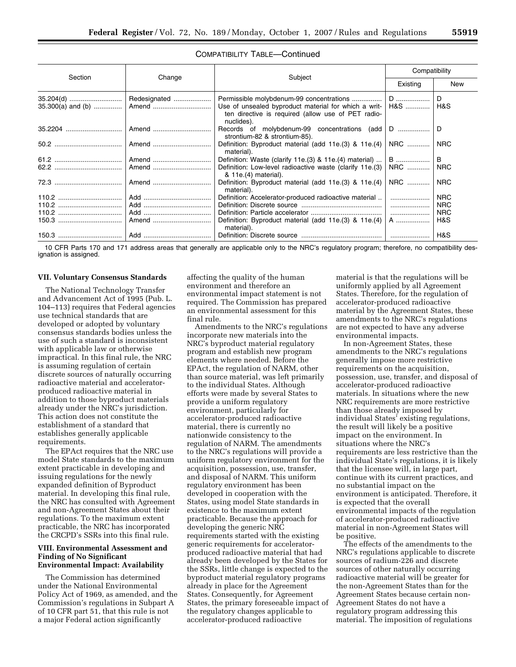|         |        |                                                                                                                          | Compatibility |            |  |
|---------|--------|--------------------------------------------------------------------------------------------------------------------------|---------------|------------|--|
| Section | Change | Subject                                                                                                                  | Existing      | New        |  |
|         |        | Use of unsealed byproduct material for which a writ-<br>ten directive is required (allow use of PET radio-<br>nuclides). | $H&S$         | D<br>H&S   |  |
|         |        | Records of molybdenum-99 concentrations (add D<br>strontium-82 & strontium-85).                                          |               | D          |  |
|         | Amend  | Definition: Byproduct material (add 11e.(3) & 11e.(4)  <br>material).                                                    | NRC           | <b>NRC</b> |  |
|         |        | Definition: Waste (clarify 11e.(3) & 11e.(4) material) $\dots \mid B \dots \dots \dots$                                  |               | B          |  |
|         |        | Definition: Low-level radioactive waste (clarify 11e.(3)<br>& 11e.(4) material).                                         | NRC           | <b>NRC</b> |  |
|         | Amend  | Definition: Byproduct material (add 11e.(3) & 11e.(4)<br>material).                                                      | NRC           | <b>NRC</b> |  |
|         |        | Definition: Accelerator-produced radioactive material                                                                    |               | <b>NRC</b> |  |
|         |        |                                                                                                                          |               | <b>NRC</b> |  |
|         |        |                                                                                                                          |               | <b>NRC</b> |  |
|         |        | Definition: Byproduct material (add 11e.(3) & 11e.(4)<br>material).                                                      | A             | H&S        |  |
|         |        |                                                                                                                          |               | H&S        |  |

10 CFR Parts 170 and 171 address areas that generally are applicable only to the NRC's regulatory program; therefore, no compatibility designation is assigned.

### **VII. Voluntary Consensus Standards**

The National Technology Transfer and Advancement Act of 1995 (Pub. L. 104–113) requires that Federal agencies use technical standards that are developed or adopted by voluntary consensus standards bodies unless the use of such a standard is inconsistent with applicable law or otherwise impractical. In this final rule, the NRC is assuming regulation of certain discrete sources of naturally occurring radioactive material and acceleratorproduced radioactive material in addition to those byproduct materials already under the NRC's jurisdiction. This action does not constitute the establishment of a standard that establishes generally applicable requirements.

The EPAct requires that the NRC use model State standards to the maximum extent practicable in developing and issuing regulations for the newly expanded definition of Byproduct material. In developing this final rule, the NRC has consulted with Agreement and non-Agreement States about their regulations. To the maximum extent practicable, the NRC has incorporated the CRCPD's SSRs into this final rule.

#### **VIII. Environmental Assessment and Finding of No Significant Environmental Impact: Availability**

The Commission has determined under the National Environmental Policy Act of 1969, as amended, and the Commission's regulations in Subpart A of 10 CFR part 51, that this rule is not a major Federal action significantly

affecting the quality of the human environment and therefore an environmental impact statement is not required. The Commission has prepared an environmental assessment for this final rule.

Amendments to the NRC's regulations incorporate new materials into the NRC's byproduct material regulatory program and establish new program elements where needed. Before the EPAct, the regulation of NARM, other than source material, was left primarily to the individual States. Although efforts were made by several States to provide a uniform regulatory environment, particularly for accelerator-produced radioactive material, there is currently no nationwide consistency to the regulation of NARM. The amendments to the NRC's regulations will provide a uniform regulatory environment for the acquisition, possession, use, transfer, and disposal of NARM. This uniform regulatory environment has been developed in cooperation with the States, using model State standards in existence to the maximum extent practicable. Because the approach for developing the generic NRC requirements started with the existing generic requirements for acceleratorproduced radioactive material that had already been developed by the States for the SSRs, little change is expected to the byproduct material regulatory programs already in place for the Agreement States. Consequently, for Agreement States, the primary foreseeable impact of the regulatory changes applicable to accelerator-produced radioactive

material is that the regulations will be uniformly applied by all Agreement States. Therefore, for the regulation of accelerator-produced radioactive material by the Agreement States, these amendments to the NRC's regulations are not expected to have any adverse environmental impacts.

In non-Agreement States, these amendments to the NRC's regulations generally impose more restrictive requirements on the acquisition, possession, use, transfer, and disposal of accelerator-produced radioactive materials. In situations where the new NRC requirements are more restrictive than those already imposed by individual States' existing regulations, the result will likely be a positive impact on the environment. In situations where the NRC's requirements are less restrictive than the individual State's regulations, it is likely that the licensee will, in large part, continue with its current practices, and no substantial impact on the environment is anticipated. Therefore, it is expected that the overall environmental impacts of the regulation of accelerator-produced radioactive material in non-Agreement States will be positive.

The effects of the amendments to the NRC's regulations applicable to discrete sources of radium-226 and discrete sources of other naturally occurring radioactive material will be greater for the non-Agreement States than for the Agreement States because certain non-Agreement States do not have a regulatory program addressing this material. The imposition of regulations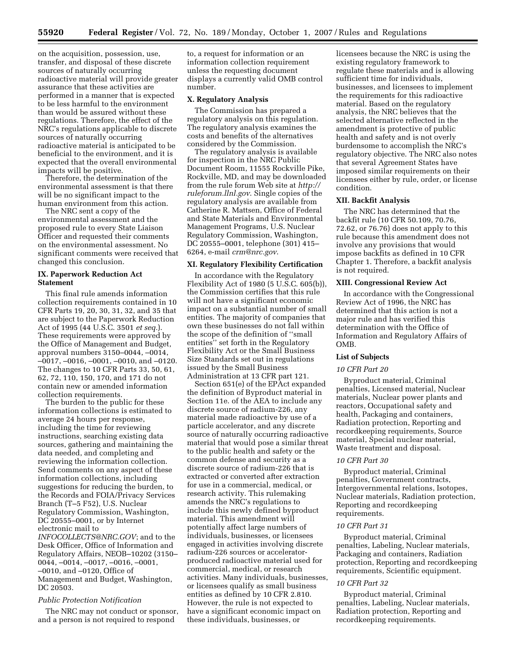on the acquisition, possession, use, transfer, and disposal of these discrete sources of naturally occurring radioactive material will provide greater assurance that these activities are performed in a manner that is expected to be less harmful to the environment than would be assured without these regulations. Therefore, the effect of the NRC's regulations applicable to discrete sources of naturally occurring radioactive material is anticipated to be beneficial to the environment, and it is expected that the overall environmental impacts will be positive.

Therefore, the determination of the environmental assessment is that there will be no significant impact to the human environment from this action.

The NRC sent a copy of the environmental assessment and the proposed rule to every State Liaison Officer and requested their comments on the environmental assessment. No significant comments were received that changed this conclusion.

# **IX. Paperwork Reduction Act Statement**

This final rule amends information collection requirements contained in 10 CFR Parts 19, 20, 30, 31, 32, and 35 that are subject to the Paperwork Reduction Act of 1995 (44 U.S.C. 3501 *et seq.*). These requirements were approved by the Office of Management and Budget, approval numbers 3150–0044, –0014, –0017, –0016, –0001, –0010, and –0120. The changes to 10 CFR Parts 33, 50, 61, 62, 72, 110, 150, 170, and 171 do not contain new or amended information collection requirements.

The burden to the public for these information collections is estimated to average 24 hours per response, including the time for reviewing instructions, searching existing data sources, gathering and maintaining the data needed, and completing and reviewing the information collection. Send comments on any aspect of these information collections, including suggestions for reducing the burden, to the Records and FOIA/Privacy Services Branch (T–5 F52), U.S. Nuclear Regulatory Commission, Washington, DC 20555–0001, or by Internet electronic mail to

*[INFOCOLLECTS@NRC.GOV](mailto:INFOCOLLECTS@NRC.GOV)*; and to the Desk Officer, Office of Information and Regulatory Affairs, NEOB–10202 (3150– 0044, –0014, –0017, –0016, –0001, –0010, and –0120, Office of Management and Budget, Washington, DC 20503.

#### *Public Protection Notification*

The NRC may not conduct or sponsor, and a person is not required to respond

to, a request for information or an information collection requirement unless the requesting document displays a currently valid OMB control number.

## **X. Regulatory Analysis**

The Commission has prepared a regulatory analysis on this regulation. The regulatory analysis examines the costs and benefits of the alternatives considered by the Commission.

The regulatory analysis is available for inspection in the NRC Public Document Room, 11555 Rockville Pike, Rockville, MD, and may be downloaded from the rule forum Web site at *[http://](http://ruleforum.llnl.gov) [ruleforum.llnl.gov](http://ruleforum.llnl.gov)*. Single copies of the regulatory analysis are available from Catherine R. Mattsen, Office of Federal and State Materials and Environmental Management Programs, U.S. Nuclear Regulatory Commission, Washington, DC 20555–0001, telephone (301) 415– 6264, e-mail *[crm@nrc.gov](mailto:crm@nrc.gov)*.

## **XI. Regulatory Flexibility Certification**

In accordance with the Regulatory Flexibility Act of 1980 (5 U.S.C. 605(b)), the Commission certifies that this rule will not have a significant economic impact on a substantial number of small entities. The majority of companies that own these businesses do not fall within the scope of the definition of ''small entities'' set forth in the Regulatory Flexibility Act or the Small Business Size Standards set out in regulations issued by the Small Business Administration at 13 CFR part 121.

Section 651(e) of the EPAct expanded the definition of Byproduct material in Section 11e. of the AEA to include any discrete source of radium-226, any material made radioactive by use of a particle accelerator, and any discrete source of naturally occurring radioactive material that would pose a similar threat to the public health and safety or the common defense and security as a discrete source of radium-226 that is extracted or converted after extraction for use in a commercial, medical, or research activity. This rulemaking amends the NRC's regulations to include this newly defined byproduct material. This amendment will potentially affect large numbers of individuals, businesses, or licensees engaged in activities involving discrete radium-226 sources or acceleratorproduced radioactive material used for commercial, medical, or research activities. Many individuals, businesses, or licensees qualify as small business entities as defined by 10 CFR 2.810. However, the rule is not expected to have a significant economic impact on these individuals, businesses, or

licensees because the NRC is using the existing regulatory framework to regulate these materials and is allowing sufficient time for individuals, businesses, and licensees to implement the requirements for this radioactive material. Based on the regulatory analysis, the NRC believes that the selected alternative reflected in the amendment is protective of public health and safety and is not overly burdensome to accomplish the NRC's regulatory objective. The NRC also notes that several Agreement States have imposed similar requirements on their licensees either by rule, order, or license condition.

#### **XII. Backfit Analysis**

The NRC has determined that the backfit rule (10 CFR 50.109, 70.76, 72.62, or 76.76) does not apply to this rule because this amendment does not involve any provisions that would impose backfits as defined in 10 CFR Chapter 1. Therefore, a backfit analysis is not required.

## **XIII. Congressional Review Act**

In accordance with the Congressional Review Act of 1996, the NRC has determined that this action is not a major rule and has verified this determination with the Office of Information and Regulatory Affairs of OMB.

## **List of Subjects**

# *10 CFR Part 20*

Byproduct material, Criminal penalties, Licensed material, Nuclear materials, Nuclear power plants and reactors, Occupational safety and health, Packaging and containers, Radiation protection, Reporting and recordkeeping requirements, Source material, Special nuclear material, Waste treatment and disposal.

#### *10 CFR Part 30*

Byproduct material, Criminal penalties, Government contracts, Intergovernmental relations, Isotopes, Nuclear materials, Radiation protection, Reporting and recordkeeping requirements.

## *10 CFR Part 31*

Byproduct material, Criminal penalties, Labeling, Nuclear materials, Packaging and containers, Radiation protection, Reporting and recordkeeping requirements, Scientific equipment.

#### *10 CFR Part 32*

Byproduct material, Criminal penalties, Labeling, Nuclear materials, Radiation protection, Reporting and recordkeeping requirements.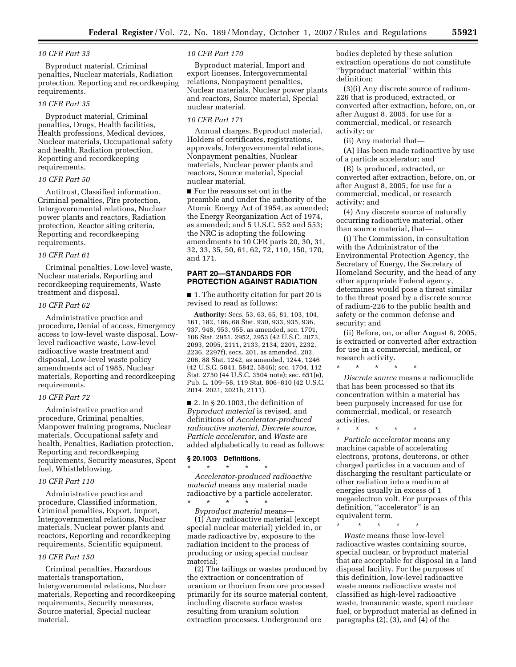## *10 CFR Part 33*

Byproduct material, Criminal penalties, Nuclear materials, Radiation protection, Reporting and recordkeeping requirements.

## *10 CFR Part 35*

Byproduct material, Criminal penalties, Drugs, Health facilities, Health professions, Medical devices, Nuclear materials, Occupational safety and health, Radiation protection, Reporting and recordkeeping requirements.

## *10 CFR Part 50*

Antitrust, Classified information, Criminal penalties, Fire protection, Intergovernmental relations, Nuclear power plants and reactors, Radiation protection, Reactor siting criteria, Reporting and recordkeeping requirements.

#### *10 CFR Part 61*

Criminal penalties, Low-level waste, Nuclear materials, Reporting and recordkeeping requirements, Waste treatment and disposal.

# *10 CFR Part 62*

Administrative practice and procedure, Denial of access, Emergency access to low-level waste disposal, Lowlevel radioactive waste, Low-level radioactive waste treatment and disposal, Low-level waste policy amendments act of 1985, Nuclear materials, Reporting and recordkeeping requirements.

## *10 CFR Part 72*

Administrative practice and procedure, Criminal penalties, Manpower training programs, Nuclear materials, Occupational safety and health, Penalties, Radiation protection, Reporting and recordkeeping requirements, Security measures, Spent fuel, Whistleblowing.

#### *10 CFR Part 110*

Administrative practice and procedure, Classified information, Criminal penalties, Export, Import, Intergovernmental relations, Nuclear materials, Nuclear power plants and reactors, Reporting and recordkeeping requirements, Scientific equipment.

#### *10 CFR Part 150*

Criminal penalties, Hazardous materials transportation, Intergovernmental relations, Nuclear materials, Reporting and recordkeeping requirements, Security measures, Source material, Special nuclear material.

#### *10 CFR Part 170*

Byproduct material, Import and export licenses, Intergovernmental relations, Nonpayment penalties, Nuclear materials, Nuclear power plants and reactors, Source material, Special nuclear material.

## *10 CFR Part 171*

Annual charges, Byproduct material, Holders of certificates, registrations, approvals, Intergovernmental relations, Nonpayment penalties, Nuclear materials, Nuclear power plants and reactors, Source material, Special nuclear material.

■ For the reasons set out in the preamble and under the authority of the Atomic Energy Act of 1954, as amended; the Energy Reorganization Act of 1974, as amended; and 5 U.S.C. 552 and 553; the NRC is adopting the following amendments to 10 CFR parts 20, 30, 31, 32, 33, 35, 50, 61, 62, 72, 110, 150, 170, and 171.

# **PART 20—STANDARDS FOR PROTECTION AGAINST RADIATION**

■ 1. The authority citation for part 20 is revised to read as follows:

**Authority:** Secs. 53, 63, 65, 81, 103, 104, 161, 182, 186, 68 Stat. 930, 933, 935, 936, 937, 948, 953, 955, as amended, sec. 1701, 106 Stat. 2951, 2952, 2953 (42 U.S.C. 2073, 2093, 2095, 2111, 2133, 2134, 2201, 2232, 2236, 2297f), secs. 201, as amended, 202, 206, 88 Stat. 1242, as amended, 1244, 1246 (42 U.S.C. 5841, 5842, 5846); sec. 1704, 112 Stat. 2750 (44 U.S.C. 3504 note); sec. 651(e), Pub. L. 109–58, 119 Stat. 806–810 (42 U.S.C. 2014, 2021, 2021b, 2111).

 $\blacksquare$  2. In § 20.1003, the definition of *Byproduct material* is revised, and definitions of *Accelerator-produced radioactive material, Discrete source, Particle accelerator*, and *Waste* are added alphabetically to read as follows:

### **§ 20.1003 Definitions.**  \* \* \* \* \*

*Accelerator-produced radioactive material* means any material made radioactive by a particle accelerator. \* \* \* \* \*

*Byproduct material* means— (1) Any radioactive material (except special nuclear material) yielded in, or made radioactive by, exposure to the radiation incident to the process of producing or using special nuclear material;

(2) The tailings or wastes produced by the extraction or concentration of uranium or thorium from ore processed primarily for its source material content, including discrete surface wastes resulting from uranium solution extraction processes. Underground ore

bodies depleted by these solution extraction operations do not constitute ''byproduct material'' within this definition;

(3)(i) Any discrete source of radium-226 that is produced, extracted, or converted after extraction, before, on, or after August 8, 2005, for use for a commercial, medical, or research activity; or

(ii) Any material that—

(A) Has been made radioactive by use of a particle accelerator; and

(B) Is produced, extracted, or converted after extraction, before, on, or after August 8, 2005, for use for a commercial, medical, or research activity; and

(4) Any discrete source of naturally occurring radioactive material, other than source material, that—

(i) The Commission, in consultation with the Administrator of the Environmental Protection Agency, the Secretary of Energy, the Secretary of Homeland Security, and the head of any other appropriate Federal agency, determines would pose a threat similar to the threat posed by a discrete source of radium-226 to the public health and safety or the common defense and security; and

(ii) Before, on, or after August 8, 2005, is extracted or converted after extraction for use in a commercial, medical, or research activity.

*Discrete source* means a radionuclide that has been processed so that its concentration within a material has been purposely increased for use for commercial, medical, or research activities.

\* \* \* \* \*

\* \* \* \* \* *Particle accelerator* means any machine capable of accelerating electrons, protons, deuterons, or other charged particles in a vacuum and of discharging the resultant particulate or other radiation into a medium at energies usually in excess of 1 megaelectron volt. For purposes of this definition, ''accelerator'' is an equivalent term.

\* \* \* \* \*

*Waste* means those low-level radioactive wastes containing source, special nuclear, or byproduct material that are acceptable for disposal in a land disposal facility. For the purposes of this definition, low-level radioactive waste means radioactive waste not classified as high-level radioactive waste, transuranic waste, spent nuclear fuel, or byproduct material as defined in paragraphs (2), (3), and (4) of the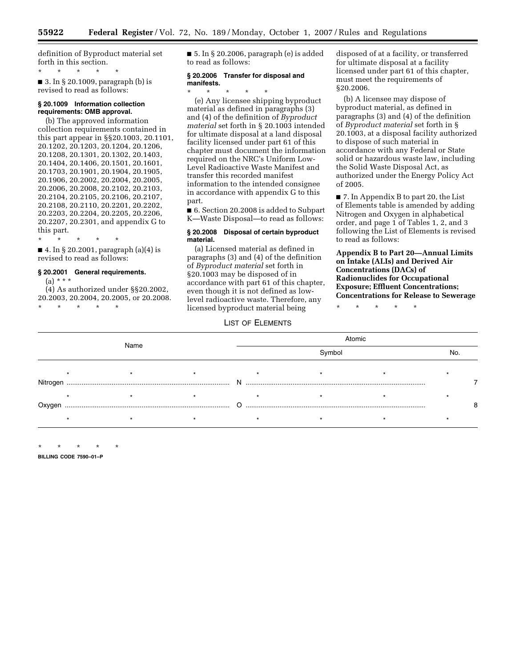definition of Byproduct material set forth in this section.

\* \* \* \* \* ■ 3. In § 20.1009, paragraph (b) is revised to read as follows:

#### **§ 20.1009 Information collection requirements: OMB approval.**

(b) The approved information collection requirements contained in this part appear in §§20.1003, 20.1101, 20.1202, 20.1203, 20.1204, 20.1206, 20.1208, 20.1301, 20.1302, 20.1403, 20.1404, 20.1406, 20.1501, 20.1601, 20.1703, 20.1901, 20.1904, 20.1905, 20.1906, 20.2002, 20.2004, 20.2005, 20.2006, 20.2008, 20.2102, 20.2103, 20.2104, 20.2105, 20.2106, 20.2107, 20.2108, 20.2110, 20.2201, 20.2202, 20.2203, 20.2204, 20.2205, 20.2206, 20.2207, 20.2301, and appendix G to this part.

\* \* \* \* \*

■ 4. In § 20.2001, paragraph (a)(4) is revised to read as follows:

## **§ 20.2001 General requirements.**

(a) \* \* \*

(4) As authorized under §§20.2002, 20.2003, 20.2004, 20.2005, or 20.2008. \* \* \* \* \*

 $\blacksquare$  5. In § 20.2006, paragraph (e) is added to read as follows:

#### **§ 20.2006 Transfer for disposal and manifests.**

# \* \* \* \* \*

(e) Any licensee shipping byproduct material as defined in paragraphs (3) and (4) of the definition of *Byproduct material* set forth in § 20.1003 intended for ultimate disposal at a land disposal facility licensed under part 61 of this chapter must document the information required on the NRC's Uniform Low-Level Radioactive Waste Manifest and transfer this recorded manifest information to the intended consignee in accordance with appendix G to this part.

■ 6. Section 20.2008 is added to Subpart K—Waste Disposal—to read as follows:

#### **§ 20.2008 Disposal of certain byproduct material.**

(a) Licensed material as defined in paragraphs (3) and (4) of the definition of *Byproduct material* set forth in §20.1003 may be disposed of in accordance with part 61 of this chapter, even though it is not defined as lowlevel radioactive waste. Therefore, any licensed byproduct material being

# LIST OF ELEMENTS

disposed of at a facility, or transferred for ultimate disposal at a facility licensed under part 61 of this chapter, must meet the requirements of §20.2006.

(b) A licensee may dispose of byproduct material, as defined in paragraphs (3) and (4) of the definition of *Byproduct material* set forth in § 20.1003, at a disposal facility authorized to dispose of such material in accordance with any Federal or State solid or hazardous waste law, including the Solid Waste Disposal Act, as authorized under the Energy Policy Act of 2005.

■ 7. In Appendix B to part 20, the List of Elements table is amended by adding Nitrogen and Oxygen in alphabetical order, and page 1 of Tables 1, 2, and 3 following the List of Elements is revised to read as follows:

**Appendix B to Part 20—Annual Limits on Intake (ALIs) and Derived Air Concentrations (DACs) of Radionuclides for Occupational Exposure; Effluent Concentrations; Concentrations for Release to Sewerage** 

\* \* \* \* \*

|          |      |  | Atomic |  |     |  |  |  |
|----------|------|--|--------|--|-----|--|--|--|
|          | Name |  | Symbol |  | No. |  |  |  |
|          |      |  |        |  |     |  |  |  |
| Nitrogen |      |  |        |  |     |  |  |  |
| Oxygen   |      |  |        |  |     |  |  |  |
|          |      |  |        |  |     |  |  |  |

\* \* \* \* \* **BILLING CODE 7590–01–P**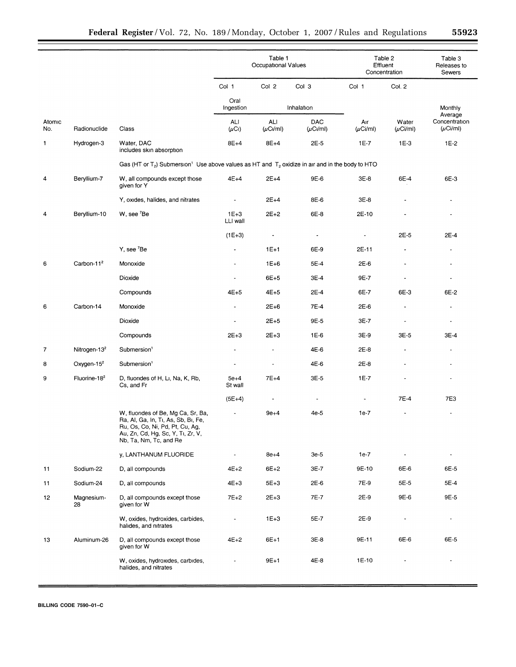|                |                          |                                                                                                                                                                             | Table 1<br>Occupational Values |                          | Table 2<br>Effluent<br>Concentration |                          | Table 3<br>Releases to<br>Sewers |                                           |
|----------------|--------------------------|-----------------------------------------------------------------------------------------------------------------------------------------------------------------------------|--------------------------------|--------------------------|--------------------------------------|--------------------------|----------------------------------|-------------------------------------------|
|                |                          |                                                                                                                                                                             | Col 1                          | Col 2                    | Col 3                                | Col 1                    | Col. 2                           |                                           |
|                |                          |                                                                                                                                                                             | Oral<br>Ingestion              |                          | Inhalation                           |                          |                                  | Monthly                                   |
| Atomic<br>No.  | Radionuclide             | Class                                                                                                                                                                       | ALI<br>$(\mu$ Ci)              | ALI<br>$(\mu$ Cı/ml)     | <b>DAC</b><br>$(\mu$ Ci/ml)          | Aır<br>$(\mu$ Ci/ml)     | Water<br>$(\mu$ Ci/ml)           | Average<br>Concentration<br>$(\mu$ Ci/ml) |
| 1              | Hydrogen-3               | Water, DAC<br>includes skin absorption                                                                                                                                      | $8E+4$                         | 8E+4                     | 2E-5                                 | 1E-7                     | $1E-3$                           | $1E-2$                                    |
|                |                          | Gas (HT or T <sub>2</sub> ) Submersion <sup>1</sup> Use above values as HT and T <sub>2</sub> oxidize in air and in the body to HTO                                         |                                |                          |                                      |                          |                                  |                                           |
| 4              | Beryllium-7              | W, all compounds except those<br>given for Y                                                                                                                                | $4E+4$                         | $2E+4$                   | 9E-6                                 | $3E-8$                   | 6E-4                             | 6E-3                                      |
|                |                          | Y, oxides, halides, and nitrates                                                                                                                                            | $\overline{a}$                 | $2E+4$                   | 8E-6                                 | $3E-8$                   |                                  |                                           |
| 4              | Beryllium-10             | W, see 'Be                                                                                                                                                                  | $1E+3$<br>LLI wall             | $2E + 2$                 | 6E-8                                 | 2E-10                    |                                  |                                           |
|                |                          |                                                                                                                                                                             | $(1E+3)$                       | $\blacksquare$           | $\overline{\phantom{a}}$             | $\overline{\phantom{a}}$ | 2E-5                             | 2E-4                                      |
|                |                          | Y, see <sup>7</sup> Be                                                                                                                                                      | $\overline{\phantom{a}}$       | $1E+1$                   | 6E-9                                 | 2E-11                    | $\blacksquare$                   |                                           |
| 6              | Carbon-11 <sup>2</sup>   | Monoxide                                                                                                                                                                    | $\overline{\phantom{a}}$       | $1E + 6$                 | 5E-4                                 | $2E-6$                   | $\tilde{\phantom{a}}$            |                                           |
|                |                          | Dioxide                                                                                                                                                                     | $\ddot{\phantom{0}}$           | $6E + 5$                 | 3E-4                                 | 9E-7                     |                                  |                                           |
|                |                          | Compounds                                                                                                                                                                   | $4E+5$                         | $4E+5$                   | 2E-4                                 | 6E-7                     | 6E-3                             | 6E-2                                      |
| 6              | Carbon-14                | Monoxide                                                                                                                                                                    |                                | $2E+6$                   | 7E-4                                 | 2E-6                     |                                  |                                           |
|                |                          | Dioxide                                                                                                                                                                     | $\ddot{\phantom{a}}$           | $2E + 5$                 | 9E-5                                 | 3E-7                     |                                  |                                           |
|                |                          | Compounds                                                                                                                                                                   | $2E + 3$                       | $2E+3$                   | $1E-6$                               | 3E-9                     | 3E-5                             | 3E-4                                      |
| $\overline{7}$ | Nitrogen-13 <sup>2</sup> | Submersion <sup>1</sup>                                                                                                                                                     | $\overline{\phantom{a}}$       | $\overline{\phantom{a}}$ | 4E-6                                 | 2E-8                     | $\qquad \qquad \blacksquare$     | $\overline{\phantom{a}}$                  |
| 8              | Oxygen-15 <sup>2</sup>   | Submersion <sup>1</sup>                                                                                                                                                     | $\blacksquare$                 | $\overline{\phantom{a}}$ | 4E-6                                 | 2E-8                     |                                  |                                           |
| 9              | Fluorine- $182$          | D, fluorides of H, Li, Na, K, Rb,<br>Cs, and Fr                                                                                                                             | $5e+4$<br>St wall              | $7E+4$                   | 3E-5                                 | $1E-7$                   |                                  |                                           |
|                |                          |                                                                                                                                                                             | $(5E+4)$                       | $\overline{\phantom{a}}$ | $\blacksquare$                       |                          | 7E-4                             | 7E3                                       |
|                |                          | W, fluorides of Be, Mg Ca, Sr, Ba,<br>Ra, Al, Ga, In, Ti, As, Sb, Bi, Fe,<br>Ru, Os, Co, Ni, Pd, Pt, Cu, Ag,<br>Au, Zn, Cd, Hg, Sc, Y, Ti, Zr, V,<br>Nb, Ta, Nm, Tc, and Re |                                | $9e+4$                   | $4e-5$                               | $1e-7$                   |                                  |                                           |
|                |                          | y, LANTHANUM FLUORIDE                                                                                                                                                       | $\overline{\phantom{a}}$       | $8e+4$                   | $3e-5$                               | $1e-7$                   |                                  |                                           |
| 11             | Sodium-22                | D, all compounds                                                                                                                                                            | $4E+2$                         | $6E+2$                   | 3E-7                                 | 9E-10                    | 6E-6                             | 6E-5                                      |
| 11             | Sodium-24                | D, all compounds                                                                                                                                                            | $4E+3$                         | $5E+3$                   | 2E-6                                 | 7E-9                     | 5E-5                             | 5E-4                                      |
| 12             | Magnesium-<br>28         | D, all compounds except those<br>given for W                                                                                                                                | $7E+2$                         | $2E + 3$                 | 7E-7                                 | 2E-9                     | 9E-6                             | 9E-5                                      |
|                |                          | W, oxides, hydroxides, carbides,<br>halides, and nitrates                                                                                                                   |                                | $1E+3$                   | 5E-7                                 | 2E-9                     |                                  |                                           |
| 13             | Aluminum-26              | D, all compounds except those<br>given for W                                                                                                                                | $4E+2$                         | $6E+1$                   | 3E-8                                 | 9E-11                    | 6E-6                             | 6E-5                                      |
|                |                          | W, oxides, hydroxides, carbides,<br>halides, and nitrates                                                                                                                   |                                | 9E+1                     | 4E-8                                 | 1E-10                    |                                  |                                           |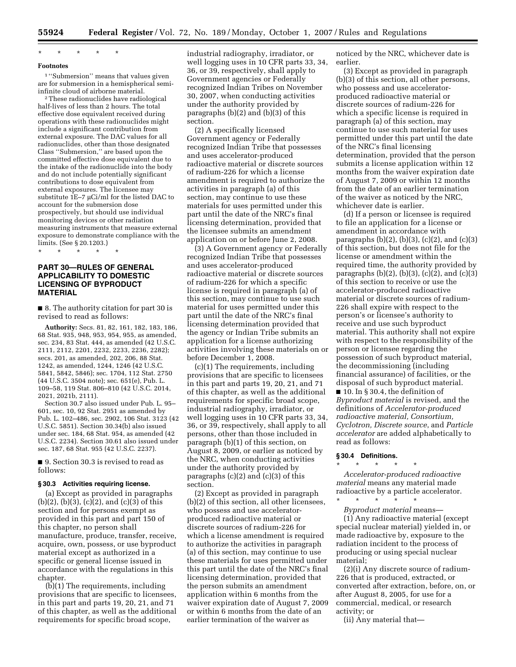# \* \* \* \* \*

# **Footnotes**

1 ''Submersion'' means that values given are for submersion in a hemispherical semi-

<sup>2</sup> These radionuclides have radiological. half-lives of less than 2 hours. The total effective dose equivalent received during operations with these radionuclides might include a significant contribution from external exposure. The DAC values for all radionuclides, other than those designated Class ''Submersion,'' are based upon the committed effective dose equivalent due to the intake of the radionuclide into the body and do not include potentially significant contributions to dose equivalent from external exposures. The licensee may substitute 1E–7 µCi/ml for the listed DAC to account for the submersion dose prospectively, but should use individual monitoring devices or other radiation measuring instruments that measure external exposure to demonstrate compliance with the limits. (See § 20.1203.)

\* \* \* \* \*

# **PART 30—RULES OF GENERAL APPLICABILITY TO DOMESTIC LICENSING OF BYPRODUCT MATERIAL**

■ 8. The authority citation for part 30 is revised to read as follows:

**Authority:** Secs. 81, 82, 161, 182, 183, 186, 68 Stat. 935, 948, 953, 954, 955, as amended, sec. 234, 83 Stat. 444, as amended (42 U.S.C. 2111, 2112, 2201, 2232, 2233, 2236, 2282); secs. 201, as amended, 202, 206, 88 Stat. 1242, as amended, 1244, 1246 (42 U.S.C. 5841, 5842, 5846); sec. 1704, 112 Stat. 2750 (44 U.S.C. 3504 note); sec. 651(e), Pub. L. 109–58, 119 Stat. 806–810 (42 U.S.C. 2014, 2021, 2021b, 2111).

Section 30.7 also issued under Pub. L. 95– 601, sec. 10, 92 Stat. 2951 as amended by Pub. L. 102–486, sec. 2902, 106 Stat. 3123 (42 U.S.C. 5851). Section 30.34(b) also issued under sec. 184, 68 Stat. 954, as amended (42 U.S.C. 2234). Section 30.61 also issued under sec. 187, 68 Stat. 955 (42 U.S.C. 2237).

■ 9. Section 30.3 is revised to read as follows:

#### **§ 30.3 Activities requiring license.**

(a) Except as provided in paragraphs (b)(2), (b)(3), (c)(2), and (c)(3) of this section and for persons exempt as provided in this part and part 150 of this chapter, no person shall manufacture, produce, transfer, receive, acquire, own, possess, or use byproduct material except as authorized in a specific or general license issued in accordance with the regulations in this chapter.

(b)(1) The requirements, including provisions that are specific to licensees, in this part and parts 19, 20, 21, and 71 of this chapter, as well as the additional requirements for specific broad scope,

industrial radiography, irradiator, or well logging uses in 10 CFR parts 33, 34, 36, or 39, respectively, shall apply to Government agencies or Federally recognized Indian Tribes on November 30, 2007, when conducting activities under the authority provided by paragraphs (b)(2) and (b)(3) of this section.

(2) A specifically licensed Government agency or Federally recognized Indian Tribe that possesses and uses accelerator-produced radioactive material or discrete sources of radium-226 for which a license amendment is required to authorize the activities in paragraph (a) of this section, may continue to use these materials for uses permitted under this part until the date of the NRC's final licensing determination, provided that the licensee submits an amendment application on or before June 2, 2008.

(3) A Government agency or Federally recognized Indian Tribe that possesses and uses accelerator-produced radioactive material or discrete sources of radium-226 for which a specific license is required in paragraph (a) of this section, may continue to use such material for uses permitted under this part until the date of the NRC's final licensing determination provided that the agency or Indian Tribe submits an application for a license authorizing activities involving these materials on or before December 1, 2008.

(c)(1) The requirements, including provisions that are specific to licensees in this part and parts 19, 20, 21, and 71 of this chapter, as well as the additional requirements for specific broad scope, industrial radiography, irradiator, or well logging uses in 10 CFR parts 33, 34, 36, or 39, respectively, shall apply to all persons, other than those included in paragraph (b)(1) of this section, on August 8, 2009, or earlier as noticed by the NRC, when conducting activities under the authority provided by paragraphs (c)(2) and (c)(3) of this section.

(2) Except as provided in paragraph (b)(2) of this section, all other licensees, who possess and use acceleratorproduced radioactive material or discrete sources of radium-226 for which a license amendment is required to authorize the activities in paragraph (a) of this section, may continue to use these materials for uses permitted under this part until the date of the NRC's final licensing determination, provided that the person submits an amendment application within 6 months from the waiver expiration date of August 7, 2009 or within 6 months from the date of an earlier termination of the waiver as

noticed by the NRC, whichever date is earlier.

(3) Except as provided in paragraph (b)(3) of this section, all other persons, who possess and use acceleratorproduced radioactive material or discrete sources of radium-226 for which a specific license is required in paragraph (a) of this section, may continue to use such material for uses permitted under this part until the date of the NRC's final licensing determination, provided that the person submits a license application within 12 months from the waiver expiration date of August 7, 2009 or within 12 months from the date of an earlier termination of the waiver as noticed by the NRC, whichever date is earlier.

(d) If a person or licensee is required to file an application for a license or amendment in accordance with paragraphs  $(b)(2)$ ,  $(b)(3)$ ,  $(c)(2)$ , and  $(c)(3)$ of this section, but does not file for the license or amendment within the required time, the authority provided by paragraphs (b)(2), (b)(3), (c)(2), and (c)(3) of this section to receive or use the accelerator-produced radioactive material or discrete sources of radium-226 shall expire with respect to the person's or licensee's authority to receive and use such byproduct material. This authority shall not expire with respect to the responsibility of the person or licensee regarding the possession of such byproduct material, the decommissioning (including financial assurance) of facilities, or the disposal of such byproduct material. ■ 10. In § 30.4, the definition of

*Byproduct material* is revised, and the definitions of *Accelerator-produced radioactive material, Consortium, Cyclotron, Discrete source*, and *Particle accelerator* are added alphabetically to read as follows:

#### **§ 30.4 Definitions.**

\* \* \* \* \* *Accelerator-produced radioactive material* means any material made radioactive by a particle accelerator. \* \* \* \* \*

*Byproduct material* means—

(1) Any radioactive material (except special nuclear material) yielded in, or made radioactive by, exposure to the radiation incident to the process of producing or using special nuclear material;

(2)(i) Any discrete source of radium-226 that is produced, extracted, or converted after extraction, before, on, or after August 8, 2005, for use for a commercial, medical, or research activity; or

(ii) Any material that—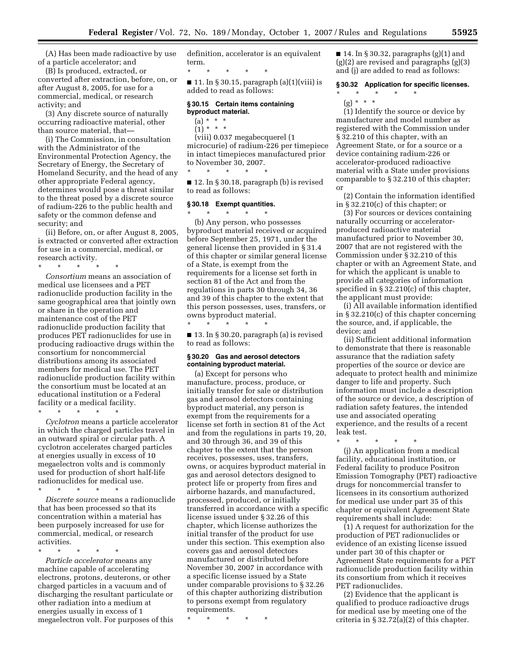(A) Has been made radioactive by use of a particle accelerator; and

(B) Is produced, extracted, or converted after extraction, before, on, or after August 8, 2005, for use for a commercial, medical, or research activity; and

(3) Any discrete source of naturally occurring radioactive material, other than source material, that—

(i) The Commission, in consultation with the Administrator of the Environmental Protection Agency, the Secretary of Energy, the Secretary of Homeland Security, and the head of any other appropriate Federal agency, determines would pose a threat similar to the threat posed by a discrete source of radium-226 to the public health and safety or the common defense and security; and

(ii) Before, on, or after August 8, 2005, is extracted or converted after extraction for use in a commercial, medical, or research activity.

\* \* \* \* \*

*Consortium* means an association of medical use licensees and a PET radionuclide production facility in the same geographical area that jointly own or share in the operation and maintenance cost of the PET radionuclide production facility that produces PET radionuclides for use in producing radioactive drugs within the consortium for noncommercial distributions among its associated members for medical use. The PET radionuclide production facility within the consortium must be located at an educational institution or a Federal facility or a medical facility.

\* \* \* \* \*

*Cyclotron* means a particle accelerator in which the charged particles travel in an outward spiral or circular path. A cyclotron accelerates charged particles at energies usually in excess of 10 megaelectron volts and is commonly used for production of short half-life radionuclides for medical use.

\* \* \* \* \* *Discrete source* means a radionuclide that has been processed so that its concentration within a material has been purposely increased for use for commercial, medical, or research activities.

\* \* \* \* \* *Particle accelerator* means any machine capable of accelerating electrons, protons, deuterons, or other charged particles in a vacuum and of discharging the resultant particulate or other radiation into a medium at energies usually in excess of 1 megaelectron volt. For purposes of this definition, accelerator is an equivalent term.

\* \* \* \* \*  $\blacksquare$  11. In § 30.15, paragraph (a)(1)(viii) is added to read as follows:

#### **§ 30.15 Certain items containing byproduct material.**

- $(a) * * * *$
- $(1) * * * *$

(viii) 0.037 megabecquerel (1 microcurie) of radium-226 per timepiece in intact timepieces manufactured prior

to November 30, 2007. \* \* \* \* \*

■ 12. In § 30.18, paragraph (b) is revised to read as follows:

#### **§ 30.18 Exempt quantities.**

\* \* \* \* \* (b) Any person, who possesses byproduct material received or acquired before September 25, 1971, under the general license then provided in § 31.4 of this chapter or similar general license of a State, is exempt from the requirements for a license set forth in section 81 of the Act and from the regulations in parts 30 through 34, 36 and 39 of this chapter to the extent that this person possesses, uses, transfers, or owns byproduct material.

■ 13. In § 30.20, paragraph (a) is revised to read as follows:

## **§ 30.20 Gas and aerosol detectors containing byproduct material.**

\* \* \* \* \*

(a) Except for persons who manufacture, process, produce, or initially transfer for sale or distribution gas and aerosol detectors containing byproduct material, any person is exempt from the requirements for a license set forth in section 81 of the Act and from the regulations in parts 19, 20, and 30 through 36, and 39 of this chapter to the extent that the person receives, possesses, uses, transfers, owns, or acquires byproduct material in gas and aerosol detectors designed to protect life or property from fires and airborne hazards, and manufactured, processed, produced, or initially transferred in accordance with a specific license issued under § 32.26 of this chapter, which license authorizes the initial transfer of the product for use under this section. This exemption also covers gas and aerosol detectors manufactured or distributed before November 30, 2007 in accordance with a specific license issued by a State under comparable provisions to § 32.26 of this chapter authorizing distribution to persons exempt from regulatory requirements.

\* \* \* \* \*

■ 14. In § 30.32, paragraphs (g)(1) and (g)(2) are revised and paragraphs (g)(3) and (j) are added to read as follows:

## **§ 30.32 Application for specific licenses.**

\* \* \* \* \* (g) \* \* \*

(1) Identify the source or device by manufacturer and model number as registered with the Commission under § 32.210 of this chapter, with an Agreement State, or for a source or a device containing radium-226 or accelerator-produced radioactive material with a State under provisions comparable to § 32.210 of this chapter; or

(2) Contain the information identified in § 32.210(c) of this chapter; or

(3) For sources or devices containing naturally occurring or acceleratorproduced radioactive material manufactured prior to November 30, 2007 that are not registered with the Commission under § 32.210 of this chapter or with an Agreement State, and for which the applicant is unable to provide all categories of information specified in § 32.210(c) of this chapter, the applicant must provide:

(i) All available information identified in § 32.210(c) of this chapter concerning the source, and, if applicable, the device; and

(ii) Sufficient additional information to demonstrate that there is reasonable assurance that the radiation safety properties of the source or device are adequate to protect health and minimize danger to life and property. Such information must include a description of the source or device, a description of radiation safety features, the intended use and associated operating experience, and the results of a recent leak test.

\* \* \* \* \*

(j) An application from a medical facility, educational institution, or Federal facility to produce Positron Emission Tomography (PET) radioactive drugs for noncommercial transfer to licensees in its consortium authorized for medical use under part 35 of this chapter or equivalent Agreement State requirements shall include:

(1) A request for authorization for the production of PET radionuclides or evidence of an existing license issued under part 30 of this chapter or Agreement State requirements for a PET radionuclide production facility within its consortium from which it receives PET radionuclides.

(2) Evidence that the applicant is qualified to produce radioactive drugs for medical use by meeting one of the criteria in § 32.72(a)(2) of this chapter.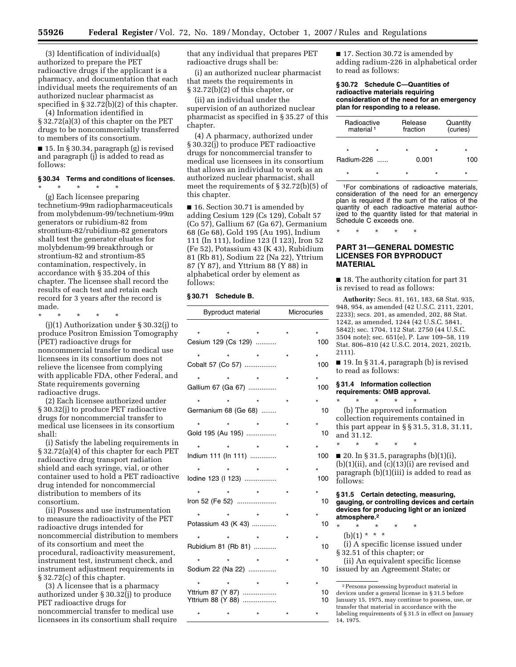(3) Identification of individual(s) authorized to prepare the PET radioactive drugs if the applicant is a pharmacy, and documentation that each individual meets the requirements of an authorized nuclear pharmacist as specified in § 32.72(b)(2) of this chapter.

(4) Information identified in § 32.72(a)(3) of this chapter on the PET drugs to be noncommercially transferred to members of its consortium.

■ 15. In § 30.34, paragraph (g) is revised and paragraph (j) is added to read as follows:

### **§ 30.34 Terms and conditions of licenses.**

\* \* \* \* \* (g) Each licensee preparing technetium-99m radiopharmaceuticals from molybdenum-99/technetium-99m generators or rubidium-82 from strontium-82/rubidium-82 generators shall test the generator eluates for molybdenum-99 breakthrough or strontium-82 and strontium-85 contamination, respectively, in accordance with § 35.204 of this chapter. The licensee shall record the results of each test and retain each record for 3 years after the record is made.

\* \* \* \* \* (j)(1) Authorization under § 30.32(j) to produce Positron Emission Tomography (PET) radioactive drugs for noncommercial transfer to medical use licensees in its consortium does not relieve the licensee from complying with applicable FDA, other Federal, and State requirements governing radioactive drugs.

(2) Each licensee authorized under § 30.32(j) to produce PET radioactive drugs for noncommercial transfer to medical use licensees in its consortium shall:

(i) Satisfy the labeling requirements in § 32.72(a)(4) of this chapter for each PET radioactive drug transport radiation shield and each syringe, vial, or other container used to hold a PET radioactive drug intended for noncommercial distribution to members of its consortium.

(ii) Possess and use instrumentation to measure the radioactivity of the PET radioactive drugs intended for noncommercial distribution to members of its consortium and meet the procedural, radioactivity measurement, instrument test, instrument check, and instrument adjustment requirements in § 32.72(c) of this chapter.

(3) A licensee that is a pharmacy authorized under § 30.32(j) to produce PET radioactive drugs for noncommercial transfer to medical use licensees in its consortium shall require that any individual that prepares PET radioactive drugs shall be:

(i) an authorized nuclear pharmacist that meets the requirements in § 32.72(b)(2) of this chapter, or

(ii) an individual under the supervision of an authorized nuclear pharmacist as specified in § 35.27 of this chapter.

(4) A pharmacy, authorized under § 30.32(j) to produce PET radioactive drugs for noncommercial transfer to medical use licensees in its consortium that allows an individual to work as an authorized nuclear pharmacist, shall meet the requirements of § 32.72(b)(5) of this chapter.

■ 16. Section 30.71 is amended by adding Cesium 129 (Cs 129), Cobalt 57 (Co 57), Gallium 67 (Ga 67), Germanium 68 (Ge 68), Gold 195 (Au 195), Indium 111 (In 111), Iodine 123 (I 123), Iron 52 (Fe 52), Potassium 43 (K 43), Rubidium 81 (Rb 81), Sodium 22 (Na 22), Yttrium 87 (Y 87), and Yttrium 88 (Y 88) in alphabetical order by element as follows:

## **§ 30.71 Schedule B.**

| <b>Byproduct material</b>              | <b>Microcuries</b> |  |          |
|----------------------------------------|--------------------|--|----------|
| Cesium 129 (Cs 129)                    |                    |  | 100      |
| Cobalt 57 (Co 57)                      |                    |  | 100      |
| Gallium 67 (Ga 67)                     |                    |  | 100      |
| Germanium 68 (Ge 68)                   |                    |  | 10       |
| Gold 195 (Au 195)                      |                    |  | 10       |
| Indium 111 (ln 111)                    |                    |  | 100      |
| lodine 123 (I 123)                     |                    |  | 100      |
| Iron 52 (Fe 52)                        |                    |  | 10       |
| Potassium 43 (K 43)                    |                    |  | 10       |
| Rubidium 81 (Rb 81)                    |                    |  | 10       |
| Sodium 22 (Na 22)                      |                    |  | 10       |
| Yttrium 87 (Y 87)<br>Yttrium 88 (Y 88) |                    |  | 10<br>10 |
|                                        |                    |  |          |

■ 17. Section 30.72 is amended by adding radium-226 in alphabetical order to read as follows:

#### **§ 30.72 Schedule C—Quantities of radioactive materials requiring consideration of the need for an emergency plan for responding to a release.**

| Radioactive<br>material <sup>1</sup> |         | Release<br>fraction |         | Quantity<br>(curies) |  |
|--------------------------------------|---------|---------------------|---------|----------------------|--|
| $\star$                              | $\star$ | $\star$             | $\star$ | $\star$              |  |
| Radium-226                           |         |                     | 0.001   | 100                  |  |
| $\star$                              |         |                     | $\star$ | ÷                    |  |

1For combinations of radioactive materials, consideration of the need for an emergency plan is required if the sum of the ratios of the quantity of each radioactive material authorized to the quantity listed for that material in Schedule C exceeds one.

\* \* \* \* \*

# **PART 31—GENERAL DOMESTIC LICENSES FOR BYPRODUCT MATERIAL**

■ 18. The authority citation for part 31 is revised to read as follows:

**Authority:** Secs. 81, 161, 183, 68 Stat. 935, 948, 954, as amended (42 U.S.C. 2111, 2201, 2233); secs. 201, as amended, 202, 88 Stat. 1242, as amended, 1244 (42 U.S.C. 5841, 5842); sec. 1704, 112 Stat. 2750 (44 U.S.C. 3504 note); sec. 651(e), P. Law 109–58, 119 Stat. 806–810 (42 U.S.C. 2014, 2021, 2021b, 2111).

■ 19. In § 31.4, paragraph (b) is revised to read as follows:

# **§ 31.4 Information collection**

**requirements: OMB approval.**  \* \* \* \* \* (b) The approved information collection requirements contained in

this part appear in § § 31.5, 31.8, 31.11, and 31.12. \* \* \* \* \*

 $\blacksquare$  20. In § 31.5, paragraphs (b)(1)(i),  $(b)(1)(ii)$ , and  $(c)(13)(i)$  are revised and paragraph (b)(1)(iii) is added to read as follows:

**§ 31.5 Certain detecting, measuring, gauging, or controlling devices and certain devices for producing light or an ionized atmosphere.2** 

- \* \* \* \* \*
	- $(b)(1) * * * *$

(i) A specific license issued under § 32.51 of this chapter; or

(ii) An equivalent specific license issued by an Agreement State; or

2 Persons possessing byproduct material in devices under a general license in § 31.5 before January 15, 1975, may continue to possess, use, or transfer that material in accordance with the labeling requirements of § 31.5 in effect on January 14, 1975.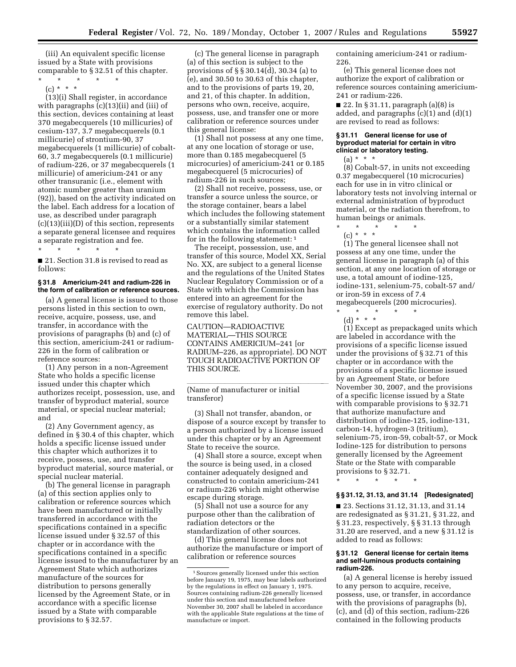(iii) An equivalent specific license issued by a State with provisions comparable to § 32.51 of this chapter.

 $\star$   $\qquad$   $\star$   $\qquad$   $\star$ (c) \* \* \*

(13)(i) Shall register, in accordance with paragraphs (c)(13)(ii) and (iii) of this section, devices containing at least 370 megabecquerels (10 millicuries) of cesium-137, 3.7 megabecquerels (0.1 millicurie) of strontium-90, 37 megabecquerels (1 millicurie) of cobalt-60, 3.7 megabecquerels (0.1 millicurie) of radium-226, or 37 megabecquerels (1 millicurie) of americium-241 or any other transuranic (i.e., element with atomic number greater than uranium (92)), based on the activity indicated on the label. Each address for a location of use, as described under paragraph  $(c)(13)(iii)(D)$  of this section, represents a separate general licensee and requires a separate registration and fee.

\* \* \* \* \*

■ 21. Section 31.8 is revised to read as follows:

# **§ 31.8 Americium-241 and radium-226 in the form of calibration or reference sources.**

(a) A general license is issued to those persons listed in this section to own, receive, acquire, possess, use, and transfer, in accordance with the provisions of paragraphs (b) and (c) of this section, americium-241 or radium-226 in the form of calibration or reference sources:

(1) Any person in a non-Agreement State who holds a specific license issued under this chapter which authorizes receipt, possession, use, and transfer of byproduct material, source material, or special nuclear material; and

(2) Any Government agency, as defined in § 30.4 of this chapter, which holds a specific license issued under this chapter which authorizes it to receive, possess, use, and transfer byproduct material, source material, or special nuclear material.

(b) The general license in paragraph (a) of this section applies only to calibration or reference sources which have been manufactured or initially transferred in accordance with the specifications contained in a specific license issued under § 32.57 of this chapter or in accordance with the specifications contained in a specific license issued to the manufacturer by an Agreement State which authorizes manufacture of the sources for distribution to persons generally licensed by the Agreement State, or in accordance with a specific license issued by a State with comparable provisions to § 32.57.

(c) The general license in paragraph (a) of this section is subject to the provisions of § § 30.14(d), 30.34 (a) to (e), and 30.50 to 30.63 of this chapter, and to the provisions of parts 19, 20, and 21, of this chapter. In addition, persons who own, receive, acquire, possess, use, and transfer one or more calibration or reference sources under this general license:

(1) Shall not possess at any one time, at any one location of storage or use, more than 0.185 megabecquerel (5 microcuries) of americium-241 or 0.185 megabecquerel (5 microcuries) of radium-226 in such sources;

(2) Shall not receive, possess, use, or transfer a source unless the source, or the storage container, bears a label which includes the following statement or a substantially similar statement which contains the information called for in the following statement: 1

The receipt, possession, use, and transfer of this source, Model XX, Serial No. XX, are subject to a general license and the regulations of the United States Nuclear Regulatory Commission or of a State with which the Commission has entered into an agreement for the exercise of regulatory authority. Do not remove this label.

CAUTION—RADIOACTIVE MATERIAL—THIS SOURCE CONTAINS AMERICIUM–241 [or RADIUM–226, as appropriate]. DO NOT TOUCH RADIOACTIVE PORTION OF THIS SOURCE.

 $\overline{\text{(Name of manufacturer or initial)}}$ transferor)

(3) Shall not transfer, abandon, or dispose of a source except by transfer to a person authorized by a license issued under this chapter or by an Agreement State to receive the source.

(4) Shall store a source, except when the source is being used, in a closed container adequately designed and constructed to contain americium-241 or radium-226 which might otherwise escape during storage.

(5) Shall not use a source for any purpose other than the calibration of radiation detectors or the standardization of other sources.

(d) This general license does not authorize the manufacture or import of calibration or reference sources

containing americium-241 or radium-226.

(e) This general license does not authorize the export of calibration or reference sources containing americium-241 or radium-226.

■ 22. In § 31.11, paragraph (a)(8) is added, and paragraphs  $(c)(1)$  and  $(d)(1)$ are revised to read as follows:

#### **§ 31.11 General license for use of byproduct material for certain in vitro clinical or laboratory testing.**

 $(a) * * * *$ 

(8) Cobalt-57, in units not exceeding 0.37 megabecquerel (10 microcuries) each for use in in vitro clinical or laboratory tests not involving internal or external administration of byproduct material, or the radiation therefrom, to human beings or animals.

\* \* \* \* \* (c) \* \* \*

(1) The general licensee shall not possess at any one time, under the general license in paragraph (a) of this section, at any one location of storage or use, a total amount of iodine-125, iodine-131, selenium-75, cobalt-57 and/ or iron-59 in excess of 7.4 megabecquerels (200 microcuries).

\* \* \* \* \* (d) \* \* \*

(1) Except as prepackaged units which are labeled in accordance with the provisions of a specific license issued under the provisions of § 32.71 of this chapter or in accordance with the provisions of a specific license issued by an Agreement State, or before November 30, 2007, and the provisions of a specific license issued by a State with comparable provisions to §32.71 that authorize manufacture and distribution of iodine-125, iodine-131, carbon-14, hydrogen-3 (tritium), selenium-75, iron-59, cobalt-57, or Mock Iodine-125 for distribution to persons generally licensed by the Agreement State or the State with comparable provisions to § 32.71.

**§ § 31.12, 31.13, and 31.14 [Redesignated]** 

\* \* \* \* \*

■ 23. Sections 31.12, 31.13, and 31.14 are redesignated as § 31.21, § 31.22, and § 31.23, respectively, § § 31.13 through 31.20 are reserved, and a new § 31.12 is added to read as follows:

#### **§ 31.12 General license for certain items and self-luminous products containing radium-226.**

(a) A general license is hereby issued to any person to acquire, receive, possess, use, or transfer, in accordance with the provisions of paragraphs (b), (c), and (d) of this section, radium-226 contained in the following products

<sup>1</sup> Sources generally licensed under this section before January 19, 1975, may bear labels authorized by the regulations in effect on January 1, 1975. Sources containing radium-226 generally licensed under this section and manufactured before November 30, 2007 shall be labeled in accordance with the applicable State regulations at the time of manufacture or import.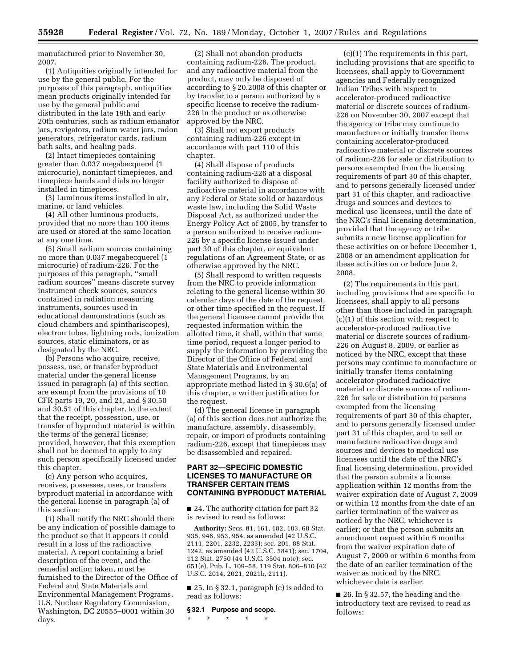manufactured prior to November 30, 2007.

(1) Antiquities originally intended for use by the general public. For the purposes of this paragraph, antiquities mean products originally intended for use by the general public and distributed in the late 19th and early 20th centuries, such as radium emanator jars, revigators, radium water jars, radon generators, refrigerator cards, radium bath salts, and healing pads.

(2) Intact timepieces containing greater than 0.037 megabecquerel (1 microcurie), nonintact timepieces, and timepiece hands and dials no longer installed in timepieces.

(3) Luminous items installed in air, marine, or land vehicles.

(4) All other luminous products, provided that no more than 100 items are used or stored at the same location at any one time.

(5) Small radium sources containing no more than 0.037 megabecquerel (1 microcurie) of radium-226. For the purposes of this paragraph, ''small radium sources'' means discrete survey instrument check sources, sources contained in radiation measuring instruments, sources used in educational demonstrations (such as cloud chambers and spinthariscopes), electron tubes, lightning rods, ionization sources, static eliminators, or as designated by the NRC.

(b) Persons who acquire, receive, possess, use, or transfer byproduct material under the general license issued in paragraph (a) of this section are exempt from the provisions of 10 CFR parts 19, 20, and 21, and § 30.50 and 30.51 of this chapter, to the extent that the receipt, possession, use, or transfer of byproduct material is within the terms of the general license; provided, however, that this exemption shall not be deemed to apply to any such person specifically licensed under this chapter.

(c) Any person who acquires, receives, possesses, uses, or transfers byproduct material in accordance with the general license in paragraph (a) of this section:

(1) Shall notify the NRC should there be any indication of possible damage to the product so that it appears it could result in a loss of the radioactive material. A report containing a brief description of the event, and the remedial action taken, must be furnished to the Director of the Office of Federal and State Materials and Environmental Management Programs, U.S. Nuclear Regulatory Commission, Washington, DC 20555–0001 within 30 days.

(2) Shall not abandon products containing radium-226. The product, and any radioactive material from the product, may only be disposed of according to § 20.2008 of this chapter or by transfer to a person authorized by a specific license to receive the radium-226 in the product or as otherwise approved by the NRC.

(3) Shall not export products containing radium-226 except in accordance with part 110 of this chapter.

(4) Shall dispose of products containing radium-226 at a disposal facility authorized to dispose of radioactive material in accordance with any Federal or State solid or hazardous waste law, including the Solid Waste Disposal Act, as authorized under the Energy Policy Act of 2005, by transfer to a person authorized to receive radium-226 by a specific license issued under part 30 of this chapter, or equivalent regulations of an Agreement State, or as otherwise approved by the NRC.

(5) Shall respond to written requests from the NRC to provide information relating to the general license within 30 calendar days of the date of the request, or other time specified in the request. If the general licensee cannot provide the requested information within the allotted time, it shall, within that same time period, request a longer period to supply the information by providing the Director of the Office of Federal and State Materials and Environmental Management Programs, by an appropriate method listed in § 30.6(a) of this chapter, a written justification for the request.

(d) The general license in paragraph (a) of this section does not authorize the manufacture, assembly, disassembly, repair, or import of products containing radium-226, except that timepieces may be disassembled and repaired.

# **PART 32—SPECIFIC DOMESTIC LICENSES TO MANUFACTURE OR TRANSFER CERTAIN ITEMS CONTAINING BYPRODUCT MATERIAL**

■ 24. The authority citation for part 32 is revised to read as follows:

**Authority:** Secs. 81, 161, 182, 183, 68 Stat. 935, 948, 953, 954, as amended (42 U.S.C. 2111, 2201, 2232, 2233); sec. 201, 88 Stat. 1242, as amended (42 U.S.C. 5841); sec. 1704, 112 Stat. 2750 (44 U.S.C. 3504 note); sec. 651(e), Pub. L. 109–58, 119 Stat. 806–810 (42 U.S.C. 2014, 2021, 2021b, 2111).

■ 25. In § 32.1, paragraph (c) is added to read as follows:

#### **§ 32.1 Purpose and scope.**

\* \* \* \* \*

(c)(1) The requirements in this part, including provisions that are specific to licensees, shall apply to Government agencies and Federally recognized Indian Tribes with respect to accelerator-produced radioactive material or discrete sources of radium-226 on November 30, 2007 except that the agency or tribe may continue to manufacture or initially transfer items containing accelerator-produced radioactive material or discrete sources of radium-226 for sale or distribution to persons exempted from the licensing requirements of part 30 of this chapter, and to persons generally licensed under part 31 of this chapter, and radioactive drugs and sources and devices to medical use licensees, until the date of the NRC's final licensing determination, provided that the agency or tribe submits a new license application for these activities on or before December 1, 2008 or an amendment application for these activities on or before June 2, 2008.

(2) The requirements in this part, including provisions that are specific to licensees, shall apply to all persons other than those included in paragraph (c)(1) of this section with respect to accelerator-produced radioactive material or discrete sources of radium-226 on August 8, 2009, or earlier as noticed by the NRC, except that these persons may continue to manufacture or initially transfer items containing accelerator-produced radioactive material or discrete sources of radium-226 for sale or distribution to persons exempted from the licensing requirements of part 30 of this chapter, and to persons generally licensed under part 31 of this chapter, and to sell or manufacture radioactive drugs and sources and devices to medical use licensees until the date of the NRC's final licensing determination, provided that the person submits a license application within 12 months from the waiver expiration date of August 7, 2009 or within 12 months from the date of an earlier termination of the waiver as noticed by the NRC, whichever is earlier; or that the person submits an amendment request within 6 months from the waiver expiration date of August 7, 2009 or within 6 months from the date of an earlier termination of the waiver as noticed by the NRC, whichever date is earlier.

 $\blacksquare$  26. In § 32.57, the heading and the introductory text are revised to read as follows: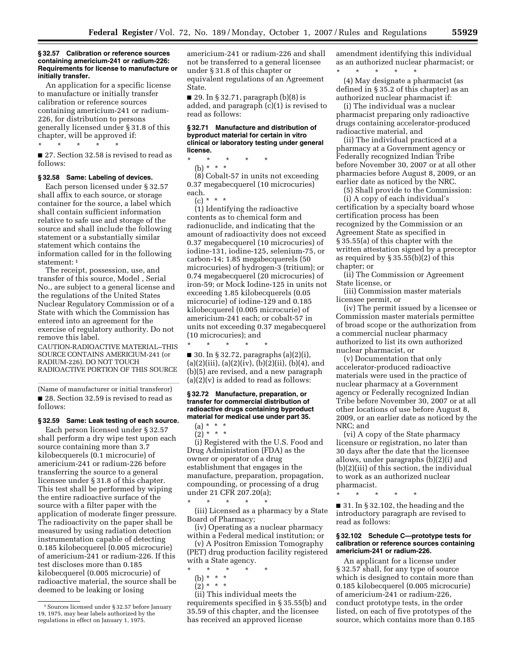#### **§ 32.57 Calibration or reference sources containing americium-241 or radium-226: Requirements for license to manufacture or initially transfer.**

An application for a specific license to manufacture or initially transfer calibration or reference sources containing americium-241 or radium-226, for distribution to persons generally licensed under § 31.8 of this chapter, will be approved if:

\* \* \* \* \*

■ 27. Section 32.58 is revised to read as follows:

#### **§ 32.58 Same: Labeling of devices.**

Each person licensed under § 32.57 shall affix to each source, or storage container for the source, a label which shall contain sufficient information relative to safe use and storage of the source and shall include the following statement or a substantially similar statement which contains the information called for in the following statement: 1

The receipt, possession, use, and transfer of this source, Model , Serial No., are subject to a general license and the regulations of the United States Nuclear Regulatory Commission or of a State with which the Commission has entered into an agreement for the exercise of regulatory authority. Do not remove this label.

CAUTION-RADIOACTIVE MATERIAL–THIS SOURCE CONTAINS AMERICIUM-241 (or RADIUM-226). DO NOT TOUCH RADIOACTIVE PORTION OF THIS SOURCE

(Name of manufacturer or initial transferor) ■ 28. Section 32.59 is revised to read as follows:

## **§ 32.59 Same: Leak testing of each source.**

Each person licensed under § 32.57 shall perform a dry wipe test upon each source containing more than 3.7 kilobecquerels (0.1 microcurie) of americium-241 or radium-226 before transferring the source to a general licensee under § 31.8 of this chapter. This test shall be performed by wiping the entire radioactive surface of the source with a filter paper with the application of moderate finger pressure. The radioactivity on the paper shall be measured by using radiation detection instrumentation capable of detecting 0.185 kilobecquerel (0.005 microcurie) of americium-241 or radium-226. If this test discloses more than 0.185 kilobecquerel (0.005 microcurie) of radioactive material, the source shall be deemed to be leaking or losing

americium-241 or radium-226 and shall not be transferred to a general licensee under § 31.8 of this chapter or equivalent regulations of an Agreement State.

■ 29. In § 32.71, paragraph (b)(8) is added, and paragraph (c)(1) is revised to read as follows:

## **§ 32.71 Manufacture and distribution of byproduct material for certain in vitro clinical or laboratory testing under general license.**

\* \* \* \* \*

(b) \* \* \*

(8) Cobalt-57 in units not exceeding 0.37 megabecquerel (10 microcuries) each.

 $(c) * * * *$ 

(1) Identifying the radioactive contents as to chemical form and radionuclide, and indicating that the amount of radioactivity does not exceed 0.37 megabecquerel (10 microcuries) of iodine-131, iodine-125, selenium-75, or carbon-14; 1.85 megabecquerels (50 microcuries) of hydrogen-3 (tritium); or 0.74 megabecquerel (20 microcuries) of iron-59; or Mock Iodine-125 in units not exceeding 1.85 kilobecquerels (0.05 microcurie) of iodine-129 and 0.185 kilobecquerel (0.005 microcurie) of americium-241 each; or cobalt-57 in units not exceeding 0.37 megabecquerel (10 microcuries); and

 $\blacksquare$  30. In § 32.72, paragraphs (a)(2)(i),  $(a)(2)(iii), (a)(2)(iv), (b)(2)(ii), (b)(4), and$ (b)(5) are revised, and a new paragraph  $(a)(2)(v)$  is added to read as follows:

\* \* \* \* \*

#### **§ 32.72 Manufacture, preparation, or transfer for commercial distribution of radioactive drugs containing byproduct material for medical use under part 35.**

(a) \* \* \*  $(2) * * * *$ 

(i) Registered with the U.S. Food and Drug Administration (FDA) as the owner or operator of a drug establishment that engages in the manufacture, preparation, propagation, compounding, or processing of a drug under 21 CFR 207.20(a); \* \* \* \* \*

(iii) Licensed as a pharmacy by a State Board of Pharmacy;

(iv) Operating as a nuclear pharmacy within a Federal medical institution; or

(v) A Positron Emission Tomography (PET) drug production facility registered with a State agency.

- \* \* \* \* \*
- (b) \* \* \*
- $(2)^* * * *$

(ii) This individual meets the requirements specified in § 35.55(b) and 35.59 of this chapter, and the licensee has received an approved license

amendment identifying this individual as an authorized nuclear pharmacist; or \* \* \* \* \*

(4) May designate a pharmacist (as defined in § 35.2 of this chapter) as an authorized nuclear pharmacist if:

(i) The individual was a nuclear pharmacist preparing only radioactive drugs containing accelerator-produced radioactive material, and

(ii) The individual practiced at a pharmacy at a Government agency or Federally recognized Indian Tribe before November 30, 2007 or at all other pharmacies before August 8, 2009, or an earlier date as noticed by the NRC.

(5) Shall provide to the Commission:

(i) A copy of each individual's certification by a specialty board whose certification process has been recognized by the Commission or an Agreement State as specified in § 35.55(a) of this chapter with the written attestation signed by a preceptor as required by § 35.55(b)(2) of this chapter; or

(ii) The Commission or Agreement State license, or

(iii) Commission master materials licensee permit, or

(iv) The permit issued by a licensee or Commission master materials permittee of broad scope or the authorization from a commercial nuclear pharmacy authorized to list its own authorized nuclear pharmacist, or

(v) Documentation that only accelerator-produced radioactive materials were used in the practice of nuclear pharmacy at a Government agency or Federally recognized Indian Tribe before November 30, 2007 or at all other locations of use before August 8, 2009, or an earlier date as noticed by the NRC; and

(vi) A copy of the State pharmacy licensure or registration, no later than 30 days after the date that the licensee allows, under paragraphs (b)(2)(i) and (b)(2)(iii) of this section, the individual to work as an authorized nuclear pharmacist.

\* \* \* \* \*

■ 31. In § 32.102, the heading and the introductory paragraph are revised to read as follows:

#### **§ 32.102 Schedule C—prototype tests for calibration or reference sources containing americium-241 or radium-226.**

An applicant for a license under § 32.57 shall, for any type of source which is designed to contain more than 0.185 kilobecquerel (0.005 microcurie) of americium-241 or radium-226, conduct prototype tests, in the order listed, on each of five prototypes of the source, which contains more than 0.185

<sup>1</sup> Sources licensed under § 32.57 before January 19, 1975, may bear labels authorized by the regulations in effect on January 1, 1975.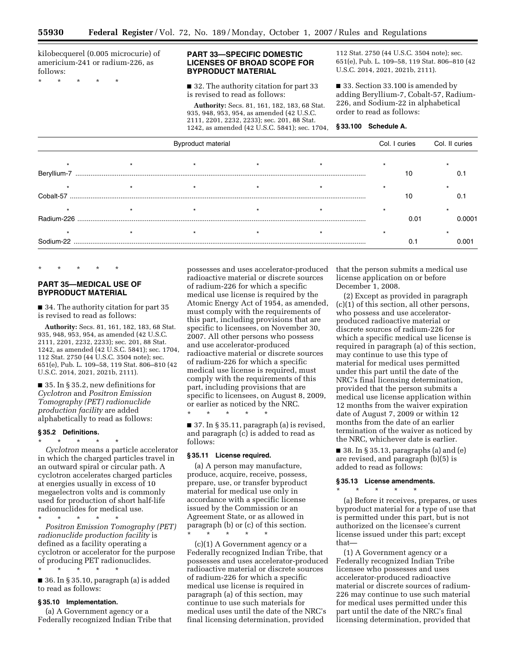kilobecquerel (0.005 microcurie) of americium-241 or radium-226, as follows: **BYPRODUCT MATERIAL** 

# **PART 33—SPECIFIC DOMESTIC LICENSES OF BROAD SCOPE FOR**

 $\blacksquare$  32. The authority citation for part 33 is revised to read as follows:

**Authority:** Secs. 81, 161, 182, 183, 68 Stat. 935, 948, 953, 954, as amended (42 U.S.C. 2111, 2201, 2232, 2233); sec. 201, 88 Stat. 1242, as amended (42 U.S.C. 5841); sec. 1704, 112 Stat. 2750 (44 U.S.C. 3504 note); sec. 651(e), Pub. L. 109–58, 119 Stat. 806–810 (42 U.S.C. 2014, 2021, 2021b, 2111).

■ 33. Section 33.100 is amended by adding Beryllium-7, Cobalt-57, Radium-226, and Sodium-22 in alphabetical order to read as follows:

|             | Byproduct material |  |  |  |      | Col. II curies |
|-------------|--------------------|--|--|--|------|----------------|
| Beryllium-7 |                    |  |  |  | 10   |                |
| Cobalt-57   |                    |  |  |  | 10   |                |
| Radium-226  |                    |  |  |  | 0.01 | 0.0001         |
| Sodium-22   |                    |  |  |  | 0.1  | 0.001          |

\* \* \* \* \*

# **PART 35—MEDICAL USE OF BYPRODUCT MATERIAL**

■ 34. The authority citation for part 35 is revised to read as follows:

**Authority:** Secs. 81, 161, 182, 183, 68 Stat. 935, 948, 953, 954, as amended (42 U.S.C. 2111, 2201, 2232, 2233); sec. 201, 88 Stat. 1242, as amended (42 U.S.C. 5841); sec. 1704, 112 Stat. 2750 (44 U.S.C. 3504 note); sec. 651(e), Pub. L. 109–58, 119 Stat. 806–810 (42 U.S.C. 2014, 2021, 2021b, 2111).

■ 35. In § 35.2, new definitions for *Cyclotron* and *Positron Emission Tomography (PET) radionuclide production facility* are added alphabetically to read as follows:

# **§ 35.2 Definitions.**

\* \* \* \* \* *Cyclotron* means a particle accelerator in which the charged particles travel in an outward spiral or circular path. A cyclotron accelerates charged particles at energies usually in excess of 10 megaelectron volts and is commonly used for production of short half-life radionuclides for medical use.

\* \* \* \* \* *Positron Emission Tomography (PET) radionuclide production facility* is defined as a facility operating a cyclotron or accelerator for the purpose of producing PET radionuclides. \* \* \* \* \*

■ 36. In § 35.10, paragraph (a) is added to read as follows:

### **§ 35.10 Implementation.**

(a) A Government agency or a Federally recognized Indian Tribe that possesses and uses accelerator-produced radioactive material or discrete sources of radium-226 for which a specific medical use license is required by the Atomic Energy Act of 1954, as amended, must comply with the requirements of this part, including provisions that are specific to licensees, on November 30, 2007. All other persons who possess and use accelerator-produced radioactive material or discrete sources of radium-226 for which a specific medical use license is required, must comply with the requirements of this part, including provisions that are specific to licensees, on August 8, 2009, or earlier as noticed by the NRC. \* \* \* \* \*

■ 37. In § 35.11, paragraph (a) is revised, and paragraph (c) is added to read as follows:

#### **§ 35.11 License required.**

(a) A person may manufacture, produce, acquire, receive, possess, prepare, use, or transfer byproduct material for medical use only in accordance with a specific license issued by the Commission or an Agreement State, or as allowed in paragraph (b) or (c) of this section. \* \* \* \* \*

(c)(1) A Government agency or a Federally recognized Indian Tribe, that possesses and uses accelerator-produced radioactive material or discrete sources of radium-226 for which a specific medical use license is required in paragraph (a) of this section, may continue to use such materials for medical uses until the date of the NRC's final licensing determination, provided

that the person submits a medical use license application on or before December 1, 2008.

(2) Except as provided in paragraph (c)(1) of this section, all other persons, who possess and use acceleratorproduced radioactive material or discrete sources of radium-226 for which a specific medical use license is required in paragraph (a) of this section, may continue to use this type of material for medical uses permitted under this part until the date of the NRC's final licensing determination, provided that the person submits a medical use license application within 12 months from the waiver expiration date of August 7, 2009 or within 12 months from the date of an earlier termination of the waiver as noticed by the NRC, whichever date is earlier.

■ 38. In § 35.13, paragraphs (a) and (e) are revised, and paragraph (b)(5) is added to read as follows:

#### **§ 35.13 License amendments.**

\* \* \* \* \*

(a) Before it receives, prepares, or uses byproduct material for a type of use that is permitted under this part, but is not authorized on the licensee's current license issued under this part; except that—

(1) A Government agency or a Federally recognized Indian Tribe licensee who possesses and uses accelerator-produced radioactive material or discrete sources of radium-226 may continue to use such material for medical uses permitted under this part until the date of the NRC's final licensing determination, provided that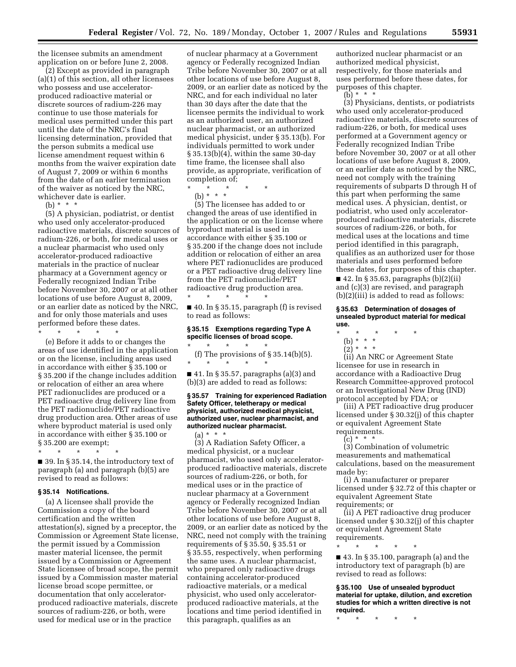the licensee submits an amendment application on or before June 2, 2008.

(2) Except as provided in paragraph (a)(1) of this section, all other licensees who possess and use acceleratorproduced radioactive material or discrete sources of radium-226 may continue to use those materials for medical uses permitted under this part until the date of the NRC's final licensing determination, provided that the person submits a medical use license amendment request within 6 months from the waiver expiration date of August 7, 2009 or within 6 months from the date of an earlier termination of the waiver as noticed by the NRC, whichever date is earlier.

(b)  $* * * *$ 

(5) A physician, podiatrist, or dentist who used only accelerator-produced radioactive materials, discrete sources of radium-226, or both, for medical uses or a nuclear pharmacist who used only accelerator-produced radioactive materials in the practice of nuclear pharmacy at a Government agency or Federally recognized Indian Tribe before November 30, 2007 or at all other locations of use before August 8, 2009, or an earlier date as noticed by the NRC, and for only those materials and uses performed before these dates. \* \* \* \* \*

(e) Before it adds to or changes the areas of use identified in the application or on the license, including areas used in accordance with either § 35.100 or § 35.200 if the change includes addition or relocation of either an area where PET radionuclides are produced or a PET radioactive drug delivery line from the PET radionuclide/PET radioactive drug production area. Other areas of use where byproduct material is used only in accordance with either § 35.100 or § 35.200 are exempt;

\* \* \* \* \*

■ 39. In § 35.14, the introductory text of paragraph (a) and paragraph (b)(5) are revised to read as follows:

#### **§ 35.14 Notifications.**

(a) A licensee shall provide the Commission a copy of the board certification and the written attestation(s), signed by a preceptor, the Commission or Agreement State license, the permit issued by a Commission master material licensee, the permit issued by a Commission or Agreement State licensee of broad scope, the permit issued by a Commission master material license broad scope permittee, or documentation that only acceleratorproduced radioactive materials, discrete sources of radium-226, or both, were used for medical use or in the practice

of nuclear pharmacy at a Government agency or Federally recognized Indian Tribe before November 30, 2007 or at all other locations of use before August 8, 2009, or an earlier date as noticed by the NRC, and for each individual no later than 30 days after the date that the licensee permits the individual to work as an authorized user, an authorized nuclear pharmacist, or an authorized medical physicist, under § 35.13(b). For individuals permitted to work under § 35.13(b)(4), within the same 30-day time frame, the licensee shall also provide, as appropriate, verification of completion of;

- \* \* \* \* \*
	- (b) \* \* \*

(5) The licensee has added to or changed the areas of use identified in the application or on the license where byproduct material is used in accordance with either § 35.100 or § 35.200 if the change does not include addition or relocation of either an area where PET radionuclides are produced or a PET radioactive drug delivery line from the PET radionuclide/PET radioactive drug production area. \* \* \* \* \*

■ 40. In § 35.15, paragraph (f) is revised to read as follows:

## **§ 35.15 Exemptions regarding Type A specific licenses of broad scope.**

\* \* \* \* \* (f) The provisions of  $\S 35.14(b)(5)$ . \* \* \* \* \*

■ 41. In § 35.57, paragraphs (a)(3) and (b)(3) are added to read as follows:

#### **§ 35.57 Training for experienced Radiation Safety Officer, teletherapy or medical physicist, authorized medical physicist, authorized user, nuclear pharmacist, and authorized nuclear pharmacist.**

 $(a) * * * *$ (3) A Radiation Safety Officer, a medical physicist, or a nuclear pharmacist, who used only acceleratorproduced radioactive materials, discrete sources of radium-226, or both, for medical uses or in the practice of nuclear pharmacy at a Government agency or Federally recognized Indian Tribe before November 30, 2007 or at all other locations of use before August 8, 2009, or an earlier date as noticed by the NRC, need not comply with the training requirements of § 35.50, § 35.51 or § 35.55, respectively, when performing the same uses. A nuclear pharmacist, who prepared only radioactive drugs containing accelerator-produced radioactive materials, or a medical physicist, who used only acceleratorproduced radioactive materials, at the locations and time period identified in this paragraph, qualifies as an

authorized nuclear pharmacist or an authorized medical physicist, respectively, for those materials and uses performed before these dates, for purposes of this chapter.

(b)  $* * * *$ 

(3) Physicians, dentists, or podiatrists who used only accelerator-produced radioactive materials, discrete sources of radium-226, or both, for medical uses performed at a Government agency or Federally recognized Indian Tribe before November 30, 2007 or at all other locations of use before August 8, 2009, or an earlier date as noticed by the NRC, need not comply with the training requirements of subparts D through H of this part when performing the same medical uses. A physician, dentist, or podiatrist, who used only acceleratorproduced radioactive materials, discrete sources of radium-226, or both, for medical uses at the locations and time period identified in this paragraph, qualifies as an authorized user for those materials and uses performed before these dates, for purposes of this chapter. ■ 42. In § 35.63, paragraphs (b)(2)(ii)

and (c)(3) are revised, and paragraph (b)(2)(iii) is added to read as follows:

#### **§ 35.63 Determination of dosages of unsealed byproduct material for medical use.**

- \* \* \* \* \*
	- (b) \* \* \*
	- $(2) * * * *$

(ii) An NRC or Agreement State licensee for use in research in accordance with a Radioactive Drug Research Committee-approved protocol or an Investigational New Drug (IND) protocol accepted by FDA; or

(iii) A PET radioactive drug producer licensed under § 30.32(j) of this chapter or equivalent Agreement State requirements.

 $(c) * * * *$ 

(3) Combination of volumetric measurements and mathematical calculations, based on the measurement made by:

(i) A manufacturer or preparer licensed under § 32.72 of this chapter or equivalent Agreement State requirements; or

(ii) A PET radioactive drug producer licensed under § 30.32(j) of this chapter or equivalent Agreement State requirements.

\* \* \* \* \*

■ 43. In § 35.100, paragraph (a) and the introductory text of paragraph (b) are revised to read as follows:

**§ 35.100 Use of unsealed byproduct material for uptake, dilution, and excretion studies for which a written directive is not required.** 

\* \* \* \* \*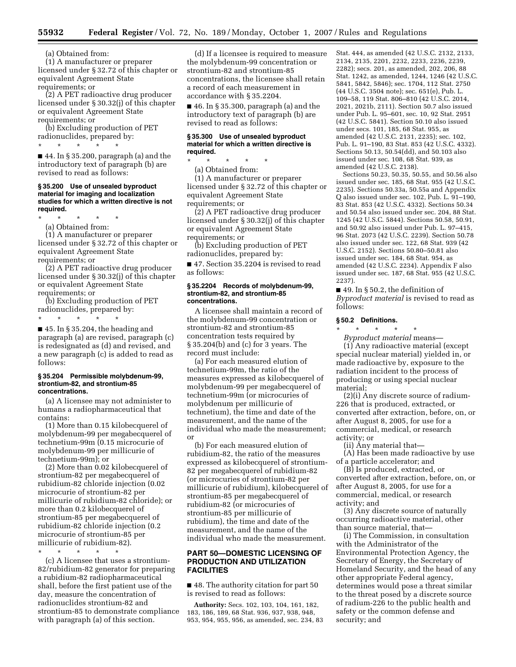(a) Obtained from:

(1) A manufacturer or preparer licensed under § 32.72 of this chapter or equivalent Agreement State requirements; or

(2) A PET radioactive drug producer licensed under § 30.32(j) of this chapter or equivalent Agreement State requirements; or

(b) Excluding production of PET radionuclides, prepared by:

\* \* \* \* \*

■ 44. In § 35.200, paragraph (a) and the introductory text of paragraph (b) are revised to read as follows:

#### **§ 35.200 Use of unsealed byproduct material for imaging and localization studies for which a written directive is not required.**

\* \* \* \* \*

(a) Obtained from:

(1) A manufacturer or preparer licensed under § 32.72 of this chapter or equivalent Agreement State requirements; or

(2) A PET radioactive drug producer licensed under § 30.32(j) of this chapter or equivalent Agreement State requirements; or

(b) Excluding production of PET radionuclides, prepared by:

\* \* \* \* \*  $\blacksquare$  45. In § 35.204, the heading and paragraph (a) are revised, paragraph (c) is redesignated as (d) and revised, and a new paragraph (c) is added to read as follows:

#### **§ 35.204 Permissible molybdenum-99, strontium-82, and strontium-85 concentrations.**

(a) A licensee may not administer to humans a radiopharmaceutical that contains:

(1) More than 0.15 kilobecquerel of molybdenum-99 per megabecquerel of technetium-99m (0.15 microcurie of molybdenum-99 per millicurie of technetium-99m); or

(2) More than 0.02 kilobecquerel of strontium-82 per megabecquerel of rubidium-82 chloride injection (0.02 microcurie of strontium-82 per millicurie of rubidium-82 chloride); or more than 0.2 kilobecquerel of strontium-85 per megabecquerel of rubidium-82 chloride injection (0.2 microcurie of strontium-85 per millicurie of rubidium-82).

\* \* \* \* \*

(c) A licensee that uses a strontium-82/rubidium-82 generator for preparing a rubidium-82 radiopharmaceutical shall, before the first patient use of the day, measure the concentration of radionuclides strontium-82 and strontium-85 to demonstrate compliance with paragraph (a) of this section.

(d) If a licensee is required to measure the molybdenum-99 concentration or strontium-82 and strontium-85 concentrations, the licensee shall retain a record of each measurement in accordance with § 35.2204.

■ 46. In § 35.300, paragraph (a) and the introductory text of paragraph (b) are revised to read as follows:

### **§ 35.300 Use of unsealed byproduct material for which a written directive is required.**

\* \* \* \* \*

(a) Obtained from:

(1) A manufacturer or preparer licensed under § 32.72 of this chapter or equivalent Agreement State requirements; or

(2) A PET radioactive drug producer licensed under § 30.32(j) of this chapter or equivalent Agreement State requirements; or

(b) Excluding production of PET radionuclides, prepared by:

■ 47. Section 35.2204 is revised to read as follows:

#### **§ 35.2204 Records of molybdenum-99, strontium-82, and strontium-85 concentrations.**

A licensee shall maintain a record of the molybdenum-99 concentration or strontium-82 and strontium-85 concentration tests required by § 35.204(b) and (c) for 3 years. The record must include:

(a) For each measured elution of technetium-99m, the ratio of the measures expressed as kilobecquerel of molybdenum-99 per megabecquerel of technetium-99m (or microcuries of molybdenum per millicurie of technetium), the time and date of the measurement, and the name of the individual who made the measurement; or

(b) For each measured elution of rubidium-82, the ratio of the measures expressed as kilobecquerel of strontium-82 per megabecquerel of rubidium-82 (or microcuries of strontium-82 per millicurie of rubidium), kilobecquerel of strontium-85 per megabecquerel of rubidium-82 (or microcuries of strontium-85 per millicurie of rubidium), the time and date of the measurement, and the name of the individual who made the measurement.

# **PART 50—DOMESTIC LICENSING OF PRODUCTION AND UTILIZATION FACILITIES**

■ 48. The authority citation for part 50 is revised to read as follows:

**Authority:** Secs. 102, 103, 104, 161, 182, 183, 186, 189, 68 Stat. 936, 937, 938, 948, 953, 954, 955, 956, as amended, sec. 234, 83 Stat. 444, as amended (42 U.S.C. 2132, 2133, 2134, 2135, 2201, 2232, 2233, 2236, 2239, 2282); secs. 201, as amended, 202, 206, 88 Stat. 1242, as amended, 1244, 1246 (42 U.S.C. 5841, 5842, 5846); sec. 1704, 112 Stat. 2750 (44 U.S.C. 3504 note); sec. 651(e), Pub. L. 109–58, 119 Stat. 806–810 (42 U.S.C. 2014, 2021, 2021b, 2111). Section 50.7 also issued under Pub. L. 95–601, sec. 10, 92 Stat. 2951 (42 U.S.C. 5841). Section 50.10 also issued under secs. 101, 185, 68 Stat. 955, as amended (42 U.S.C. 2131, 2235); sec. 102, Pub. L. 91–190, 83 Stat. 853 (42 U.S.C. 4332). Sections 50.13, 50.54(dd), and 50.103 also issued under sec. 108, 68 Stat. 939, as amended (42 U.S.C. 2138).

Sections 50.23, 50.35, 50.55, and 50.56 also issued under sec. 185, 68 Stat. 955 (42 U.S.C. 2235). Sections 50.33a, 50.55a and Appendix Q also issued under sec. 102, Pub. L. 91–190, 83 Stat. 853 (42 U.S.C. 4332). Sections 50.34 and 50.54 also issued under sec. 204, 88 Stat. 1245 (42 U.S.C. 5844). Sections 50.58, 50.91, and 50.92 also issued under Pub. L. 97–415, 96 Stat. 2073 (42 U.S.C. 2239). Section 50.78 also issued under sec. 122, 68 Stat. 939 (42 U.S.C. 2152). Sections 50.80–50.81 also issued under sec. 184, 68 Stat. 954, as amended (42 U.S.C. 2234). Appendix F also issued under sec. 187, 68 Stat. 955 (42 U.S.C. 2237).

■ 49. In § 50.2, the definition of *Byproduct material* is revised to read as follows:

#### **§ 50.2 Definitions.**

\* \* \* \* \*

*Byproduct material* means— (1) Any radioactive material (except special nuclear material) yielded in, or made radioactive by, exposure to the radiation incident to the process of producing or using special nuclear material;

(2)(i) Any discrete source of radium-226 that is produced, extracted, or converted after extraction, before, on, or after August 8, 2005, for use for a commercial, medical, or research activity; or

(ii) Any material that—

(A) Has been made radioactive by use of a particle accelerator; and

(B) Is produced, extracted, or converted after extraction, before, on, or after August 8, 2005, for use for a commercial, medical, or research activity; and

(3) Any discrete source of naturally occurring radioactive material, other than source material, that—

(i) The Commission, in consultation with the Administrator of the Environmental Protection Agency, the Secretary of Energy, the Secretary of Homeland Security, and the head of any other appropriate Federal agency, determines would pose a threat similar to the threat posed by a discrete source of radium-226 to the public health and safety or the common defense and security; and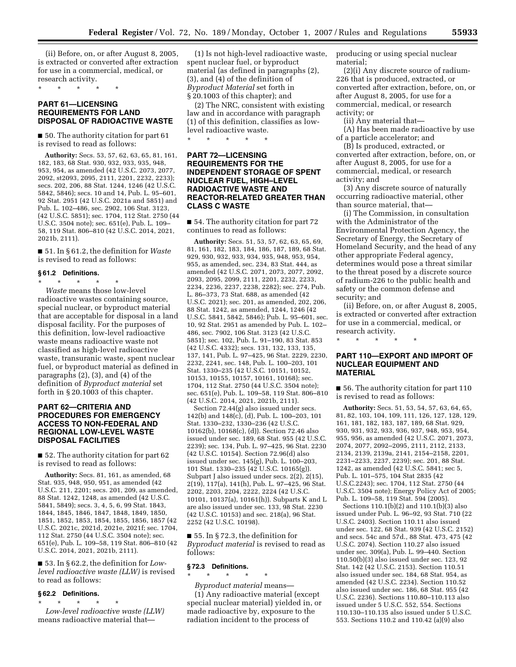(ii) Before, on, or after August 8, 2005, is extracted or converted after extraction for use in a commercial, medical, or research activity.

\* \* \* \* \*

# **PART 61—LICENSING REQUIREMENTS FOR LAND DISPOSAL OF RADIOACTIVE WASTE**

■ 50. The authority citation for part 61 is revised to read as follows:

**Authority:** Secs. 53, 57, 62, 63, 65, 81, 161, 182, 183, 68 Stat. 930, 932, 933, 935, 948, 953, 954, as amended (42 U.S.C. 2073, 2077, 2092, st2093, 2095, 2111, 2201, 2232, 2233); secs. 202, 206, 88 Stat. 1244, 1246 (42 U.S.C. 5842, 5846); secs. 10 and 14, Pub. L. 95–601, 92 Stat. 2951 (42 U.S.C. 2021a and 5851) and Pub. L. 102–486, sec. 2902, 106 Stat. 3123, (42 U.S.C. 5851); sec. 1704, 112 Stat. 2750 (44 U.S.C. 3504 note); sec. 651(e), Pub. L. 109– 58, 119 Stat. 806–810 (42 U.S.C. 2014, 2021, 2021b, 2111).

■ 51. In § 61.2, the definition for *Waste*  is revised to read as follows:

#### **§ 61.2 Definitions.**

\* \* \* \* \* *Waste* means those low-level radioactive wastes containing source, special nuclear, or byproduct material that are acceptable for disposal in a land disposal facility. For the purposes of this definition, low-level radioactive waste means radioactive waste not classified as high-level radioactive waste, transuranic waste, spent nuclear fuel, or byproduct material as defined in paragraphs (2), (3), and (4) of the definition of *Byproduct material* set forth in § 20.1003 of this chapter.

# **PART 62—CRITERIA AND PROCEDURES FOR EMERGENCY ACCESS TO NON-FEDERAL AND REGIONAL LOW-LEVEL WASTE DISPOSAL FACILITIES**

■ 52. The authority citation for part 62 is revised to read as follows:

**Authority:** Secs. 81, 161, as amended, 68 Stat. 935, 948, 950, 951, as amended (42 U.S.C. 211, 2201; secs. 201, 209, as amended, 88 Stat. 1242, 1248, as amended (42 U.S.C. 5841, 5849); secs. 3, 4, 5, 6, 99 Stat. 1843, 1844, 1845, 1846, 1847, 1848, 1849, 1850, 1851, 1852, 1853, 1854, 1855, 1856, 1857 (42 U.S.C. 2021c, 2021d, 2021e, 2021f; sec. 1704, 112 Stat. 2750 (44 U.S.C. 3504 note); sec. 651(e), Pub. L. 109–58, 119 Stat. 806–810 (42 U.S.C. 2014, 2021, 2021b, 2111).

■ 53. In § 62.2, the definition for *Lowlevel radioactive waste (LLW)* is revised to read as follows:

#### **§ 62.2 Definitions.**

\* \* \* \* \* *Low-level radioactive waste (LLW)*  means radioactive material that—

(1) Is not high-level radioactive waste, spent nuclear fuel, or byproduct material (as defined in paragraphs (2), (3), and (4) of the definition of *Byproduct Material* set forth in § 20.1003 of this chapter); and

(2) The NRC, consistent with existing law and in accordance with paragraph (1) of this definition, classifies as lowlevel radioactive waste. \* \* \* \* \*

## **PART 72—LICENSING REQUIREMENTS FOR THE INDEPENDENT STORAGE OF SPENT NUCLEAR FUEL, HIGH–LEVEL RADIOACTIVE WASTE AND REACTOR-RELATED GREATER THAN CLASS C WASTE**

■ 54. The authority citation for part 72 continues to read as follows:

**Authority:** Secs. 51, 53, 57, 62, 63, 65, 69, 81, 161, 182, 183, 184, 186, 187, 189, 68 Stat. 929, 930, 932, 933, 934, 935, 948, 953, 954, 955, as amended, sec. 234, 83 Stat. 444, as amended (42 U.S.C. 2071, 2073, 2077, 2092, 2093, 2095, 2099, 2111, 2201, 2232, 2233, 2234, 2236, 2237, 2238, 2282); sec. 274, Pub. L. 86–373, 73 Stat. 688, as amended (42 U.S.C. 2021); sec. 201, as amended, 202, 206, 88 Stat. 1242, as amended, 1244, 1246 (42 U.S.C. 5841, 5842, 5846); Pub. L. 95–601, sec. 10, 92 Stat. 2951 as amended by Pub. L. 102– 486, sec. 7902, 106 Stat. 3123 (42 U.S.C. 5851); sec. 102, Pub. L. 91–190, 83 Stat. 853 (42 U.S.C. 4332); secs. 131, 132, 133, 135, 137, 141, Pub. L. 97–425, 96 Stat. 2229, 2230, 2232, 2241, sec. 148, Pub. L. 100–203, 101 Stat. 1330–235 (42 U.S.C. 10151, 10152, 10153, 10155, 10157, 10161, 10168); sec. 1704, 112 Stat. 2750 (44 U.S.C. 3504 note); sec. 651(e), Pub. L. 109–58, 119 Stat. 806–810 (42 U.S.C. 2014, 2021, 2021b, 2111).

Section 72.44(g) also issued under secs. 142(b) and 148(c), (d), Pub. L. 100–203, 101 Stat. 1330–232, 1330–236 (42 U.S.C. 10162(b), 10168(c), (d)). Section 72.46 also issued under sec. 189, 68 Stat. 955 (42 U.S.C. 2239); sec. 134, Pub. L. 97–425, 96 Stat. 2230 (42 U.S.C. 10154). Section 72.96(d) also issued under sec. 145(g), Pub. L. 100–203, 101 Stat. 1330–235 (42 U.S.C. 10165(g)). Subpart J also issued under secs. 2(2), 2(15), 2(19), 117(a), 141(h), Pub. L. 97–425, 96 Stat. 2202, 2203, 2204, 2222, 2224 (42 U.S.C. 10101, 10137(a), 10161(h)). Subparts K and L are also issued under sec. 133, 98 Stat. 2230 (42 U.S.C. 10153) and sec. 218(a), 96 Stat. 2252 (42 U.S.C. 10198).

■ 55. In § 72.3, the definition for *Byproduct material* is revised to read as follows:

#### **§ 72.3 Definitions.**

\* \* \* \* \* *Byproduct material* means— (1) Any radioactive material (except special nuclear material) yielded in, or made radioactive by, exposure to the radiation incident to the process of

producing or using special nuclear material;

(2)(i) Any discrete source of radium-226 that is produced, extracted, or converted after extraction, before, on, or after August 8, 2005, for use for a commercial, medical, or research activity; or

(ii) Any material that—

(A) Has been made radioactive by use of a particle accelerator; and

(B) Is produced, extracted, or converted after extraction, before, on, or after August 8, 2005, for use for a commercial, medical, or research activity; and

(3) Any discrete source of naturally occurring radioactive material, other than source material, that—

(i) The Commission, in consultation with the Administrator of the Environmental Protection Agency, the Secretary of Energy, the Secretary of Homeland Security, and the head of any other appropriate Federal agency, determines would pose a threat similar to the threat posed by a discrete source of radium-226 to the public health and safety or the common defense and security; and

(ii) Before, on, or after August 8, 2005, is extracted or converted after extraction for use in a commercial, medical, or research activity.

\* \* \* \* \*

# **PART 110—EXPORT AND IMPORT OF NUCLEAR EQUIPMENT AND MATERIAL**

■ 56. The authority citation for part 110 is revised to read as follows:

**Authority:** Secs. 51, 53, 54, 57, 63, 64, 65, 81, 82, 103, 104, 109, 111, 126, 127, 128, 129, 161, 181, 182, 183, 187, 189, 68 Stat. 929, 930, 931, 932, 933, 936, 937, 948, 953, 954, 955, 956, as amended (42 U.S.C. 2071, 2073, 2074, 2077, 2092–2095, 2111, 2112, 2133, 2134, 2139, 2139a, 2141, 2154–2158, 2201, 2231–2233, 2237, 2239); sec. 201, 88 Stat. 1242, as amended (42 U.S.C. 5841; sec 5, Pub. L. 101–575, 104 Stat 2835 (42 U.S.C.2243); sec. 1704, 112 Stat. 2750 (44 U.S.C. 3504 note); Energy Policy Act of 2005; Pub. L. 109–58, 119 Stat. 594 (2005).

Sections 110.1(b)(2) and 110.1(b)(3) also issued under Pub. L. 96–92, 93 Stat. 710 (22 U.S.C. 2403). Section 110.11 also issued under sec. 122, 68 Stat. 939 (42 U.S.C. 2152) and secs. 54c and 57d., 88 Stat. 473, 475 (42 U.S.C. 2074). Section 110.27 also issued under sec. 309(a), Pub. L. 99–440. Section 110.50(b)(3) also issued under sec. 123, 92 Stat. 142 (42 U.S.C. 2153). Section 110.51 also issued under sec. 184, 68 Stat. 954, as amended (42 U.S.C. 2234). Section 110.52 also issued under sec. 186, 68 Stat. 955 (42 U.S.C. 2236). Sections 110.80–110.113 also issued under 5 U.S.C. 552, 554. Sections 110.130–110.135 also issued under 5 U.S.C. 553. Sections 110.2 and 110.42 (a)(9) also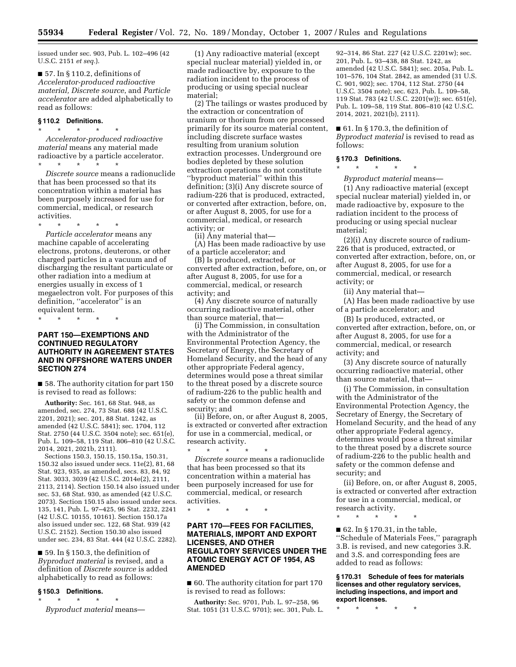issued under sec. 903, Pub. L. 102–496 (42 U.S.C. 2151 *et seq.*).

■ 57. In § 110.2, definitions of *Accelerator-produced radioactive material, Discrete source*, and *Particle accelerator* are added alphabetically to read as follows:

### **§ 110.2 Definitions.**  \* \* \* \* \*

*Accelerator-produced radioactive material* means any material made radioactive by a particle accelerator. \* \* \* \* \*

*Discrete source* means a radionuclide that has been processed so that its concentration within a material has been purposely increased for use for commercial, medical, or research activities.

\* \* \* \* \* *Particle accelerator* means any machine capable of accelerating electrons, protons, deuterons, or other charged particles in a vacuum and of discharging the resultant particulate or other radiation into a medium at energies usually in excess of 1 megaelectron volt. For purposes of this definition, "accelerator" is an equivalent term.

\* \* \* \* \*

# **PART 150—EXEMPTIONS AND CONTINUED REGULATORY AUTHORITY IN AGREEMENT STATES AND IN OFFSHORE WATERS UNDER SECTION 274**

■ 58. The authority citation for part 150 is revised to read as follows:

**Authority:** Sec. 161, 68 Stat. 948, as amended, sec. 274, 73 Stat. 688 (42 U.S.C. 2201, 2021); sec. 201, 88 Stat. 1242, as amended (42 U.S.C. 5841); sec. 1704, 112 Stat. 2750 (44 U.S.C. 3504 note); sec. 651(e), Pub. L. 109–58, 119 Stat. 806–810 (42 U.S.C. 2014, 2021, 2021b, 2111).

Sections 150.3, 150.15, 150.15a, 150.31, 150.32 also issued under secs. 11e(2), 81, 68 Stat. 923, 935, as amended, secs. 83, 84, 92 Stat. 3033, 3039 (42 U.S.C. 2014e(2), 2111, 2113, 2114). Section 150.14 also issued under sec. 53, 68 Stat. 930, as amended (42 U.S.C. 2073). Section 150.15 also issued under secs. 135, 141, Pub. L. 97–425, 96 Stat. 2232, 2241 (42 U.S.C. 10155, 10161). Section 150.17a also issued under sec. 122, 68 Stat. 939 (42 U.S.C. 2152). Section 150.30 also issued under sec. 234, 83 Stat. 444 (42 U.S.C. 2282).

■ 59. In § 150.3, the definition of *Byproduct material* is revised, and a definition of *Discrete source* is added alphabetically to read as follows:

### **§ 150.3 Definitions.**

\* \* \* \* \* *Byproduct material* means—

(1) Any radioactive material (except special nuclear material) yielded in, or made radioactive by, exposure to the radiation incident to the process of producing or using special nuclear material;

(2) The tailings or wastes produced by the extraction or concentration of uranium or thorium from ore processed primarily for its source material content, including discrete surface wastes resulting from uranium solution extraction processes. Underground ore bodies depleted by these solution extraction operations do not constitute ''byproduct material'' within this definition; (3)(i) Any discrete source of radium-226 that is produced, extracted, or converted after extraction, before, on, or after August 8, 2005, for use for a commercial, medical, or research activity; or

(ii) Any material that—

(A) Has been made radioactive by use of a particle accelerator; and

(B) Is produced, extracted, or converted after extraction, before, on, or after August 8, 2005, for use for a commercial, medical, or research activity; and

(4) Any discrete source of naturally occurring radioactive material, other than source material, that—

(i) The Commission, in consultation with the Administrator of the Environmental Protection Agency, the Secretary of Energy, the Secretary of Homeland Security, and the head of any other appropriate Federal agency, determines would pose a threat similar to the threat posed by a discrete source of radium-226 to the public health and safety or the common defense and security; and

(ii) Before, on, or after August 8, 2005, is extracted or converted after extraction for use in a commercial, medical, or research activity.

\* \* \* \* \* *Discrete source* means a radionuclide that has been processed so that its concentration within a material has been purposely increased for use for commercial, medical, or research activities.

\* \* \* \* \*

## **PART 170—FEES FOR FACILITIES, MATERIALS, IMPORT AND EXPORT LICENSES, AND OTHER REGULATORY SERVICES UNDER THE ATOMIC ENERGY ACT OF 1954, AS AMENDED**

■ 60. The authority citation for part 170 is revised to read as follows:

**Authority:** Sec. 9701, Pub. L. 97–258, 96 Stat. 1051 (31 U.S.C. 9701); sec. 301, Pub. L.

92–314, 86 Stat. 227 (42 U.S.C. 2201w); sec. 201, Pub. L. 93–438, 88 Stat. 1242, as amended (42 U.S.C. 5841); sec. 205a, Pub. L. 101–576, 104 Stat. 2842, as amended (31 U.S. C. 901, 902); sec. 1704, 112 Stat. 2750 (44 U.S.C. 3504 note); sec. 623, Pub. L. 109–58, 119 Stat. 783 (42 U.S.C. 2201(w)); sec. 651(e), Pub. L. 109–58, 119 Stat. 806–810 (42 U.S.C. 2014, 2021, 2021(b), 2111).

■ 61. In § 170.3, the definition of *Byproduct material* is revised to read as follows:

# **§ 170.3 Definitions.**

\* \* \* \* \*

*Byproduct material* means— (1) Any radioactive material (except special nuclear material) yielded in, or made radioactive by, exposure to the radiation incident to the process of producing or using special nuclear material;

(2)(i) Any discrete source of radium-226 that is produced, extracted, or converted after extraction, before, on, or after August 8, 2005, for use for a commercial, medical, or research activity; or

(ii) Any material that—

(A) Has been made radioactive by use of a particle accelerator; and

(B) Is produced, extracted, or converted after extraction, before, on, or after August 8, 2005, for use for a commercial, medical, or research activity; and

(3) Any discrete source of naturally occurring radioactive material, other than source material, that—

(i) The Commission, in consultation with the Administrator of the Environmental Protection Agency, the Secretary of Energy, the Secretary of Homeland Security, and the head of any other appropriate Federal agency, determines would pose a threat similar to the threat posed by a discrete source of radium-226 to the public health and safety or the common defense and security; and

(ii) Before, on, or after August 8, 2005, is extracted or converted after extraction for use in a commercial, medical, or research activity.

\* \* \* \* \*

 $\blacksquare$  62. In § 170.31, in the table, ''Schedule of Materials Fees,'' paragraph 3.B. is revised, and new categories 3.R. and 3.S. and corresponding fees are added to read as follows:

**§ 170.31 Schedule of fees for materials licenses and other regulatory services, including inspections, and import and export licenses.** 

\* \* \* \* \*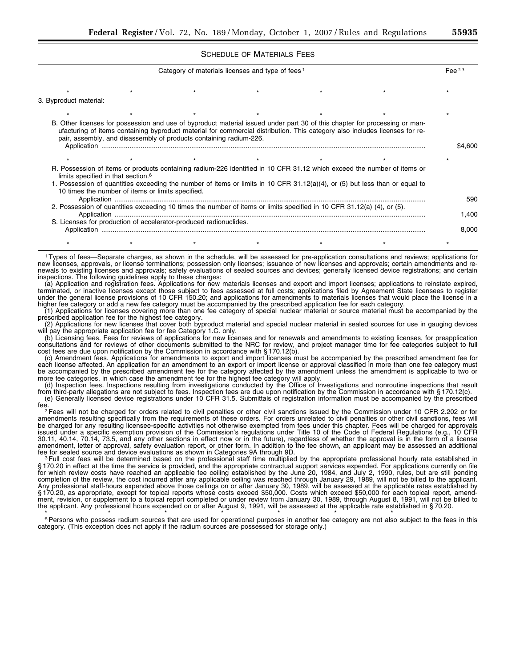SCHEDULE OF MATERIALS FEES

| Category of materials licenses and type of fees 1                                                                      |                                                                    |  |  |  |                                                                                                                                                                                                                                                           |         |  |  |
|------------------------------------------------------------------------------------------------------------------------|--------------------------------------------------------------------|--|--|--|-----------------------------------------------------------------------------------------------------------------------------------------------------------------------------------------------------------------------------------------------------------|---------|--|--|
|                                                                                                                        |                                                                    |  |  |  |                                                                                                                                                                                                                                                           |         |  |  |
| 3. Byproduct material:                                                                                                 |                                                                    |  |  |  |                                                                                                                                                                                                                                                           |         |  |  |
|                                                                                                                        |                                                                    |  |  |  |                                                                                                                                                                                                                                                           |         |  |  |
|                                                                                                                        | pair, assembly, and disassembly of products containing radium-226. |  |  |  | B. Other licenses for possession and use of byproduct material issued under part 30 of this chapter for processing or man-<br>ufacturing of items containing byproduct material for commercial distribution. This category also includes licenses for re- | \$4.600 |  |  |
|                                                                                                                        |                                                                    |  |  |  |                                                                                                                                                                                                                                                           |         |  |  |
|                                                                                                                        | limits specified in that section. <sup>6</sup>                     |  |  |  | R. Possession of items or products containing radium-226 identified in 10 CFR 31.12 which exceed the number of items or<br>1. Possession of quantities exceeding the number of items or limits in 10 CFR 31.12(a)(4), or (5) but less than or equal to    |         |  |  |
|                                                                                                                        | 10 times the number of items or limits specified.                  |  |  |  |                                                                                                                                                                                                                                                           |         |  |  |
| 2. Possession of quantities exceeding 10 times the number of items or limits specified in 10 CFR 31.12(a) (4), or (5). |                                                                    |  |  |  |                                                                                                                                                                                                                                                           |         |  |  |
|                                                                                                                        | S. Licenses for production of accelerator-produced radionuclides.  |  |  |  |                                                                                                                                                                                                                                                           | 8,000   |  |  |
|                                                                                                                        |                                                                    |  |  |  |                                                                                                                                                                                                                                                           |         |  |  |

1 Types of fees—Separate charges, as shown in the schedule, will be assessed for pre-application consultations and reviews; applications for new licenses, approvals, or license terminations; possession only licenses; issuance of new licenses and approvals; certain amendments and renewals to existing licenses and approvals; safety evaluations of sealed sources and devices; generally licensed device registrations; and certain inspections. The following guidelines apply to these charges:

(a) Application and registration fees. Applications for new materials licenses and export and import licenses; applications to reinstate expired, terminated, or inactive licenses except those subject to fees assessed at full costs; applications filed by Agreement State licensees to register under the general license provisions of 10 CFR 150.20; and applications for amendments to materials licenses that would place the license in a higher fee category or add a new fee category must be accompanied by the prescribed application fee for each category.

(1) Applications for licenses covering more than one fee category of special nuclear material or source material must be accompanied by the prescribed application fee for the highest fee category.

(2) Applications for new licenses that cover both byproduct material and special nuclear material in sealed sources for use in gauging devices will pay the appropriate application fee for fee Category 1.C. only.

(b) Licensing fees. Fees for reviews of applications for new licenses and for renewals and amendments to existing licenses, for preapplication consultations and for reviews of other documents submitted to the NRC for review, and project manager time for fee categories subject to full cost fees are due upon notification by the Commission in accordance with § 170.12(b).

(c) Amendment fees. Applications for amendments to export and import licenses must be accompanied by the prescribed amendment fee for each license affected. An application for an amendment to an export or import license or approval classified in more than one fee category must be accompanied by the prescribed amendment fee for the category affected by the amendment unless the amendment is applicable to two or more fee categories, in which case the amendment fee for the highest fee category will apply.

(d) Inspection fees. Inspections resulting from investigations conducted by the Office of Investigations and nonroutine inspections that result from third-party allegations are not subject to fees. Inspection fees are due upon notification by the Commission in accordance with § 170.12(c). (e) Generally licensed device registrations under 10 CFR 31.5. Submittals of registration information must be accompanied by the prescribed

fee. 2 Fees will not be charged for orders related to civil penalties or other civil sanctions issued by the Commission under 10 CFR 2.202 or for

amendments resulting specifically from the requirements of these orders. For orders unrelated to civil penalties or other civil sanctions, fees will be charged for any resulting licensee-specific activities not otherwise exempted from fees under this chapter. Fees will be charged for approvals issued under a specific exemption provision of the Commission's regulations under Title 10 of the Code of Federal Regulations (e.g., 10 CFR 30.11, 40.14, 70.14, 73.5, and any other sections in effect now or in the future), regardless of whether the approval is in the form of a license amendment, letter of approval, safety evaluation report, or other form. In addition to the fee shown, an applicant may be assessed an additional<br>fee for sealed source and device evaluations as shown in Categories 9A throug fee for sealed source and device evaluations as shown in Categories 9A through 9D.<br><sup>3</sup> Full cost fees will be determined based on the professional staff time multiplied by the appropriate professional hourly rate establish

§ 170.20 in effect at the time the service is provided, and the appropriate contractual support services expended. For applications currently on file for which review costs have reached an applicable fee ceiling established by the June 20, 1984, and July 2, 1990, rules, but are still pending completion of the review, the cost incurred after any applicable ceiling was reached through January 29, 1989, will not be billed to the applicant. Any professional staff-hours expended above those ceilings on or after January 30, 1989, will be assessed at the applicable rates established by § 170.20, as appropriate, except for topical reports whose costs exceed \$50,000. Costs which exceed \$50,000 for each topical report, amendment, revision, or supplement to a topical report completed or under review from January 30, 1989, through August 8, 1991, will not be billed to the applicant. Any professional hours expended on or after August 9, 1991, will be assessed at the applicable rate established in § 70.20.

<sup>6</sup> Persons who possess radium sources that are used for operational purposes in another fee category are not also subject to the fees in this category. (This exception does not apply if the radium sources are possessed for storage only.)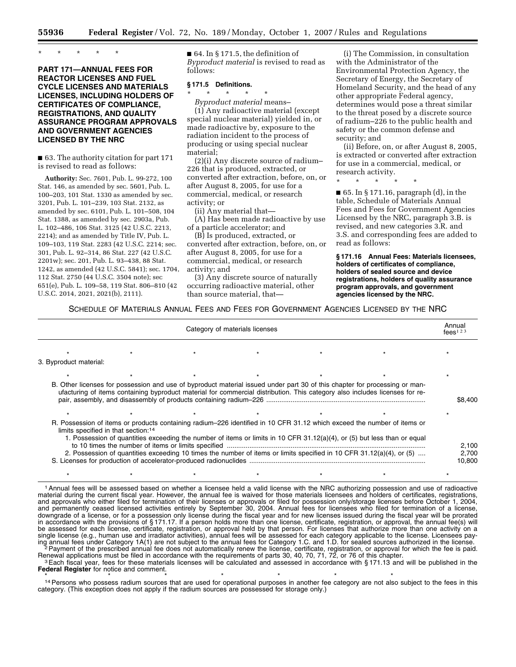\* \* \* \* \*

## **PART 171—ANNUAL FEES FOR REACTOR LICENSES AND FUEL CYCLE LICENSES AND MATERIALS LICENSES, INCLUDING HOLDERS OF CERTIFICATES OF COMPLIANCE, REGISTRATIONS, AND QUALITY ASSURANCE PROGRAM APPROVALS AND GOVERNMENT AGENCIES LICENSED BY THE NRC**

■ 63. The authority citation for part 171 is revised to read as follows:

**Authority:** Sec. 7601, Pub. L. 99-272, 100 Stat. 146, as amended by sec. 5601, Pub. L. 100–203, 101 Stat. 1330 as amended by sec. 3201, Pub. L. 101–239, 103 Stat. 2132, as amended by sec. 6101, Pub. L. 101–508, 104 Stat. 1388, as amended by sec. 2903a, Pub. L. 102–486, 106 Stat. 3125 (42 U.S.C. 2213, 2214); and as amended by Title IV, Pub. L. 109–103, 119 Stat. 2283 (42 U.S.C. 2214; sec. 301, Pub. L. 92–314, 86 Stat. 227 (42 U.S.C. 2201w); sec. 201, Pub. L. 93–438, 88 Stat. 1242, as amended (42 U.S.C. 5841); sec. 1704, 112 Stat. 2750 (44 U.S.C. 3504 note); sec 651(e), Pub. L. 109–58, 119 Stat. 806–810 (42 U.S.C. 2014, 2021, 2021(b), 2111).

 $\blacksquare$  64. In § 171.5, the definition of *Byproduct material* is revised to read as follows:

## **§ 171.5 Definitions.**

\* \* \* \* \*

*Byproduct material* means– (1) Any radioactive material (except special nuclear material) yielded in, or made radioactive by, exposure to the radiation incident to the process of producing or using special nuclear material;

(2)(i) Any discrete source of radium– 226 that is produced, extracted, or converted after extraction, before, on, or after August 8, 2005, for use for a commercial, medical, or research activity; or

(ii) Any material that—

(A) Has been made radioactive by use of a particle accelerator; and

(B) Is produced, extracted, or converted after extraction, before, on, or after August 8, 2005, for use for a commercial, medical, or research activity; and

(3) Any discrete source of naturally occurring radioactive material, other than source material, that—

(i) The Commission, in consultation with the Administrator of the Environmental Protection Agency, the Secretary of Energy, the Secretary of Homeland Security, and the head of any other appropriate Federal agency, determines would pose a threat similar to the threat posed by a discrete source of radium–226 to the public health and safety or the common defense and security; and

(ii) Before, on, or after August 8, 2005, is extracted or converted after extraction for use in a commercial, medical, or research activity.

\* \* \* \* \*

■ 65. In § 171.16, paragraph (d), in the table, Schedule of Materials Annual Fees and Fees for Government Agencies Licensed by the NRC, paragraph 3.B. is revised, and new categories 3.R. and 3.S. and corresponding fees are added to read as follows:

**§ 171.16 Annual Fees: Materials licensees, holders of certificates of compliance, holders of sealed source and device registrations, holders of quality assurance program approvals, and government agencies licensed by the NRC.** 

SCHEDULE OF MATERIALS ANNUAL FEES AND FEES FOR GOVERNMENT AGENCIES LICENSED BY THE NRC

| Category of materials licenses                                                                                                                                                                                                                                                                                                                                                                                                 |  |  |  |  |                                                                                                                                                                                                                                                           |         |  |
|--------------------------------------------------------------------------------------------------------------------------------------------------------------------------------------------------------------------------------------------------------------------------------------------------------------------------------------------------------------------------------------------------------------------------------|--|--|--|--|-----------------------------------------------------------------------------------------------------------------------------------------------------------------------------------------------------------------------------------------------------------|---------|--|
|                                                                                                                                                                                                                                                                                                                                                                                                                                |  |  |  |  |                                                                                                                                                                                                                                                           |         |  |
| 3. Byproduct material:                                                                                                                                                                                                                                                                                                                                                                                                         |  |  |  |  |                                                                                                                                                                                                                                                           |         |  |
|                                                                                                                                                                                                                                                                                                                                                                                                                                |  |  |  |  |                                                                                                                                                                                                                                                           |         |  |
|                                                                                                                                                                                                                                                                                                                                                                                                                                |  |  |  |  | B. Other licenses for possession and use of byproduct material issued under part 30 of this chapter for processing or man-<br>ufacturing of items containing byproduct material for commercial distribution. This category also includes licenses for re- | \$8.400 |  |
| R. Possession of items or products containing radium–226 identified in 10 CFR 31.12 which exceed the number of items or<br>limits specified in that section: <sup>14</sup><br>1. Possession of quantities exceeding the number of items or limits in 10 CFR 31.12(a)(4), or (5) but less than or equal<br>2. Possession of quantities exceeding 10 times the number of items or limits specified in 10 CFR 31.12(a)(4), or (5) |  |  |  |  |                                                                                                                                                                                                                                                           |         |  |

1 Annual fees will be assessed based on whether a licensee held a valid license with the NRC authorizing possession and use of radioactive material during the current fiscal year. However, the annual fee is waived for those materials licensees and holders of certificates, registrations, and approvals who either filed for termination of their licenses or approvals or filed for possession only/storage licenses before October 1, 2004, and permanently ceased licensed activities entirely by September 30, 2004. Annual fees for licensees who filed for termination of a license, downgrade of a license, or for a possession only license during the fiscal year and for new licenses issued during the fiscal year will be prorated in accordance with the provisions of § 171.17. If a person holds more than one license, certificate, registration, or approval, the annual fee(s) will be assessed for each license, certificate, registration, or approval held by that person. For licenses that authorize more than one activity on a single license (e.g., human use and irradiator activities), annual fees will be assessed for each category applicable to the license. Licensees paying annual fees under Category 1A(1) are not subject to the annual fees for Category 1.C. and 1.D. for sealed sources authorized in the license.<br>Payment of the prescribed annual fee does not automatically renew the license

\* \* \* \* \* \* \* \* \* \* \* \* \* \* \*

Renewal applications must be filed in accordance with the requirements of parts 30, 40, 70, 71, 72, or 76 of this chapter.<br><sup>3</sup> Each fiscal year, fees for these materials licenses will be calculated and assessed in accordan

**Federal Register** for notice and comment.

<sup>14</sup> Persons who possess radium sources that are used for operational purposes in another fee category are not also subject to the fees in this category. (This exception does not apply if the radium sources are possessed for storage only.)